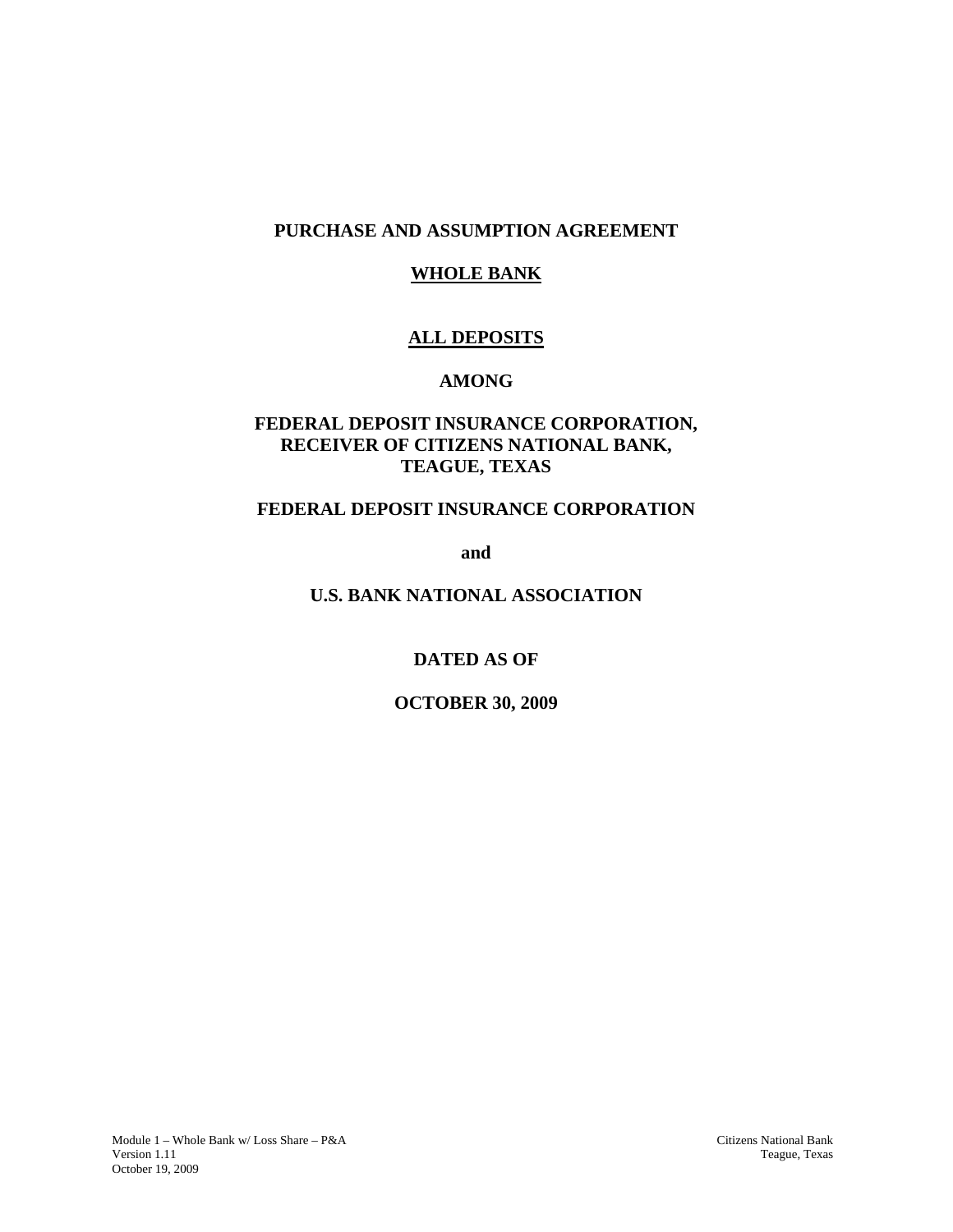#### **PURCHASE AND ASSUMPTION AGREEMENT**

#### **WHOLE BANK**

#### **ALL DEPOSITS**

### **AMONG**

#### **FEDERAL DEPOSIT INSURANCE CORPORATION, RECEIVER OF CITIZENS NATIONAL BANK, TEAGUE, TEXAS**

#### **FEDERAL DEPOSIT INSURANCE CORPORATION**

**and** 

#### **U.S. BANK NATIONAL ASSOCIATION**

**DATED AS OF**

**OCTOBER 30, 2009**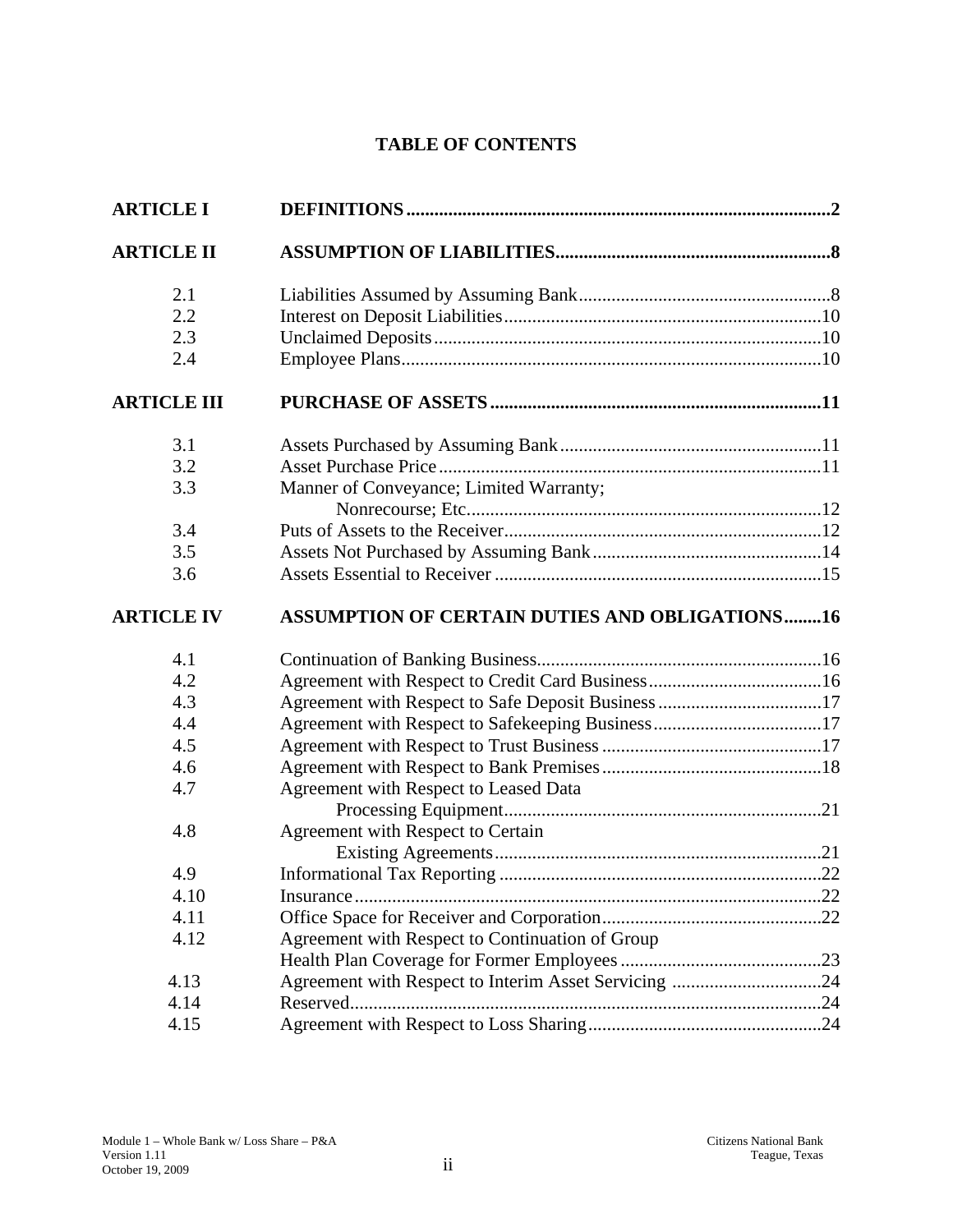# **TABLE OF CONTENTS**

| <b>ARTICLE I</b>   |                                                       |  |
|--------------------|-------------------------------------------------------|--|
| <b>ARTICLE II</b>  |                                                       |  |
| 2.1                |                                                       |  |
| 2.2                |                                                       |  |
| 2.3                |                                                       |  |
| 2.4                |                                                       |  |
| <b>ARTICLE III</b> |                                                       |  |
| 3.1                |                                                       |  |
| 3.2                |                                                       |  |
| 3.3                | Manner of Conveyance; Limited Warranty;               |  |
|                    |                                                       |  |
| 3.4                |                                                       |  |
| 3.5                |                                                       |  |
| 3.6                |                                                       |  |
| <b>ARTICLE IV</b>  | <b>ASSUMPTION OF CERTAIN DUTIES AND OBLIGATIONS16</b> |  |
| 4.1                |                                                       |  |
| 4.2                |                                                       |  |
| 4.3                |                                                       |  |
| 4.4                |                                                       |  |
| 4.5                |                                                       |  |
| 4.6                |                                                       |  |
| 4.7                | Agreement with Respect to Leased Data                 |  |
|                    |                                                       |  |
| 4.8                | Agreement with Respect to Certain                     |  |
|                    |                                                       |  |
| 4.9                |                                                       |  |
| 4.10               |                                                       |  |
| 4.11               |                                                       |  |
| 4.12               | Agreement with Respect to Continuation of Group       |  |
|                    |                                                       |  |
| 4.13               |                                                       |  |
| 4.14               |                                                       |  |
| 4.15               |                                                       |  |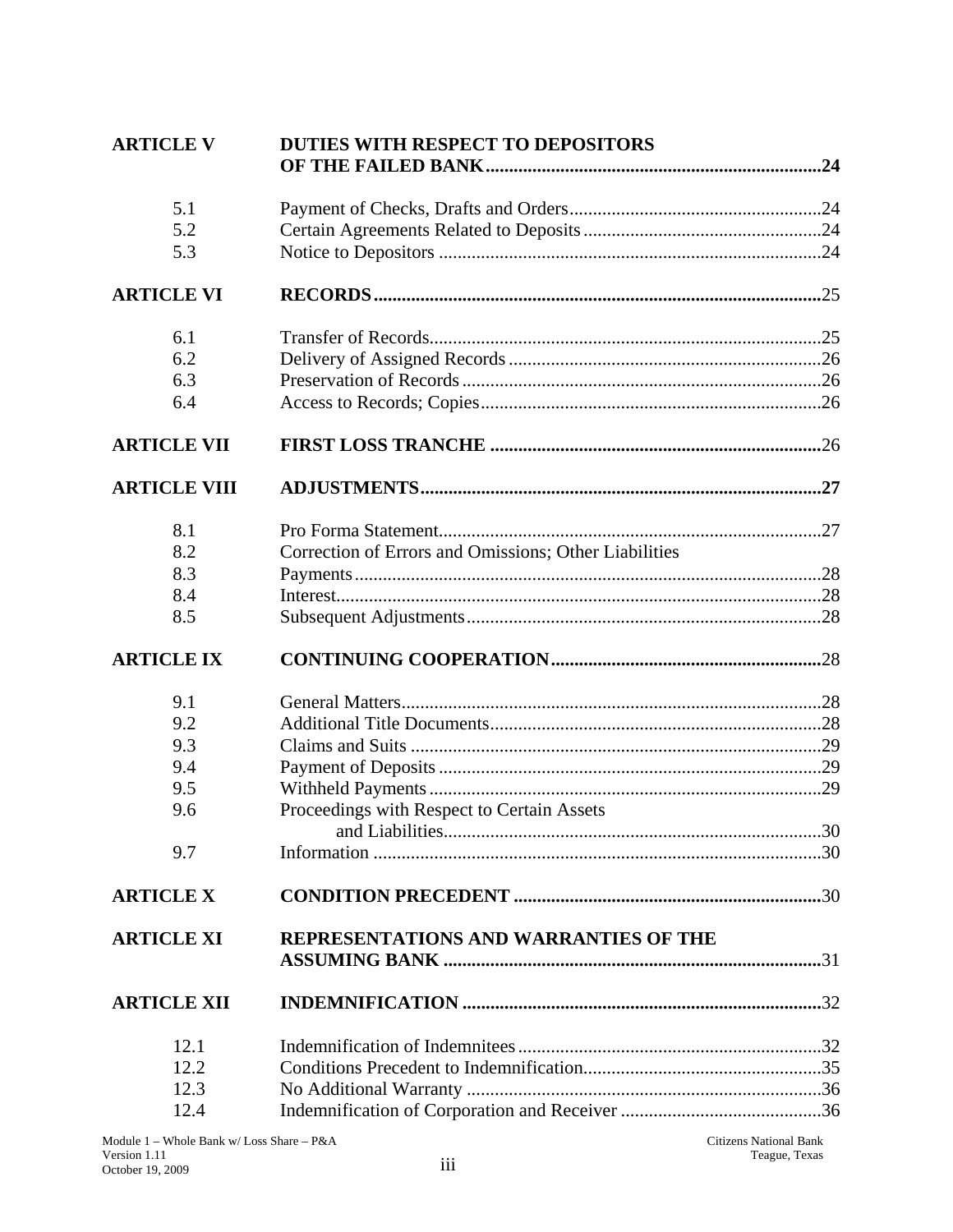| <b>ARTICLE V</b>    | <b>DUTIES WITH RESPECT TO DEPOSITORS</b>              |  |
|---------------------|-------------------------------------------------------|--|
|                     |                                                       |  |
| 5.1                 |                                                       |  |
| 5.2                 |                                                       |  |
| 5.3                 |                                                       |  |
| <b>ARTICLE VI</b>   |                                                       |  |
|                     |                                                       |  |
| 6.1                 |                                                       |  |
| 6.2                 |                                                       |  |
| 6.3                 |                                                       |  |
| 6.4                 |                                                       |  |
| <b>ARTICLE VII</b>  |                                                       |  |
| <b>ARTICLE VIII</b> |                                                       |  |
| 8.1                 |                                                       |  |
| 8.2                 | Correction of Errors and Omissions; Other Liabilities |  |
| 8.3                 |                                                       |  |
| 8.4                 |                                                       |  |
| 8.5                 |                                                       |  |
| <b>ARTICLE IX</b>   |                                                       |  |
|                     |                                                       |  |
| 9.1                 |                                                       |  |
| 9.2                 |                                                       |  |
| 9.3                 |                                                       |  |
| 9.4                 |                                                       |  |
| 9.5                 |                                                       |  |
| 9.6                 | Proceedings with Respect to Certain Assets            |  |
|                     |                                                       |  |
| 9.7                 |                                                       |  |
| <b>ARTICLE X</b>    |                                                       |  |
| <b>ARTICLE XI</b>   | <b>REPRESENTATIONS AND WARRANTIES OF THE</b>          |  |
|                     |                                                       |  |
| <b>ARTICLE XII</b>  |                                                       |  |
| 12.1                |                                                       |  |
| 12.2                |                                                       |  |
| 12.3                |                                                       |  |
| 12.4                |                                                       |  |
|                     |                                                       |  |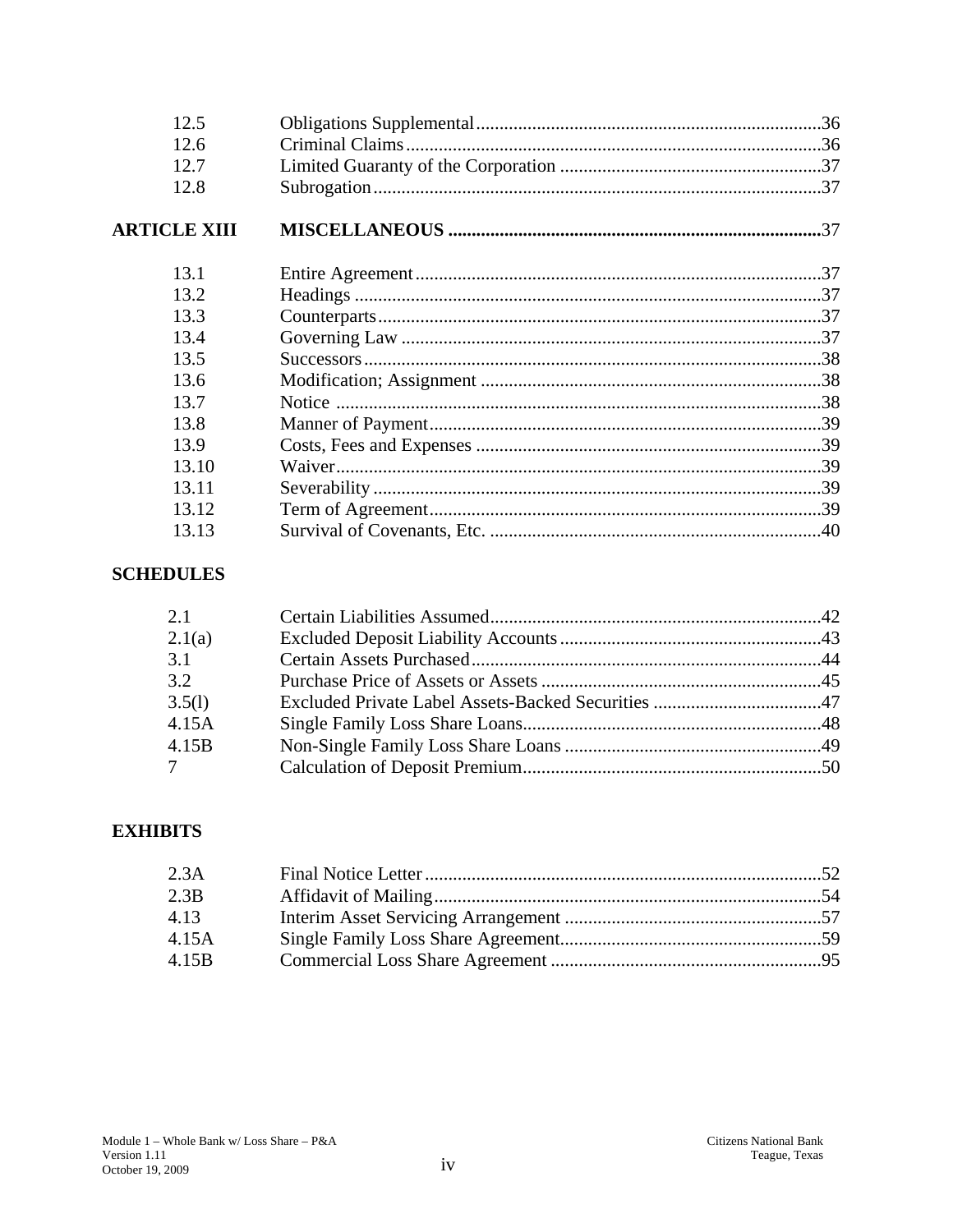| 12.5                |  |
|---------------------|--|
| 12.6                |  |
| 12.7                |  |
| 12.8                |  |
| <b>ARTICLE XIII</b> |  |
| 13.1                |  |
| 13.2                |  |
| 13.3                |  |
| 13.4                |  |
| 13.5                |  |
| 13.6                |  |
| 13.7                |  |
| 13.8                |  |
| 13.9                |  |
| 13.10               |  |
| 13.11               |  |
| 13.12               |  |
| 13.13               |  |

# **SCHEDULES**

| 2.1             |  |
|-----------------|--|
| 2.1(a)          |  |
| 3.1             |  |
| 3.2             |  |
| 3.5(l)          |  |
| 4.15A           |  |
| 4.15B           |  |
| $7\overline{ }$ |  |

# **EXHIBITS**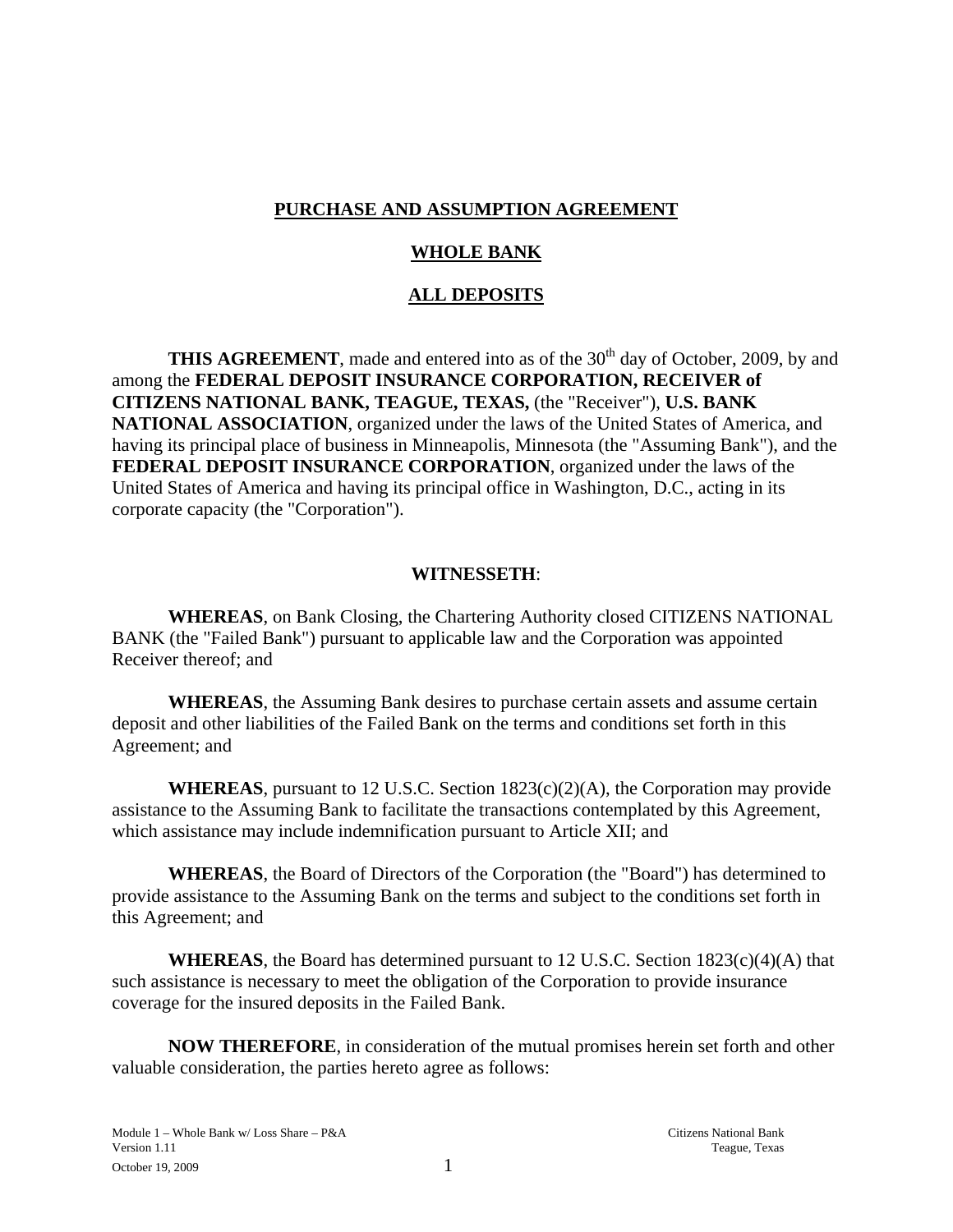### **PURCHASE AND ASSUMPTION AGREEMENT**

## **WHOLE BANK**

### **ALL DEPOSITS**

**THIS AGREEMENT**, made and entered into as of the 30<sup>th</sup> day of October, 2009, by and among the **FEDERAL DEPOSIT INSURANCE CORPORATION, RECEIVER of CITIZENS NATIONAL BANK, TEAGUE, TEXAS,** (the "Receiver"), **U.S. BANK NATIONAL ASSOCIATION**, organized under the laws of the United States of America, and having its principal place of business in Minneapolis, Minnesota (the "Assuming Bank"), and the **FEDERAL DEPOSIT INSURANCE CORPORATION**, organized under the laws of the United States of America and having its principal office in Washington, D.C., acting in its corporate capacity (the "Corporation").

#### **WITNESSETH**:

**WHEREAS**, on Bank Closing, the Chartering Authority closed CITIZENS NATIONAL BANK (the "Failed Bank") pursuant to applicable law and the Corporation was appointed Receiver thereof; and

**WHEREAS**, the Assuming Bank desires to purchase certain assets and assume certain deposit and other liabilities of the Failed Bank on the terms and conditions set forth in this Agreement; and

**WHEREAS**, pursuant to 12 U.S.C. Section 1823(c)(2)(A), the Corporation may provide assistance to the Assuming Bank to facilitate the transactions contemplated by this Agreement, which assistance may include indemnification pursuant to Article XII; and

**WHEREAS**, the Board of Directors of the Corporation (the "Board") has determined to provide assistance to the Assuming Bank on the terms and subject to the conditions set forth in this Agreement; and

**WHEREAS**, the Board has determined pursuant to 12 U.S.C. Section 1823(c)(4)(A) that such assistance is necessary to meet the obligation of the Corporation to provide insurance coverage for the insured deposits in the Failed Bank.

 **NOW THEREFORE**, in consideration of the mutual promises herein set forth and other valuable consideration, the parties hereto agree as follows: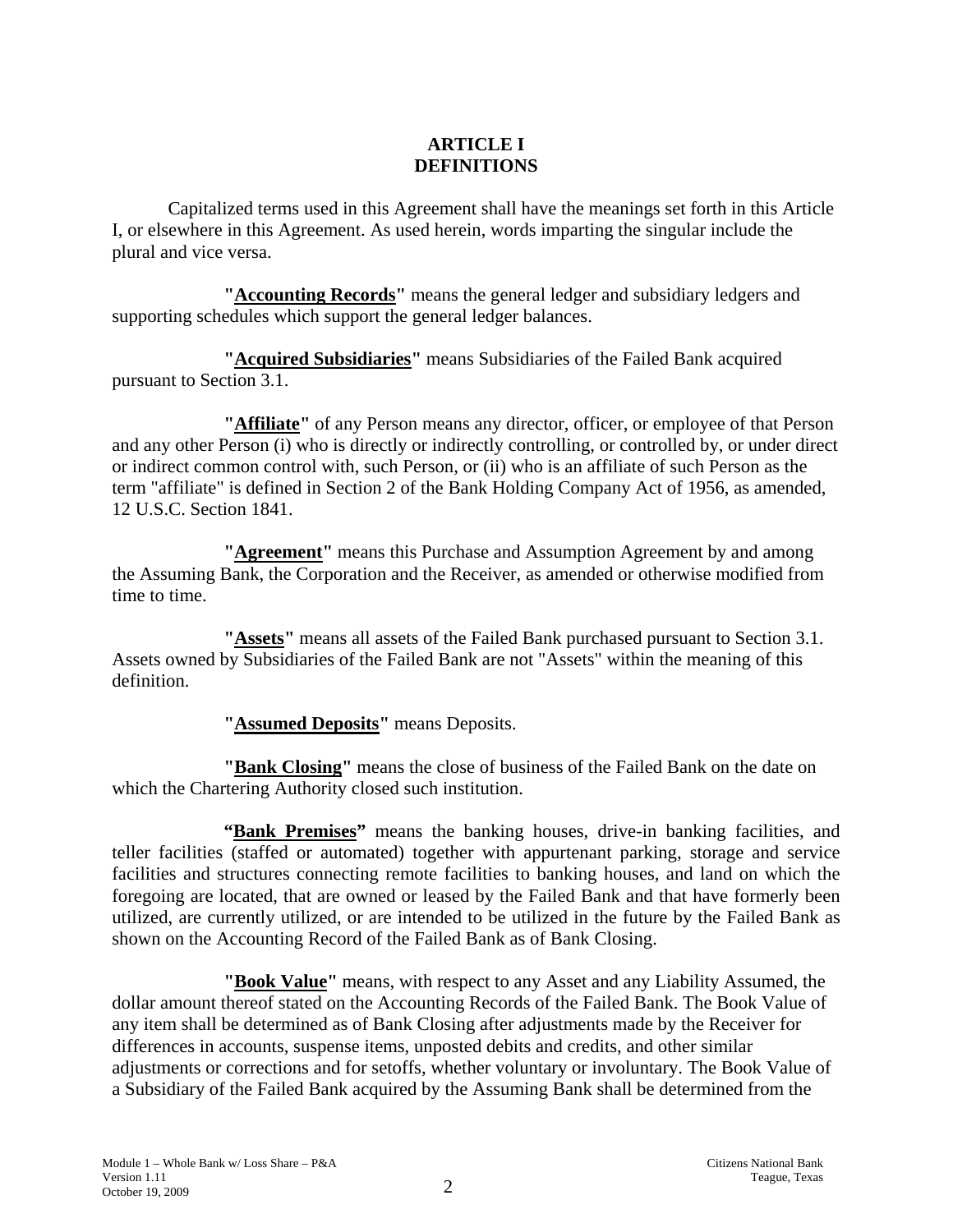# **ARTICLE I DEFINITIONS**

<span id="page-5-1"></span><span id="page-5-0"></span>Capitalized terms used in this Agreement shall have the meanings set forth in this Article I, or elsewhere in this Agreement. As used herein, words imparting the singular include the plural and vice versa.

**"Accounting Records"** means the general ledger and subsidiary ledgers and supporting schedules which support the general ledger balances.

**"Acquired Subsidiaries"** means Subsidiaries of the Failed Bank acquired pursuant to Section 3.1.

**"Affiliate"** of any Person means any director, officer, or employee of that Person and any other Person (i) who is directly or indirectly controlling, or controlled by, or under direct or indirect common control with, such Person, or (ii) who is an affiliate of such Person as the term "affiliate" is defined in Section 2 of the Bank Holding Company Act of 1956, as amended, 12 U.S.C. Section 1841.

**"Agreement"** means this Purchase and Assumption Agreement by and among the Assuming Bank, the Corporation and the Receiver, as amended or otherwise modified from time to time.

**"Assets"** means all assets of the Failed Bank purchased pursuant to Section 3.1. Assets owned by Subsidiaries of the Failed Bank are not "Assets" within the meaning of this definition.

**"Assumed Deposits"** means Deposits.

**"Bank Closing"** means the close of business of the Failed Bank on the date on which the Chartering Authority closed such institution.

**"Bank Premises"** means the banking houses, drive-in banking facilities, and teller facilities (staffed or automated) together with appurtenant parking, storage and service facilities and structures connecting remote facilities to banking houses, and land on which the foregoing are located, that are owned or leased by the Failed Bank and that have formerly been utilized, are currently utilized, or are intended to be utilized in the future by the Failed Bank as shown on the Accounting Record of the Failed Bank as of Bank Closing.

**"Book Value"** means, with respect to any Asset and any Liability Assumed, the dollar amount thereof stated on the Accounting Records of the Failed Bank. The Book Value of any item shall be determined as of Bank Closing after adjustments made by the Receiver for differences in accounts, suspense items, unposted debits and credits, and other similar adjustments or corrections and for setoffs, whether voluntary or involuntary. The Book Value of a Subsidiary of the Failed Bank acquired by the Assuming Bank shall be determined from the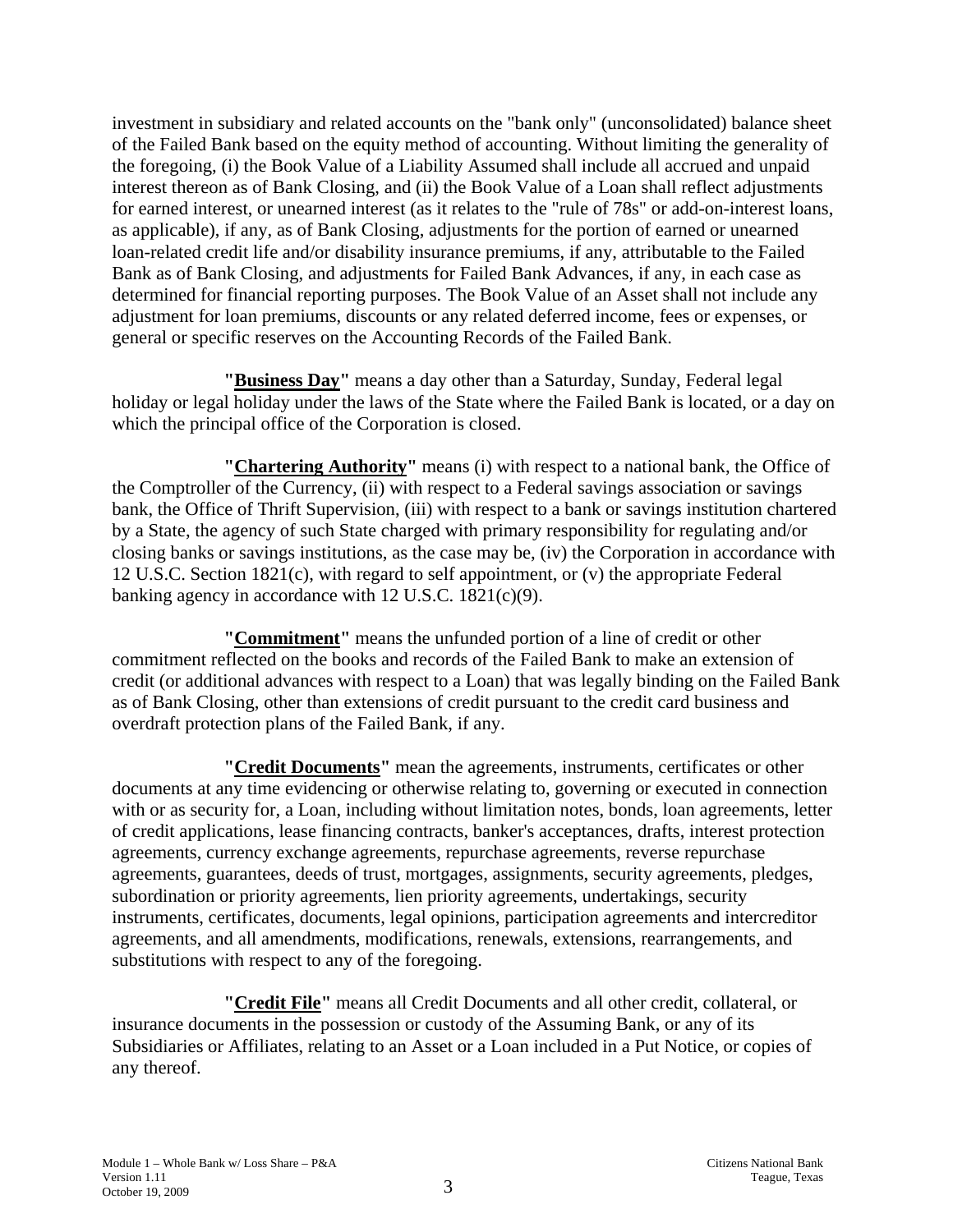<span id="page-6-0"></span>investment in subsidiary and related accounts on the "bank only" (unconsolidated) balance sheet of the Failed Bank based on the equity method of accounting. Without limiting the generality of the foregoing, (i) the Book Value of a Liability Assumed shall include all accrued and unpaid interest thereon as of Bank Closing, and (ii) the Book Value of a Loan shall reflect adjustments for earned interest, or unearned interest (as it relates to the "rule of 78s" or add-on-interest loans, as applicable), if any, as of Bank Closing, adjustments for the portion of earned or unearned loan-related credit life and/or disability insurance premiums, if any, attributable to the Failed Bank as of Bank Closing, and adjustments for Failed Bank Advances, if any, in each case as determined for financial reporting purposes. The Book Value of an Asset shall not include any adjustment for loan premiums, discounts or any related deferred income, fees or expenses, or general or specific reserves on the Accounting Records of the Failed Bank.

**"Business Day"** means a day other than a Saturday, Sunday, Federal legal holiday or legal holiday under the laws of the State where the Failed Bank is located, or a day on which the principal office of the Corporation is closed.

**"Chartering Authority"** means (i) with respect to a national bank, the Office of the Comptroller of the Currency, (ii) with respect to a Federal savings association or savings bank, the Office of Thrift Supervision, (iii) with respect to a bank or savings institution chartered by a State, the agency of such State charged with primary responsibility for regulating and/or closing banks or savings institutions, as the case may be, (iv) the Corporation in accordance with 12 U.S.C. Section 1821(c), with regard to self appointment, or (v) the appropriate Federal banking agency in accordance with 12 U.S.C. 1821(c)(9).

**"Commitment"** means the unfunded portion of a line of credit or other commitment reflected on the books and records of the Failed Bank to make an extension of credit (or additional advances with respect to a Loan) that was legally binding on the Failed Bank as of Bank Closing, other than extensions of credit pursuant to the credit card business and overdraft protection plans of the Failed Bank, if any.

**"Credit Documents"** mean the agreements, instruments, certificates or other documents at any time evidencing or otherwise relating to, governing or executed in connection with or as security for, a Loan, including without limitation notes, bonds, loan agreements, letter of credit applications, lease financing contracts, banker's acceptances, drafts, interest protection agreements, currency exchange agreements, repurchase agreements, reverse repurchase agreements, guarantees, deeds of trust, mortgages, assignments, security agreements, pledges, subordination or priority agreements, lien priority agreements, undertakings, security instruments, certificates, documents, legal opinions, participation agreements and intercreditor agreements, and all amendments, modifications, renewals, extensions, rearrangements, and substitutions with respect to any of the foregoing.

**"Credit File"** means all Credit Documents and all other credit, collateral, or insurance documents in the possession or custody of the Assuming Bank, or any of its Subsidiaries or Affiliates, relating to an Asset or a Loan included in a Put Notice, or copies of any thereof.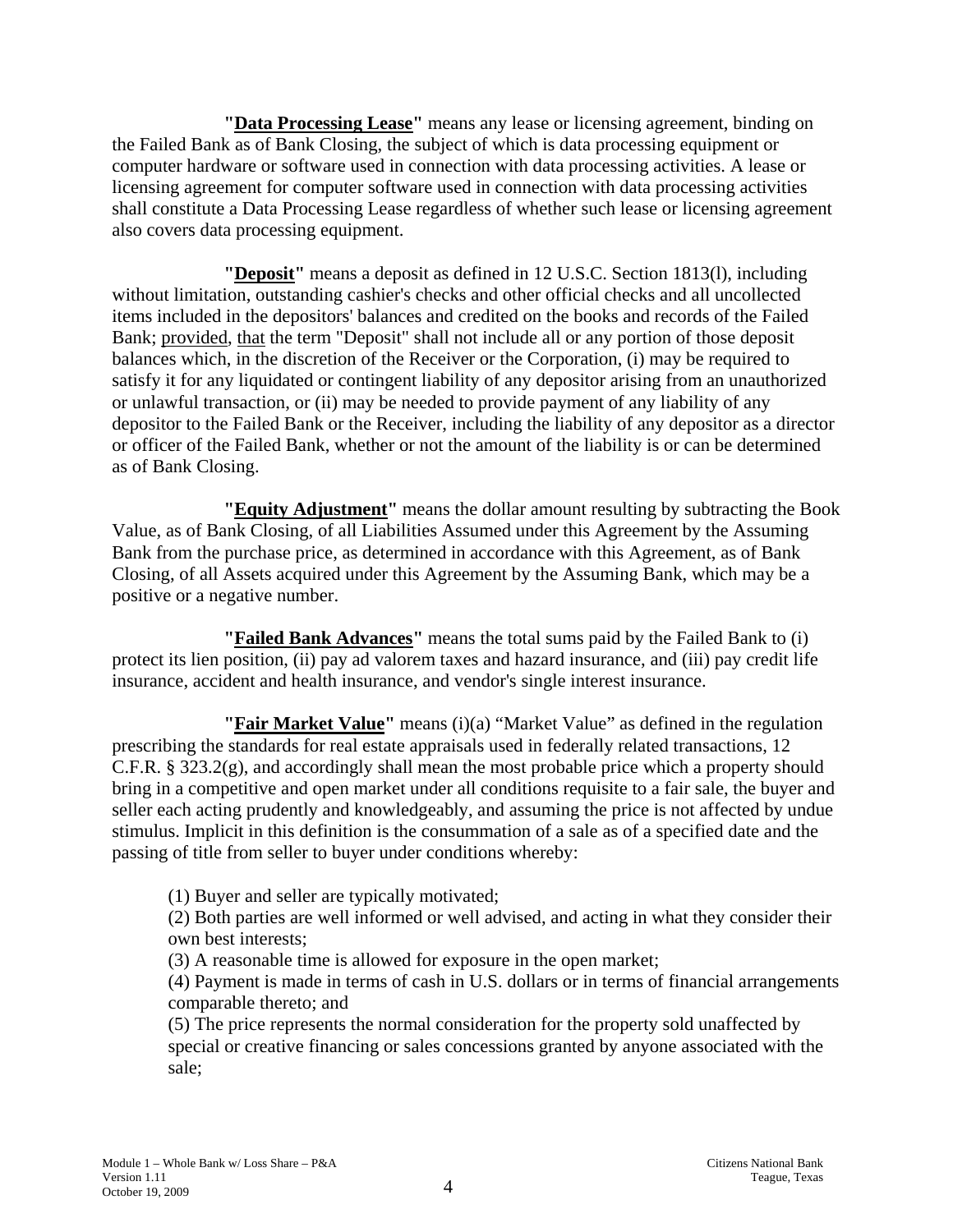**"Data Processing Lease"** means any lease or licensing agreement, binding on the Failed Bank as of Bank Closing, the subject of which is data processing equipment or computer hardware or software used in connection with data processing activities. A lease or licensing agreement for computer software used in connection with data processing activities shall constitute a Data Processing Lease regardless of whether such lease or licensing agreement also covers data processing equipment.

**"Deposit"** means a deposit as defined in 12 U.S.C. Section 1813(l), including without limitation, outstanding cashier's checks and other official checks and all uncollected items included in the depositors' balances and credited on the books and records of the Failed Bank; provided, that the term "Deposit" shall not include all or any portion of those deposit balances which, in the discretion of the Receiver or the Corporation, (i) may be required to satisfy it for any liquidated or contingent liability of any depositor arising from an unauthorized or unlawful transaction, or (ii) may be needed to provide payment of any liability of any depositor to the Failed Bank or the Receiver, including the liability of any depositor as a director or officer of the Failed Bank, whether or not the amount of the liability is or can be determined as of Bank Closing.

**"Equity Adjustment"** means the dollar amount resulting by subtracting the Book Value, as of Bank Closing, of all Liabilities Assumed under this Agreement by the Assuming Bank from the purchase price, as determined in accordance with this Agreement, as of Bank Closing, of all Assets acquired under this Agreement by the Assuming Bank, which may be a positive or a negative number.

**"Failed Bank Advances"** means the total sums paid by the Failed Bank to (i) protect its lien position, (ii) pay ad valorem taxes and hazard insurance, and (iii) pay credit life insurance, accident and health insurance, and vendor's single interest insurance.

**"Fair Market Value"** means (i)(a) "Market Value" as defined in the regulation prescribing the standards for real estate appraisals used in federally related transactions, 12 C.F.R. § 323.2(g), and accordingly shall mean the most probable price which a property should bring in a competitive and open market under all conditions requisite to a fair sale, the buyer and seller each acting prudently and knowledgeably, and assuming the price is not affected by undue stimulus. Implicit in this definition is the consummation of a sale as of a specified date and the passing of title from seller to buyer under conditions whereby:

(1) Buyer and seller are typically motivated;

(2) Both parties are well informed or well advised, and acting in what they consider their own best interests;

(3) A reasonable time is allowed for exposure in the open market;

(4) Payment is made in terms of cash in U.S. dollars or in terms of financial arrangements comparable thereto; and

(5) The price represents the normal consideration for the property sold unaffected by special or creative financing or sales concessions granted by anyone associated with the sale;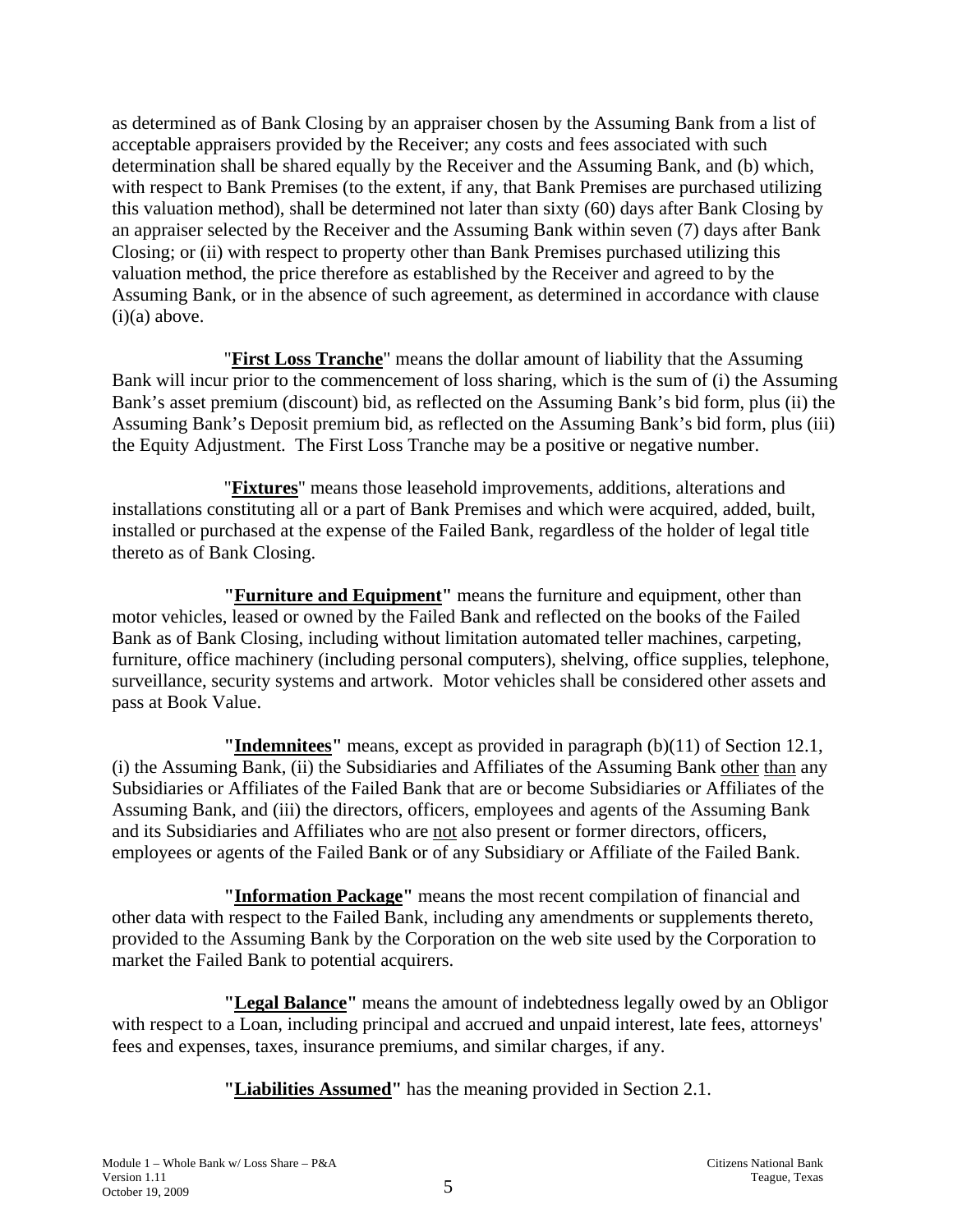as determined as of Bank Closing by an appraiser chosen by the Assuming Bank from a list of acceptable appraisers provided by the Receiver; any costs and fees associated with such determination shall be shared equally by the Receiver and the Assuming Bank, and (b) which, with respect to Bank Premises (to the extent, if any, that Bank Premises are purchased utilizing this valuation method), shall be determined not later than sixty (60) days after Bank Closing by an appraiser selected by the Receiver and the Assuming Bank within seven (7) days after Bank Closing; or (ii) with respect to property other than Bank Premises purchased utilizing this valuation method, the price therefore as established by the Receiver and agreed to by the Assuming Bank, or in the absence of such agreement, as determined in accordance with clause  $(i)(a)$  above.

"**First Loss Tranche**" means the dollar amount of liability that the Assuming Bank will incur prior to the commencement of loss sharing, which is the sum of (i) the Assuming Bank's asset premium (discount) bid, as reflected on the Assuming Bank's bid form, plus (ii) the Assuming Bank's Deposit premium bid, as reflected on the Assuming Bank's bid form, plus (iii) the Equity Adjustment. The First Loss Tranche may be a positive or negative number.

"**Fixtures**" means those leasehold improvements, additions, alterations and installations constituting all or a part of Bank Premises and which were acquired, added, built, installed or purchased at the expense of the Failed Bank, regardless of the holder of legal title thereto as of Bank Closing.

**"Furniture and Equipment"** means the furniture and equipment, other than motor vehicles, leased or owned by the Failed Bank and reflected on the books of the Failed Bank as of Bank Closing, including without limitation automated teller machines, carpeting, furniture, office machinery (including personal computers), shelving, office supplies, telephone, surveillance, security systems and artwork. Motor vehicles shall be considered other assets and pass at Book Value.

**"Indemnitees"** means, except as provided in paragraph (b)(11) of Section 12.1, (i) the Assuming Bank, (ii) the Subsidiaries and Affiliates of the Assuming Bank other than any Subsidiaries or Affiliates of the Failed Bank that are or become Subsidiaries or Affiliates of the Assuming Bank, and (iii) the directors, officers, employees and agents of the Assuming Bank and its Subsidiaries and Affiliates who are not also present or former directors, officers, employees or agents of the Failed Bank or of any Subsidiary or Affiliate of the Failed Bank.

**"Information Package"** means the most recent compilation of financial and other data with respect to the Failed Bank, including any amendments or supplements thereto, provided to the Assuming Bank by the Corporation on the web site used by the Corporation to market the Failed Bank to potential acquirers.

**"Legal Balance"** means the amount of indebtedness legally owed by an Obligor with respect to a Loan, including principal and accrued and unpaid interest, late fees, attorneys' fees and expenses, taxes, insurance premiums, and similar charges, if any.

 **"Liabilities Assumed"** has the meaning provided in Section 2.1.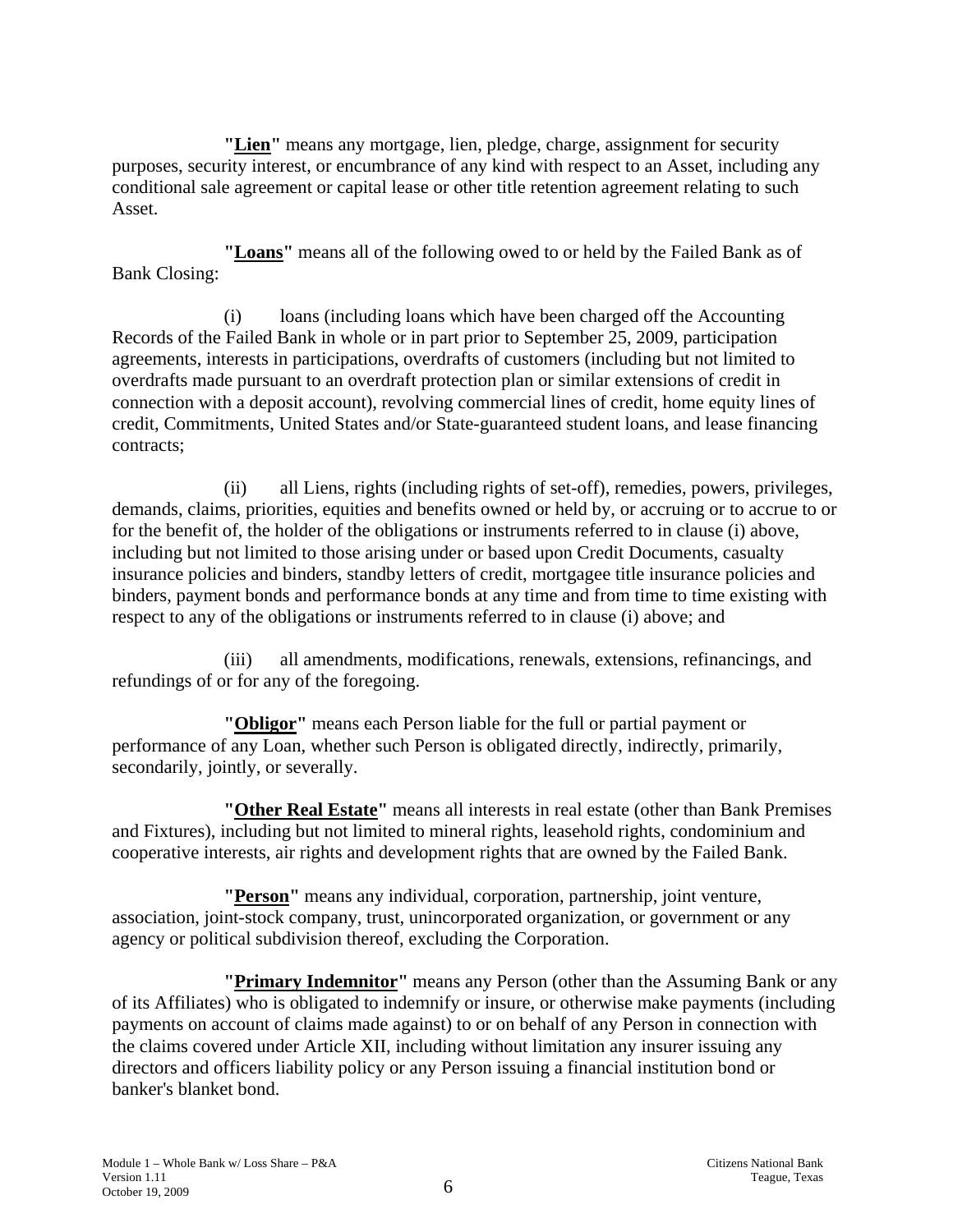**"Lien"** means any mortgage, lien, pledge, charge, assignment for security purposes, security interest, or encumbrance of any kind with respect to an Asset, including any conditional sale agreement or capital lease or other title retention agreement relating to such Asset.

**"Loans"** means all of the following owed to or held by the Failed Bank as of Bank Closing:

(i) loans (including loans which have been charged off the Accounting Records of the Failed Bank in whole or in part prior to September 25, 2009, participation agreements, interests in participations, overdrafts of customers (including but not limited to overdrafts made pursuant to an overdraft protection plan or similar extensions of credit in connection with a deposit account), revolving commercial lines of credit, home equity lines of credit, Commitments, United States and/or State-guaranteed student loans, and lease financing contracts;

(ii) all Liens, rights (including rights of set-off), remedies, powers, privileges, demands, claims, priorities, equities and benefits owned or held by, or accruing or to accrue to or for the benefit of, the holder of the obligations or instruments referred to in clause (i) above, including but not limited to those arising under or based upon Credit Documents, casualty insurance policies and binders, standby letters of credit, mortgagee title insurance policies and binders, payment bonds and performance bonds at any time and from time to time existing with respect to any of the obligations or instruments referred to in clause (i) above; and

(iii) all amendments, modifications, renewals, extensions, refinancings, and refundings of or for any of the foregoing.

**"Obligor"** means each Person liable for the full or partial payment or performance of any Loan, whether such Person is obligated directly, indirectly, primarily, secondarily, jointly, or severally.

**"Other Real Estate"** means all interests in real estate (other than Bank Premises and Fixtures), including but not limited to mineral rights, leasehold rights, condominium and cooperative interests, air rights and development rights that are owned by the Failed Bank.

**"Person"** means any individual, corporation, partnership, joint venture, association, joint-stock company, trust, unincorporated organization, or government or any agency or political subdivision thereof, excluding the Corporation.

**"Primary Indemnitor"** means any Person (other than the Assuming Bank or any of its Affiliates) who is obligated to indemnify or insure, or otherwise make payments (including payments on account of claims made against) to or on behalf of any Person in connection with the claims covered under Article XII, including without limitation any insurer issuing any directors and officers liability policy or any Person issuing a financial institution bond or banker's blanket bond.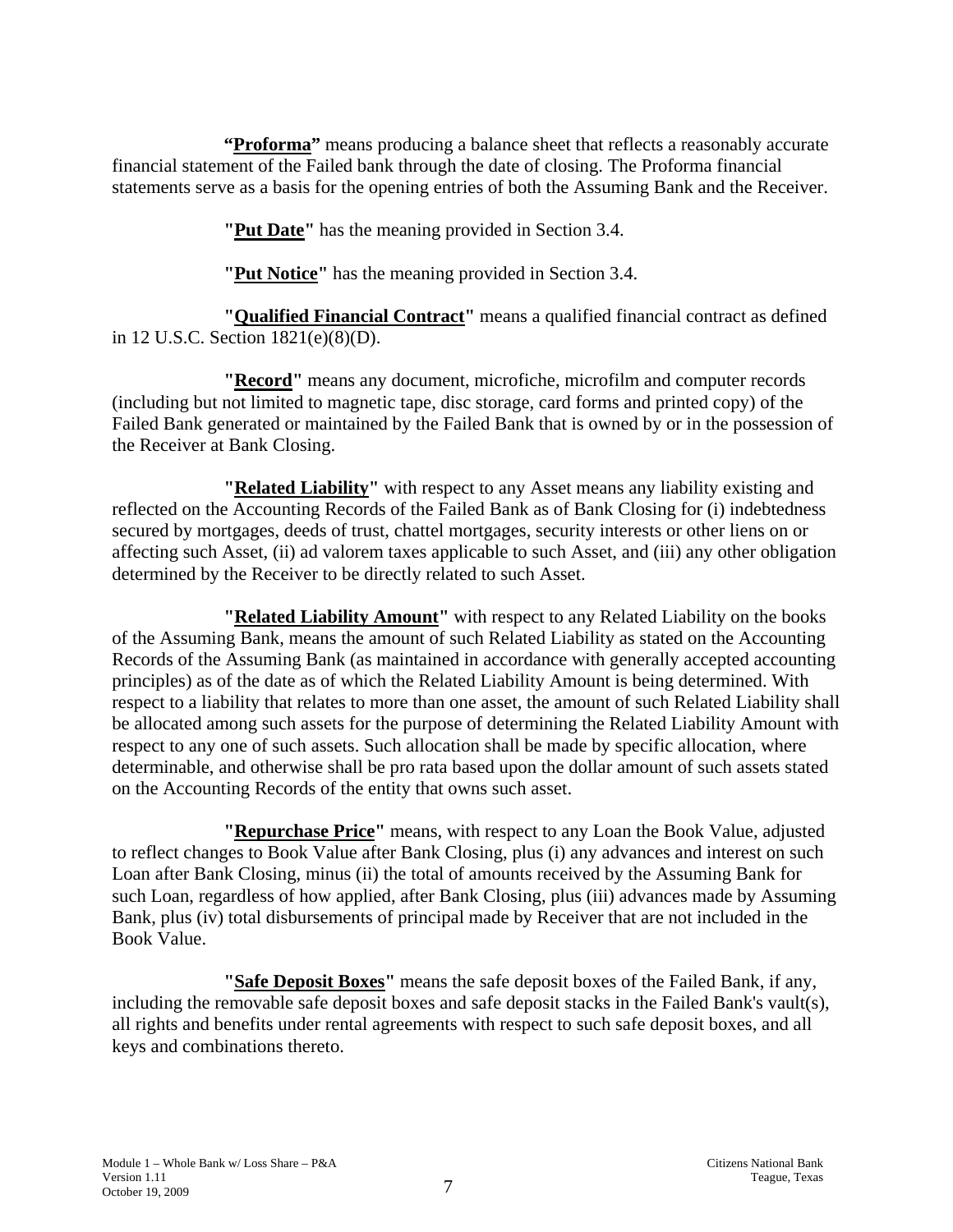**"Proforma"** means producing a balance sheet that reflects a reasonably accurate financial statement of the Failed bank through the date of closing. The Proforma financial statements serve as a basis for the opening entries of both the Assuming Bank and the Receiver.

**"Put Date"** has the meaning provided in Section 3.4.

**"Put Notice"** has the meaning provided in Section 3.4.

**"Qualified Financial Contract"** means a qualified financial contract as defined in 12 U.S.C. Section 1821(e)(8)(D).

**"Record"** means any document, microfiche, microfilm and computer records (including but not limited to magnetic tape, disc storage, card forms and printed copy) of the Failed Bank generated or maintained by the Failed Bank that is owned by or in the possession of the Receiver at Bank Closing.

**"Related Liability"** with respect to any Asset means any liability existing and reflected on the Accounting Records of the Failed Bank as of Bank Closing for (i) indebtedness secured by mortgages, deeds of trust, chattel mortgages, security interests or other liens on or affecting such Asset, (ii) ad valorem taxes applicable to such Asset, and (iii) any other obligation determined by the Receiver to be directly related to such Asset.

**"Related Liability Amount"** with respect to any Related Liability on the books of the Assuming Bank, means the amount of such Related Liability as stated on the Accounting Records of the Assuming Bank (as maintained in accordance with generally accepted accounting principles) as of the date as of which the Related Liability Amount is being determined. With respect to a liability that relates to more than one asset, the amount of such Related Liability shall be allocated among such assets for the purpose of determining the Related Liability Amount with respect to any one of such assets. Such allocation shall be made by specific allocation, where determinable, and otherwise shall be pro rata based upon the dollar amount of such assets stated on the Accounting Records of the entity that owns such asset.

 **"Repurchase Price"** means, with respect to any Loan the Book Value, adjusted to reflect changes to Book Value after Bank Closing, plus (i) any advances and interest on such Loan after Bank Closing, minus (ii) the total of amounts received by the Assuming Bank for such Loan, regardless of how applied, after Bank Closing, plus (iii) advances made by Assuming Bank, plus (iv) total disbursements of principal made by Receiver that are not included in the Book Value.

**"Safe Deposit Boxes"** means the safe deposit boxes of the Failed Bank, if any, including the removable safe deposit boxes and safe deposit stacks in the Failed Bank's vault(s), all rights and benefits under rental agreements with respect to such safe deposit boxes, and all keys and combinations thereto.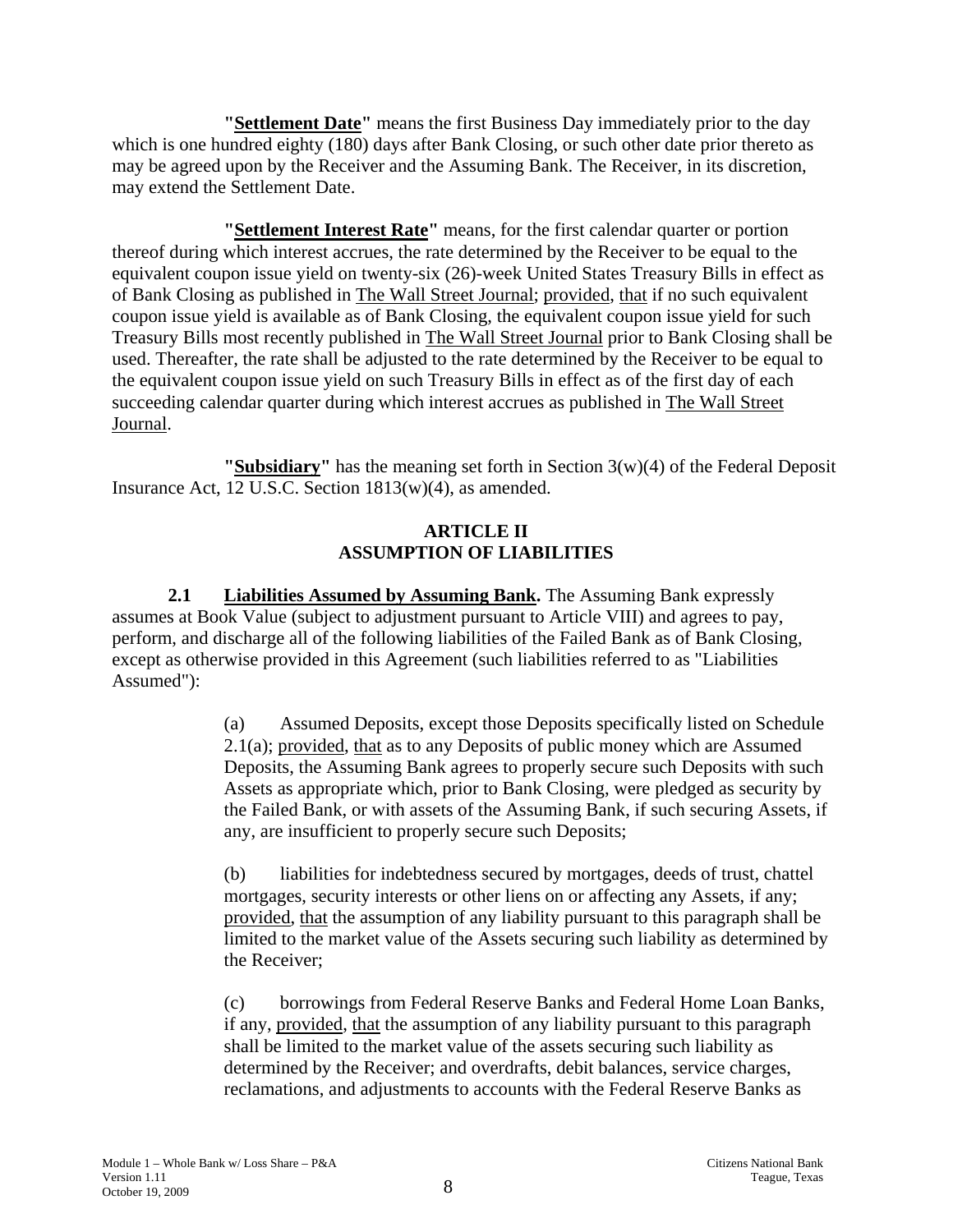**"Settlement Date"** means the first Business Day immediately prior to the day which is one hundred eighty (180) days after Bank Closing, or such other date prior thereto as may be agreed upon by the Receiver and the Assuming Bank. The Receiver, in its discretion, may extend the Settlement Date.

**"Settlement Interest Rate"** means, for the first calendar quarter or portion thereof during which interest accrues, the rate determined by the Receiver to be equal to the equivalent coupon issue yield on twenty-six (26)-week United States Treasury Bills in effect as of Bank Closing as published in The Wall Street Journal; provided, that if no such equivalent coupon issue yield is available as of Bank Closing, the equivalent coupon issue yield for such Treasury Bills most recently published in The Wall Street Journal prior to Bank Closing shall be used. Thereafter, the rate shall be adjusted to the rate determined by the Receiver to be equal to the equivalent coupon issue yield on such Treasury Bills in effect as of the first day of each succeeding calendar quarter during which interest accrues as published in The Wall Street Journal.

**"Subsidiary"** has the meaning set forth in Section 3(w)(4) of the Federal Deposit Insurance Act, 12 U.S.C. Section 1813(w)(4), as amended.

## **ARTICLE II ASSUMPTION OF LIABILITIES**

<span id="page-11-1"></span><span id="page-11-0"></span> **2.1 Liabilities Assumed by Assuming Bank.** The Assuming Bank expressly assumes at Book Value (subject to adjustment pursuant to Article VIII) and agrees to pay, perform, and discharge all of the following liabilities of the Failed Bank as of Bank Closing, except as otherwise provided in this Agreement (such liabilities referred to as "Liabilities Assumed"):

> (a) Assumed Deposits, except those Deposits specifically listed on Schedule 2.1(a); provided, that as to any Deposits of public money which are Assumed Deposits, the Assuming Bank agrees to properly secure such Deposits with such Assets as appropriate which, prior to Bank Closing, were pledged as security by the Failed Bank, or with assets of the Assuming Bank, if such securing Assets, if any, are insufficient to properly secure such Deposits;

> (b) liabilities for indebtedness secured by mortgages, deeds of trust, chattel mortgages, security interests or other liens on or affecting any Assets, if any; provided, that the assumption of any liability pursuant to this paragraph shall be limited to the market value of the Assets securing such liability as determined by the Receiver;

> (c) borrowings from Federal Reserve Banks and Federal Home Loan Banks, if any, provided, that the assumption of any liability pursuant to this paragraph shall be limited to the market value of the assets securing such liability as determined by the Receiver; and overdrafts, debit balances, service charges, reclamations, and adjustments to accounts with the Federal Reserve Banks as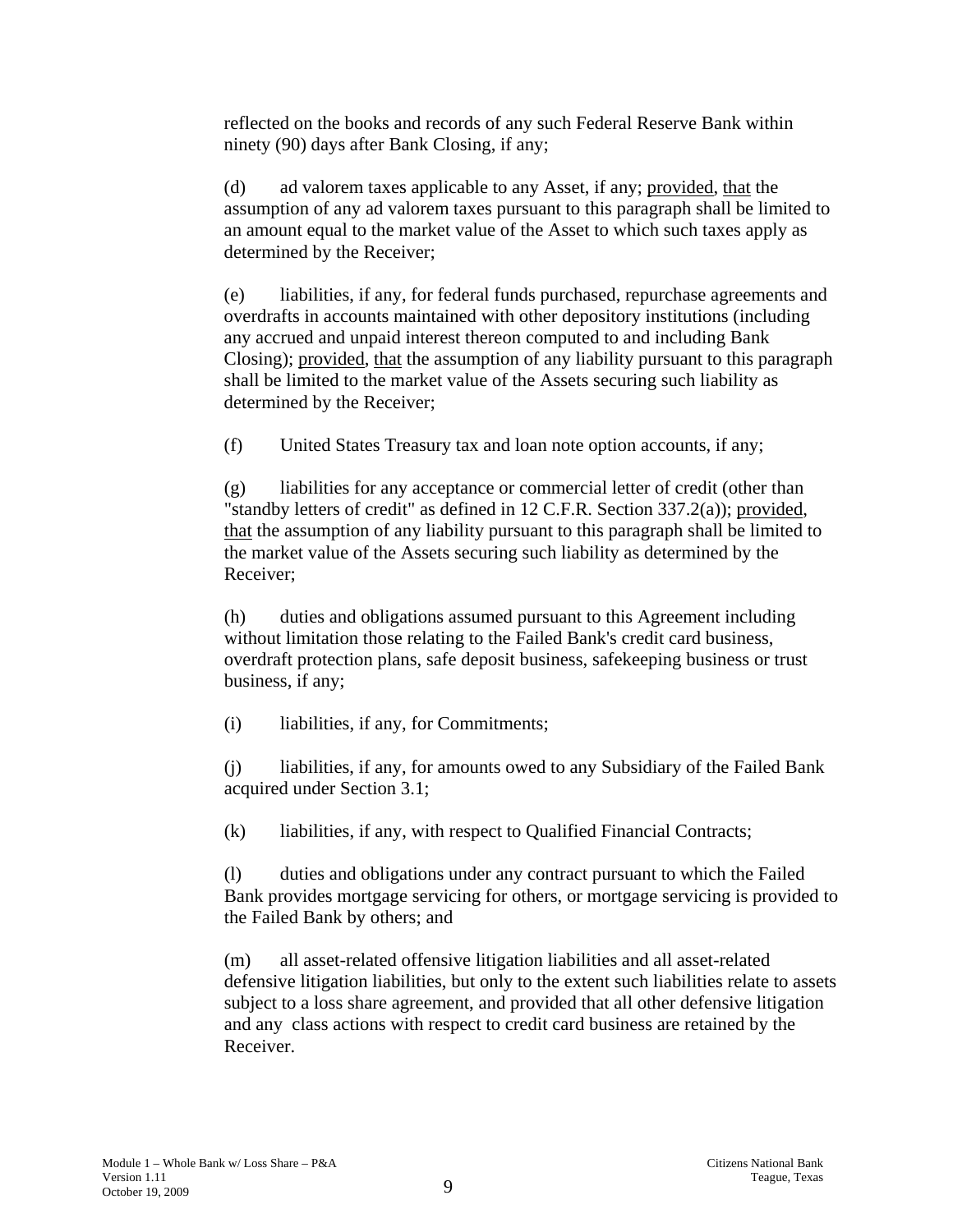reflected on the books and records of any such Federal Reserve Bank within ninety (90) days after Bank Closing, if any;

(d) ad valorem taxes applicable to any Asset, if any; provided, that the assumption of any ad valorem taxes pursuant to this paragraph shall be limited to an amount equal to the market value of the Asset to which such taxes apply as determined by the Receiver;

(e) liabilities, if any, for federal funds purchased, repurchase agreements and overdrafts in accounts maintained with other depository institutions (including any accrued and unpaid interest thereon computed to and including Bank Closing); provided, that the assumption of any liability pursuant to this paragraph shall be limited to the market value of the Assets securing such liability as determined by the Receiver;

(f) United States Treasury tax and loan note option accounts, if any;

(g) liabilities for any acceptance or commercial letter of credit (other than "standby letters of credit" as defined in 12 C.F.R. Section 337.2(a)); provided, that the assumption of any liability pursuant to this paragraph shall be limited to the market value of the Assets securing such liability as determined by the Receiver;

(h) duties and obligations assumed pursuant to this Agreement including without limitation those relating to the Failed Bank's credit card business, overdraft protection plans, safe deposit business, safekeeping business or trust business, if any;

(i) liabilities, if any, for Commitments;

(j) liabilities, if any, for amounts owed to any Subsidiary of the Failed Bank acquired under Section 3.1;

(k) liabilities, if any, with respect to Qualified Financial Contracts;

(l) duties and obligations under any contract pursuant to which the Failed Bank provides mortgage servicing for others, or mortgage servicing is provided to the Failed Bank by others; and

(m) all asset-related offensive litigation liabilities and all asset-related defensive litigation liabilities, but only to the extent such liabilities relate to assets subject to a loss share agreement, and provided that all other defensive litigation and any class actions with respect to credit card business are retained by the Receiver.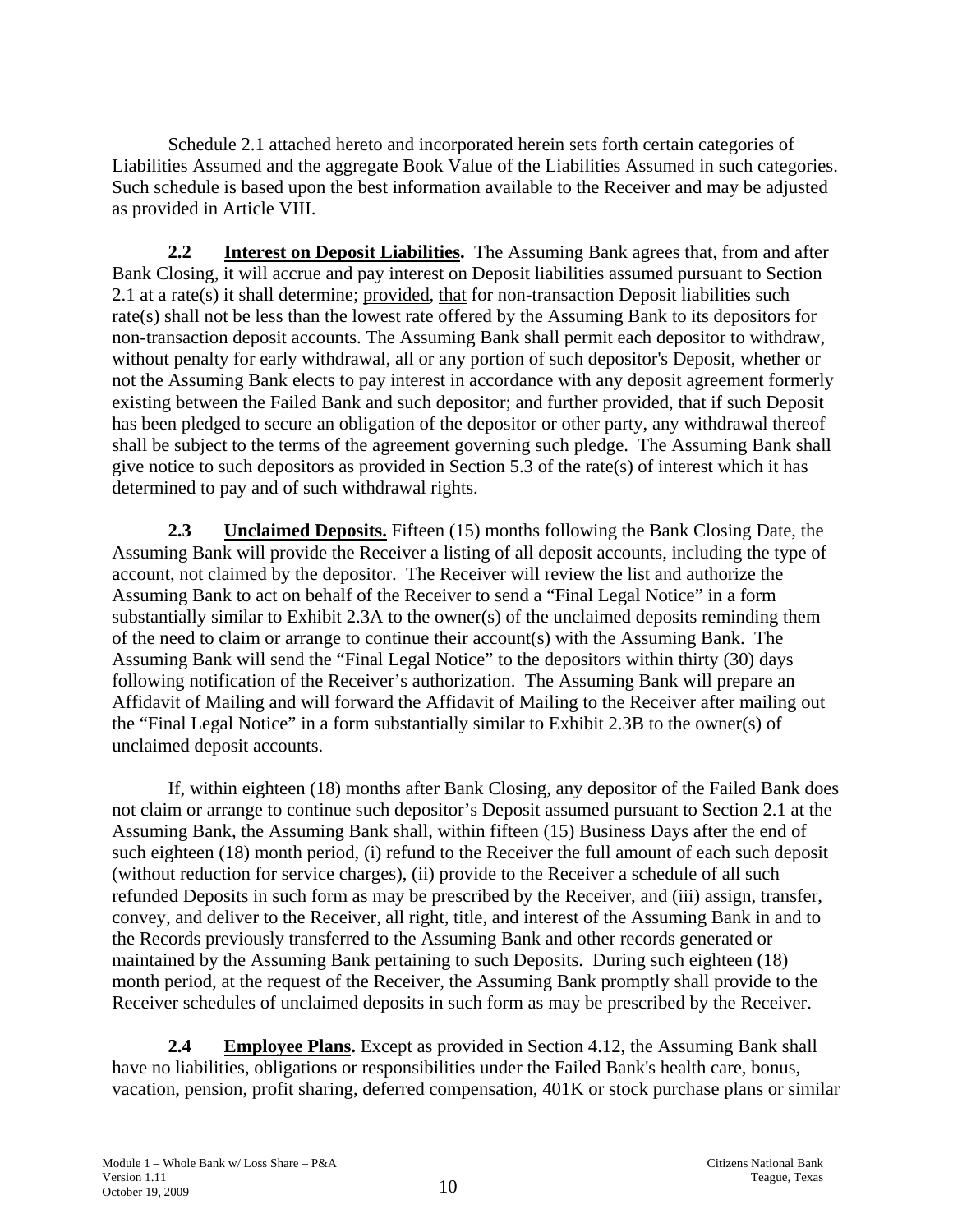Schedule 2.1 attached hereto and incorporated herein sets forth certain categories of Liabilities Assumed and the aggregate Book Value of the Liabilities Assumed in such categories. Such schedule is based upon the best information available to the Receiver and may be adjusted as provided in Article VIII.

<span id="page-13-0"></span>**2.2 Interest on Deposit Liabilities.** The Assuming Bank agrees that, from and after Bank Closing, it will accrue and pay interest on Deposit liabilities assumed pursuant to Section 2.1 at a rate(s) it shall determine; provided, that for non-transaction Deposit liabilities such rate(s) shall not be less than the lowest rate offered by the Assuming Bank to its depositors for non-transaction deposit accounts. The Assuming Bank shall permit each depositor to withdraw, without penalty for early withdrawal, all or any portion of such depositor's Deposit, whether or not the Assuming Bank elects to pay interest in accordance with any deposit agreement formerly existing between the Failed Bank and such depositor; and further provided, that if such Deposit has been pledged to secure an obligation of the depositor or other party, any withdrawal thereof shall be subject to the terms of the agreement governing such pledge. The Assuming Bank shall give notice to such depositors as provided in Section 5.3 of the rate(s) of interest which it has determined to pay and of such withdrawal rights.

<span id="page-13-1"></span>**2.3 Unclaimed Deposits.** Fifteen (15) months following the Bank Closing Date, the Assuming Bank will provide the Receiver a listing of all deposit accounts, including the type of account, not claimed by the depositor. The Receiver will review the list and authorize the Assuming Bank to act on behalf of the Receiver to send a "Final Legal Notice" in a form substantially similar to Exhibit 2.3A to the owner(s) of the unclaimed deposits reminding them of the need to claim or arrange to continue their account(s) with the Assuming Bank. The Assuming Bank will send the "Final Legal Notice" to the depositors within thirty (30) days following notification of the Receiver's authorization. The Assuming Bank will prepare an Affidavit of Mailing and will forward the Affidavit of Mailing to the Receiver after mailing out the "Final Legal Notice" in a form substantially similar to Exhibit 2.3B to the owner(s) of unclaimed deposit accounts.

If, within eighteen (18) months after Bank Closing, any depositor of the Failed Bank does not claim or arrange to continue such depositor's Deposit assumed pursuant to Section 2.1 at the Assuming Bank, the Assuming Bank shall, within fifteen (15) Business Days after the end of such eighteen (18) month period, (i) refund to the Receiver the full amount of each such deposit (without reduction for service charges), (ii) provide to the Receiver a schedule of all such refunded Deposits in such form as may be prescribed by the Receiver, and (iii) assign, transfer, convey, and deliver to the Receiver, all right, title, and interest of the Assuming Bank in and to the Records previously transferred to the Assuming Bank and other records generated or maintained by the Assuming Bank pertaining to such Deposits. During such eighteen (18) month period, at the request of the Receiver, the Assuming Bank promptly shall provide to the Receiver schedules of unclaimed deposits in such form as may be prescribed by the Receiver.

**2.4 Employee Plans.** Except as provided in Section 4.12, the Assuming Bank shall have no liabilities, obligations or responsibilities under the Failed Bank's health care, bonus, vacation, pension, profit sharing, deferred compensation, 401K or stock purchase plans or similar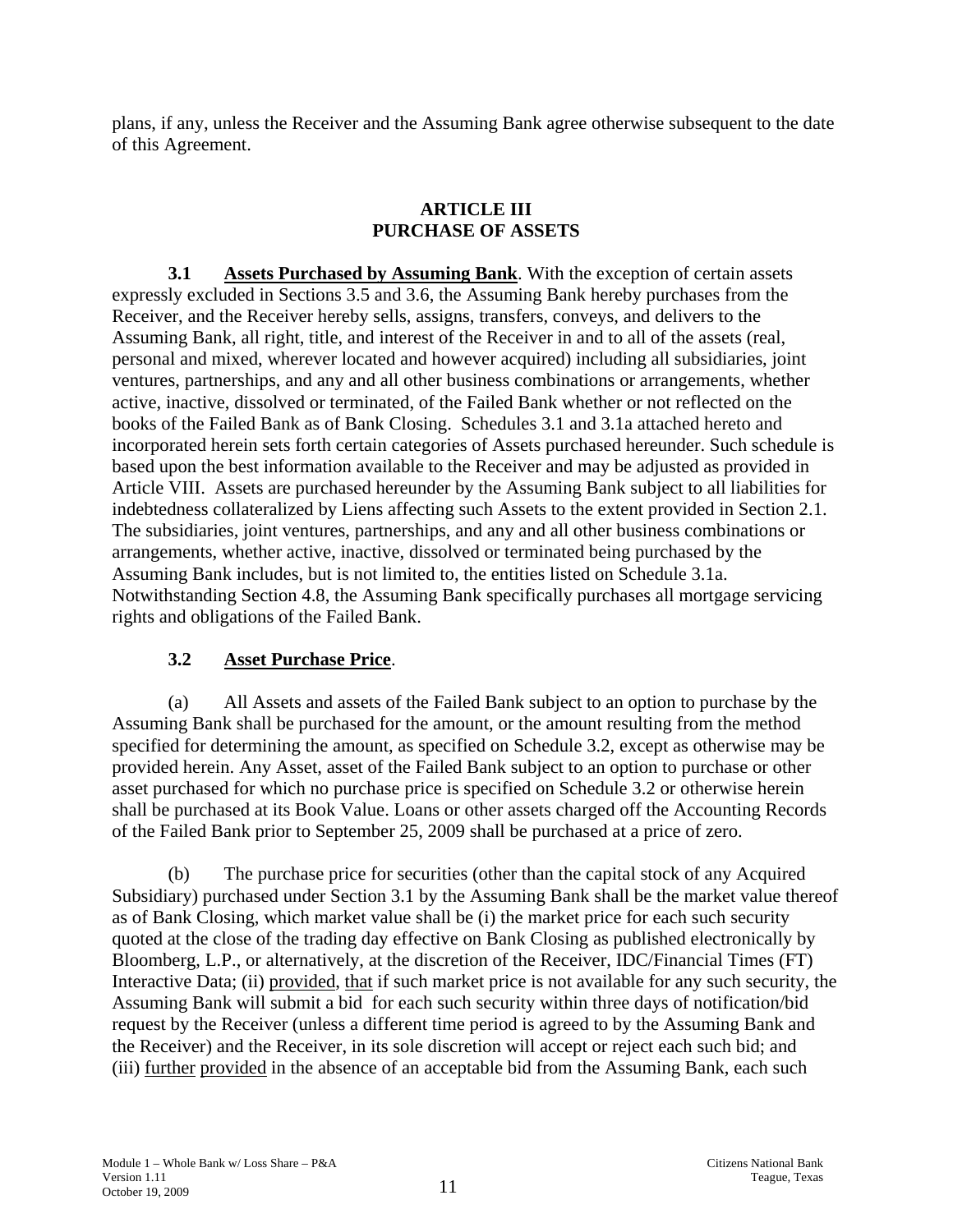plans, if any, unless the Receiver and the Assuming Bank agree otherwise subsequent to the date of this Agreement.

## **ARTICLE III PURCHASE OF ASSETS**

<span id="page-14-1"></span><span id="page-14-0"></span>Assuming Bank includes, but is not limited to, the entities listed on Schedule 3.1a.  **3.1 Assets Purchased by Assuming Bank**. With the exception of certain assets expressly excluded in Sections 3.5 and 3.6, the Assuming Bank hereby purchases from the Receiver, and the Receiver hereby sells, assigns, transfers, conveys, and delivers to the Assuming Bank, all right, title, and interest of the Receiver in and to all of the assets (real, personal and mixed, wherever located and however acquired) including all subsidiaries, joint ventures, partnerships, and any and all other business combinations or arrangements, whether active, inactive, dissolved or terminated, of the Failed Bank whether or not reflected on the books of the Failed Bank as of Bank Closing. Schedules 3.1 and 3.1a attached hereto and incorporated herein sets forth certain categories of Assets purchased hereunder. Such schedule is based upon the best information available to the Receiver and may be adjusted as provided in Article VIII. Assets are purchased hereunder by the Assuming Bank subject to all liabilities for indebtedness collateralized by Liens affecting such Assets to the extent provided in Section 2.1. The subsidiaries, joint ventures, partnerships, and any and all other business combinations or arrangements, whether active, inactive, dissolved or terminated being purchased by the Notwithstanding Section 4.8, the Assuming Bank specifically purchases all mortgage servicing rights and obligations of the Failed Bank.

#### **3.2 Asset Purchase Price**.

<span id="page-14-2"></span>(a) All Assets and assets of the Failed Bank subject to an option to purchase by the Assuming Bank shall be purchased for the amount, or the amount resulting from the method specified for determining the amount, as specified on Schedule 3.2, except as otherwise may be provided herein. Any Asset, asset of the Failed Bank subject to an option to purchase or other asset purchased for which no purchase price is specified on Schedule 3.2 or otherwise herein shall be purchased at its Book Value. Loans or other assets charged off the Accounting Records of the Failed Bank prior to September 25, 2009 shall be purchased at a price of zero.

(b) The purchase price for securities (other than the capital stock of any Acquired Subsidiary) purchased under Section 3.1 by the Assuming Bank shall be the market value thereof as of Bank Closing, which market value shall be (i) the market price for each such security quoted at the close of the trading day effective on Bank Closing as published electronically by Bloomberg, L.P., or alternatively, at the discretion of the Receiver, IDC/Financial Times (FT) Interactive Data; (ii) provided, that if such market price is not available for any such security, the Assuming Bank will submit a bid for each such security within three days of notification/bid request by the Receiver (unless a different time period is agreed to by the Assuming Bank and the Receiver) and the Receiver, in its sole discretion will accept or reject each such bid; and (iii) further provided in the absence of an acceptable bid from the Assuming Bank, each such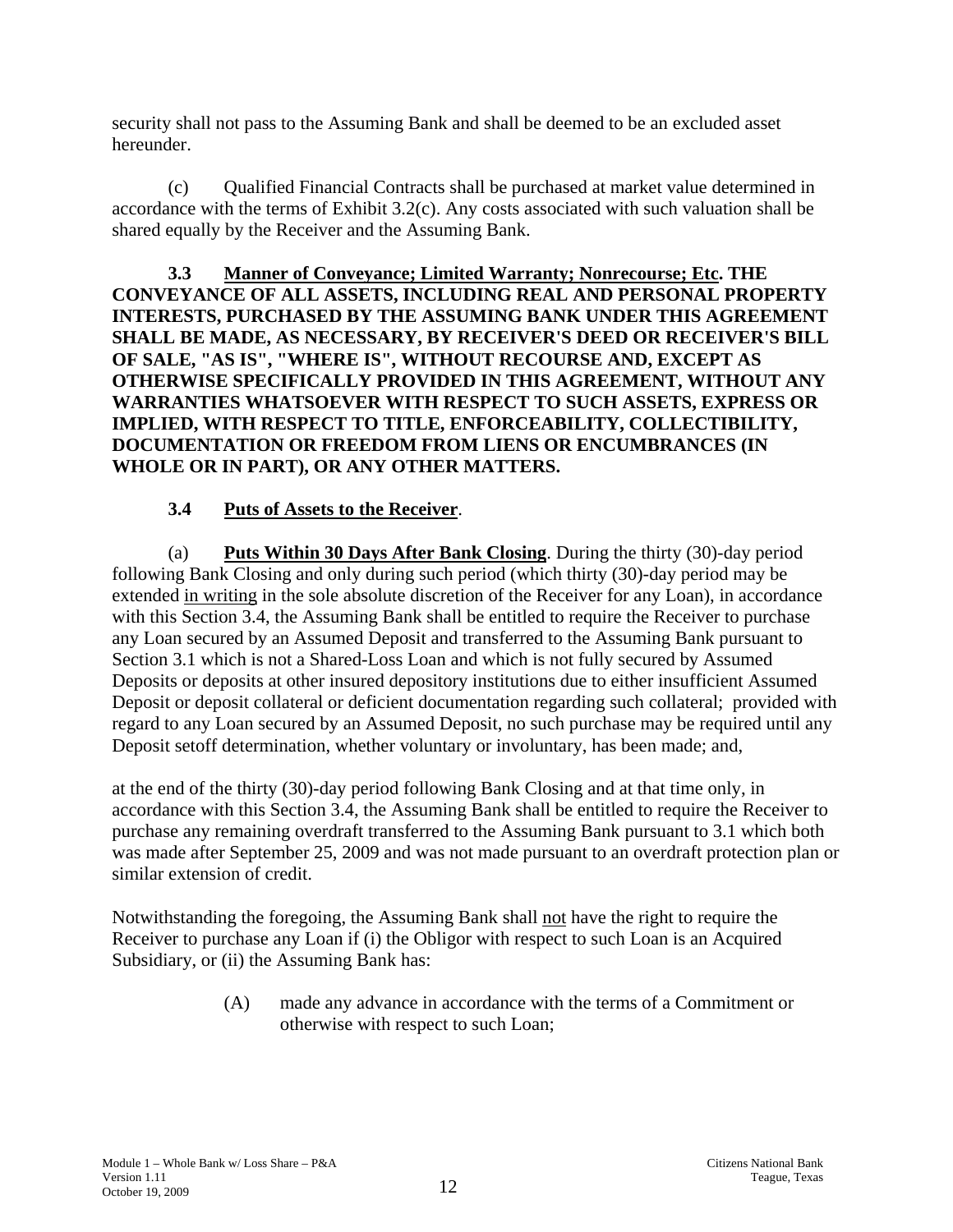security shall not pass to the Assuming Bank and shall be deemed to be an excluded asset hereunder.

(c) Qualified Financial Contracts shall be purchased at market value determined in accordance with the terms of Exhibit 3.2(c). Any costs associated with such valuation shall be shared equally by the Receiver and the Assuming Bank.

<span id="page-15-0"></span>**3.3 Manner of Conveyance; Limited Warranty; Nonrecourse; Etc. THE CONVEYANCE OF ALL ASSETS, INCLUDING REAL AND PERSONAL PROPERTY INTERESTS, PURCHASED BY THE ASSUMING BANK UNDER THIS AGREEMENT SHALL BE MADE, AS NECESSARY, BY RECEIVER'S DEED OR RECEIVER'S BILL OF SALE, "AS IS", "WHERE IS", WITHOUT RECOURSE AND, EXCEPT AS OTHERWISE SPECIFICALLY PROVIDED IN THIS AGREEMENT, WITHOUT ANY WARRANTIES WHATSOEVER WITH RESPECT TO SUCH ASSETS, EXPRESS OR IMPLIED, WITH RESPECT TO TITLE, ENFORCEABILITY, COLLECTIBILITY, DOCUMENTATION OR FREEDOM FROM LIENS OR ENCUMBRANCES (IN WHOLE OR IN PART), OR ANY OTHER MATTERS.** 

# **3.4 Puts of Assets to the Receiver**.

<span id="page-15-1"></span>(a) **Puts Within 30 Days After Bank Closing**. During the thirty (30)-day period following Bank Closing and only during such period (which thirty (30)-day period may be extended in writing in the sole absolute discretion of the Receiver for any Loan), in accordance with this Section 3.4, the Assuming Bank shall be entitled to require the Receiver to purchase any Loan secured by an Assumed Deposit and transferred to the Assuming Bank pursuant to Section 3.1 which is not a Shared-Loss Loan and which is not fully secured by Assumed Deposits or deposits at other insured depository institutions due to either insufficient Assumed Deposit or deposit collateral or deficient documentation regarding such collateral; provided with regard to any Loan secured by an Assumed Deposit, no such purchase may be required until any Deposit setoff determination, whether voluntary or involuntary, has been made; and,

at the end of the thirty (30)-day period following Bank Closing and at that time only, in accordance with this Section 3.4, the Assuming Bank shall be entitled to require the Receiver to purchase any remaining overdraft transferred to the Assuming Bank pursuant to 3.1 which both was made after September 25, 2009 and was not made pursuant to an overdraft protection plan or similar extension of credit.

Notwithstanding the foregoing, the Assuming Bank shall not have the right to require the Receiver to purchase any Loan if (i) the Obligor with respect to such Loan is an Acquired Subsidiary, or (ii) the Assuming Bank has:

> (A) made any advance in accordance with the terms of a Commitment or otherwise with respect to such Loan;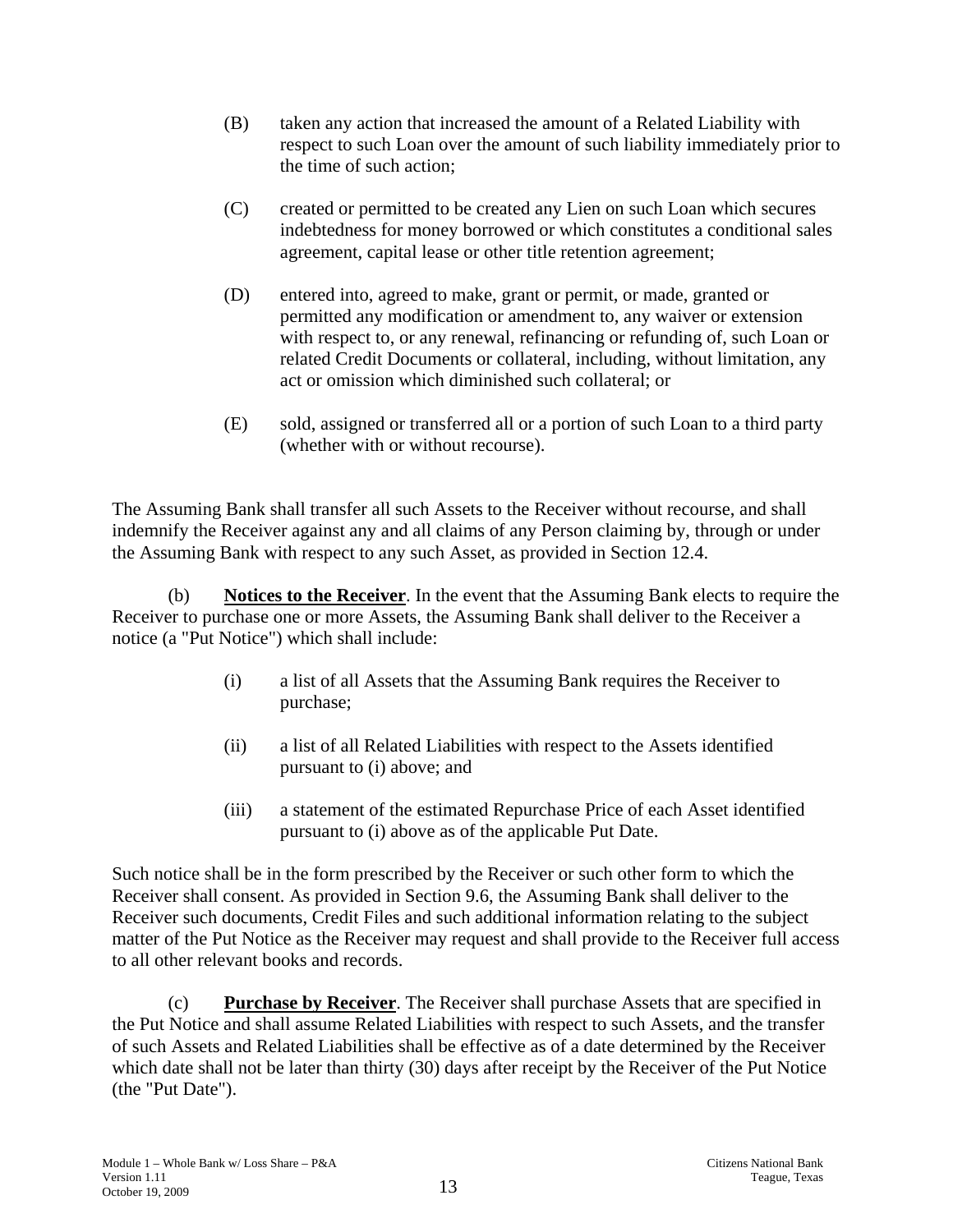- (B) taken any action that increased the amount of a Related Liability with respect to such Loan over the amount of such liability immediately prior to the time of such action;
- (C) created or permitted to be created any Lien on such Loan which secures indebtedness for money borrowed or which constitutes a conditional sales agreement, capital lease or other title retention agreement;
- (D) entered into, agreed to make, grant or permit, or made, granted or permitted any modification or amendment to, any waiver or extension with respect to, or any renewal, refinancing or refunding of, such Loan or related Credit Documents or collateral, including, without limitation, any act or omission which diminished such collateral; or
- (E) sold, assigned or transferred all or a portion of such Loan to a third party (whether with or without recourse).

The Assuming Bank shall transfer all such Assets to the Receiver without recourse, and shall indemnify the Receiver against any and all claims of any Person claiming by, through or under the Assuming Bank with respect to any such Asset, as provided in Section 12.4.

(b) **Notices to the Receiver**. In the event that the Assuming Bank elects to require the Receiver to purchase one or more Assets, the Assuming Bank shall deliver to the Receiver a notice (a "Put Notice") which shall include:

- (i) a list of all Assets that the Assuming Bank requires the Receiver to purchase;
- (ii) a list of all Related Liabilities with respect to the Assets identified pursuant to (i) above; and
- (iii) a statement of the estimated Repurchase Price of each Asset identified pursuant to (i) above as of the applicable Put Date.

Such notice shall be in the form prescribed by the Receiver or such other form to which the Receiver shall consent. As provided in Section 9.6, the Assuming Bank shall deliver to the Receiver such documents, Credit Files and such additional information relating to the subject matter of the Put Notice as the Receiver may request and shall provide to the Receiver full access to all other relevant books and records.

(c) **Purchase by Receiver**. The Receiver shall purchase Assets that are specified in the Put Notice and shall assume Related Liabilities with respect to such Assets, and the transfer of such Assets and Related Liabilities shall be effective as of a date determined by the Receiver which date shall not be later than thirty (30) days after receipt by the Receiver of the Put Notice (the "Put Date").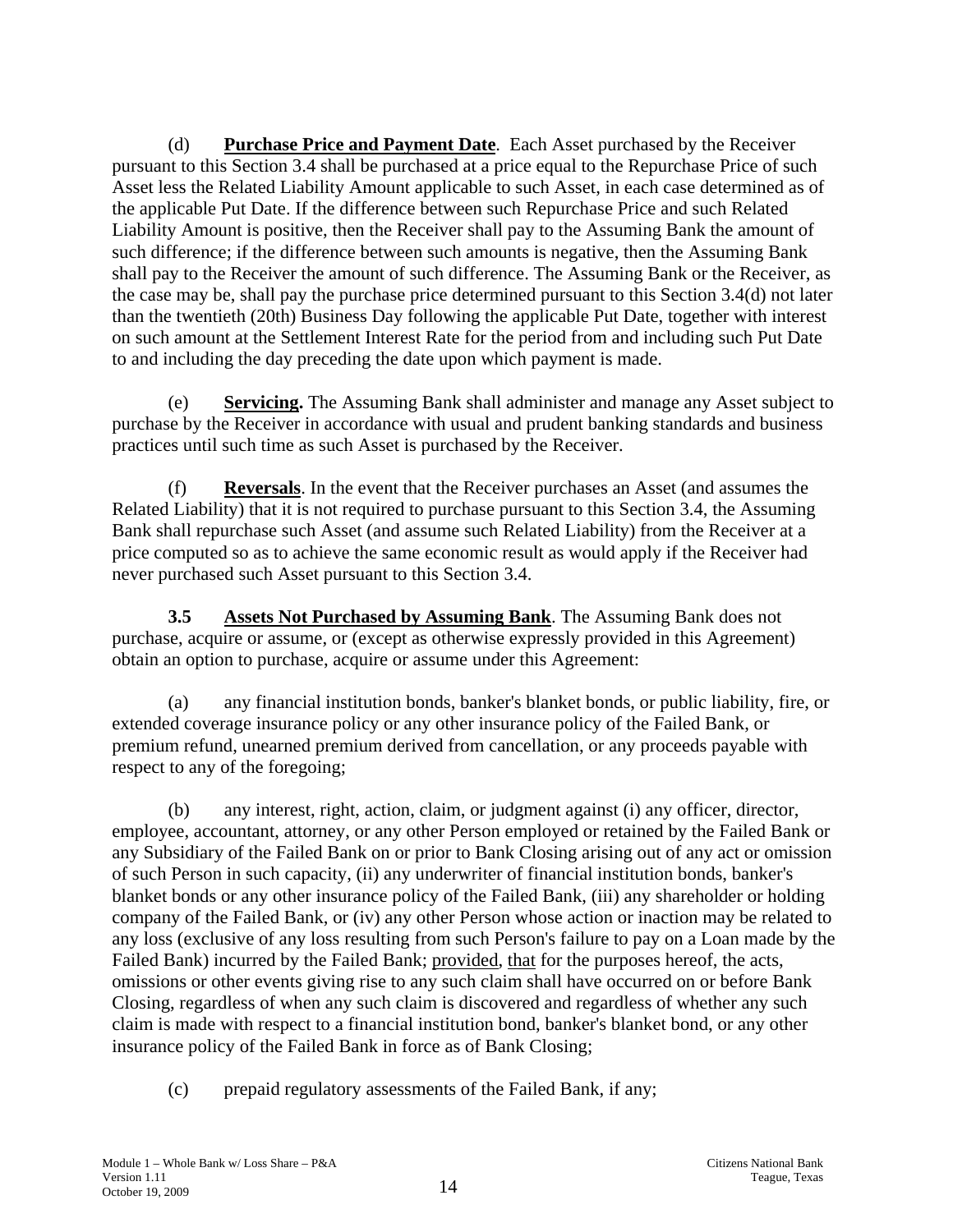(d) **Purchase Price and Payment Date**. Each Asset purchased by the Receiver pursuant to this Section 3.4 shall be purchased at a price equal to the Repurchase Price of such Asset less the Related Liability Amount applicable to such Asset, in each case determined as of the applicable Put Date. If the difference between such Repurchase Price and such Related Liability Amount is positive, then the Receiver shall pay to the Assuming Bank the amount of such difference; if the difference between such amounts is negative, then the Assuming Bank shall pay to the Receiver the amount of such difference. The Assuming Bank or the Receiver, as the case may be, shall pay the purchase price determined pursuant to this Section 3.4(d) not later than the twentieth (20th) Business Day following the applicable Put Date, together with interest on such amount at the Settlement Interest Rate for the period from and including such Put Date to and including the day preceding the date upon which payment is made.

(e) **Servicing.** The Assuming Bank shall administer and manage any Asset subject to purchase by the Receiver in accordance with usual and prudent banking standards and business practices until such time as such Asset is purchased by the Receiver.

(f) **Reversals**. In the event that the Receiver purchases an Asset (and assumes the Related Liability) that it is not required to purchase pursuant to this Section 3.4, the Assuming Bank shall repurchase such Asset (and assume such Related Liability) from the Receiver at a price computed so as to achieve the same economic result as would apply if the Receiver had never purchased such Asset pursuant to this Section 3.4.

<span id="page-17-0"></span>**3.5 Assets Not Purchased by Assuming Bank**. The Assuming Bank does not purchase, acquire or assume, or (except as otherwise expressly provided in this Agreement) obtain an option to purchase, acquire or assume under this Agreement:

(a) any financial institution bonds, banker's blanket bonds, or public liability, fire, or extended coverage insurance policy or any other insurance policy of the Failed Bank, or premium refund, unearned premium derived from cancellation, or any proceeds payable with respect to any of the foregoing;

(b) any interest, right, action, claim, or judgment against (i) any officer, director, employee, accountant, attorney, or any other Person employed or retained by the Failed Bank or any Subsidiary of the Failed Bank on or prior to Bank Closing arising out of any act or omission of such Person in such capacity, (ii) any underwriter of financial institution bonds, banker's blanket bonds or any other insurance policy of the Failed Bank, (iii) any shareholder or holding company of the Failed Bank, or (iv) any other Person whose action or inaction may be related to any loss (exclusive of any loss resulting from such Person's failure to pay on a Loan made by the Failed Bank) incurred by the Failed Bank; provided, that for the purposes hereof, the acts, omissions or other events giving rise to any such claim shall have occurred on or before Bank Closing, regardless of when any such claim is discovered and regardless of whether any such claim is made with respect to a financial institution bond, banker's blanket bond, or any other insurance policy of the Failed Bank in force as of Bank Closing;

(c) prepaid regulatory assessments of the Failed Bank, if any;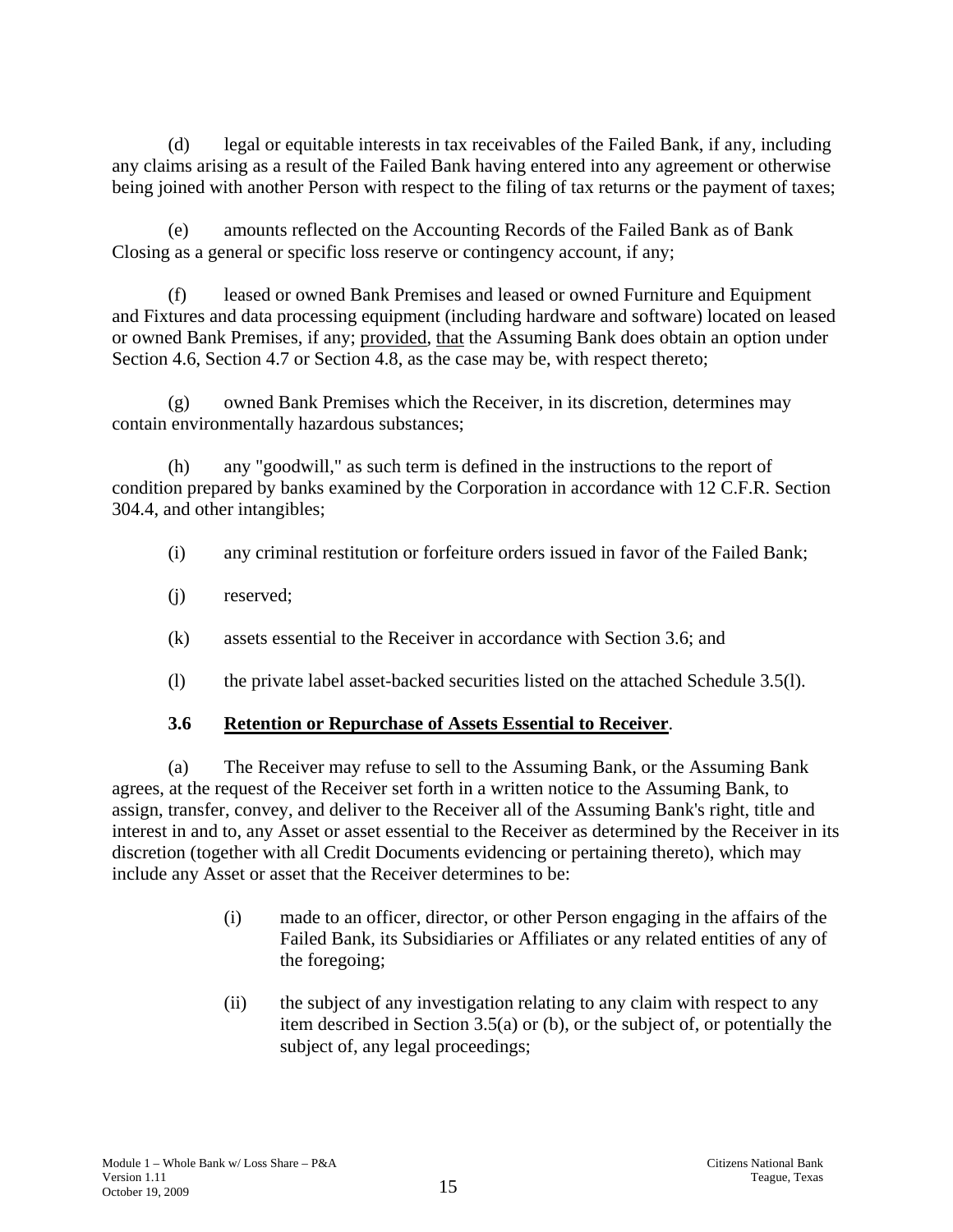(d) legal or equitable interests in tax receivables of the Failed Bank, if any, including any claims arising as a result of the Failed Bank having entered into any agreement or otherwise being joined with another Person with respect to the filing of tax returns or the payment of taxes;

(e) amounts reflected on the Accounting Records of the Failed Bank as of Bank Closing as a general or specific loss reserve or contingency account, if any;

(f) leased or owned Bank Premises and leased or owned Furniture and Equipment and Fixtures and data processing equipment (including hardware and software) located on leased or owned Bank Premises, if any; provided, that the Assuming Bank does obtain an option under Section 4.6, Section 4.7 or Section 4.8, as the case may be, with respect thereto;

(g) owned Bank Premises which the Receiver, in its discretion, determines may contain environmentally hazardous substances;

(h) any "goodwill," as such term is defined in the instructions to the report of condition prepared by banks examined by the Corporation in accordance with 12 C.F.R. Section 304.4, and other intangibles;

- (i) any criminal restitution or forfeiture orders issued in favor of the Failed Bank;
- (j) reserved;
- (k) assets essential to the Receiver in accordance with Section 3.6; and
- (l) the private label asset-backed securities listed on the attached Schedule 3.5(l).

#### **3.6 Retention or Repurchase of Assets Essential to Receiver**.

<span id="page-18-0"></span>(a) The Receiver may refuse to sell to the Assuming Bank, or the Assuming Bank agrees, at the request of the Receiver set forth in a written notice to the Assuming Bank, to assign, transfer, convey, and deliver to the Receiver all of the Assuming Bank's right, title and interest in and to, any Asset or asset essential to the Receiver as determined by the Receiver in its discretion (together with all Credit Documents evidencing or pertaining thereto), which may include any Asset or asset that the Receiver determines to be:

- (i) made to an officer, director, or other Person engaging in the affairs of the Failed Bank, its Subsidiaries or Affiliates or any related entities of any of the foregoing;
- (ii) the subject of any investigation relating to any claim with respect to any item described in Section 3.5(a) or (b), or the subject of, or potentially the subject of, any legal proceedings;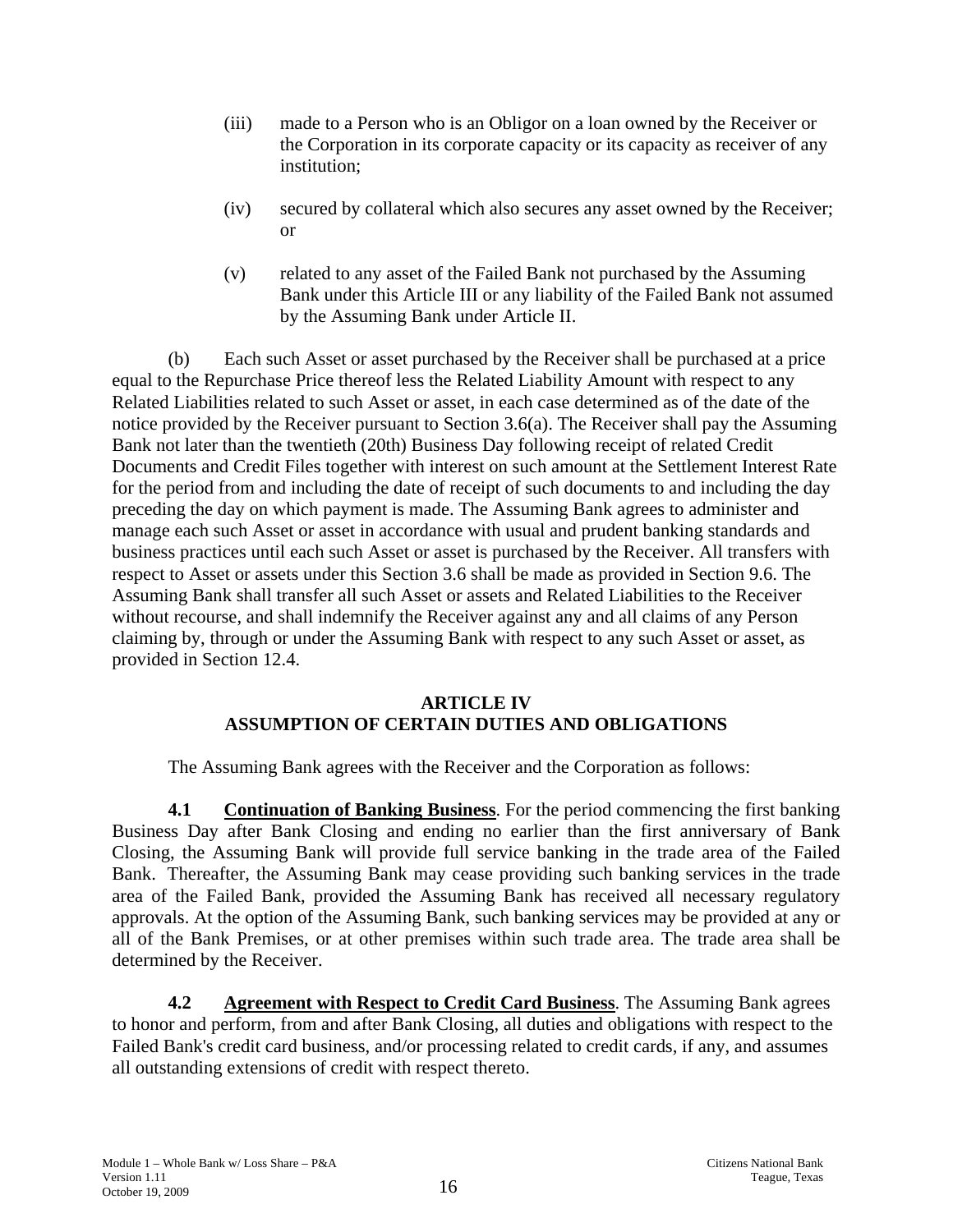- (iii) made to a Person who is an Obligor on a loan owned by the Receiver or the Corporation in its corporate capacity or its capacity as receiver of any institution;
- (iv) secured by collateral which also secures any asset owned by the Receiver; or
- (v) related to any asset of the Failed Bank not purchased by the Assuming Bank under this Article III or any liability of the Failed Bank not assumed by the Assuming Bank under Article II.

(b) Each such Asset or asset purchased by the Receiver shall be purchased at a price equal to the Repurchase Price thereof less the Related Liability Amount with respect to any Related Liabilities related to such Asset or asset, in each case determined as of the date of the notice provided by the Receiver pursuant to Section 3.6(a). The Receiver shall pay the Assuming Bank not later than the twentieth (20th) Business Day following receipt of related Credit Documents and Credit Files together with interest on such amount at the Settlement Interest Rate for the period from and including the date of receipt of such documents to and including the day preceding the day on which payment is made. The Assuming Bank agrees to administer and manage each such Asset or asset in accordance with usual and prudent banking standards and business practices until each such Asset or asset is purchased by the Receiver. All transfers with respect to Asset or assets under this Section 3.6 shall be made as provided in Section 9.6. The Assuming Bank shall transfer all such Asset or assets and Related Liabilities to the Receiver without recourse, and shall indemnify the Receiver against any and all claims of any Person claiming by, through or under the Assuming Bank with respect to any such Asset or asset, as provided in Section 12.4.

## **ARTICLE IV ASSUMPTION OF CERTAIN DUTIES AND OBLIGATIONS**

The Assuming Bank agrees with the Receiver and the Corporation as follows:

<span id="page-19-1"></span><span id="page-19-0"></span>**4.1 Continuation of Banking Business**. For the period commencing the first banking Business Day after Bank Closing and ending no earlier than the first anniversary of Bank Closing, the Assuming Bank will provide full service banking in the trade area of the Failed Bank. Thereafter, the Assuming Bank may cease providing such banking services in the trade area of the Failed Bank, provided the Assuming Bank has received all necessary regulatory approvals. At the option of the Assuming Bank, such banking services may be provided at any or all of the Bank Premises, or at other premises within such trade area. The trade area shall be determined by the Receiver.

**4.2 Agreement with Respect to Credit Card Business**. The Assuming Bank agrees to honor and perform, from and after Bank Closing, all duties and obligations with respect to the Failed Bank's credit card business, and/or processing related to credit cards, if any, and assumes all outstanding extensions of credit with respect thereto.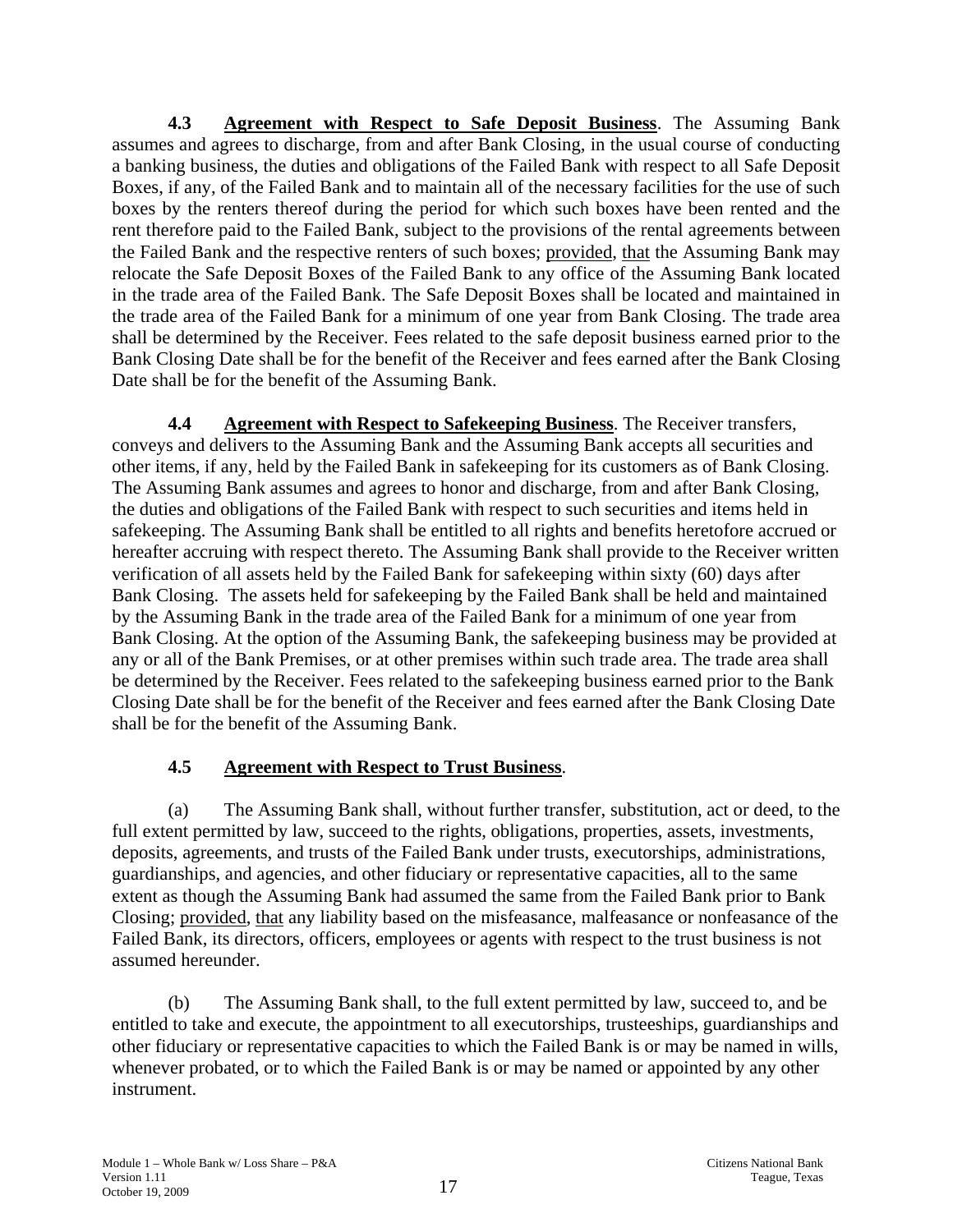**4.3 Agreement with Respect to Safe Deposit Business**. The Assuming Bank assumes and agrees to discharge, from and after Bank Closing, in the usual course of conducting a banking business, the duties and obligations of the Failed Bank with respect to all Safe Deposit Boxes, if any, of the Failed Bank and to maintain all of the necessary facilities for the use of such boxes by the renters thereof during the period for which such boxes have been rented and the rent therefore paid to the Failed Bank, subject to the provisions of the rental agreements between the Failed Bank and the respective renters of such boxes; provided, that the Assuming Bank may relocate the Safe Deposit Boxes of the Failed Bank to any office of the Assuming Bank located in the trade area of the Failed Bank. The Safe Deposit Boxes shall be located and maintained in the trade area of the Failed Bank for a minimum of one year from Bank Closing. The trade area shall be determined by the Receiver. Fees related to the safe deposit business earned prior to the Bank Closing Date shall be for the benefit of the Receiver and fees earned after the Bank Closing Date shall be for the benefit of the Assuming Bank.

**4.4 Agreement with Respect to Safekeeping Business**. The Receiver transfers, conveys and delivers to the Assuming Bank and the Assuming Bank accepts all securities and other items, if any, held by the Failed Bank in safekeeping for its customers as of Bank Closing. The Assuming Bank assumes and agrees to honor and discharge, from and after Bank Closing, the duties and obligations of the Failed Bank with respect to such securities and items held in safekeeping. The Assuming Bank shall be entitled to all rights and benefits heretofore accrued or hereafter accruing with respect thereto. The Assuming Bank shall provide to the Receiver written verification of all assets held by the Failed Bank for safekeeping within sixty (60) days after Bank Closing. The assets held for safekeeping by the Failed Bank shall be held and maintained by the Assuming Bank in the trade area of the Failed Bank for a minimum of one year from Bank Closing. At the option of the Assuming Bank, the safekeeping business may be provided at any or all of the Bank Premises, or at other premises within such trade area. The trade area shall be determined by the Receiver. Fees related to the safekeeping business earned prior to the Bank Closing Date shall be for the benefit of the Receiver and fees earned after the Bank Closing Date shall be for the benefit of the Assuming Bank.

# **4.5 Agreement with Respect to Trust Business**.

<span id="page-20-0"></span>(a) The Assuming Bank shall, without further transfer, substitution, act or deed, to the full extent permitted by law, succeed to the rights, obligations, properties, assets, investments, deposits, agreements, and trusts of the Failed Bank under trusts, executorships, administrations, guardianships, and agencies, and other fiduciary or representative capacities, all to the same extent as though the Assuming Bank had assumed the same from the Failed Bank prior to Bank Closing; provided, that any liability based on the misfeasance, malfeasance or nonfeasance of the Failed Bank, its directors, officers, employees or agents with respect to the trust business is not assumed hereunder.

(b) The Assuming Bank shall, to the full extent permitted by law, succeed to, and be entitled to take and execute, the appointment to all executorships, trusteeships, guardianships and other fiduciary or representative capacities to which the Failed Bank is or may be named in wills, whenever probated, or to which the Failed Bank is or may be named or appointed by any other instrument.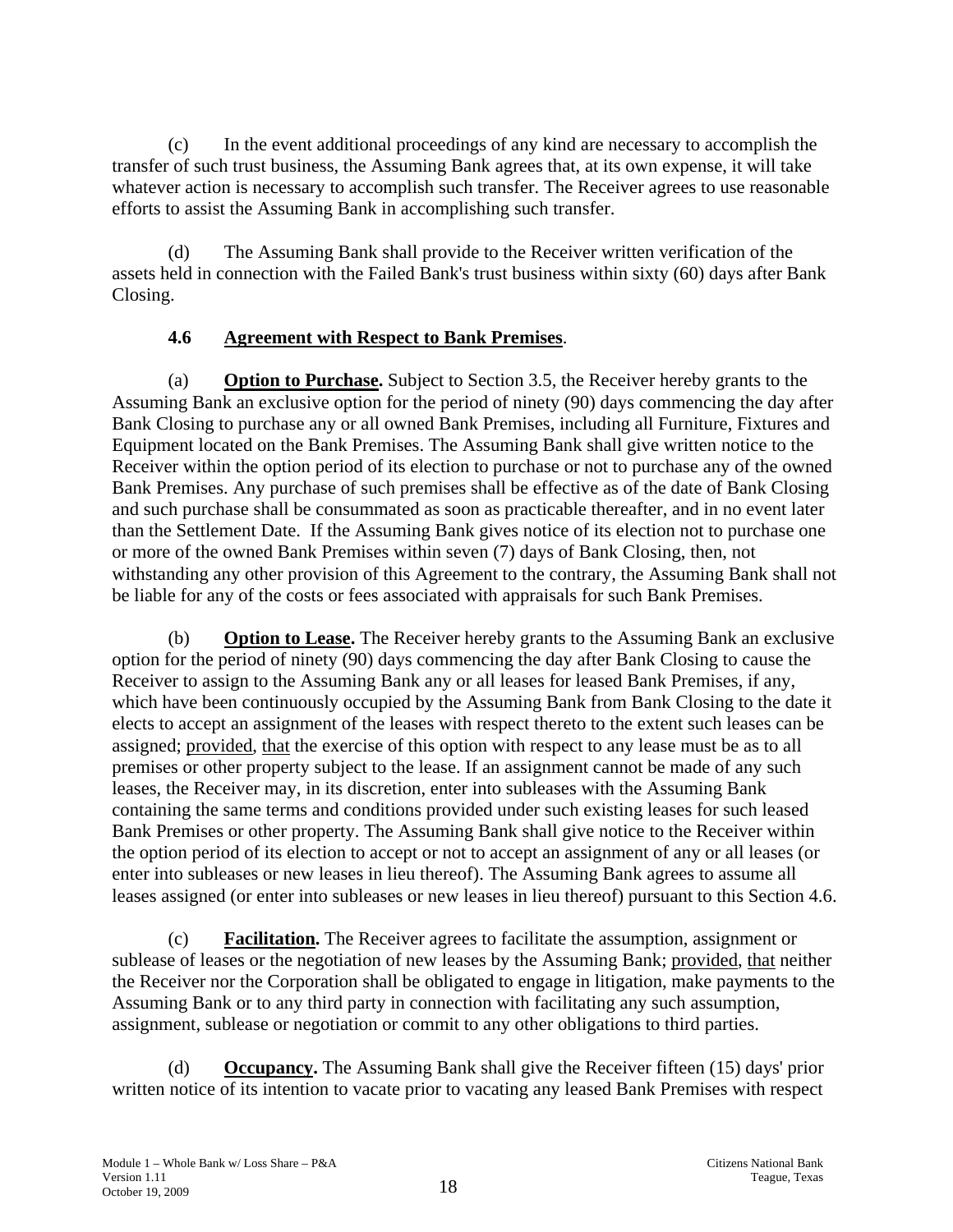(c) In the event additional proceedings of any kind are necessary to accomplish the transfer of such trust business, the Assuming Bank agrees that, at its own expense, it will take whatever action is necessary to accomplish such transfer. The Receiver agrees to use reasonable efforts to assist the Assuming Bank in accomplishing such transfer.

(d) The Assuming Bank shall provide to the Receiver written verification of the assets held in connection with the Failed Bank's trust business within sixty (60) days after Bank Closing.

# **4.6 Agreement with Respect to Bank Premises**.

<span id="page-21-0"></span>(a) **Option to Purchase.** Subject to Section 3.5, the Receiver hereby grants to the Assuming Bank an exclusive option for the period of ninety (90) days commencing the day after Bank Closing to purchase any or all owned Bank Premises, including all Furniture, Fixtures and Equipment located on the Bank Premises. The Assuming Bank shall give written notice to the Receiver within the option period of its election to purchase or not to purchase any of the owned Bank Premises. Any purchase of such premises shall be effective as of the date of Bank Closing and such purchase shall be consummated as soon as practicable thereafter, and in no event later than the Settlement Date. If the Assuming Bank gives notice of its election not to purchase one or more of the owned Bank Premises within seven (7) days of Bank Closing, then, not withstanding any other provision of this Agreement to the contrary, the Assuming Bank shall not be liable for any of the costs or fees associated with appraisals for such Bank Premises.

(b) **Option to Lease.** The Receiver hereby grants to the Assuming Bank an exclusive option for the period of ninety (90) days commencing the day after Bank Closing to cause the Receiver to assign to the Assuming Bank any or all leases for leased Bank Premises, if any, which have been continuously occupied by the Assuming Bank from Bank Closing to the date it elects to accept an assignment of the leases with respect thereto to the extent such leases can be assigned; provided, that the exercise of this option with respect to any lease must be as to all premises or other property subject to the lease. If an assignment cannot be made of any such leases, the Receiver may, in its discretion, enter into subleases with the Assuming Bank containing the same terms and conditions provided under such existing leases for such leased Bank Premises or other property. The Assuming Bank shall give notice to the Receiver within the option period of its election to accept or not to accept an assignment of any or all leases (or enter into subleases or new leases in lieu thereof). The Assuming Bank agrees to assume all leases assigned (or enter into subleases or new leases in lieu thereof) pursuant to this Section 4.6.

(c) **Facilitation.** The Receiver agrees to facilitate the assumption, assignment or sublease of leases or the negotiation of new leases by the Assuming Bank; provided, that neither the Receiver nor the Corporation shall be obligated to engage in litigation, make payments to the Assuming Bank or to any third party in connection with facilitating any such assumption, assignment, sublease or negotiation or commit to any other obligations to third parties.

(d) **Occupancy.** The Assuming Bank shall give the Receiver fifteen (15) days' prior written notice of its intention to vacate prior to vacating any leased Bank Premises with respect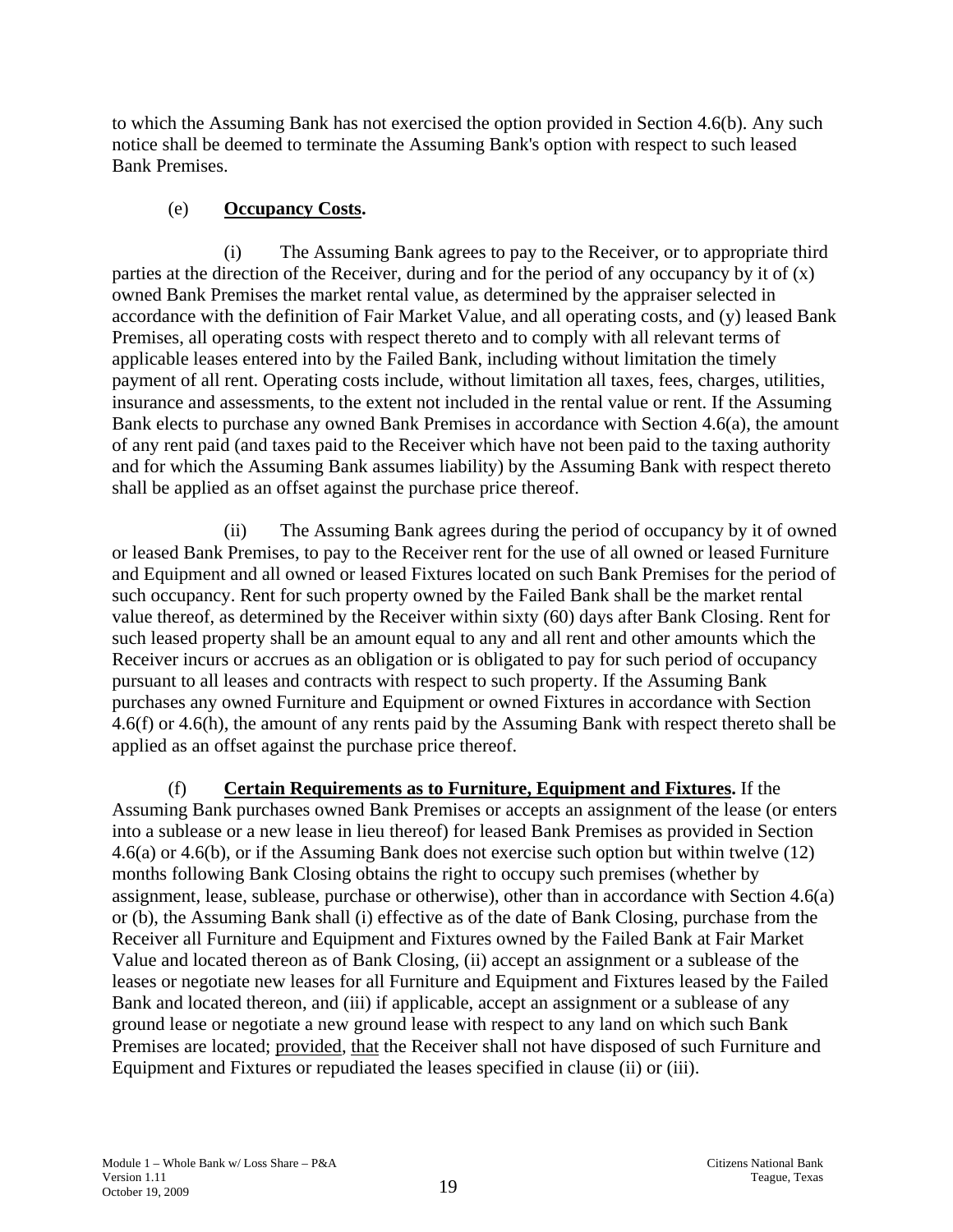to which the Assuming Bank has not exercised the option provided in Section 4.6(b). Any such notice shall be deemed to terminate the Assuming Bank's option with respect to such leased Bank Premises.

# (e) **Occupancy Costs.**

(i) The Assuming Bank agrees to pay to the Receiver, or to appropriate third parties at the direction of the Receiver, during and for the period of any occupancy by it of (x) owned Bank Premises the market rental value, as determined by the appraiser selected in accordance with the definition of Fair Market Value, and all operating costs, and (y) leased Bank Premises, all operating costs with respect thereto and to comply with all relevant terms of applicable leases entered into by the Failed Bank, including without limitation the timely payment of all rent. Operating costs include, without limitation all taxes, fees, charges, utilities, insurance and assessments, to the extent not included in the rental value or rent. If the Assuming Bank elects to purchase any owned Bank Premises in accordance with Section 4.6(a), the amount of any rent paid (and taxes paid to the Receiver which have not been paid to the taxing authority and for which the Assuming Bank assumes liability) by the Assuming Bank with respect thereto shall be applied as an offset against the purchase price thereof.

(ii) The Assuming Bank agrees during the period of occupancy by it of owned or leased Bank Premises, to pay to the Receiver rent for the use of all owned or leased Furniture and Equipment and all owned or leased Fixtures located on such Bank Premises for the period of such occupancy. Rent for such property owned by the Failed Bank shall be the market rental value thereof, as determined by the Receiver within sixty (60) days after Bank Closing. Rent for such leased property shall be an amount equal to any and all rent and other amounts which the Receiver incurs or accrues as an obligation or is obligated to pay for such period of occupancy pursuant to all leases and contracts with respect to such property. If the Assuming Bank purchases any owned Furniture and Equipment or owned Fixtures in accordance with Section 4.6(f) or 4.6(h), the amount of any rents paid by the Assuming Bank with respect thereto shall be applied as an offset against the purchase price thereof.

(f) **Certain Requirements as to Furniture, Equipment and Fixtures.** If the Assuming Bank purchases owned Bank Premises or accepts an assignment of the lease (or enters into a sublease or a new lease in lieu thereof) for leased Bank Premises as provided in Section 4.6(a) or 4.6(b), or if the Assuming Bank does not exercise such option but within twelve (12) months following Bank Closing obtains the right to occupy such premises (whether by assignment, lease, sublease, purchase or otherwise), other than in accordance with Section 4.6(a) or (b), the Assuming Bank shall (i) effective as of the date of Bank Closing, purchase from the Receiver all Furniture and Equipment and Fixtures owned by the Failed Bank at Fair Market Value and located thereon as of Bank Closing, (ii) accept an assignment or a sublease of the leases or negotiate new leases for all Furniture and Equipment and Fixtures leased by the Failed Bank and located thereon, and (iii) if applicable, accept an assignment or a sublease of any ground lease or negotiate a new ground lease with respect to any land on which such Bank Premises are located; provided, that the Receiver shall not have disposed of such Furniture and Equipment and Fixtures or repudiated the leases specified in clause (ii) or (iii).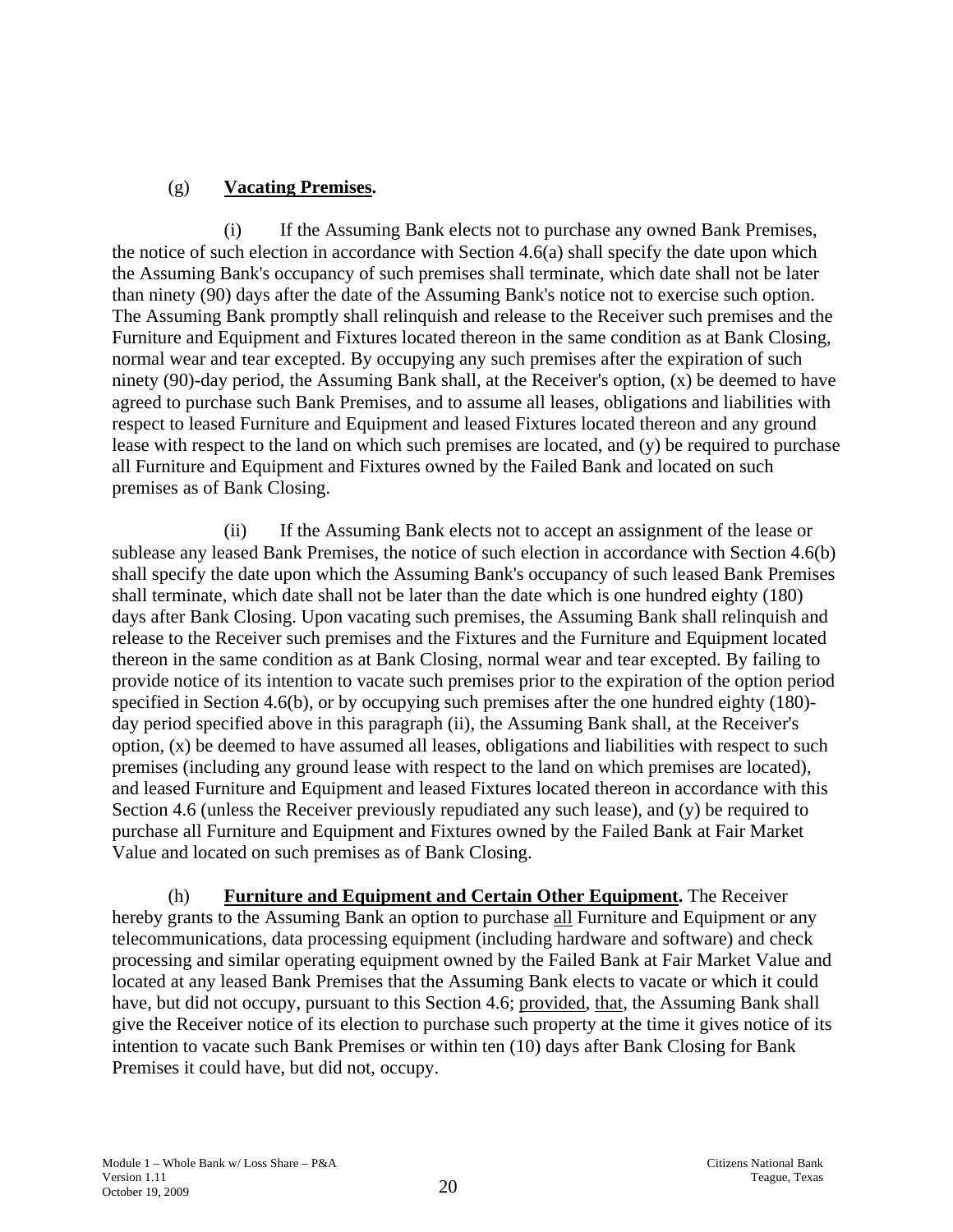## (g) **Vacating Premises.**

(i) If the Assuming Bank elects not to purchase any owned Bank Premises, the notice of such election in accordance with Section 4.6(a) shall specify the date upon which the Assuming Bank's occupancy of such premises shall terminate, which date shall not be later than ninety (90) days after the date of the Assuming Bank's notice not to exercise such option. The Assuming Bank promptly shall relinquish and release to the Receiver such premises and the Furniture and Equipment and Fixtures located thereon in the same condition as at Bank Closing, normal wear and tear excepted. By occupying any such premises after the expiration of such ninety (90)-day period, the Assuming Bank shall, at the Receiver's option, (x) be deemed to have agreed to purchase such Bank Premises, and to assume all leases, obligations and liabilities with respect to leased Furniture and Equipment and leased Fixtures located thereon and any ground lease with respect to the land on which such premises are located, and (y) be required to purchase all Furniture and Equipment and Fixtures owned by the Failed Bank and located on such premises as of Bank Closing.

(ii) If the Assuming Bank elects not to accept an assignment of the lease or sublease any leased Bank Premises, the notice of such election in accordance with Section 4.6(b) shall specify the date upon which the Assuming Bank's occupancy of such leased Bank Premises shall terminate, which date shall not be later than the date which is one hundred eighty (180) days after Bank Closing. Upon vacating such premises, the Assuming Bank shall relinquish and release to the Receiver such premises and the Fixtures and the Furniture and Equipment located thereon in the same condition as at Bank Closing, normal wear and tear excepted. By failing to provide notice of its intention to vacate such premises prior to the expiration of the option period specified in Section 4.6(b), or by occupying such premises after the one hundred eighty (180) day period specified above in this paragraph (ii), the Assuming Bank shall, at the Receiver's option, (x) be deemed to have assumed all leases, obligations and liabilities with respect to such premises (including any ground lease with respect to the land on which premises are located), and leased Furniture and Equipment and leased Fixtures located thereon in accordance with this Section 4.6 (unless the Receiver previously repudiated any such lease), and (y) be required to purchase all Furniture and Equipment and Fixtures owned by the Failed Bank at Fair Market Value and located on such premises as of Bank Closing.

(h) **Furniture and Equipment and Certain Other Equipment.** The Receiver hereby grants to the Assuming Bank an option to purchase all Furniture and Equipment or any telecommunications, data processing equipment (including hardware and software) and check processing and similar operating equipment owned by the Failed Bank at Fair Market Value and located at any leased Bank Premises that the Assuming Bank elects to vacate or which it could have, but did not occupy, pursuant to this Section 4.6; provided, that, the Assuming Bank shall give the Receiver notice of its election to purchase such property at the time it gives notice of its intention to vacate such Bank Premises or within ten (10) days after Bank Closing for Bank Premises it could have, but did not, occupy.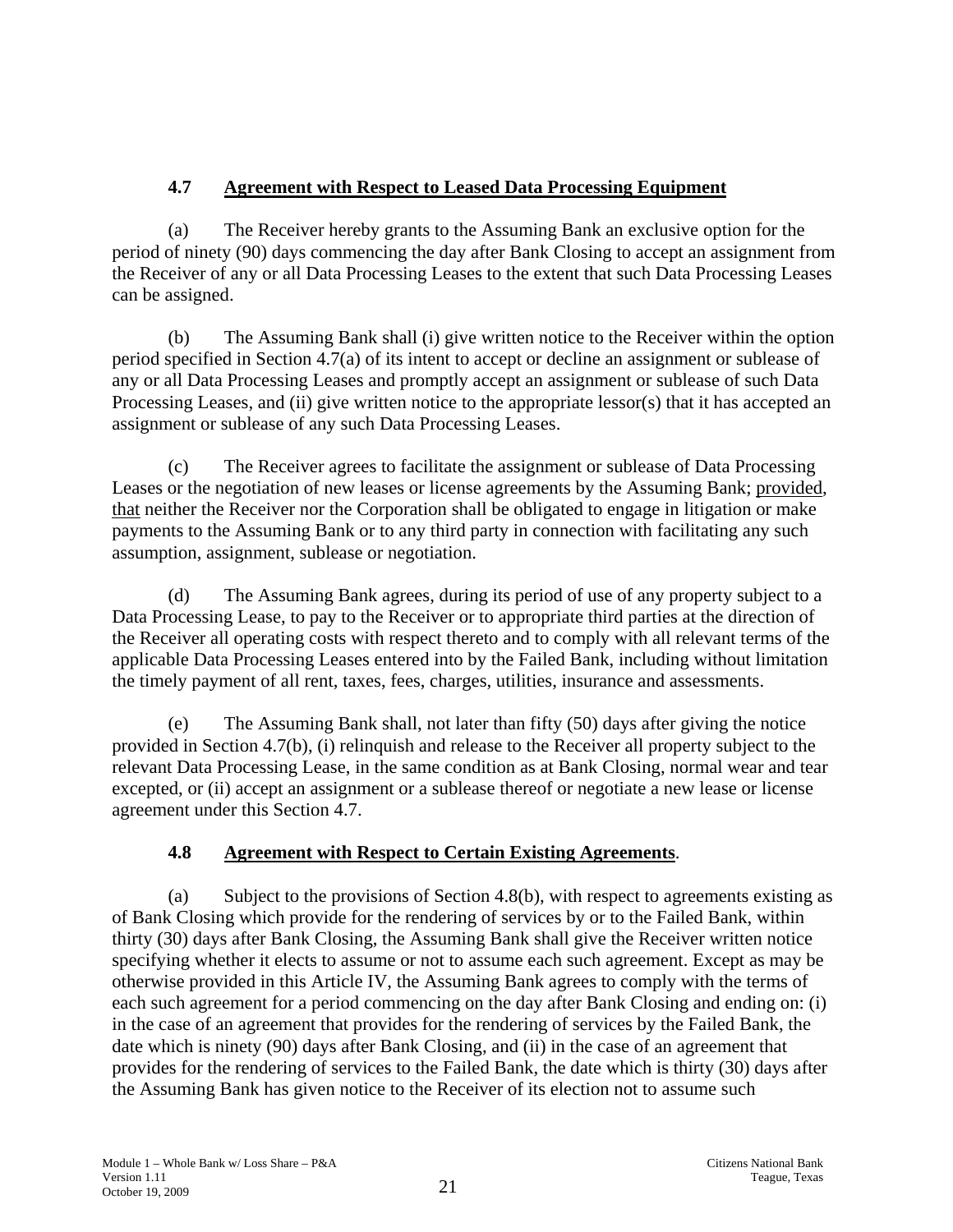# **4.7 Agreement with Respect to Leased Data Processing Equipment**

<span id="page-24-0"></span>(a) The Receiver hereby grants to the Assuming Bank an exclusive option for the period of ninety (90) days commencing the day after Bank Closing to accept an assignment from the Receiver of any or all Data Processing Leases to the extent that such Data Processing Leases can be assigned.

(b) The Assuming Bank shall (i) give written notice to the Receiver within the option period specified in Section 4.7(a) of its intent to accept or decline an assignment or sublease of any or all Data Processing Leases and promptly accept an assignment or sublease of such Data Processing Leases, and (ii) give written notice to the appropriate lessor(s) that it has accepted an assignment or sublease of any such Data Processing Leases.

(c) The Receiver agrees to facilitate the assignment or sublease of Data Processing Leases or the negotiation of new leases or license agreements by the Assuming Bank; provided, that neither the Receiver nor the Corporation shall be obligated to engage in litigation or make payments to the Assuming Bank or to any third party in connection with facilitating any such assumption, assignment, sublease or negotiation.

(d) The Assuming Bank agrees, during its period of use of any property subject to a Data Processing Lease, to pay to the Receiver or to appropriate third parties at the direction of the Receiver all operating costs with respect thereto and to comply with all relevant terms of the applicable Data Processing Leases entered into by the Failed Bank, including without limitation the timely payment of all rent, taxes, fees, charges, utilities, insurance and assessments.

(e) The Assuming Bank shall, not later than fifty (50) days after giving the notice provided in Section 4.7(b), (i) relinquish and release to the Receiver all property subject to the relevant Data Processing Lease, in the same condition as at Bank Closing, normal wear and tear excepted, or (ii) accept an assignment or a sublease thereof or negotiate a new lease or license agreement under this Section 4.7.

# **4.8 Agreement with Respect to Certain Existing Agreements**.

<span id="page-24-1"></span>(a) Subject to the provisions of Section 4.8(b), with respect to agreements existing as of Bank Closing which provide for the rendering of services by or to the Failed Bank, within thirty (30) days after Bank Closing, the Assuming Bank shall give the Receiver written notice specifying whether it elects to assume or not to assume each such agreement. Except as may be otherwise provided in this Article IV, the Assuming Bank agrees to comply with the terms of each such agreement for a period commencing on the day after Bank Closing and ending on: (i) in the case of an agreement that provides for the rendering of services by the Failed Bank, the date which is ninety (90) days after Bank Closing, and (ii) in the case of an agreement that provides for the rendering of services to the Failed Bank, the date which is thirty (30) days after the Assuming Bank has given notice to the Receiver of its election not to assume such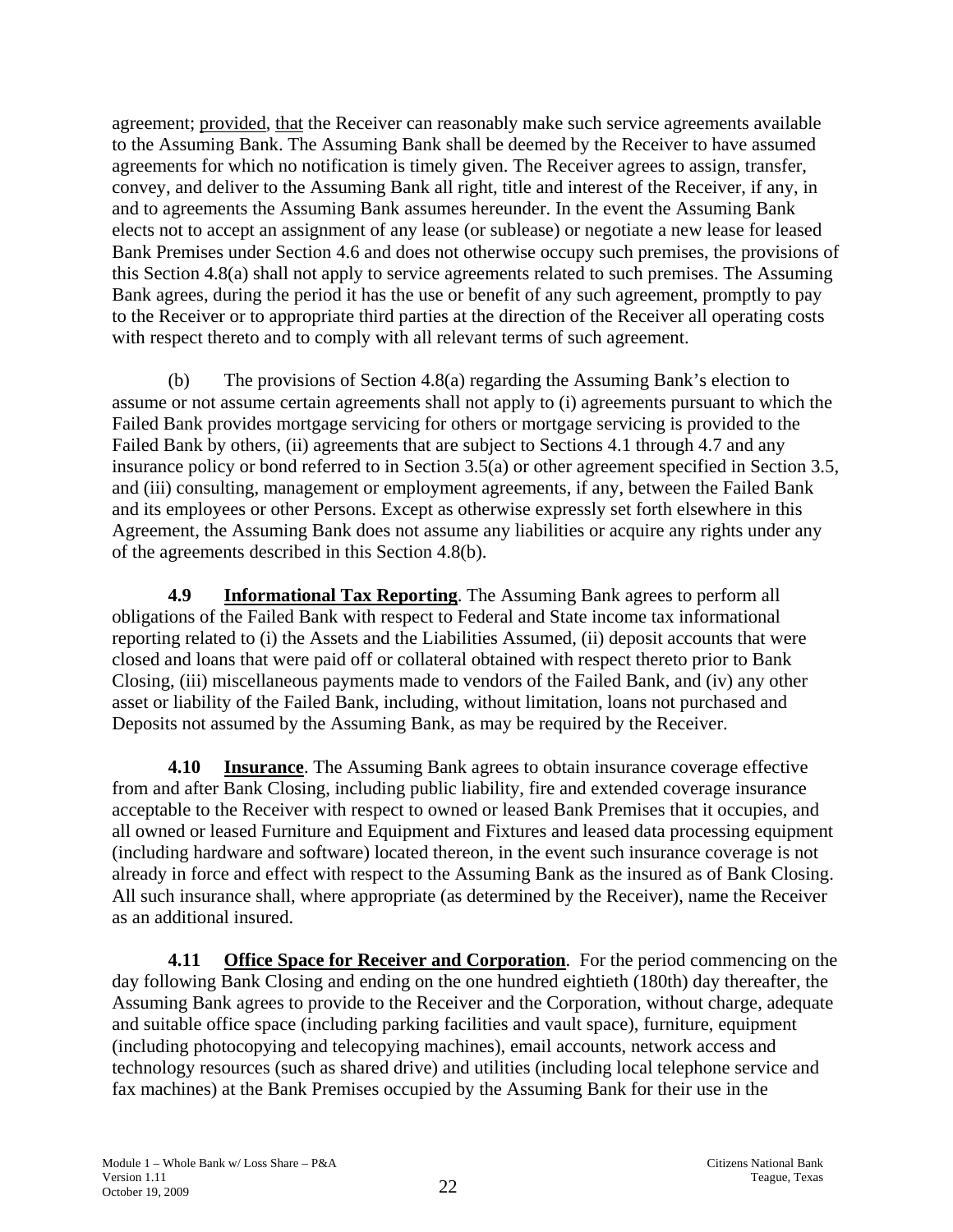agreement; provided, that the Receiver can reasonably make such service agreements available to the Assuming Bank. The Assuming Bank shall be deemed by the Receiver to have assumed agreements for which no notification is timely given. The Receiver agrees to assign, transfer, convey, and deliver to the Assuming Bank all right, title and interest of the Receiver, if any, in and to agreements the Assuming Bank assumes hereunder. In the event the Assuming Bank elects not to accept an assignment of any lease (or sublease) or negotiate a new lease for leased Bank Premises under Section 4.6 and does not otherwise occupy such premises, the provisions of this Section 4.8(a) shall not apply to service agreements related to such premises. The Assuming Bank agrees, during the period it has the use or benefit of any such agreement, promptly to pay to the Receiver or to appropriate third parties at the direction of the Receiver all operating costs with respect thereto and to comply with all relevant terms of such agreement.

(b) The provisions of Section 4.8(a) regarding the Assuming Bank's election to assume or not assume certain agreements shall not apply to (i) agreements pursuant to which the Failed Bank provides mortgage servicing for others or mortgage servicing is provided to the Failed Bank by others, (ii) agreements that are subject to Sections 4.1 through 4.7 and any insurance policy or bond referred to in Section 3.5(a) or other agreement specified in Section 3.5, and (iii) consulting, management or employment agreements, if any, between the Failed Bank and its employees or other Persons. Except as otherwise expressly set forth elsewhere in this Agreement, the Assuming Bank does not assume any liabilities or acquire any rights under any of the agreements described in this Section 4.8(b).

<span id="page-25-0"></span>**4.9** Informational Tax Reporting. The Assuming Bank agrees to perform all obligations of the Failed Bank with respect to Federal and State income tax informational reporting related to (i) the Assets and the Liabilities Assumed, (ii) deposit accounts that were closed and loans that were paid off or collateral obtained with respect thereto prior to Bank Closing, (iii) miscellaneous payments made to vendors of the Failed Bank, and (iv) any other asset or liability of the Failed Bank, including, without limitation, loans not purchased and Deposits not assumed by the Assuming Bank, as may be required by the Receiver.

<span id="page-25-1"></span>**4.10 Insurance**. The Assuming Bank agrees to obtain insurance coverage effective from and after Bank Closing, including public liability, fire and extended coverage insurance acceptable to the Receiver with respect to owned or leased Bank Premises that it occupies, and all owned or leased Furniture and Equipment and Fixtures and leased data processing equipment (including hardware and software) located thereon, in the event such insurance coverage is not already in force and effect with respect to the Assuming Bank as the insured as of Bank Closing. All such insurance shall, where appropriate (as determined by the Receiver), name the Receiver as an additional insured.

<span id="page-25-2"></span>**4.11 Office Space for Receiver and Corporation**. For the period commencing on the day following Bank Closing and ending on the one hundred eightieth (180th) day thereafter, the Assuming Bank agrees to provide to the Receiver and the Corporation, without charge, adequate and suitable office space (including parking facilities and vault space), furniture, equipment (including photocopying and telecopying machines), email accounts, network access and technology resources (such as shared drive) and utilities (including local telephone service and fax machines) at the Bank Premises occupied by the Assuming Bank for their use in the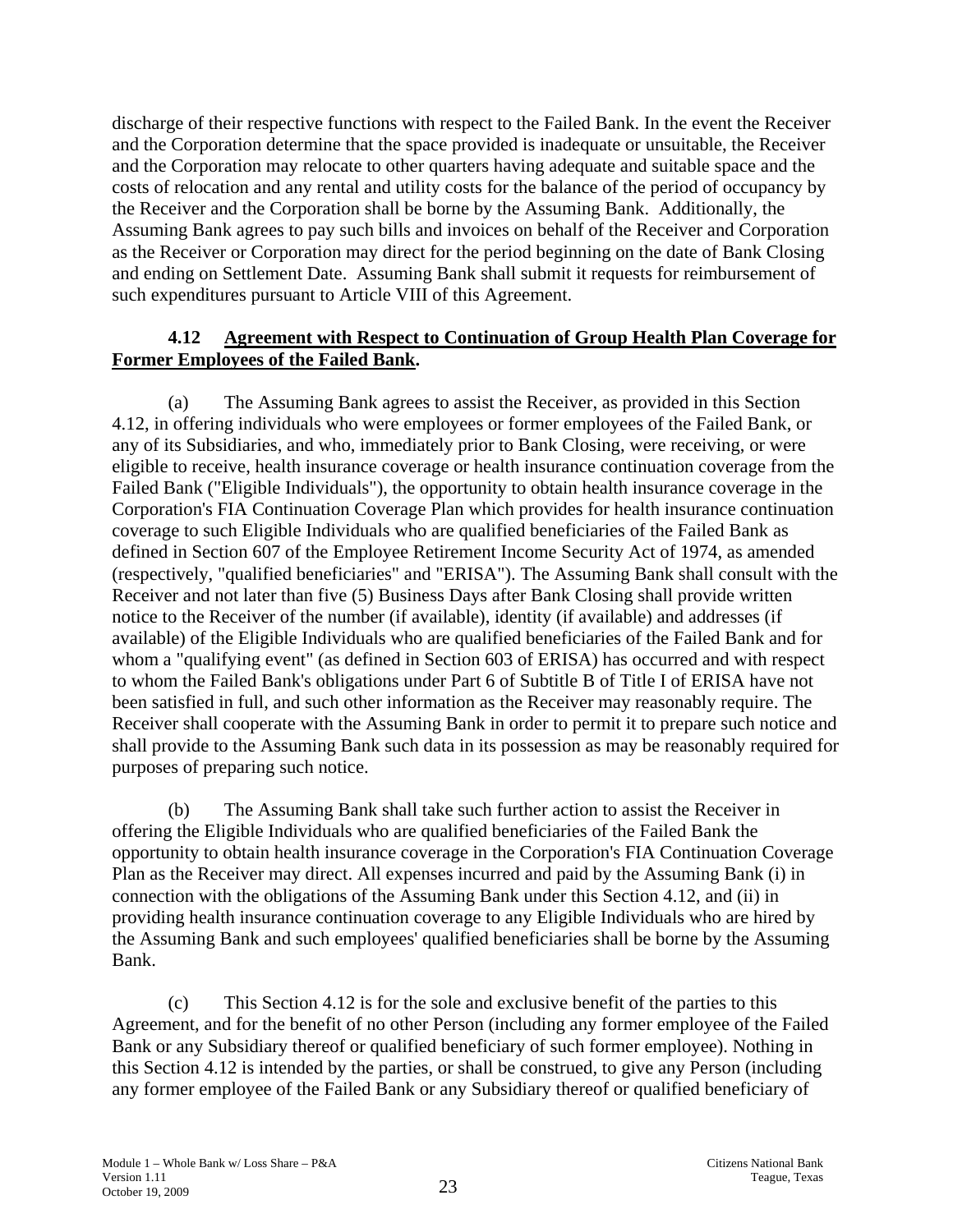discharge of their respective functions with respect to the Failed Bank. In the event the Receiver and the Corporation determine that the space provided is inadequate or unsuitable, the Receiver and the Corporation may relocate to other quarters having adequate and suitable space and the costs of relocation and any rental and utility costs for the balance of the period of occupancy by the Receiver and the Corporation shall be borne by the Assuming Bank. Additionally, the Assuming Bank agrees to pay such bills and invoices on behalf of the Receiver and Corporation as the Receiver or Corporation may direct for the period beginning on the date of Bank Closing and ending on Settlement Date. Assuming Bank shall submit it requests for reimbursement of such expenditures pursuant to Article VIII of this Agreement.

### <span id="page-26-0"></span>**4.12 Agreement with Respect to Continuation of Group Health Plan Coverage for Former Employees of the Failed Bank.**

(a) The Assuming Bank agrees to assist the Receiver, as provided in this Section 4.12, in offering individuals who were employees or former employees of the Failed Bank, or any of its Subsidiaries, and who, immediately prior to Bank Closing, were receiving, or were eligible to receive, health insurance coverage or health insurance continuation coverage from the Failed Bank ("Eligible Individuals"), the opportunity to obtain health insurance coverage in the Corporation's FIA Continuation Coverage Plan which provides for health insurance continuation coverage to such Eligible Individuals who are qualified beneficiaries of the Failed Bank as defined in Section 607 of the Employee Retirement Income Security Act of 1974, as amended (respectively, "qualified beneficiaries" and "ERISA"). The Assuming Bank shall consult with the Receiver and not later than five (5) Business Days after Bank Closing shall provide written notice to the Receiver of the number (if available), identity (if available) and addresses (if available) of the Eligible Individuals who are qualified beneficiaries of the Failed Bank and for whom a "qualifying event" (as defined in Section 603 of ERISA) has occurred and with respect to whom the Failed Bank's obligations under Part 6 of Subtitle B of Title I of ERISA have not been satisfied in full, and such other information as the Receiver may reasonably require. The Receiver shall cooperate with the Assuming Bank in order to permit it to prepare such notice and shall provide to the Assuming Bank such data in its possession as may be reasonably required for purposes of preparing such notice.

(b) The Assuming Bank shall take such further action to assist the Receiver in offering the Eligible Individuals who are qualified beneficiaries of the Failed Bank the opportunity to obtain health insurance coverage in the Corporation's FIA Continuation Coverage Plan as the Receiver may direct. All expenses incurred and paid by the Assuming Bank (i) in connection with the obligations of the Assuming Bank under this Section 4.12, and (ii) in providing health insurance continuation coverage to any Eligible Individuals who are hired by the Assuming Bank and such employees' qualified beneficiaries shall be borne by the Assuming Bank.

(c) This Section 4.12 is for the sole and exclusive benefit of the parties to this Agreement, and for the benefit of no other Person (including any former employee of the Failed Bank or any Subsidiary thereof or qualified beneficiary of such former employee). Nothing in this Section 4.12 is intended by the parties, or shall be construed, to give any Person (including any former employee of the Failed Bank or any Subsidiary thereof or qualified beneficiary of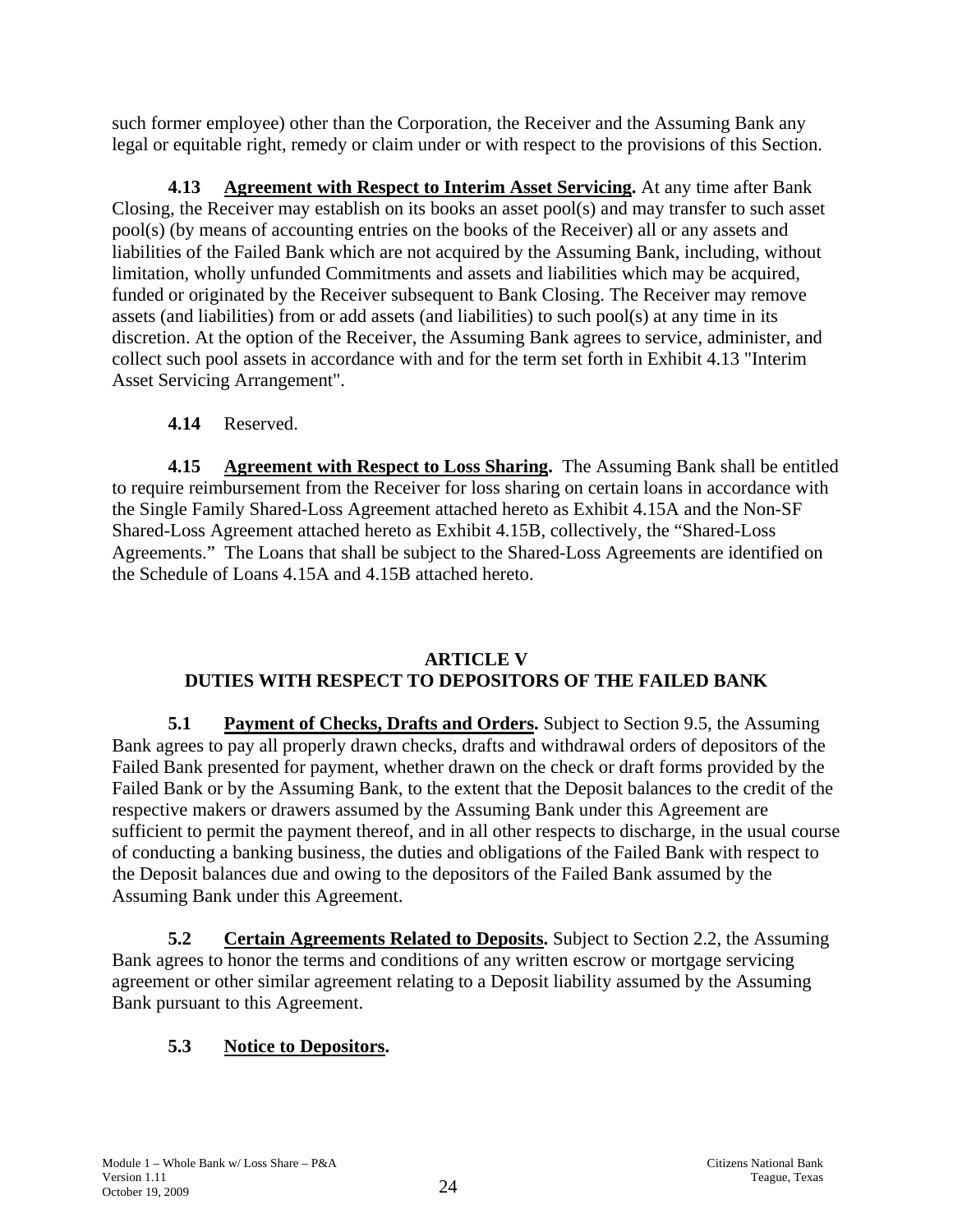such former employee) other than the Corporation, the Receiver and the Assuming Bank any legal or equitable right, remedy or claim under or with respect to the provisions of this Section.

<span id="page-27-0"></span>**4.13** Agreement with Respect to Interim Asset Servicing. At any time after Bank Closing, the Receiver may establish on its books an asset pool(s) and may transfer to such asset pool(s) (by means of accounting entries on the books of the Receiver) all or any assets and liabilities of the Failed Bank which are not acquired by the Assuming Bank, including, without limitation, wholly unfunded Commitments and assets and liabilities which may be acquired, funded or originated by the Receiver subsequent to Bank Closing. The Receiver may remove assets (and liabilities) from or add assets (and liabilities) to such pool(s) at any time in its discretion. At the option of the Receiver, the Assuming Bank agrees to service, administer, and collect such pool assets in accordance with and for the term set forth in Exhibit 4.13 "Interim Asset Servicing Arrangement".

# **4.14** Reserved.

**4.15 Agreement with Respect to Loss Sharing.** The Assuming Bank shall be entitled to require reimbursement from the Receiver for loss sharing on certain loans in accordance with the Single Family Shared-Loss Agreement attached hereto as Exhibit 4.15A and the Non-SF Shared-Loss Agreement attached hereto as Exhibit 4.15B, collectively, the "Shared-Loss Agreements." The Loans that shall be subject to the Shared-Loss Agreements are identified on the Schedule of Loans 4.15A and 4.15B attached hereto.

## **ARTICLE V DUTIES WITH RESPECT TO DEPOSITORS OF THE FAILED BANK**

<span id="page-27-2"></span><span id="page-27-1"></span>**5.1 Payment of Checks, Drafts and Orders.** Subject to Section 9.5, the Assuming Bank agrees to pay all properly drawn checks, drafts and withdrawal orders of depositors of the Failed Bank presented for payment, whether drawn on the check or draft forms provided by the Failed Bank or by the Assuming Bank, to the extent that the Deposit balances to the credit of the respective makers or drawers assumed by the Assuming Bank under this Agreement are sufficient to permit the payment thereof, and in all other respects to discharge, in the usual course of conducting a banking business, the duties and obligations of the Failed Bank with respect to the Deposit balances due and owing to the depositors of the Failed Bank assumed by the Assuming Bank under this Agreement.

<span id="page-27-4"></span><span id="page-27-3"></span>**5.2 Certain Agreements Related to Deposits.** Subject to Section 2.2, the Assuming Bank agrees to honor the terms and conditions of any written escrow or mortgage servicing agreement or other similar agreement relating to a Deposit liability assumed by the Assuming Bank pursuant to this Agreement.

# **5.3 Notice to Depositors.**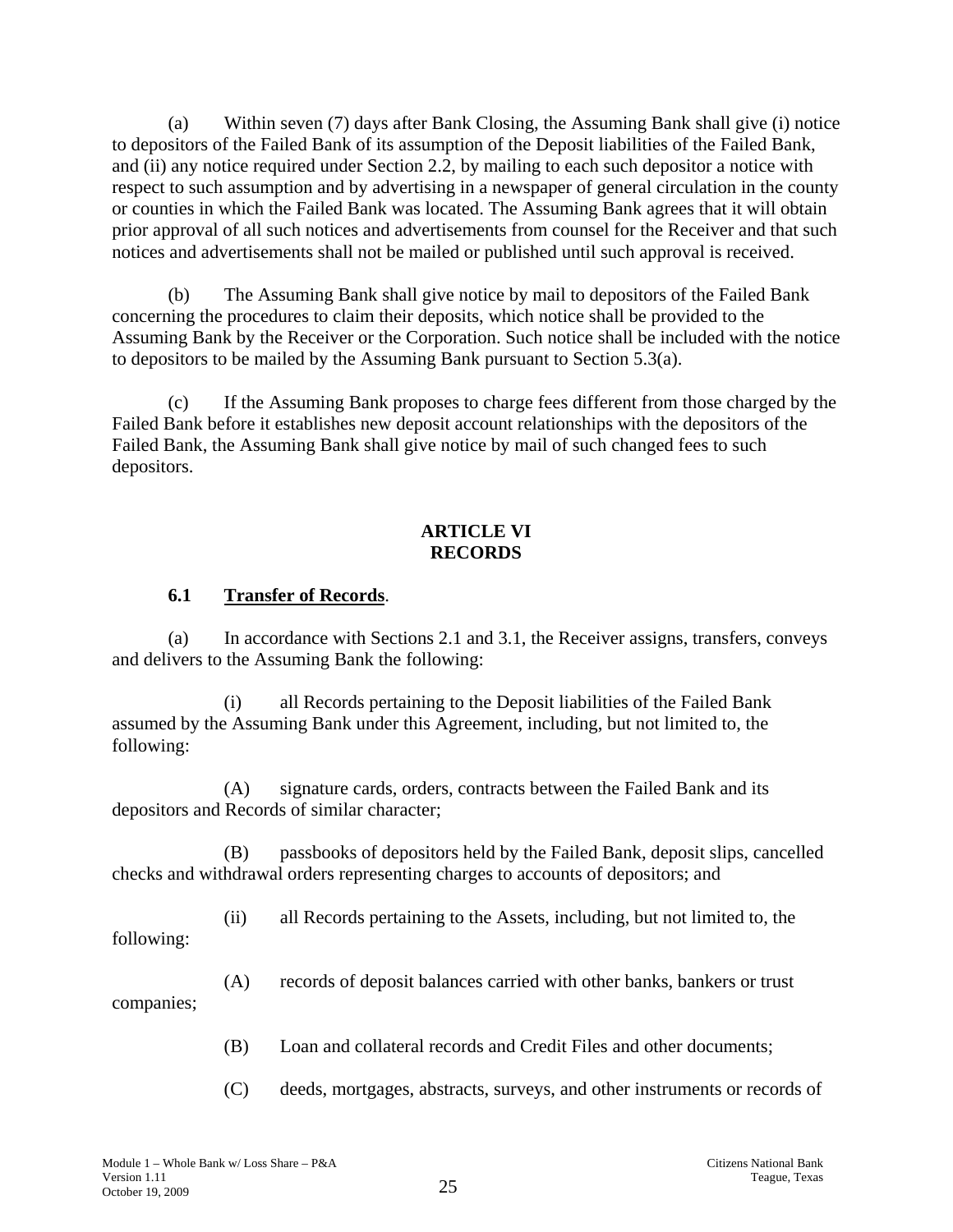(a) Within seven (7) days after Bank Closing, the Assuming Bank shall give (i) notice to depositors of the Failed Bank of its assumption of the Deposit liabilities of the Failed Bank, and (ii) any notice required under Section 2.2, by mailing to each such depositor a notice with respect to such assumption and by advertising in a newspaper of general circulation in the county or counties in which the Failed Bank was located. The Assuming Bank agrees that it will obtain prior approval of all such notices and advertisements from counsel for the Receiver and that such notices and advertisements shall not be mailed or published until such approval is received.

(b) The Assuming Bank shall give notice by mail to depositors of the Failed Bank concerning the procedures to claim their deposits, which notice shall be provided to the Assuming Bank by the Receiver or the Corporation. Such notice shall be included with the notice to depositors to be mailed by the Assuming Bank pursuant to Section 5.3(a).

(c) If the Assuming Bank proposes to charge fees different from those charged by the Failed Bank before it establishes new deposit account relationships with the depositors of the Failed Bank, the Assuming Bank shall give notice by mail of such changed fees to such depositors.

### **ARTICLE VI RECORDS**

## **6.1 Transfer of Records**.

<span id="page-28-1"></span><span id="page-28-0"></span>(a) In accordance with Sections 2.1 and 3.1, the Receiver assigns, transfers, conveys and delivers to the Assuming Bank the following:

(i) all Records pertaining to the Deposit liabilities of the Failed Bank assumed by the Assuming Bank under this Agreement, including, but not limited to, the following:

(A) signature cards, orders, contracts between the Failed Bank and its depositors and Records of similar character;

(B) passbooks of depositors held by the Failed Bank, deposit slips, cancelled checks and withdrawal orders representing charges to accounts of depositors; and

following: (ii) all Records pertaining to the Assets, including, but not limited to, the

companies; (A) records of deposit balances carried with other banks, bankers or trust

(B) Loan and collateral records and Credit Files and other documents;

(C) deeds, mortgages, abstracts, surveys, and other instruments or records of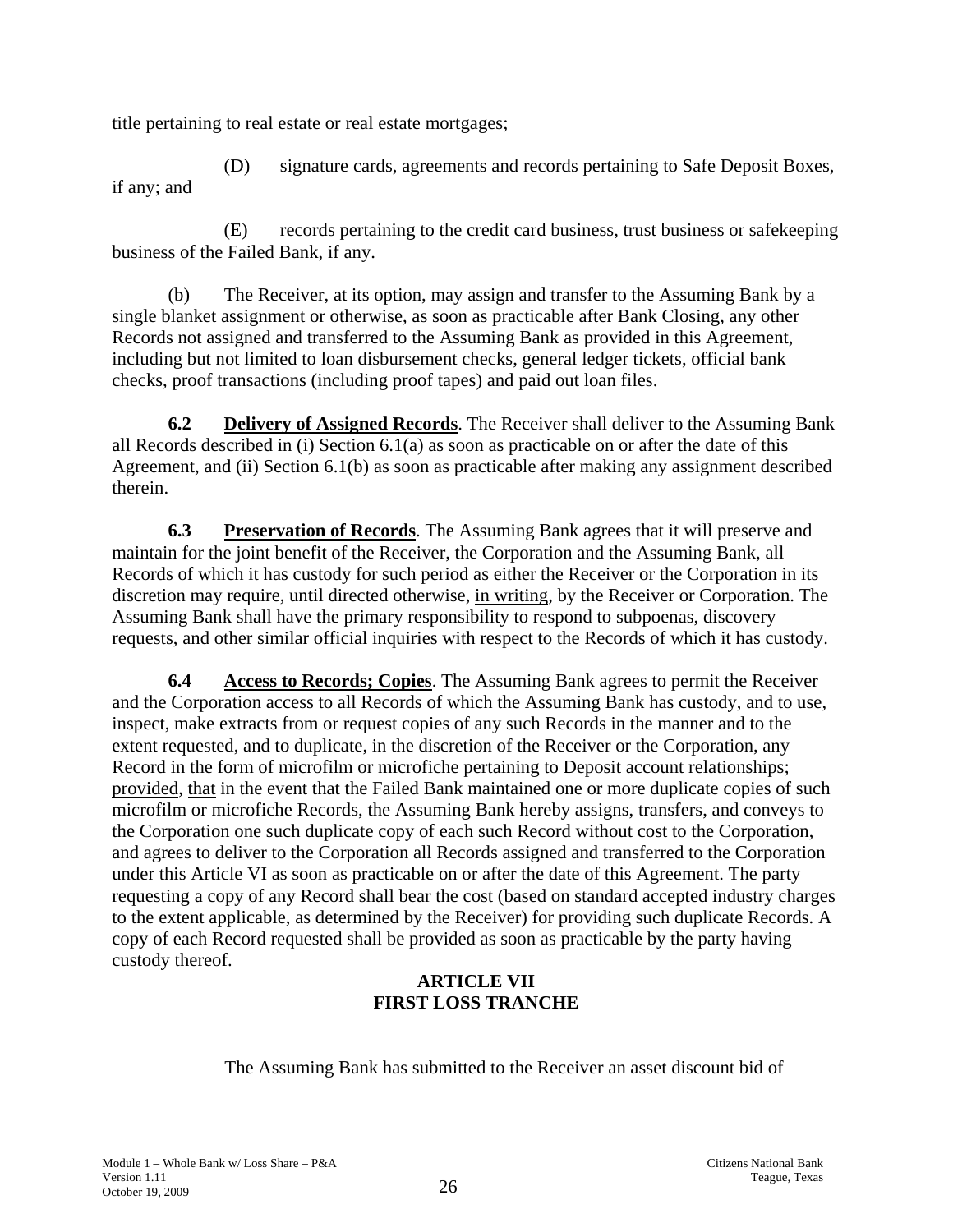title pertaining to real estate or real estate mortgages;

(D) signature cards, agreements and records pertaining to Safe Deposit Boxes, if any; and

(E) records pertaining to the credit card business, trust business or safekeeping business of the Failed Bank, if any.

(b) The Receiver, at its option, may assign and transfer to the Assuming Bank by a single blanket assignment or otherwise, as soon as practicable after Bank Closing, any other Records not assigned and transferred to the Assuming Bank as provided in this Agreement, including but not limited to loan disbursement checks, general ledger tickets, official bank checks, proof transactions (including proof tapes) and paid out loan files.

<span id="page-29-0"></span>**6.2 Delivery of Assigned Records**. The Receiver shall deliver to the Assuming Bank all Records described in (i) Section 6.1(a) as soon as practicable on or after the date of this Agreement, and (ii) Section 6.1(b) as soon as practicable after making any assignment described therein.

<span id="page-29-1"></span>**6.3 Preservation of Records**. The Assuming Bank agrees that it will preserve and maintain for the joint benefit of the Receiver, the Corporation and the Assuming Bank, all Records of which it has custody for such period as either the Receiver or the Corporation in its discretion may require, until directed otherwise, in writing, by the Receiver or Corporation. The Assuming Bank shall have the primary responsibility to respond to subpoenas, discovery requests, and other similar official inquiries with respect to the Records of which it has custody.

**6.4** Access to Records; Copies. The Assuming Bank agrees to permit the Receiver and the Corporation access to all Records of which the Assuming Bank has custody, and to use, inspect, make extracts from or request copies of any such Records in the manner and to the extent requested, and to duplicate, in the discretion of the Receiver or the Corporation, any Record in the form of microfilm or microfiche pertaining to Deposit account relationships; provided, that in the event that the Failed Bank maintained one or more duplicate copies of such microfilm or microfiche Records, the Assuming Bank hereby assigns, transfers, and conveys to the Corporation one such duplicate copy of each such Record without cost to the Corporation, and agrees to deliver to the Corporation all Records assigned and transferred to the Corporation under this Article VI as soon as practicable on or after the date of this Agreement. The party requesting a copy of any Record shall bear the cost (based on standard accepted industry charges to the extent applicable, as determined by the Receiver) for providing such duplicate Records. A copy of each Record requested shall be provided as soon as practicable by the party having custody thereof.

#### **ARTICLE VII FIRST LOSS TRANCHE**

The Assuming Bank has submitted to the Receiver an asset discount bid of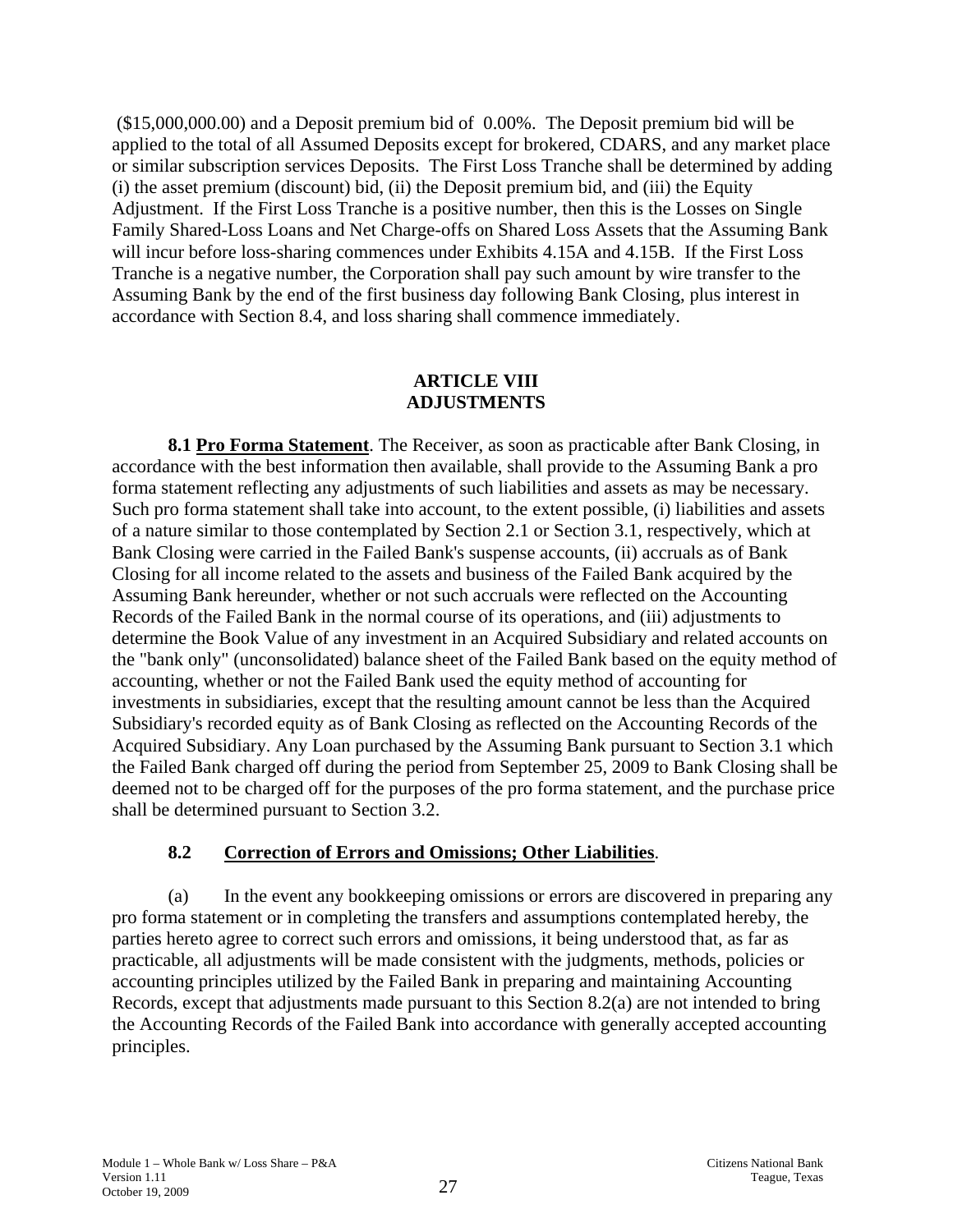(\$15,000,000.00) and a Deposit premium bid of 0.00%. The Deposit premium bid will be applied to the total of all Assumed Deposits except for brokered, CDARS, and any market place or similar subscription services Deposits. The First Loss Tranche shall be determined by adding (i) the asset premium (discount) bid, (ii) the Deposit premium bid, and (iii) the Equity Adjustment. If the First Loss Tranche is a positive number, then this is the Losses on Single Family Shared-Loss Loans and Net Charge-offs on Shared Loss Assets that the Assuming Bank will incur before loss-sharing commences under Exhibits 4.15A and 4.15B. If the First Loss Tranche is a negative number, the Corporation shall pay such amount by wire transfer to the Assuming Bank by the end of the first business day following Bank Closing, plus interest in accordance with Section 8.4, and loss sharing shall commence immediately.

#### **ARTICLE VIII ADJUSTMENTS**

<span id="page-30-1"></span><span id="page-30-0"></span>**8.1 Pro Forma Statement**. The Receiver, as soon as practicable after Bank Closing, in accordance with the best information then available, shall provide to the Assuming Bank a pro forma statement reflecting any adjustments of such liabilities and assets as may be necessary. Such pro forma statement shall take into account, to the extent possible, (i) liabilities and assets of a nature similar to those contemplated by Section 2.1 or Section 3.1, respectively, which at Bank Closing were carried in the Failed Bank's suspense accounts, (ii) accruals as of Bank Closing for all income related to the assets and business of the Failed Bank acquired by the Assuming Bank hereunder, whether or not such accruals were reflected on the Accounting Records of the Failed Bank in the normal course of its operations, and (iii) adjustments to determine the Book Value of any investment in an Acquired Subsidiary and related accounts on the "bank only" (unconsolidated) balance sheet of the Failed Bank based on the equity method of accounting, whether or not the Failed Bank used the equity method of accounting for investments in subsidiaries, except that the resulting amount cannot be less than the Acquired Subsidiary's recorded equity as of Bank Closing as reflected on the Accounting Records of the Acquired Subsidiary. Any Loan purchased by the Assuming Bank pursuant to Section 3.1 which the Failed Bank charged off during the period from September 25, 2009 to Bank Closing shall be deemed not to be charged off for the purposes of the pro forma statement, and the purchase price shall be determined pursuant to Section 3.2.

#### **8.2 Correction of Errors and Omissions; Other Liabilities**.

(a) In the event any bookkeeping omissions or errors are discovered in preparing any pro forma statement or in completing the transfers and assumptions contemplated hereby, the parties hereto agree to correct such errors and omissions, it being understood that, as far as practicable, all adjustments will be made consistent with the judgments, methods, policies or accounting principles utilized by the Failed Bank in preparing and maintaining Accounting Records, except that adjustments made pursuant to this Section 8.2(a) are not intended to bring the Accounting Records of the Failed Bank into accordance with generally accepted accounting principles.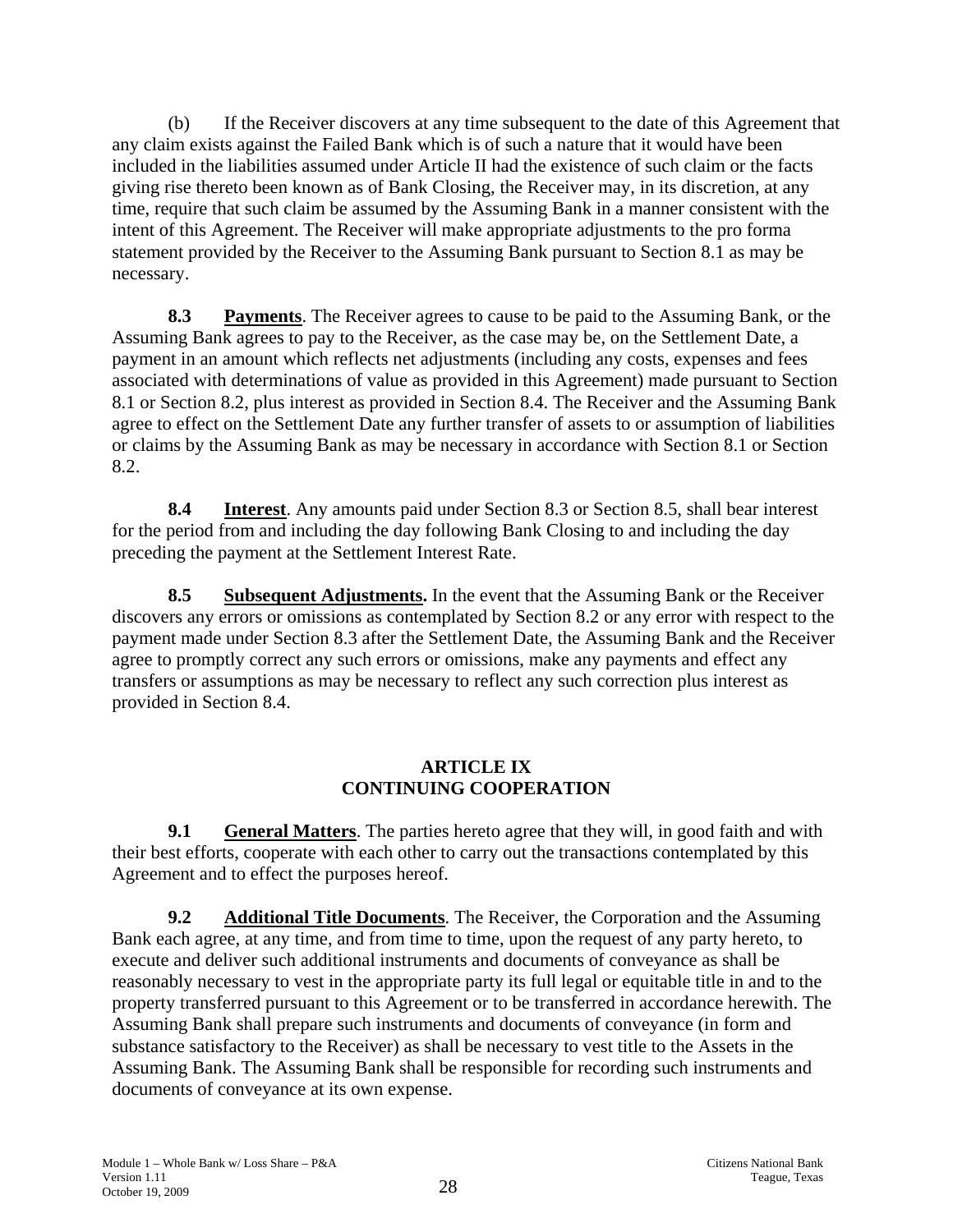(b) If the Receiver discovers at any time subsequent to the date of this Agreement that any claim exists against the Failed Bank which is of such a nature that it would have been included in the liabilities assumed under Article II had the existence of such claim or the facts giving rise thereto been known as of Bank Closing, the Receiver may, in its discretion, at any time, require that such claim be assumed by the Assuming Bank in a manner consistent with the intent of this Agreement. The Receiver will make appropriate adjustments to the pro forma statement provided by the Receiver to the Assuming Bank pursuant to Section 8.1 as may be necessary.

<span id="page-31-0"></span>**8.3 Payments**. The Receiver agrees to cause to be paid to the Assuming Bank, or the Assuming Bank agrees to pay to the Receiver, as the case may be, on the Settlement Date, a payment in an amount which reflects net adjustments (including any costs, expenses and fees associated with determinations of value as provided in this Agreement) made pursuant to Section 8.1 or Section 8.2, plus interest as provided in Section 8.4. The Receiver and the Assuming Bank agree to effect on the Settlement Date any further transfer of assets to or assumption of liabilities or claims by the Assuming Bank as may be necessary in accordance with Section 8.1 or Section 8.2.

<span id="page-31-1"></span>**8.4 Interest**. Any amounts paid under Section 8.3 or Section 8.5, shall bear interest for the period from and including the day following Bank Closing to and including the day preceding the payment at the Settlement Interest Rate.

<span id="page-31-2"></span>**8.5 Subsequent Adjustments.** In the event that the Assuming Bank or the Receiver discovers any errors or omissions as contemplated by Section 8.2 or any error with respect to the payment made under Section 8.3 after the Settlement Date, the Assuming Bank and the Receiver agree to promptly correct any such errors or omissions, make any payments and effect any transfers or assumptions as may be necessary to reflect any such correction plus interest as provided in Section 8.4.

## **ARTICLE IX CONTINUING COOPERATION**

<span id="page-31-4"></span><span id="page-31-3"></span>**9.1** General Matters. The parties hereto agree that they will, in good faith and with their best efforts, cooperate with each other to carry out the transactions contemplated by this Agreement and to effect the purposes hereof.

<span id="page-31-5"></span>**9.2 Additional Title Documents**. The Receiver, the Corporation and the Assuming Bank each agree, at any time, and from time to time, upon the request of any party hereto, to execute and deliver such additional instruments and documents of conveyance as shall be reasonably necessary to vest in the appropriate party its full legal or equitable title in and to the property transferred pursuant to this Agreement or to be transferred in accordance herewith. The Assuming Bank shall prepare such instruments and documents of conveyance (in form and substance satisfactory to the Receiver) as shall be necessary to vest title to the Assets in the Assuming Bank. The Assuming Bank shall be responsible for recording such instruments and documents of conveyance at its own expense.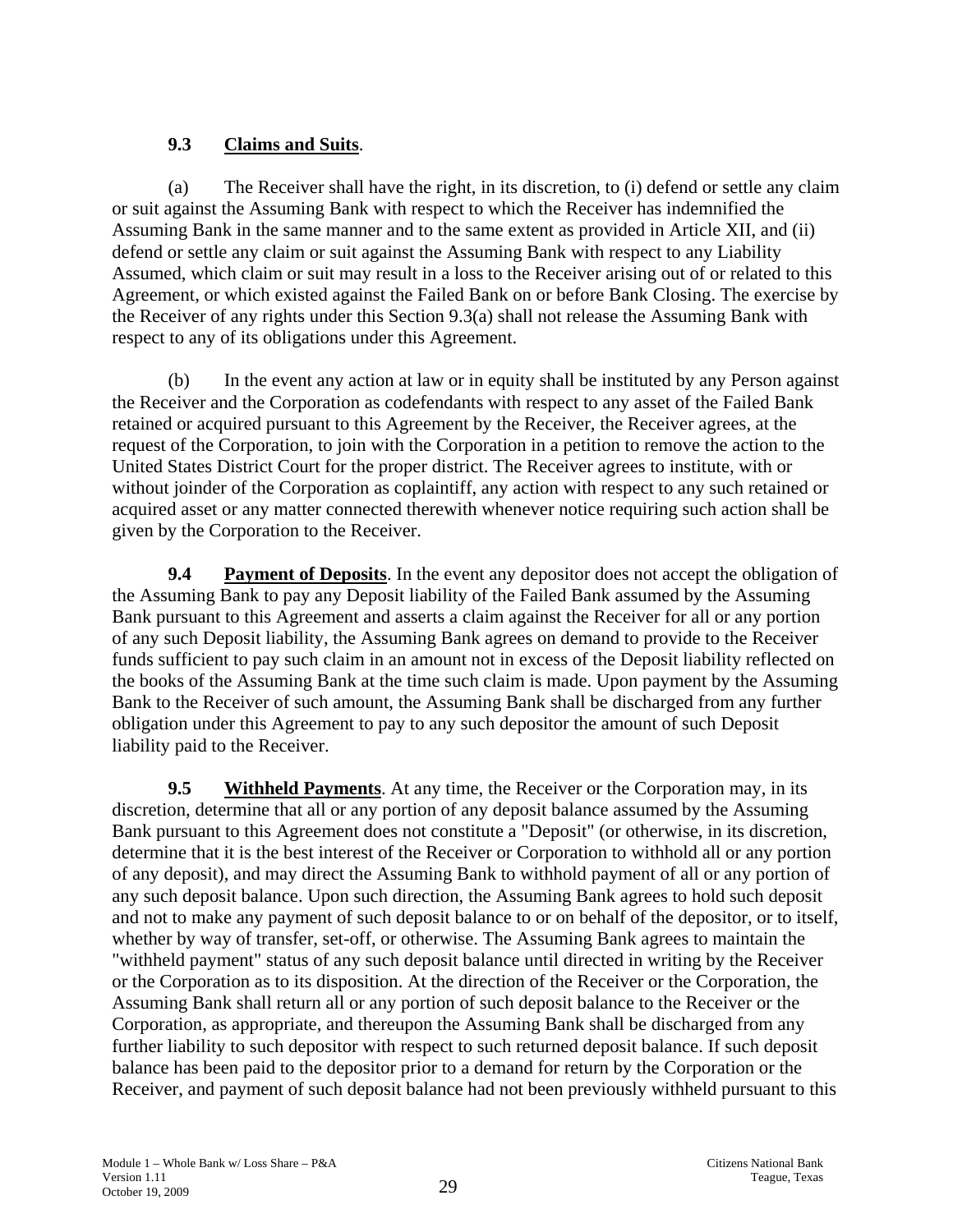# **9.3 Claims and Suits**.

<span id="page-32-0"></span>(a) The Receiver shall have the right, in its discretion, to (i) defend or settle any claim or suit against the Assuming Bank with respect to which the Receiver has indemnified the Assuming Bank in the same manner and to the same extent as provided in Article XII, and (ii) defend or settle any claim or suit against the Assuming Bank with respect to any Liability Assumed, which claim or suit may result in a loss to the Receiver arising out of or related to this Agreement, or which existed against the Failed Bank on or before Bank Closing. The exercise by the Receiver of any rights under this Section 9.3(a) shall not release the Assuming Bank with respect to any of its obligations under this Agreement.

(b) In the event any action at law or in equity shall be instituted by any Person against the Receiver and the Corporation as codefendants with respect to any asset of the Failed Bank retained or acquired pursuant to this Agreement by the Receiver, the Receiver agrees, at the request of the Corporation, to join with the Corporation in a petition to remove the action to the United States District Court for the proper district. The Receiver agrees to institute, with or without joinder of the Corporation as coplaintiff, any action with respect to any such retained or acquired asset or any matter connected therewith whenever notice requiring such action shall be given by the Corporation to the Receiver.

<span id="page-32-1"></span>**9.4 Payment of Deposits**. In the event any depositor does not accept the obligation of the Assuming Bank to pay any Deposit liability of the Failed Bank assumed by the Assuming Bank pursuant to this Agreement and asserts a claim against the Receiver for all or any portion of any such Deposit liability, the Assuming Bank agrees on demand to provide to the Receiver funds sufficient to pay such claim in an amount not in excess of the Deposit liability reflected on the books of the Assuming Bank at the time such claim is made. Upon payment by the Assuming Bank to the Receiver of such amount, the Assuming Bank shall be discharged from any further obligation under this Agreement to pay to any such depositor the amount of such Deposit liability paid to the Receiver.

<span id="page-32-2"></span>**9.5 Withheld Payments**. At any time, the Receiver or the Corporation may, in its discretion, determine that all or any portion of any deposit balance assumed by the Assuming Bank pursuant to this Agreement does not constitute a "Deposit" (or otherwise, in its discretion, determine that it is the best interest of the Receiver or Corporation to withhold all or any portion of any deposit), and may direct the Assuming Bank to withhold payment of all or any portion of any such deposit balance. Upon such direction, the Assuming Bank agrees to hold such deposit and not to make any payment of such deposit balance to or on behalf of the depositor, or to itself, whether by way of transfer, set-off, or otherwise. The Assuming Bank agrees to maintain the "withheld payment" status of any such deposit balance until directed in writing by the Receiver or the Corporation as to its disposition. At the direction of the Receiver or the Corporation, the Assuming Bank shall return all or any portion of such deposit balance to the Receiver or the Corporation, as appropriate, and thereupon the Assuming Bank shall be discharged from any further liability to such depositor with respect to such returned deposit balance. If such deposit balance has been paid to the depositor prior to a demand for return by the Corporation or the Receiver, and payment of such deposit balance had not been previously withheld pursuant to this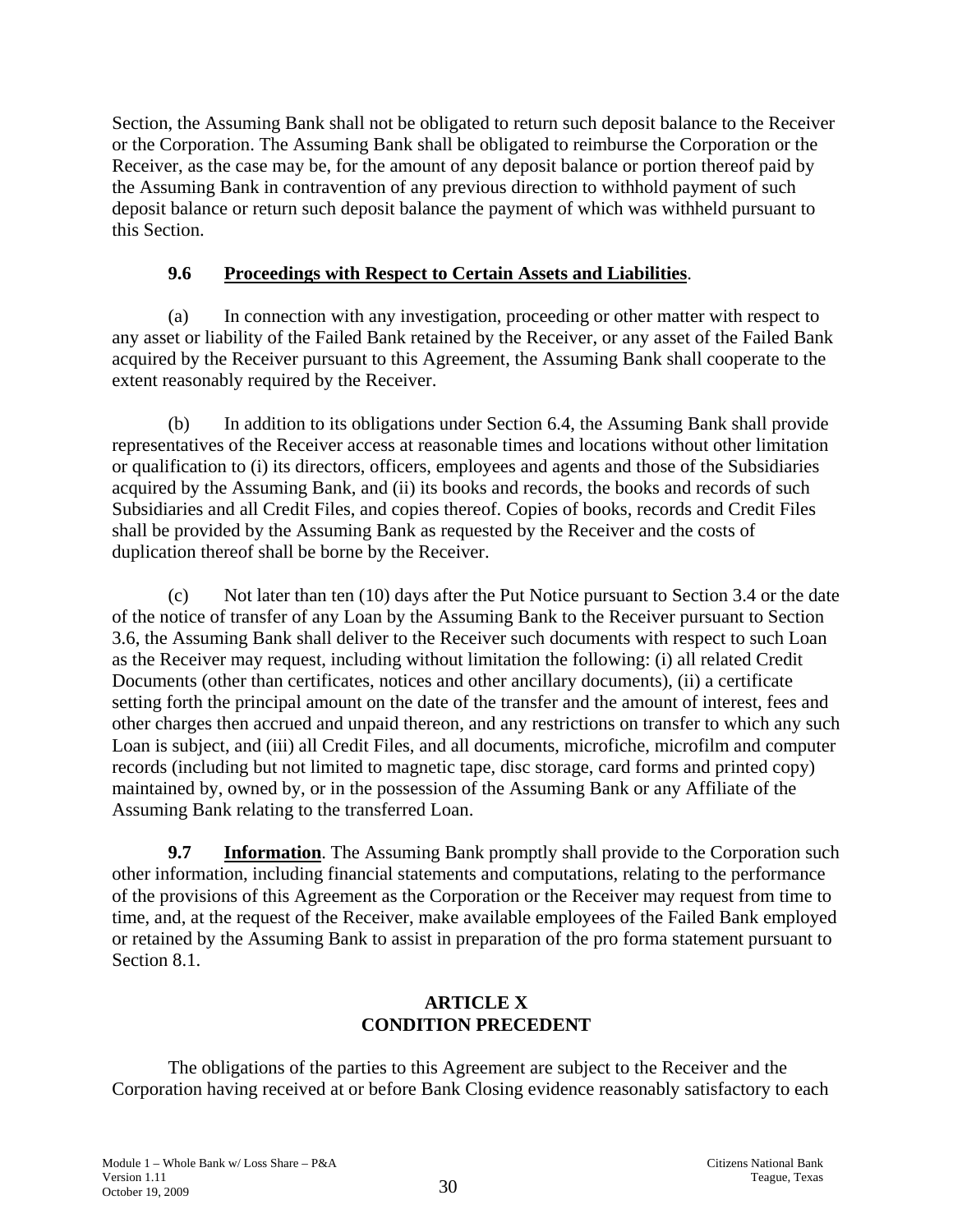Section, the Assuming Bank shall not be obligated to return such deposit balance to the Receiver or the Corporation. The Assuming Bank shall be obligated to reimburse the Corporation or the Receiver, as the case may be, for the amount of any deposit balance or portion thereof paid by the Assuming Bank in contravention of any previous direction to withhold payment of such deposit balance or return such deposit balance the payment of which was withheld pursuant to this Section.

## **9.6 Proceedings with Respect to Certain Assets and Liabilities**.

<span id="page-33-0"></span>(a) In connection with any investigation, proceeding or other matter with respect to any asset or liability of the Failed Bank retained by the Receiver, or any asset of the Failed Bank acquired by the Receiver pursuant to this Agreement, the Assuming Bank shall cooperate to the extent reasonably required by the Receiver.

(b) In addition to its obligations under Section 6.4, the Assuming Bank shall provide representatives of the Receiver access at reasonable times and locations without other limitation or qualification to (i) its directors, officers, employees and agents and those of the Subsidiaries acquired by the Assuming Bank, and (ii) its books and records, the books and records of such Subsidiaries and all Credit Files, and copies thereof. Copies of books, records and Credit Files shall be provided by the Assuming Bank as requested by the Receiver and the costs of duplication thereof shall be borne by the Receiver.

(c) Not later than ten (10) days after the Put Notice pursuant to Section 3.4 or the date of the notice of transfer of any Loan by the Assuming Bank to the Receiver pursuant to Section 3.6, the Assuming Bank shall deliver to the Receiver such documents with respect to such Loan as the Receiver may request, including without limitation the following: (i) all related Credit Documents (other than certificates, notices and other ancillary documents), (ii) a certificate setting forth the principal amount on the date of the transfer and the amount of interest, fees and other charges then accrued and unpaid thereon, and any restrictions on transfer to which any such Loan is subject, and (iii) all Credit Files, and all documents, microfiche, microfilm and computer records (including but not limited to magnetic tape, disc storage, card forms and printed copy) maintained by, owned by, or in the possession of the Assuming Bank or any Affiliate of the Assuming Bank relating to the transferred Loan.

<span id="page-33-1"></span>**9.7** Information. The Assuming Bank promptly shall provide to the Corporation such other information, including financial statements and computations, relating to the performance of the provisions of this Agreement as the Corporation or the Receiver may request from time to time, and, at the request of the Receiver, make available employees of the Failed Bank employed or retained by the Assuming Bank to assist in preparation of the pro forma statement pursuant to Section 8.1.

## **ARTICLE X CONDITION PRECEDENT**

<span id="page-33-2"></span>The obligations of the parties to this Agreement are subject to the Receiver and the Corporation having received at or before Bank Closing evidence reasonably satisfactory to each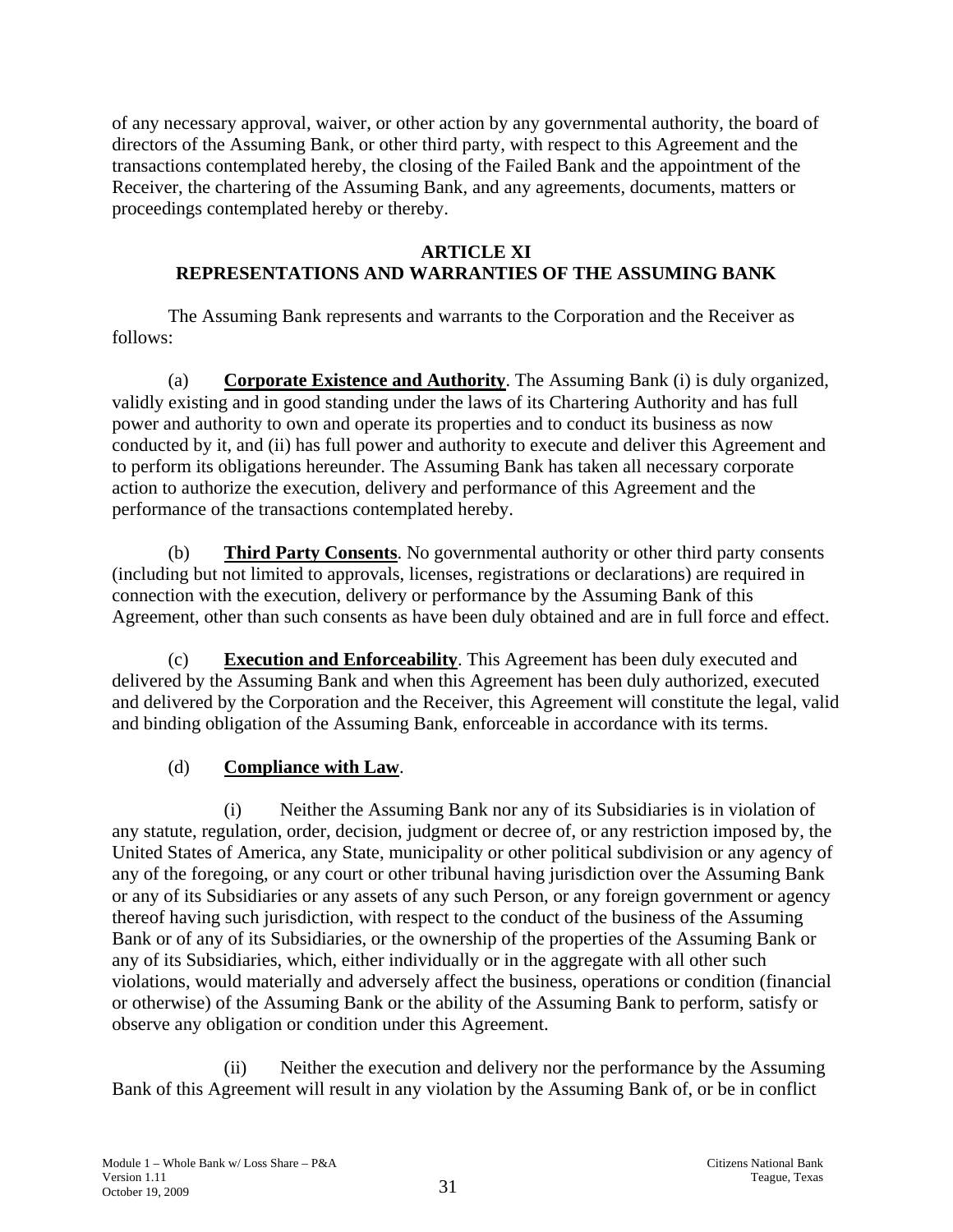of any necessary approval, waiver, or other action by any governmental authority, the board of directors of the Assuming Bank, or other third party, with respect to this Agreement and the transactions contemplated hereby, the closing of the Failed Bank and the appointment of the Receiver, the chartering of the Assuming Bank, and any agreements, documents, matters or proceedings contemplated hereby or thereby.

#### **ARTICLE XI REPRESENTATIONS AND WARRANTIES OF THE ASSUMING BANK**

<span id="page-34-0"></span>The Assuming Bank represents and warrants to the Corporation and the Receiver as follows:

(a) **Corporate Existence and Authority**. The Assuming Bank (i) is duly organized, validly existing and in good standing under the laws of its Chartering Authority and has full power and authority to own and operate its properties and to conduct its business as now conducted by it, and (ii) has full power and authority to execute and deliver this Agreement and to perform its obligations hereunder. The Assuming Bank has taken all necessary corporate action to authorize the execution, delivery and performance of this Agreement and the performance of the transactions contemplated hereby.

(b) **Third Party Consents**. No governmental authority or other third party consents (including but not limited to approvals, licenses, registrations or declarations) are required in connection with the execution, delivery or performance by the Assuming Bank of this Agreement, other than such consents as have been duly obtained and are in full force and effect.

(c) **Execution and Enforceability**. This Agreement has been duly executed and delivered by the Assuming Bank and when this Agreement has been duly authorized, executed and delivered by the Corporation and the Receiver, this Agreement will constitute the legal, valid and binding obligation of the Assuming Bank, enforceable in accordance with its terms.

# (d) **Compliance with Law**.

(i) Neither the Assuming Bank nor any of its Subsidiaries is in violation of any statute, regulation, order, decision, judgment or decree of, or any restriction imposed by, the United States of America, any State, municipality or other political subdivision or any agency of any of the foregoing, or any court or other tribunal having jurisdiction over the Assuming Bank or any of its Subsidiaries or any assets of any such Person, or any foreign government or agency thereof having such jurisdiction, with respect to the conduct of the business of the Assuming Bank or of any of its Subsidiaries, or the ownership of the properties of the Assuming Bank or any of its Subsidiaries, which, either individually or in the aggregate with all other such violations, would materially and adversely affect the business, operations or condition (financial or otherwise) of the Assuming Bank or the ability of the Assuming Bank to perform, satisfy or observe any obligation or condition under this Agreement.

(ii) Neither the execution and delivery nor the performance by the Assuming Bank of this Agreement will result in any violation by the Assuming Bank of, or be in conflict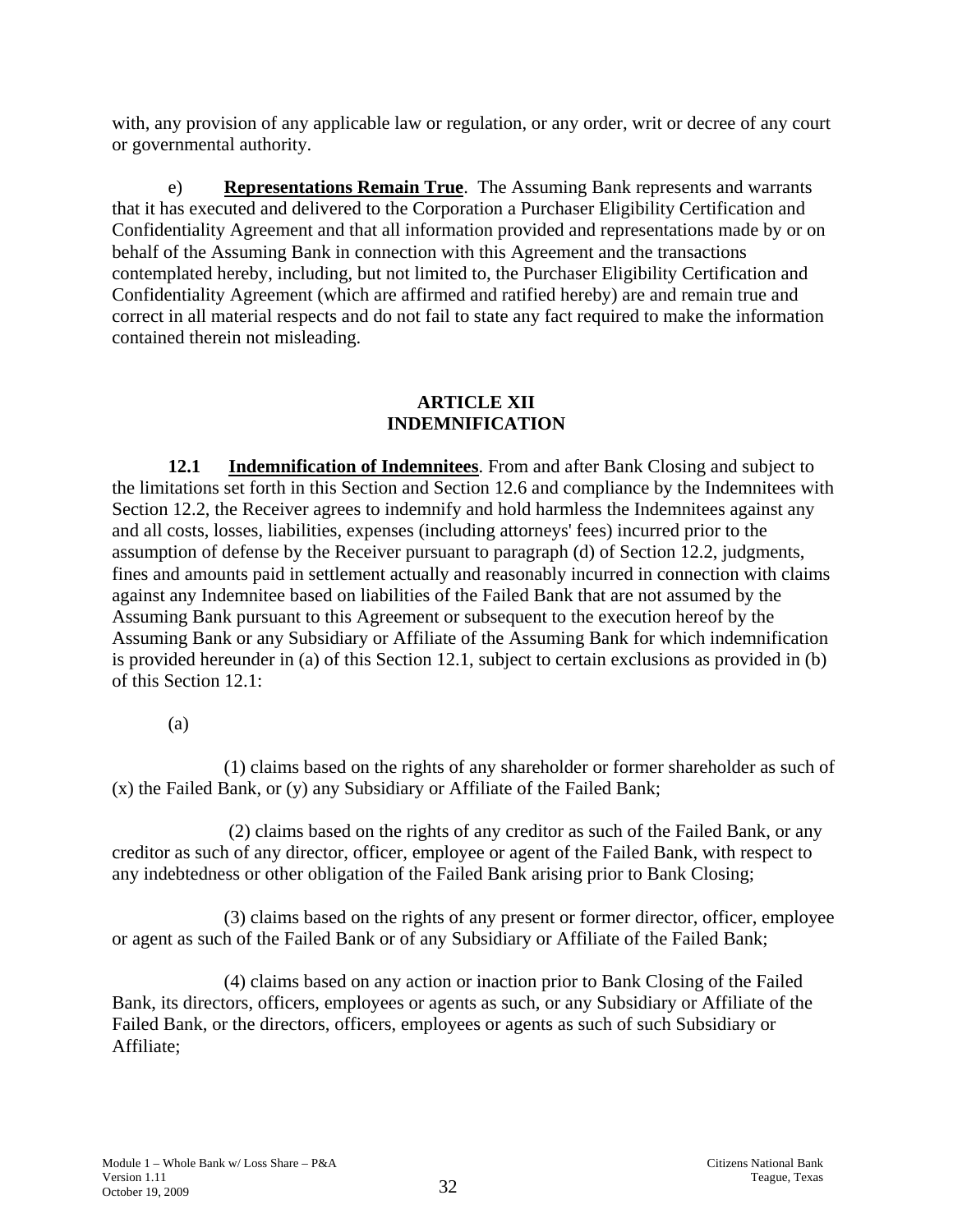with, any provision of any applicable law or regulation, or any order, writ or decree of any court or governmental authority.

e) **Representations Remain True**. The Assuming Bank represents and warrants that it has executed and delivered to the Corporation a Purchaser Eligibility Certification and Confidentiality Agreement and that all information provided and representations made by or on behalf of the Assuming Bank in connection with this Agreement and the transactions contemplated hereby, including, but not limited to, the Purchaser Eligibility Certification and Confidentiality Agreement (which are affirmed and ratified hereby) are and remain true and correct in all material respects and do not fail to state any fact required to make the information contained therein not misleading.

## **ARTICLE XII INDEMNIFICATION**

<span id="page-35-0"></span>**12.1** Indemnification of Indemnitees. From and after Bank Closing and subject to the limitations set forth in this Section and Section 12.6 and compliance by the Indemnitees with Section 12.2, the Receiver agrees to indemnify and hold harmless the Indemnitees against any and all costs, losses, liabilities, expenses (including attorneys' fees) incurred prior to the assumption of defense by the Receiver pursuant to paragraph (d) of Section 12.2, judgments, fines and amounts paid in settlement actually and reasonably incurred in connection with claims against any Indemnitee based on liabilities of the Failed Bank that are not assumed by the Assuming Bank pursuant to this Agreement or subsequent to the execution hereof by the Assuming Bank or any Subsidiary or Affiliate of the Assuming Bank for which indemnification is provided hereunder in (a) of this Section 12.1, subject to certain exclusions as provided in (b) of this Section 12.1:

# (a)

(1) claims based on the rights of any shareholder or former shareholder as such of (x) the Failed Bank, or (y) any Subsidiary or Affiliate of the Failed Bank;

(2) claims based on the rights of any creditor as such of the Failed Bank, or any creditor as such of any director, officer, employee or agent of the Failed Bank, with respect to any indebtedness or other obligation of the Failed Bank arising prior to Bank Closing;

(3) claims based on the rights of any present or former director, officer, employee or agent as such of the Failed Bank or of any Subsidiary or Affiliate of the Failed Bank;

(4) claims based on any action or inaction prior to Bank Closing of the Failed Bank, its directors, officers, employees or agents as such, or any Subsidiary or Affiliate of the Failed Bank, or the directors, officers, employees or agents as such of such Subsidiary or Affiliate;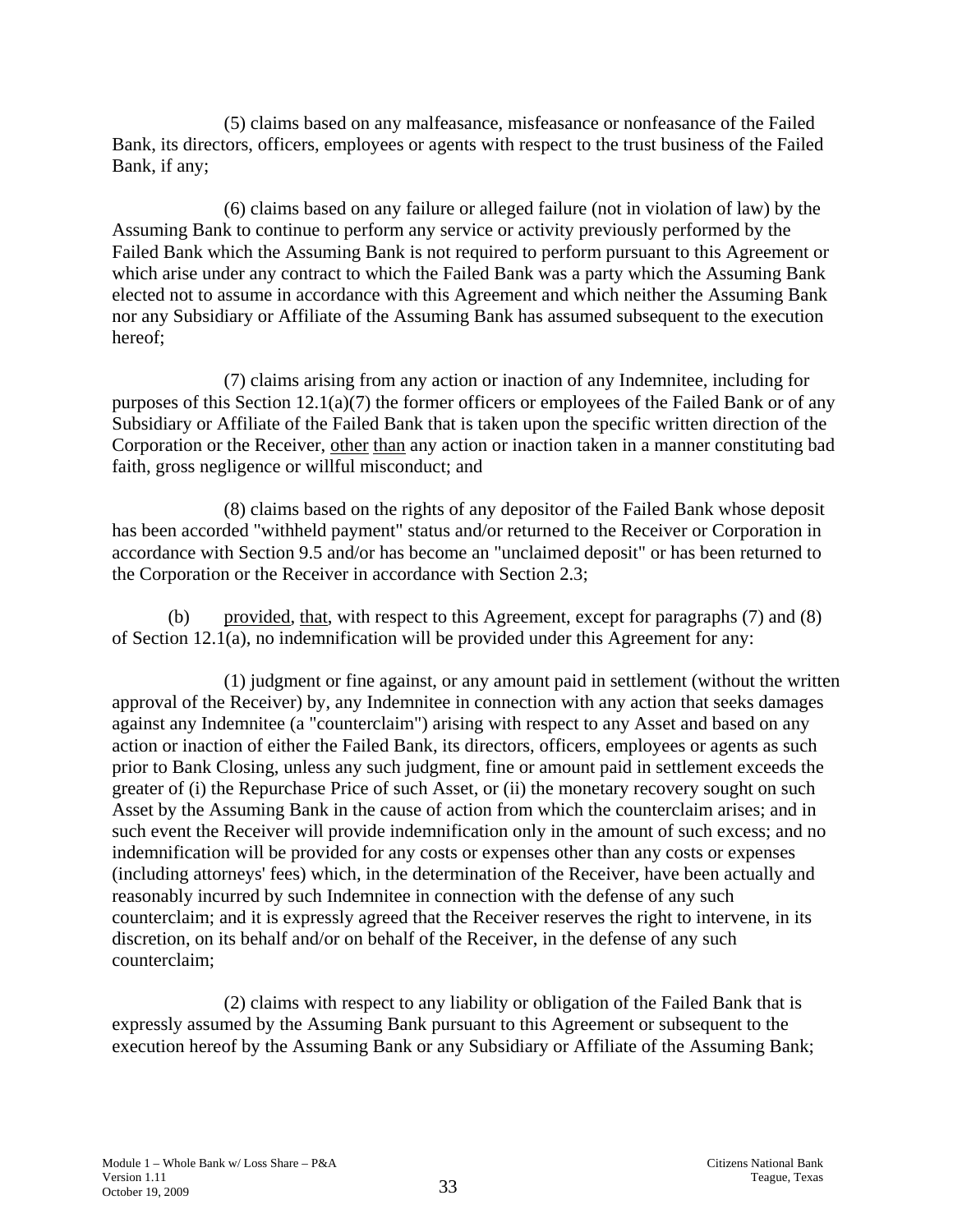(5) claims based on any malfeasance, misfeasance or nonfeasance of the Failed Bank, its directors, officers, employees or agents with respect to the trust business of the Failed Bank, if any;

(6) claims based on any failure or alleged failure (not in violation of law) by the Assuming Bank to continue to perform any service or activity previously performed by the Failed Bank which the Assuming Bank is not required to perform pursuant to this Agreement or which arise under any contract to which the Failed Bank was a party which the Assuming Bank elected not to assume in accordance with this Agreement and which neither the Assuming Bank nor any Subsidiary or Affiliate of the Assuming Bank has assumed subsequent to the execution hereof;

(7) claims arising from any action or inaction of any Indemnitee, including for purposes of this Section 12.1(a)(7) the former officers or employees of the Failed Bank or of any Subsidiary or Affiliate of the Failed Bank that is taken upon the specific written direction of the Corporation or the Receiver, other than any action or inaction taken in a manner constituting bad faith, gross negligence or willful misconduct; and

(8) claims based on the rights of any depositor of the Failed Bank whose deposit has been accorded "withheld payment" status and/or returned to the Receiver or Corporation in accordance with Section 9.5 and/or has become an "unclaimed deposit" or has been returned to the Corporation or the Receiver in accordance with Section 2.3;

(b) provided, that, with respect to this Agreement, except for paragraphs (7) and (8) of Section 12.1(a), no indemnification will be provided under this Agreement for any:

(1) judgment or fine against, or any amount paid in settlement (without the written approval of the Receiver) by, any Indemnitee in connection with any action that seeks damages against any Indemnitee (a "counterclaim") arising with respect to any Asset and based on any action or inaction of either the Failed Bank, its directors, officers, employees or agents as such prior to Bank Closing, unless any such judgment, fine or amount paid in settlement exceeds the greater of (i) the Repurchase Price of such Asset, or (ii) the monetary recovery sought on such Asset by the Assuming Bank in the cause of action from which the counterclaim arises; and in such event the Receiver will provide indemnification only in the amount of such excess; and no indemnification will be provided for any costs or expenses other than any costs or expenses (including attorneys' fees) which, in the determination of the Receiver, have been actually and reasonably incurred by such Indemnitee in connection with the defense of any such counterclaim; and it is expressly agreed that the Receiver reserves the right to intervene, in its discretion, on its behalf and/or on behalf of the Receiver, in the defense of any such counterclaim;

(2) claims with respect to any liability or obligation of the Failed Bank that is expressly assumed by the Assuming Bank pursuant to this Agreement or subsequent to the execution hereof by the Assuming Bank or any Subsidiary or Affiliate of the Assuming Bank;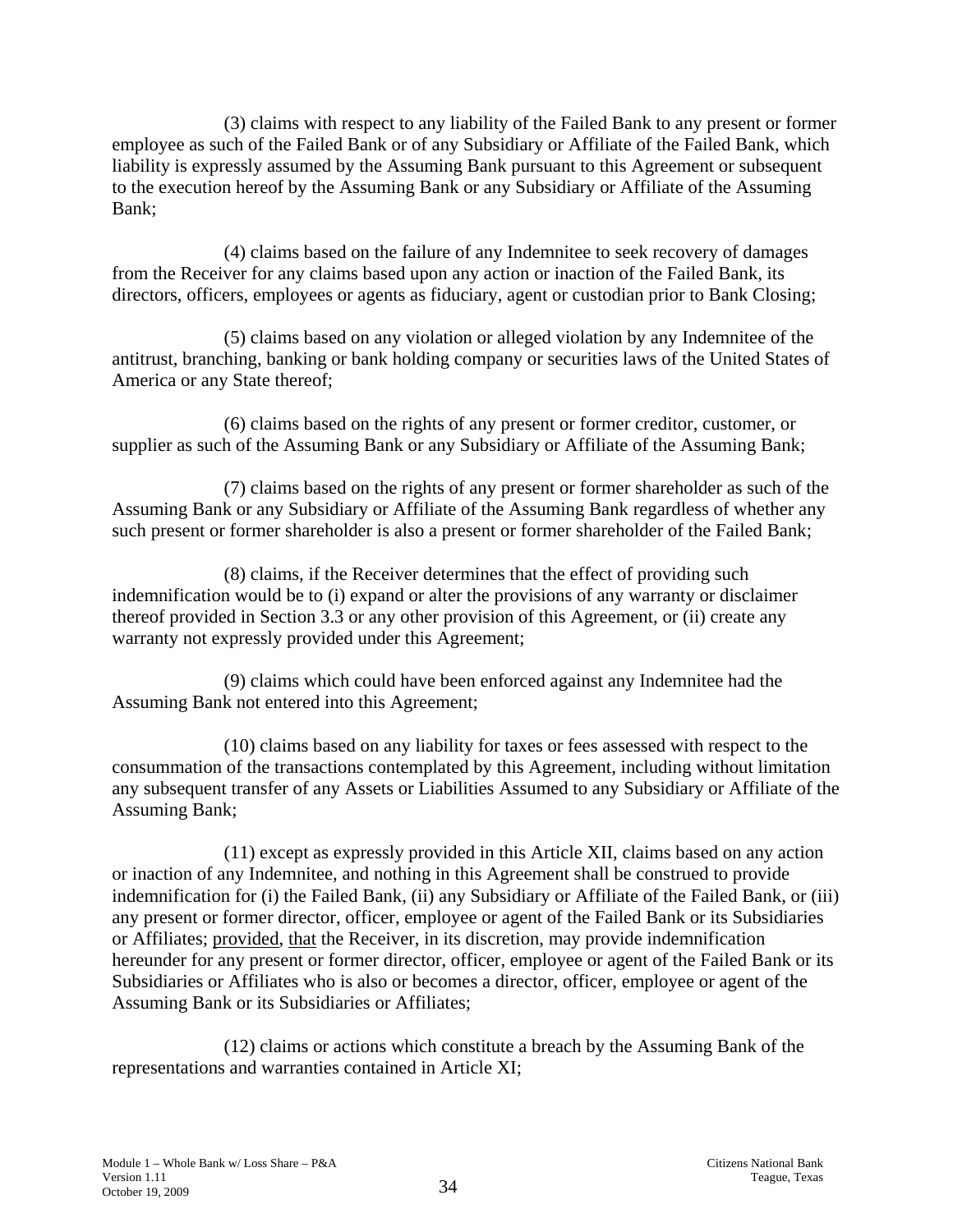(3) claims with respect to any liability of the Failed Bank to any present or former employee as such of the Failed Bank or of any Subsidiary or Affiliate of the Failed Bank, which liability is expressly assumed by the Assuming Bank pursuant to this Agreement or subsequent to the execution hereof by the Assuming Bank or any Subsidiary or Affiliate of the Assuming Bank;

(4) claims based on the failure of any Indemnitee to seek recovery of damages from the Receiver for any claims based upon any action or inaction of the Failed Bank, its directors, officers, employees or agents as fiduciary, agent or custodian prior to Bank Closing;

(5) claims based on any violation or alleged violation by any Indemnitee of the antitrust, branching, banking or bank holding company or securities laws of the United States of America or any State thereof;

(6) claims based on the rights of any present or former creditor, customer, or supplier as such of the Assuming Bank or any Subsidiary or Affiliate of the Assuming Bank;

(7) claims based on the rights of any present or former shareholder as such of the Assuming Bank or any Subsidiary or Affiliate of the Assuming Bank regardless of whether any such present or former shareholder is also a present or former shareholder of the Failed Bank;

(8) claims, if the Receiver determines that the effect of providing such indemnification would be to (i) expand or alter the provisions of any warranty or disclaimer thereof provided in Section 3.3 or any other provision of this Agreement, or (ii) create any warranty not expressly provided under this Agreement;

(9) claims which could have been enforced against any Indemnitee had the Assuming Bank not entered into this Agreement;

(10) claims based on any liability for taxes or fees assessed with respect to the consummation of the transactions contemplated by this Agreement, including without limitation any subsequent transfer of any Assets or Liabilities Assumed to any Subsidiary or Affiliate of the Assuming Bank;

(11) except as expressly provided in this Article XII, claims based on any action or inaction of any Indemnitee, and nothing in this Agreement shall be construed to provide indemnification for (i) the Failed Bank, (ii) any Subsidiary or Affiliate of the Failed Bank, or (iii) any present or former director, officer, employee or agent of the Failed Bank or its Subsidiaries or Affiliates; provided, that the Receiver, in its discretion, may provide indemnification hereunder for any present or former director, officer, employee or agent of the Failed Bank or its Subsidiaries or Affiliates who is also or becomes a director, officer, employee or agent of the Assuming Bank or its Subsidiaries or Affiliates;

(12) claims or actions which constitute a breach by the Assuming Bank of the representations and warranties contained in Article XI;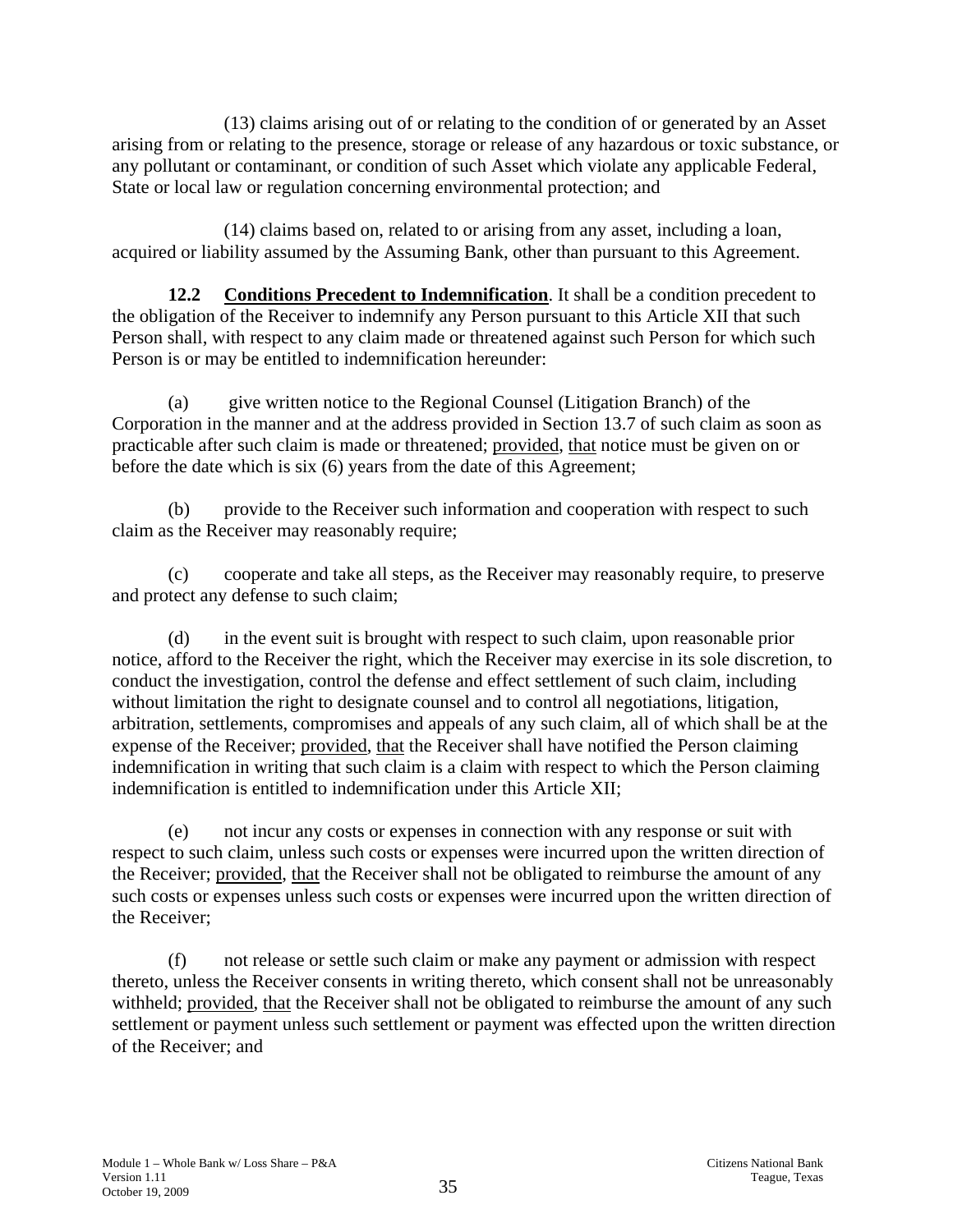(13) claims arising out of or relating to the condition of or generated by an Asset arising from or relating to the presence, storage or release of any hazardous or toxic substance, or any pollutant or contaminant, or condition of such Asset which violate any applicable Federal, State or local law or regulation concerning environmental protection; and

(14) claims based on, related to or arising from any asset, including a loan, acquired or liability assumed by the Assuming Bank, other than pursuant to this Agreement.

**12.2 Conditions Precedent to Indemnification**. It shall be a condition precedent to the obligation of the Receiver to indemnify any Person pursuant to this Article XII that such Person shall, with respect to any claim made or threatened against such Person for which such Person is or may be entitled to indemnification hereunder:

(a) give written notice to the Regional Counsel (Litigation Branch) of the Corporation in the manner and at the address provided in Section 13.7 of such claim as soon as practicable after such claim is made or threatened; provided, that notice must be given on or before the date which is six (6) years from the date of this Agreement;

(b) provide to the Receiver such information and cooperation with respect to such claim as the Receiver may reasonably require;

(c) cooperate and take all steps, as the Receiver may reasonably require, to preserve and protect any defense to such claim;

(d) in the event suit is brought with respect to such claim, upon reasonable prior notice, afford to the Receiver the right, which the Receiver may exercise in its sole discretion, to conduct the investigation, control the defense and effect settlement of such claim, including without limitation the right to designate counsel and to control all negotiations, litigation, arbitration, settlements, compromises and appeals of any such claim, all of which shall be at the expense of the Receiver; provided, that the Receiver shall have notified the Person claiming indemnification in writing that such claim is a claim with respect to which the Person claiming indemnification is entitled to indemnification under this Article XII;

(e) not incur any costs or expenses in connection with any response or suit with respect to such claim, unless such costs or expenses were incurred upon the written direction of the Receiver; provided, that the Receiver shall not be obligated to reimburse the amount of any such costs or expenses unless such costs or expenses were incurred upon the written direction of the Receiver;

(f) not release or settle such claim or make any payment or admission with respect thereto, unless the Receiver consents in writing thereto, which consent shall not be unreasonably withheld; provided, that the Receiver shall not be obligated to reimburse the amount of any such settlement or payment unless such settlement or payment was effected upon the written direction of the Receiver; and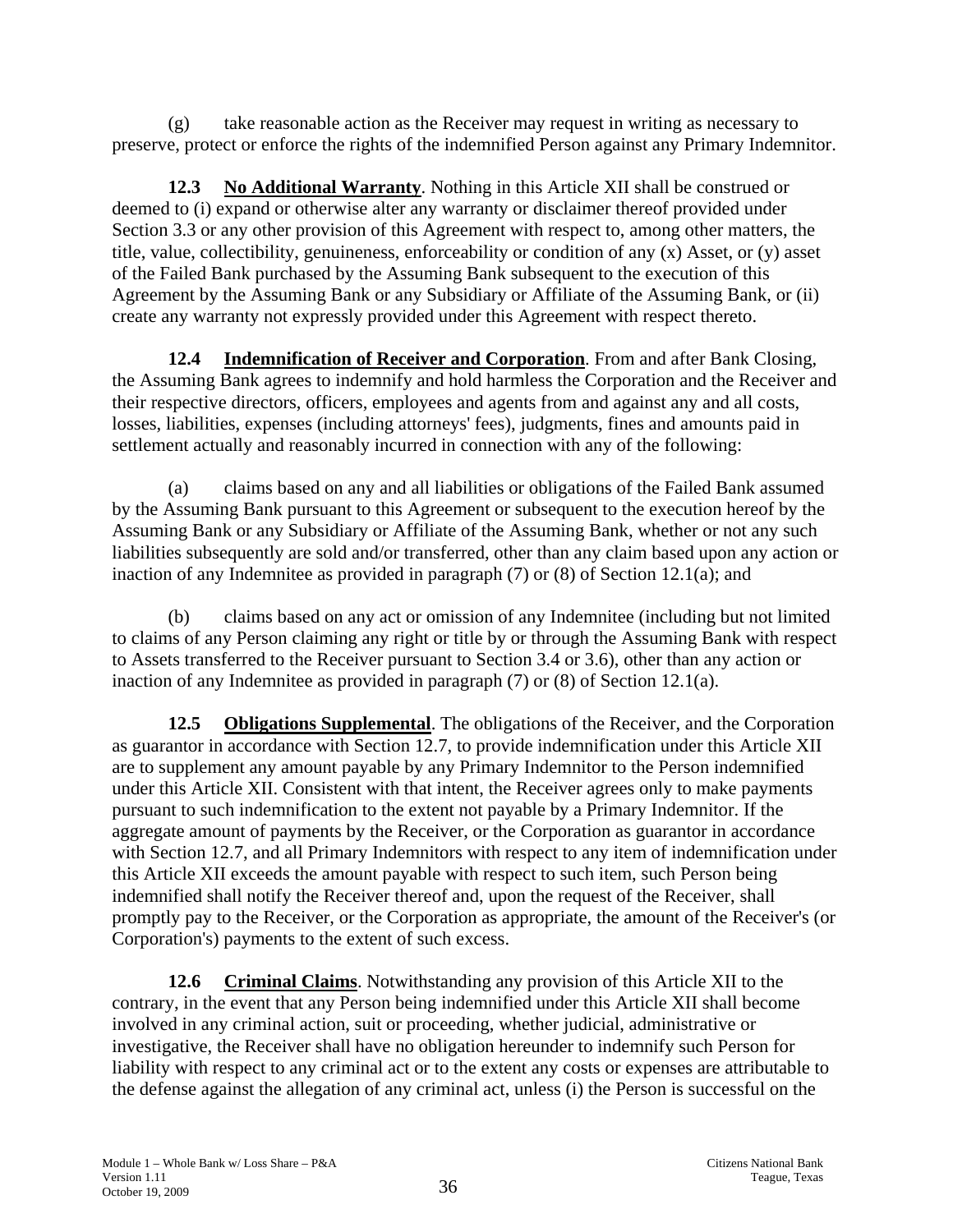(g) take reasonable action as the Receiver may request in writing as necessary to preserve, protect or enforce the rights of the indemnified Person against any Primary Indemnitor.

**12.3 No Additional Warranty**. Nothing in this Article XII shall be construed or deemed to (i) expand or otherwise alter any warranty or disclaimer thereof provided under Section 3.3 or any other provision of this Agreement with respect to, among other matters, the title, value, collectibility, genuineness, enforceability or condition of any (x) Asset, or (y) asset of the Failed Bank purchased by the Assuming Bank subsequent to the execution of this Agreement by the Assuming Bank or any Subsidiary or Affiliate of the Assuming Bank, or (ii) create any warranty not expressly provided under this Agreement with respect thereto.

**12.4 Indemnification of Receiver and Corporation**. From and after Bank Closing, the Assuming Bank agrees to indemnify and hold harmless the Corporation and the Receiver and their respective directors, officers, employees and agents from and against any and all costs, losses, liabilities, expenses (including attorneys' fees), judgments, fines and amounts paid in settlement actually and reasonably incurred in connection with any of the following:

(a) claims based on any and all liabilities or obligations of the Failed Bank assumed by the Assuming Bank pursuant to this Agreement or subsequent to the execution hereof by the Assuming Bank or any Subsidiary or Affiliate of the Assuming Bank, whether or not any such liabilities subsequently are sold and/or transferred, other than any claim based upon any action or inaction of any Indemnitee as provided in paragraph (7) or (8) of Section 12.1(a); and

(b) claims based on any act or omission of any Indemnitee (including but not limited to claims of any Person claiming any right or title by or through the Assuming Bank with respect to Assets transferred to the Receiver pursuant to Section 3.4 or 3.6), other than any action or inaction of any Indemnitee as provided in paragraph (7) or (8) of Section 12.1(a).

**12.5 Obligations Supplemental**. The obligations of the Receiver, and the Corporation as guarantor in accordance with Section 12.7, to provide indemnification under this Article XII are to supplement any amount payable by any Primary Indemnitor to the Person indemnified under this Article XII. Consistent with that intent, the Receiver agrees only to make payments pursuant to such indemnification to the extent not payable by a Primary Indemnitor. If the aggregate amount of payments by the Receiver, or the Corporation as guarantor in accordance with Section 12.7, and all Primary Indemnitors with respect to any item of indemnification under this Article XII exceeds the amount payable with respect to such item, such Person being indemnified shall notify the Receiver thereof and, upon the request of the Receiver, shall promptly pay to the Receiver, or the Corporation as appropriate, the amount of the Receiver's (or Corporation's) payments to the extent of such excess.

**12.6 Criminal Claims**. Notwithstanding any provision of this Article XII to the contrary, in the event that any Person being indemnified under this Article XII shall become involved in any criminal action, suit or proceeding, whether judicial, administrative or investigative, the Receiver shall have no obligation hereunder to indemnify such Person for liability with respect to any criminal act or to the extent any costs or expenses are attributable to the defense against the allegation of any criminal act, unless (i) the Person is successful on the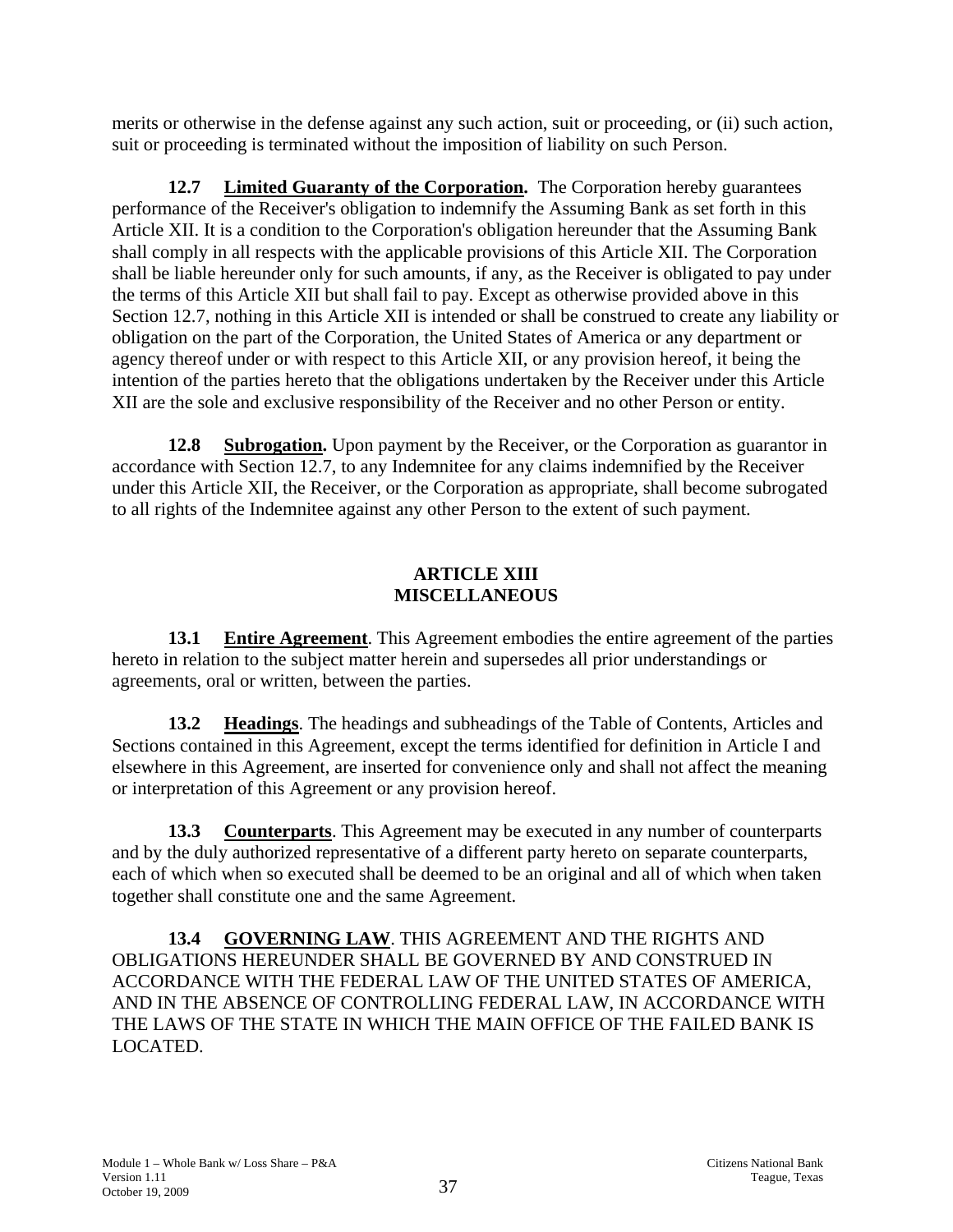merits or otherwise in the defense against any such action, suit or proceeding, or (ii) such action, suit or proceeding is terminated without the imposition of liability on such Person.

**12.7 Limited Guaranty of the Corporation.** The Corporation hereby guarantees performance of the Receiver's obligation to indemnify the Assuming Bank as set forth in this Article XII. It is a condition to the Corporation's obligation hereunder that the Assuming Bank shall comply in all respects with the applicable provisions of this Article XII. The Corporation shall be liable hereunder only for such amounts, if any, as the Receiver is obligated to pay under the terms of this Article XII but shall fail to pay. Except as otherwise provided above in this Section 12.7, nothing in this Article XII is intended or shall be construed to create any liability or obligation on the part of the Corporation, the United States of America or any department or agency thereof under or with respect to this Article XII, or any provision hereof, it being the intention of the parties hereto that the obligations undertaken by the Receiver under this Article XII are the sole and exclusive responsibility of the Receiver and no other Person or entity.

**12.8 Subrogation.** Upon payment by the Receiver, or the Corporation as guarantor in accordance with Section 12.7, to any Indemnitee for any claims indemnified by the Receiver under this Article XII, the Receiver, or the Corporation as appropriate, shall become subrogated to all rights of the Indemnitee against any other Person to the extent of such payment.

# **ARTICLE XIII MISCELLANEOUS**

**13.1 Entire Agreement**. This Agreement embodies the entire agreement of the parties hereto in relation to the subject matter herein and supersedes all prior understandings or agreements, oral or written, between the parties.

**13.2 Headings**. The headings and subheadings of the Table of Contents, Articles and Sections contained in this Agreement, except the terms identified for definition in Article I and elsewhere in this Agreement, are inserted for convenience only and shall not affect the meaning or interpretation of this Agreement or any provision hereof.

**13.3 Counterparts**. This Agreement may be executed in any number of counterparts and by the duly authorized representative of a different party hereto on separate counterparts, each of which when so executed shall be deemed to be an original and all of which when taken together shall constitute one and the same Agreement.

**13.4 GOVERNING LAW**. THIS AGREEMENT AND THE RIGHTS AND OBLIGATIONS HEREUNDER SHALL BE GOVERNED BY AND CONSTRUED IN ACCORDANCE WITH THE FEDERAL LAW OF THE UNITED STATES OF AMERICA, AND IN THE ABSENCE OF CONTROLLING FEDERAL LAW, IN ACCORDANCE WITH THE LAWS OF THE STATE IN WHICH THE MAIN OFFICE OF THE FAILED BANK IS LOCATED.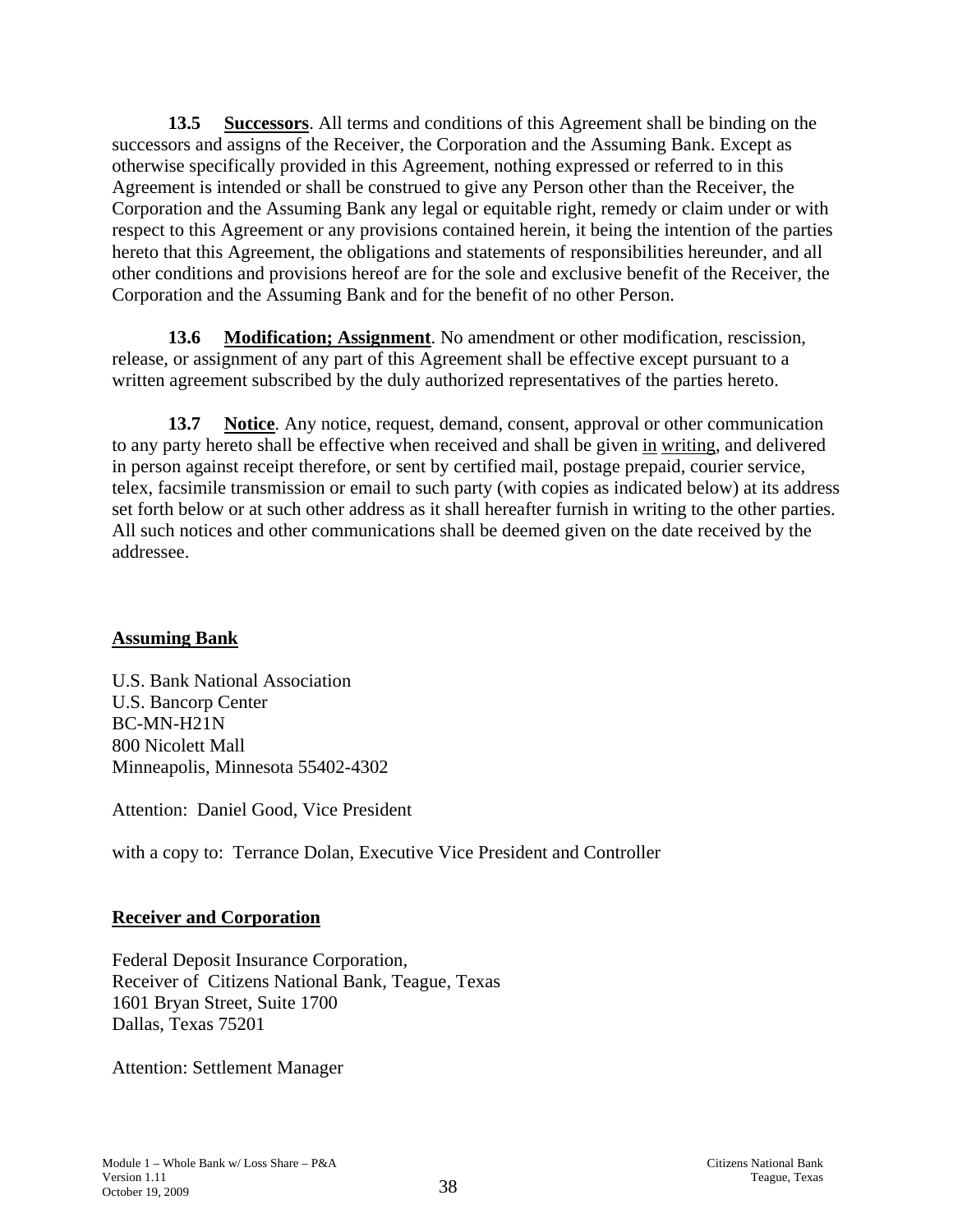**13.5 Successors**. All terms and conditions of this Agreement shall be binding on the successors and assigns of the Receiver, the Corporation and the Assuming Bank. Except as otherwise specifically provided in this Agreement, nothing expressed or referred to in this Agreement is intended or shall be construed to give any Person other than the Receiver, the Corporation and the Assuming Bank any legal or equitable right, remedy or claim under or with respect to this Agreement or any provisions contained herein, it being the intention of the parties hereto that this Agreement, the obligations and statements of responsibilities hereunder, and all other conditions and provisions hereof are for the sole and exclusive benefit of the Receiver, the Corporation and the Assuming Bank and for the benefit of no other Person.

**13.6 Modification; Assignment**. No amendment or other modification, rescission, release, or assignment of any part of this Agreement shall be effective except pursuant to a written agreement subscribed by the duly authorized representatives of the parties hereto.

**13.7** Notice. Any notice, request, demand, consent, approval or other communication to any party hereto shall be effective when received and shall be given in writing, and delivered in person against receipt therefore, or sent by certified mail, postage prepaid, courier service, telex, facsimile transmission or email to such party (with copies as indicated below) at its address set forth below or at such other address as it shall hereafter furnish in writing to the other parties. All such notices and other communications shall be deemed given on the date received by the addressee.

## **Assuming Bank**

U.S. Bank National Association U.S. Bancorp Center BC-MN-H21N 800 Nicolett Mall Minneapolis, Minnesota 55402-4302

Attention: Daniel Good, Vice President

with a copy to: Terrance Dolan, Executive Vice President and Controller

# **Receiver and Corporation**

Federal Deposit Insurance Corporation, Receiver of Citizens National Bank, Teague, Texas 1601 Bryan Street, Suite 1700 Dallas, Texas 75201

Attention: Settlement Manager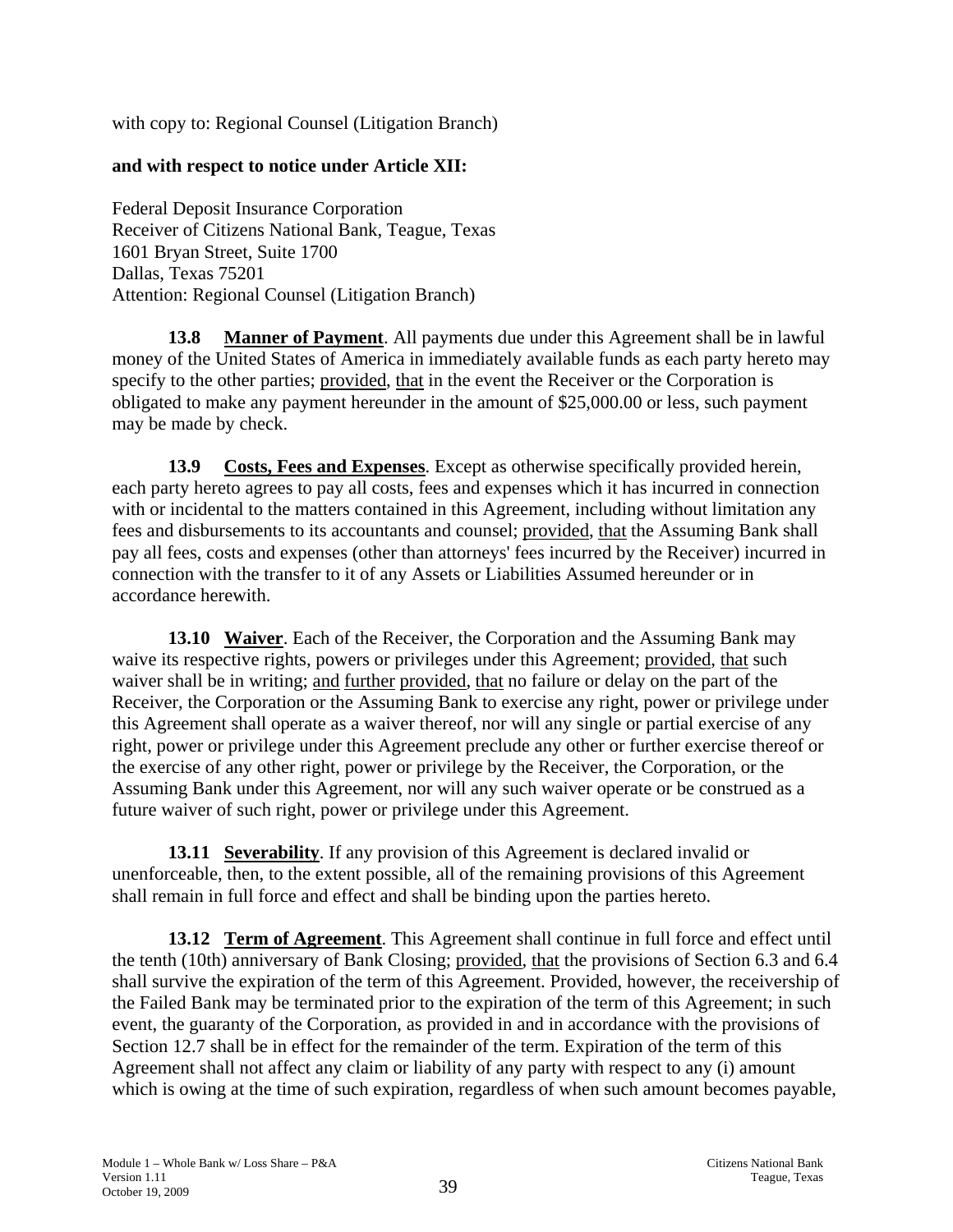with copy to: Regional Counsel (Litigation Branch)

# **and with respect to notice under Article XII:**

Federal Deposit Insurance Corporation Receiver of Citizens National Bank, Teague, Texas 1601 Bryan Street, Suite 1700 Dallas, Texas 75201 Attention: Regional Counsel (Litigation Branch)

**13.8** Manner of Payment. All payments due under this Agreement shall be in lawful money of the United States of America in immediately available funds as each party hereto may specify to the other parties; provided, that in the event the Receiver or the Corporation is obligated to make any payment hereunder in the amount of \$25,000.00 or less, such payment may be made by check.

**13.9 Costs, Fees and Expenses**. Except as otherwise specifically provided herein, each party hereto agrees to pay all costs, fees and expenses which it has incurred in connection with or incidental to the matters contained in this Agreement, including without limitation any fees and disbursements to its accountants and counsel; provided, that the Assuming Bank shall pay all fees, costs and expenses (other than attorneys' fees incurred by the Receiver) incurred in connection with the transfer to it of any Assets or Liabilities Assumed hereunder or in accordance herewith.

**13.10 Waiver**. Each of the Receiver, the Corporation and the Assuming Bank may waive its respective rights, powers or privileges under this Agreement; provided, that such waiver shall be in writing; and further provided, that no failure or delay on the part of the Receiver, the Corporation or the Assuming Bank to exercise any right, power or privilege under this Agreement shall operate as a waiver thereof, nor will any single or partial exercise of any right, power or privilege under this Agreement preclude any other or further exercise thereof or the exercise of any other right, power or privilege by the Receiver, the Corporation, or the Assuming Bank under this Agreement, nor will any such waiver operate or be construed as a future waiver of such right, power or privilege under this Agreement.

**13.11 Severability**. If any provision of this Agreement is declared invalid or unenforceable, then, to the extent possible, all of the remaining provisions of this Agreement shall remain in full force and effect and shall be binding upon the parties hereto.

**13.12 Term of Agreement**. This Agreement shall continue in full force and effect until the tenth (10th) anniversary of Bank Closing; provided, that the provisions of Section 6.3 and 6.4 shall survive the expiration of the term of this Agreement. Provided, however, the receivership of the Failed Bank may be terminated prior to the expiration of the term of this Agreement; in such event, the guaranty of the Corporation, as provided in and in accordance with the provisions of Section 12.7 shall be in effect for the remainder of the term. Expiration of the term of this Agreement shall not affect any claim or liability of any party with respect to any (i) amount which is owing at the time of such expiration, regardless of when such amount becomes payable,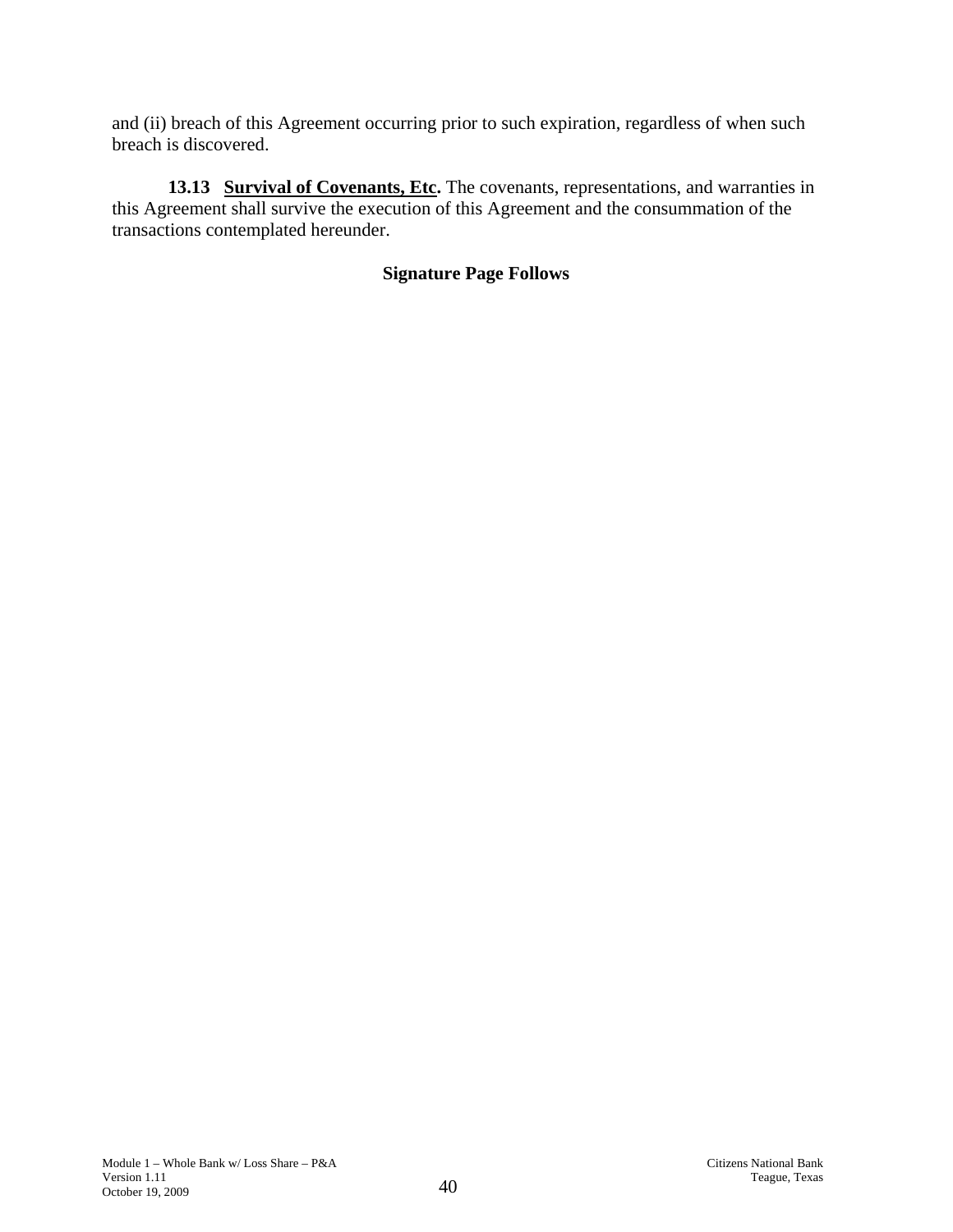and (ii) breach of this Agreement occurring prior to such expiration, regardless of when such breach is discovered.

**13.13 Survival of Covenants, Etc.** The covenants, representations, and warranties in this Agreement shall survive the execution of this Agreement and the consummation of the transactions contemplated hereunder.

# **Signature Page Follows**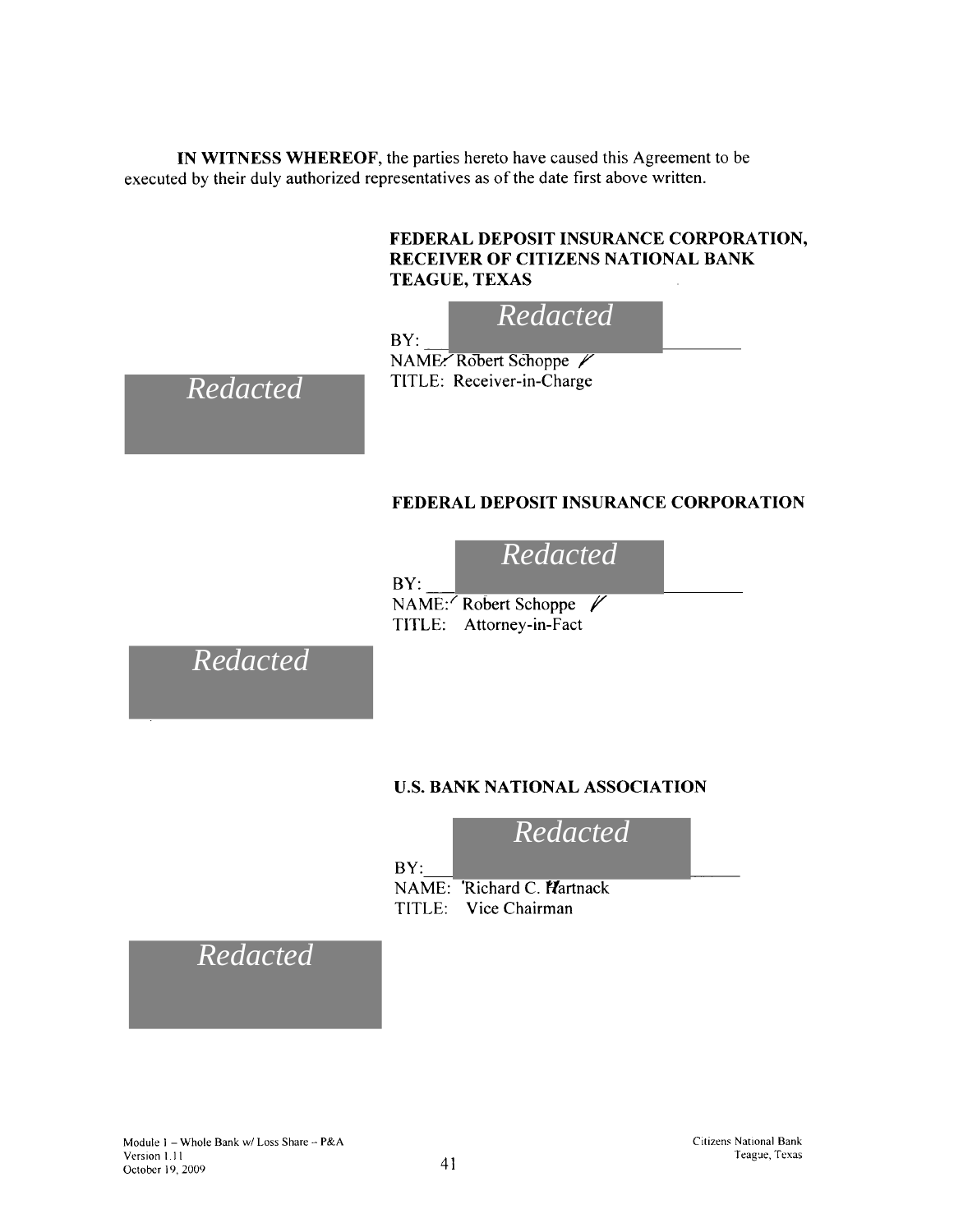IN WITNESS WHEREOF, the parties hereto have caused this Agreement to be executed by their duly authorized representatives as of the date first above written.

#### FEDERAL DEPOSIT INSURANCE CORPORATION, RECEIVER OF CITIZENS NATIONAL BANK TEAGUE, TEXAS

TEAGUE, TEXAS<br>BY: Redac<br>BY: NAME: Robert Schoppe TITLE: Receiver-in-Charge *Redacted*

*Redacted*

#### FEDERAL DEPOSIT INSURANCE CORPORATION

*Redacted*

FEDERAL DEFOSITIN<br>BY:<br>NAME: Robert Schoppe TITLE: Attorney-in-Fact

*Redacted*

#### U.S. BANK NATIONAL ASSOCIATION

*Redacted*

B NAME TITLE: Vice Chairman

*Redacted*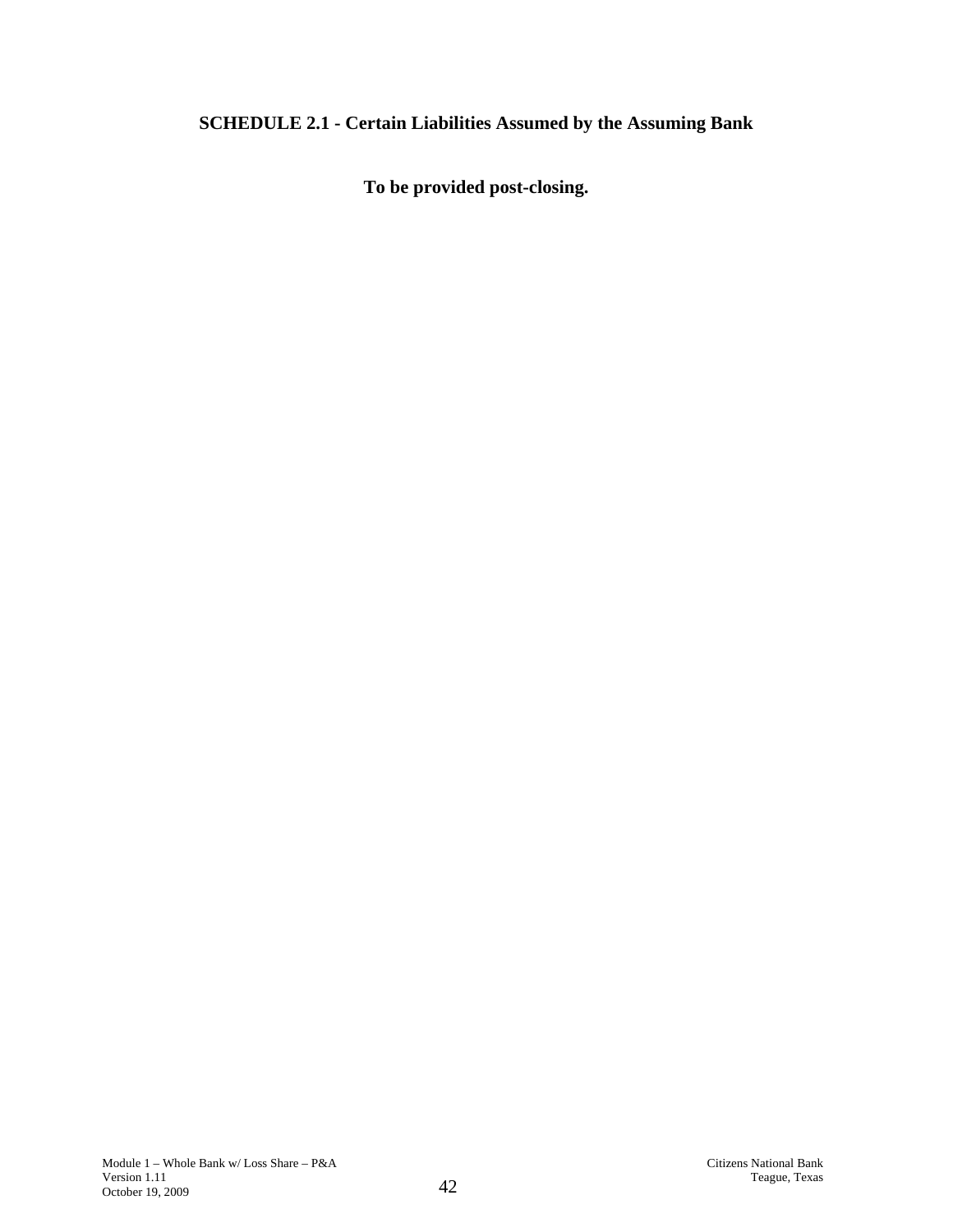# **SCHEDULE 2.1 - Certain Liabilities Assumed by the Assuming Bank**

**To be provided post-closing.**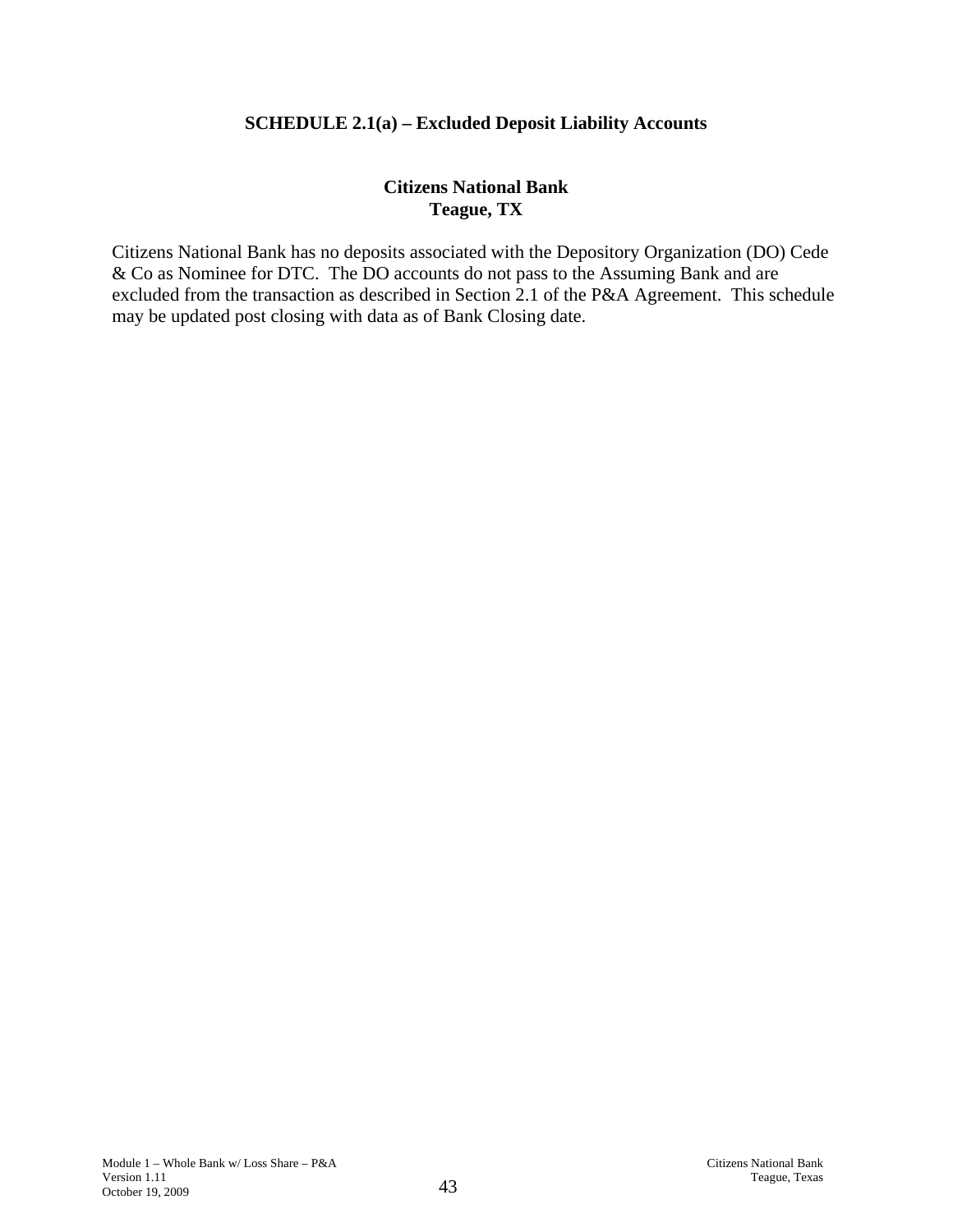## **SCHEDULE 2.1(a) – Excluded Deposit Liability Accounts**

# **Citizens National Bank Teague, TX**

Citizens National Bank has no deposits associated with the Depository Organization (DO) Cede & Co as Nominee for DTC. The DO accounts do not pass to the Assuming Bank and are excluded from the transaction as described in Section 2.1 of the P&A Agreement. This schedule may be updated post closing with data as of Bank Closing date.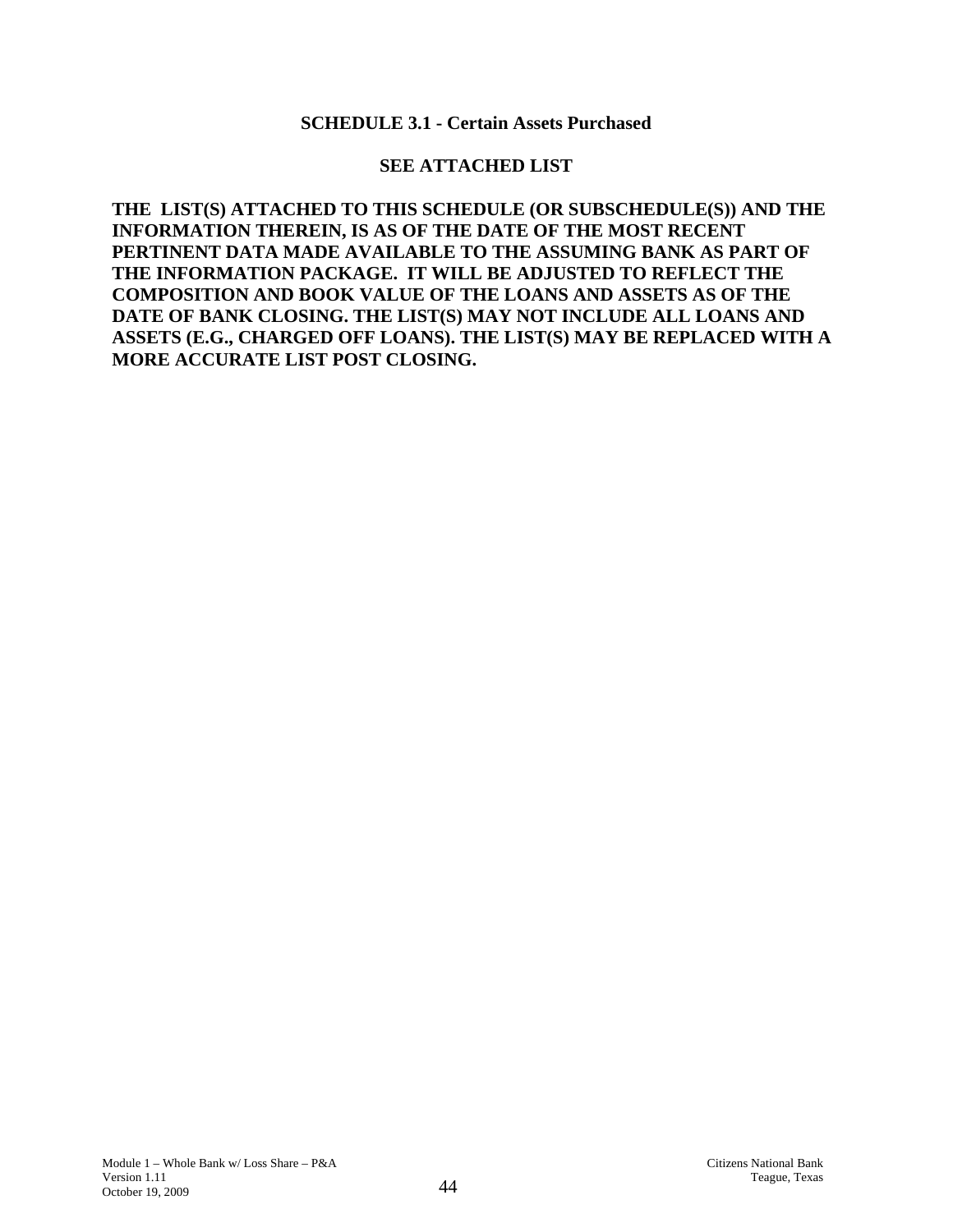#### **SCHEDULE 3.1 - Certain Assets Purchased**

#### **SEE ATTACHED LIST**

THE LIST(S) ATTACHED TO THIS SCHEDULE (OR SUBSCHEDULE(S)) AND THE **INFORMATION THEREIN, IS AS OF THE DATE OF THE MOST RECENT PERTINENT DATA MADE AVAILABLE TO THE ASSUMING BANK AS PART OF THE INFORMATION PACKAGE. IT WILL BE ADJUSTED TO REFLECT THE COMPOSITION AND BOOK VALUE OF THE LOANS AND ASSETS AS OF THE DATE OF BANK CLOSING. THE LIST(S) MAY NOT INCLUDE ALL LOANS AND ASSETS (E.G., CHARGED OFF LOANS). THE LIST(S) MAY BE REPLACED WITH A MORE ACCURATE LIST POST CLOSING.**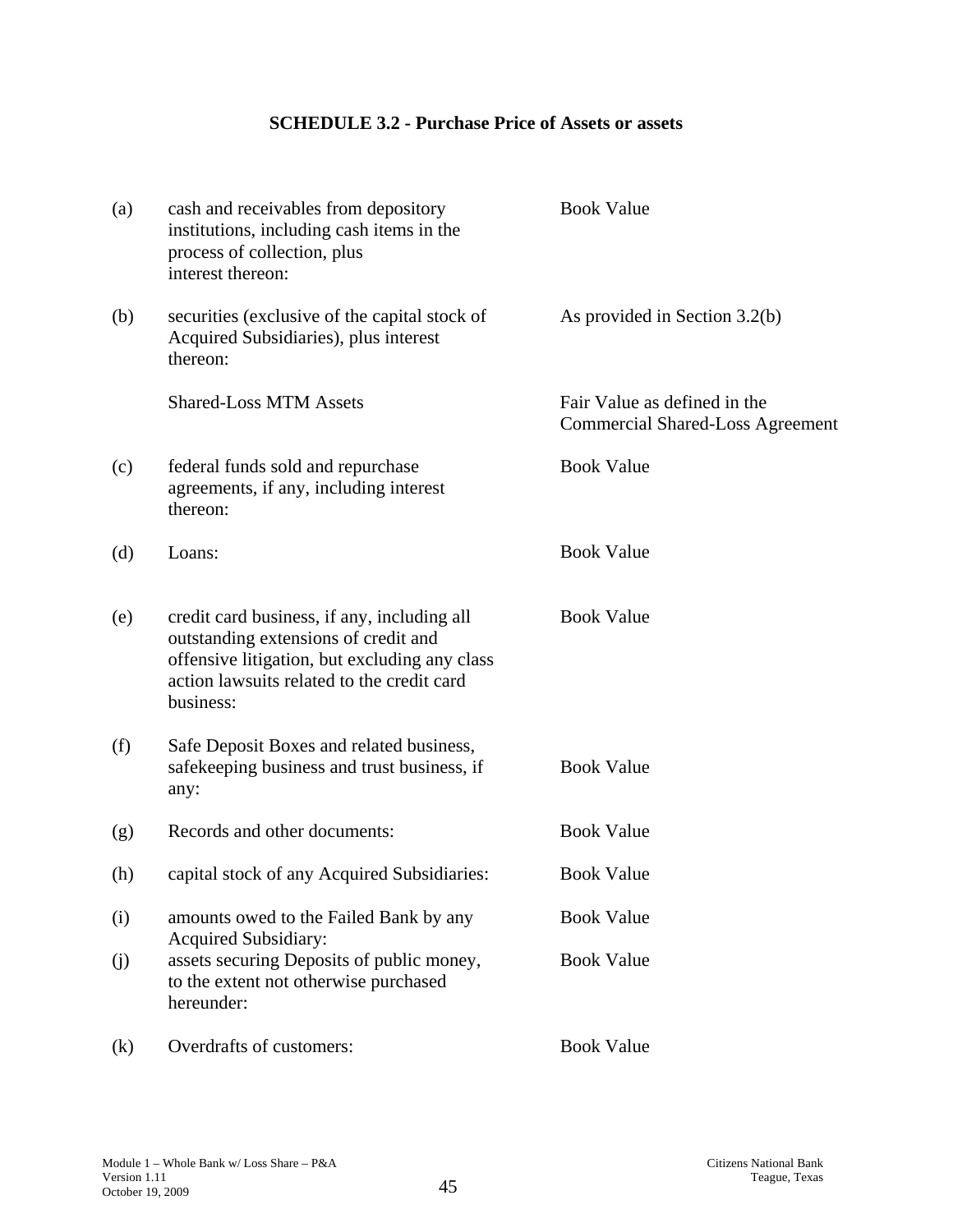# **SCHEDULE 3.2 - Purchase Price of Assets or assets**

| (a) | cash and receivables from depository<br>institutions, including cash items in the<br>process of collection, plus<br>interest thereon:                                                           | <b>Book Value</b>                                                       |
|-----|-------------------------------------------------------------------------------------------------------------------------------------------------------------------------------------------------|-------------------------------------------------------------------------|
| (b) | securities (exclusive of the capital stock of<br>Acquired Subsidiaries), plus interest<br>thereon:                                                                                              | As provided in Section 3.2(b)                                           |
|     | <b>Shared-Loss MTM Assets</b>                                                                                                                                                                   | Fair Value as defined in the<br><b>Commercial Shared-Loss Agreement</b> |
| (c) | federal funds sold and repurchase<br>agreements, if any, including interest<br>thereon:                                                                                                         | <b>Book Value</b>                                                       |
| (d) | Loans:                                                                                                                                                                                          | <b>Book Value</b>                                                       |
| (e) | credit card business, if any, including all<br>outstanding extensions of credit and<br>offensive litigation, but excluding any class<br>action lawsuits related to the credit card<br>business: | <b>Book Value</b>                                                       |
| (f) | Safe Deposit Boxes and related business,<br>safekeeping business and trust business, if<br>any:                                                                                                 | <b>Book Value</b>                                                       |
| (g) | Records and other documents:                                                                                                                                                                    | <b>Book Value</b>                                                       |
| (h) | capital stock of any Acquired Subsidiaries:                                                                                                                                                     | <b>Book Value</b>                                                       |
| (i) | amounts owed to the Failed Bank by any                                                                                                                                                          | <b>Book Value</b>                                                       |
| (j) | <b>Acquired Subsidiary:</b><br>assets securing Deposits of public money,<br>to the extent not otherwise purchased<br>hereunder:                                                                 | <b>Book Value</b>                                                       |
| (k) | Overdrafts of customers:                                                                                                                                                                        | <b>Book Value</b>                                                       |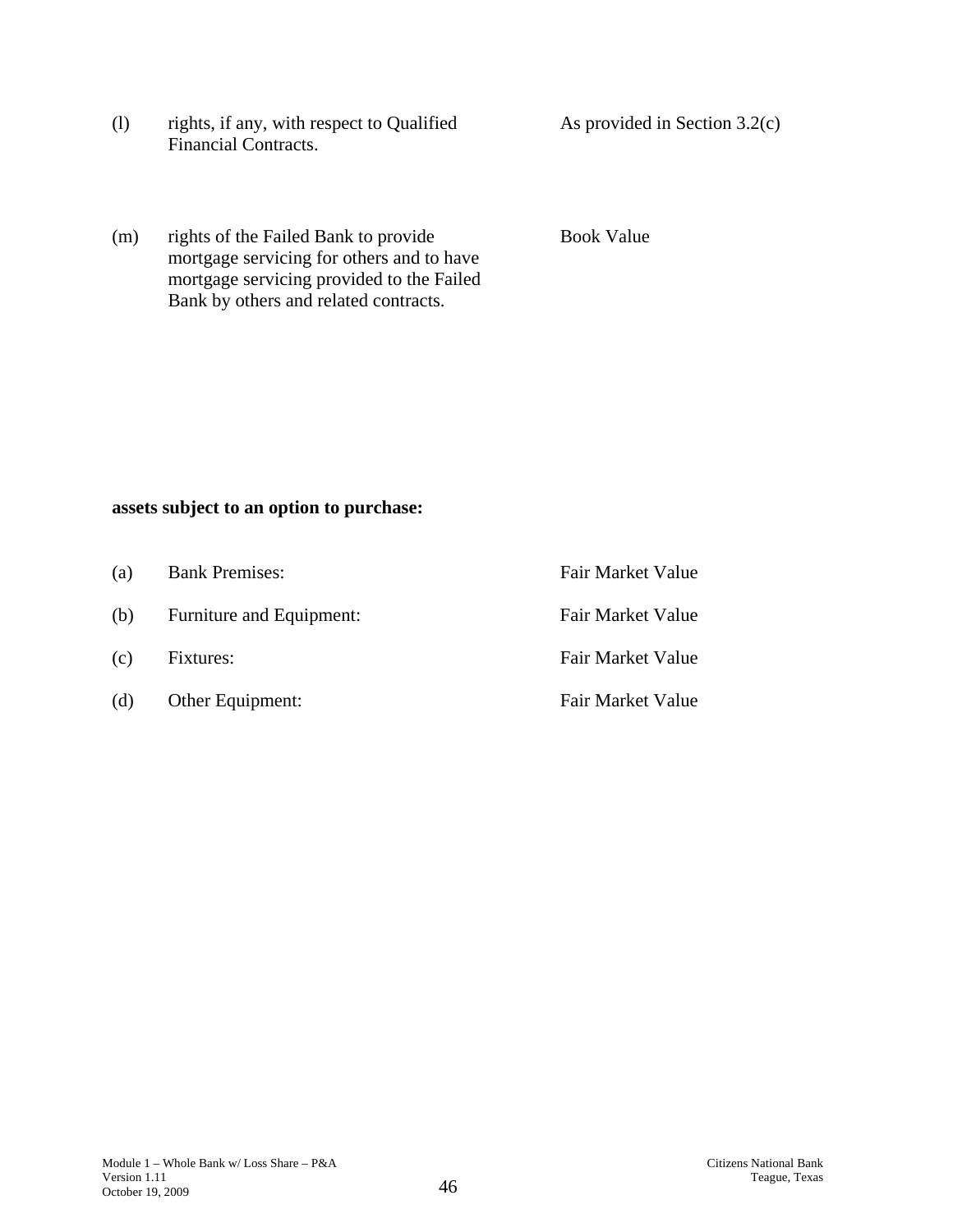(1) rights, if any, with respect to Qualified As provided in Section 3.2(c) Financial Contracts.

(m) rights of the Failed Bank to provide Book Value mortgage servicing for others and to have mortgage servicing provided to the Failed Bank by others and related contracts.

## **assets subject to an option to purchase:**

| (a) | <b>Bank Premises:</b>    | Fair Market Value |
|-----|--------------------------|-------------------|
| (b) | Furniture and Equipment: | Fair Market Value |
| (c) | Fixtures:                | Fair Market Value |
| (d) | Other Equipment:         | Fair Market Value |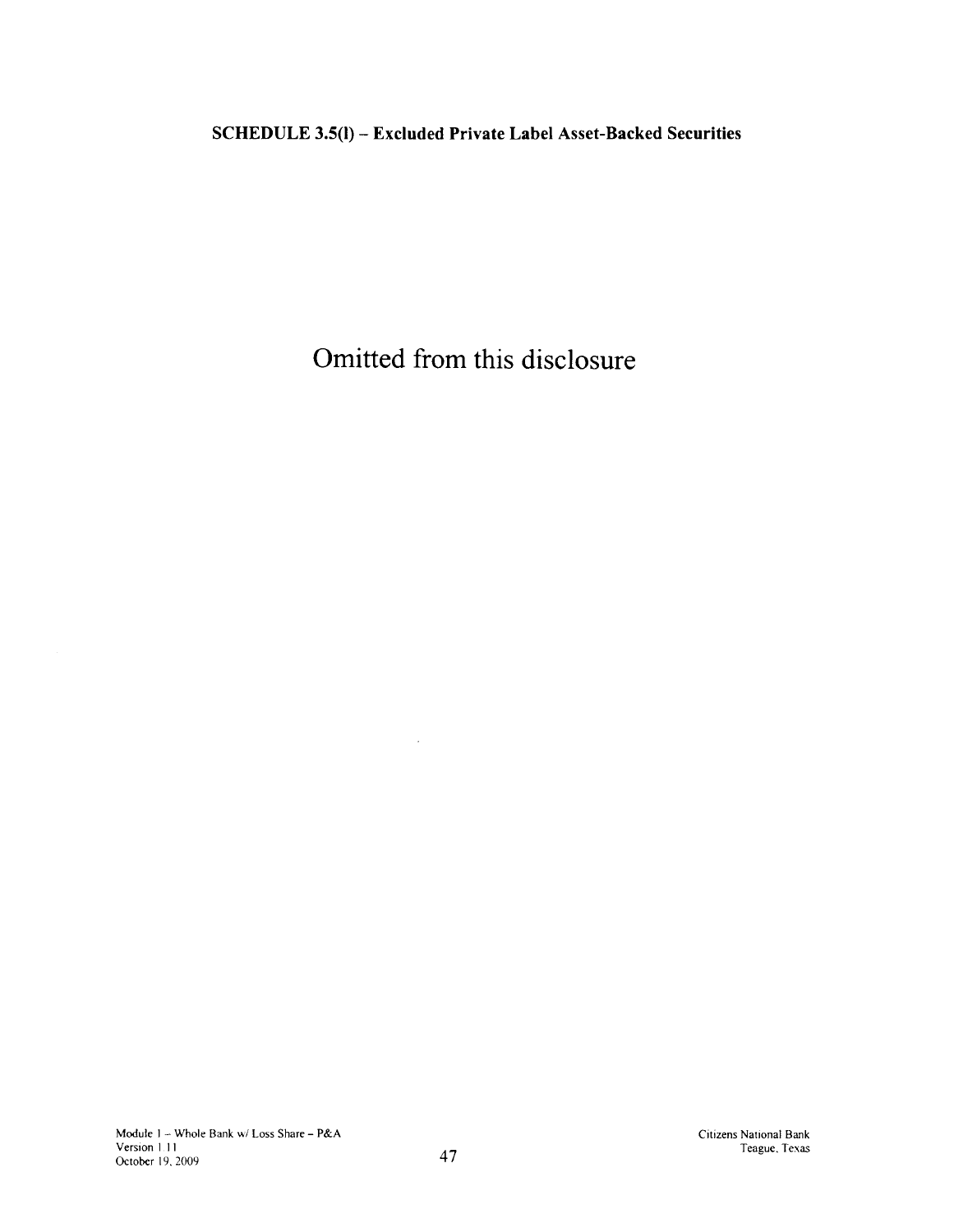# SCHEDULE 3.5(1) - Excluded Private Label Asset-Backed Securities

Omitted from this disclosure

 $\hat{\mathcal{L}}$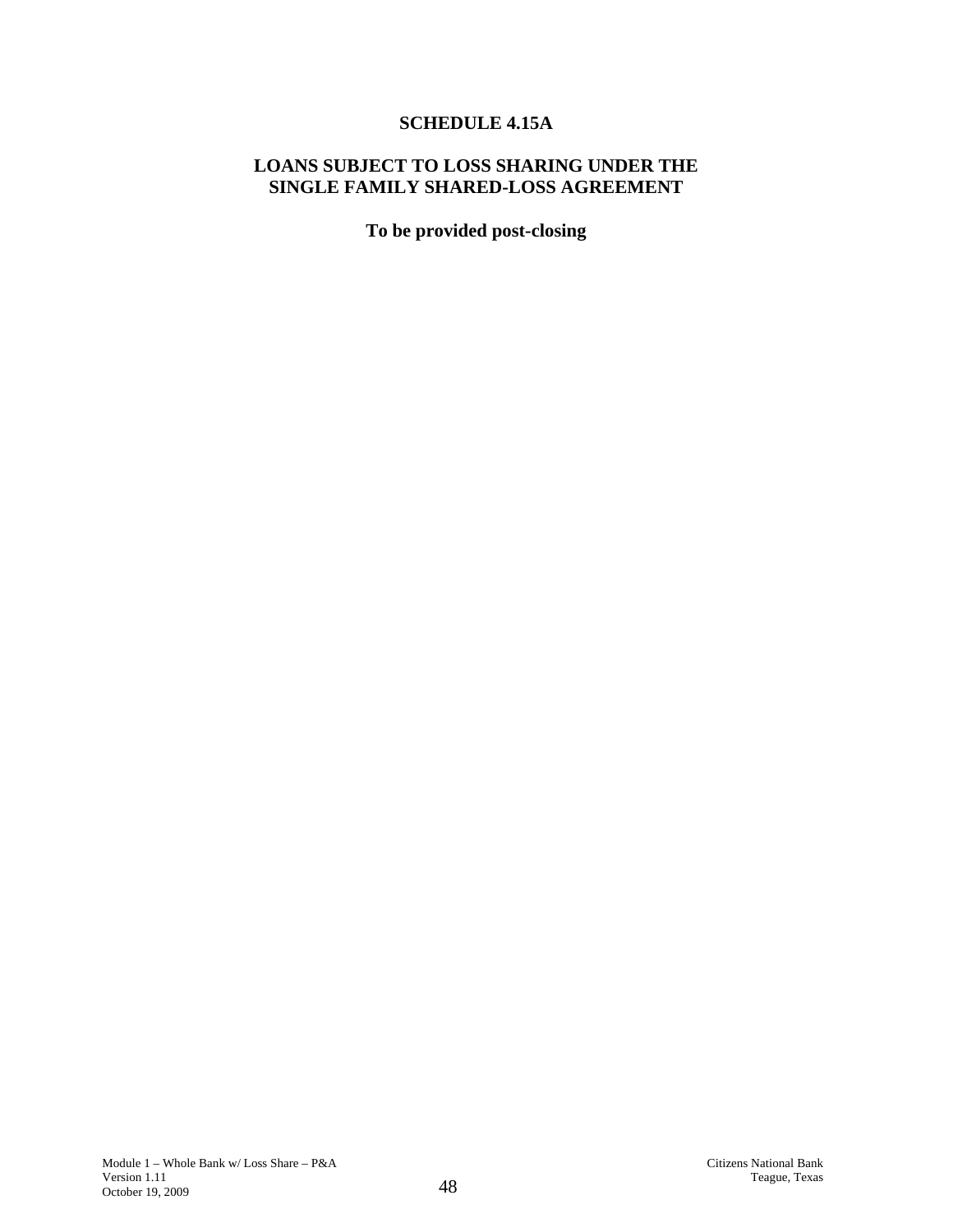# **SCHEDULE 4.15A**

# **LOANS SUBJECT TO LOSS SHARING UNDER THE SINGLE FAMILY SHARED-LOSS AGREEMENT**

**To be provided post-closing**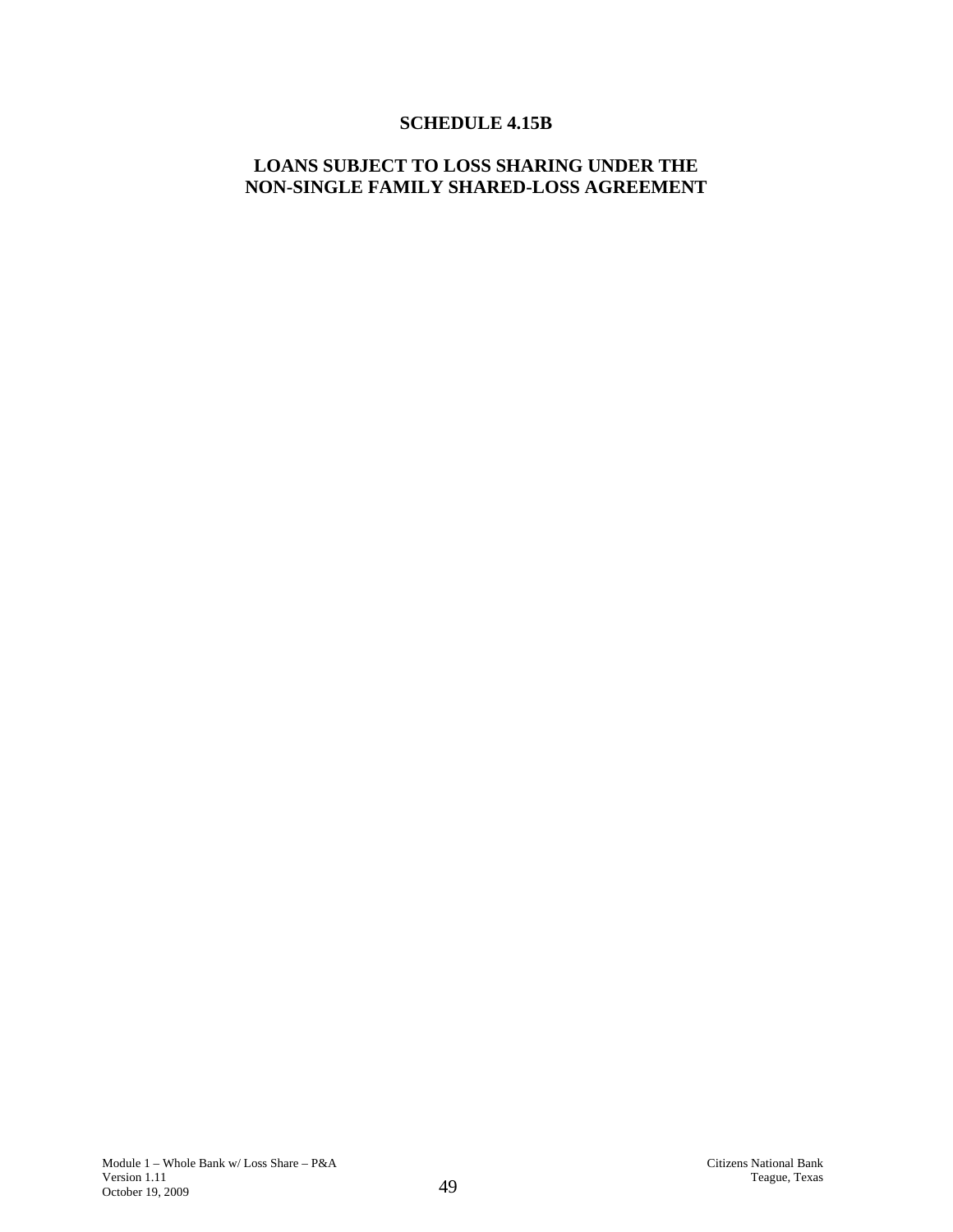## **SCHEDULE 4.15B**

# **LOANS SUBJECT TO LOSS SHARING UNDER THE NON-SINGLE FAMILY SHARED-LOSS AGREEMENT**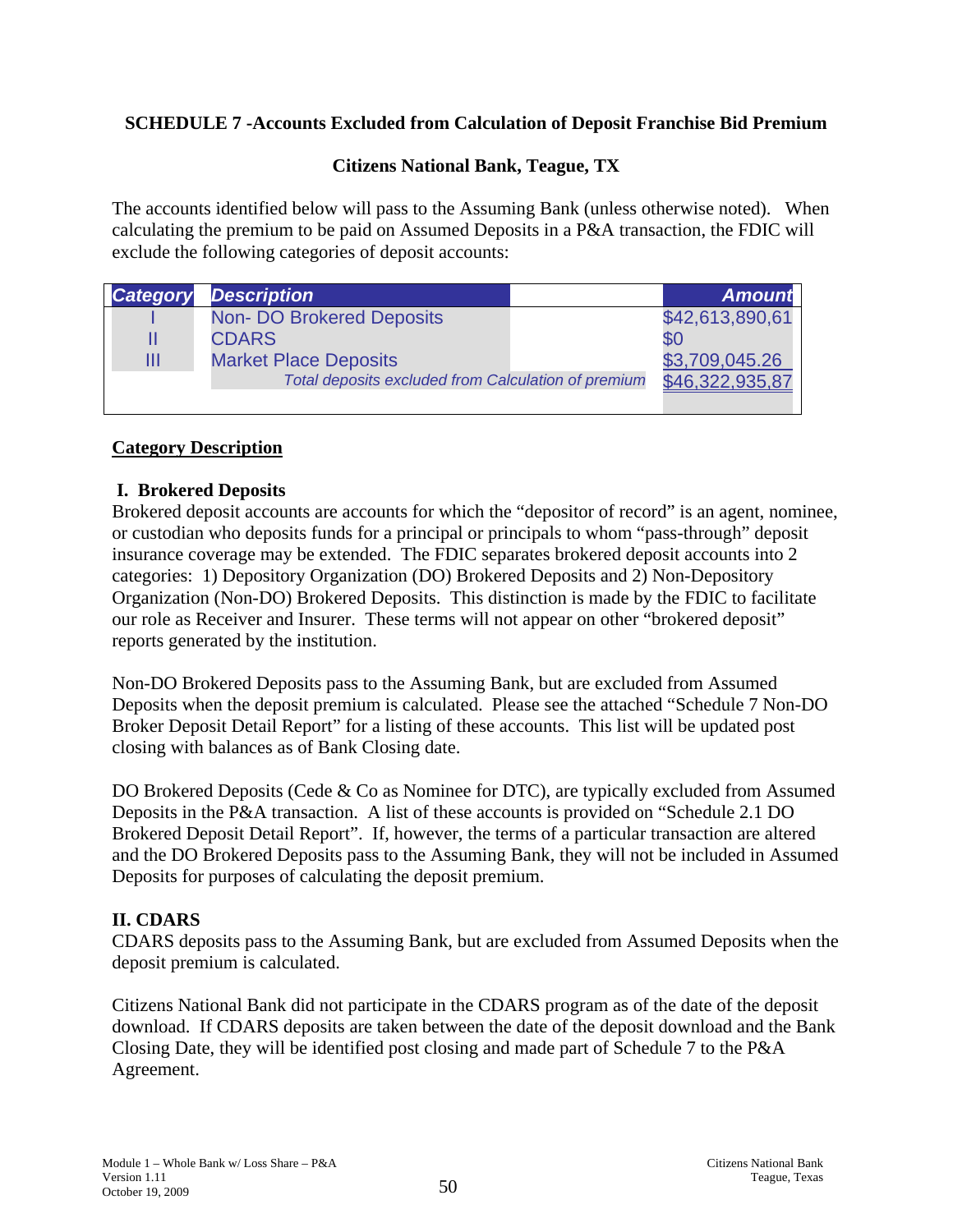# **SCHEDULE 7 -Accounts Excluded from Calculation of Deposit Franchise Bid Premium**

# **Citizens National Bank, Teague, TX**

The accounts identified below will pass to the Assuming Bank (unless otherwise noted). When calculating the premium to be paid on Assumed Deposits in a P&A transaction, the FDIC will exclude the following categories of deposit accounts:

| <b>Category</b> | <b>Description</b>                                  | <b>Amount</b>   |
|-----------------|-----------------------------------------------------|-----------------|
|                 | <b>Non-DO Brokered Deposits</b>                     | \$42,613,890,61 |
|                 | <b>CDARS</b>                                        | \$0             |
| Ш               | <b>Market Place Deposits</b>                        | \$3,709,045.26  |
|                 | Total deposits excluded from Calculation of premium | \$46.322.935.87 |
|                 |                                                     |                 |

## **Category Description**

## **I. Brokered Deposits**

Brokered deposit accounts are accounts for which the "depositor of record" is an agent, nominee, or custodian who deposits funds for a principal or principals to whom "pass-through" deposit insurance coverage may be extended. The FDIC separates brokered deposit accounts into 2 categories: 1) Depository Organization (DO) Brokered Deposits and 2) Non-Depository Organization (Non-DO) Brokered Deposits. This distinction is made by the FDIC to facilitate our role as Receiver and Insurer. These terms will not appear on other "brokered deposit" reports generated by the institution.

Non-DO Brokered Deposits pass to the Assuming Bank, but are excluded from Assumed Deposits when the deposit premium is calculated. Please see the attached "Schedule 7 Non-DO Broker Deposit Detail Report" for a listing of these accounts. This list will be updated post closing with balances as of Bank Closing date.

DO Brokered Deposits (Cede & Co as Nominee for DTC), are typically excluded from Assumed Deposits in the P&A transaction. A list of these accounts is provided on "Schedule 2.1 DO Brokered Deposit Detail Report". If, however, the terms of a particular transaction are altered and the DO Brokered Deposits pass to the Assuming Bank, they will not be included in Assumed Deposits for purposes of calculating the deposit premium.

## **II. CDARS**

CDARS deposits pass to the Assuming Bank, but are excluded from Assumed Deposits when the deposit premium is calculated.

Citizens National Bank did not participate in the CDARS program as of the date of the deposit download. If CDARS deposits are taken between the date of the deposit download and the Bank Closing Date, they will be identified post closing and made part of Schedule 7 to the P&A Agreement.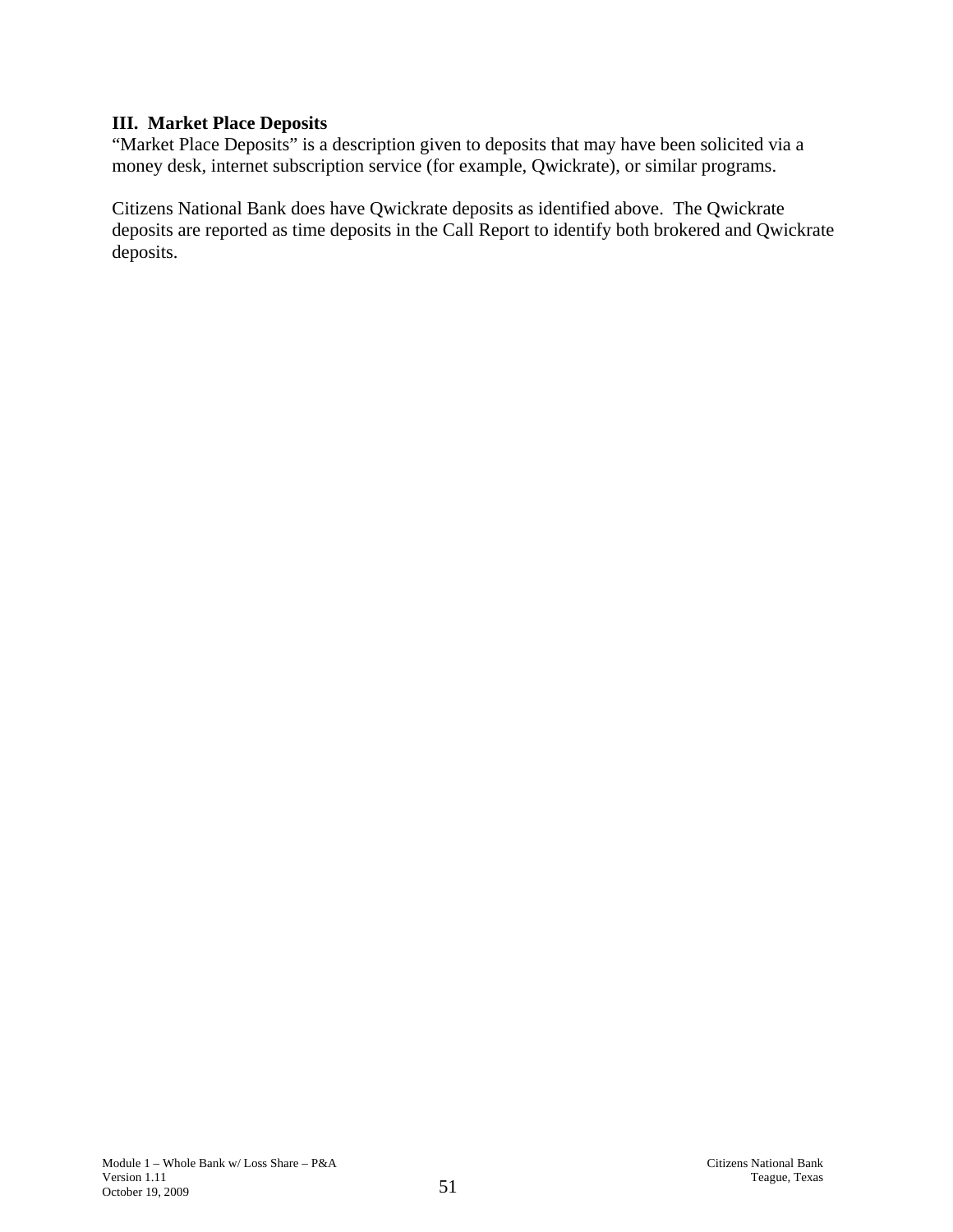## **III. Market Place Deposits**

"Market Place Deposits" is a description given to deposits that may have been solicited via a money desk, internet subscription service (for example, Qwickrate), or similar programs.

Citizens National Bank does have Qwickrate deposits as identified above. The Qwickrate deposits are reported as time deposits in the Call Report to identify both brokered and Qwickrate deposits.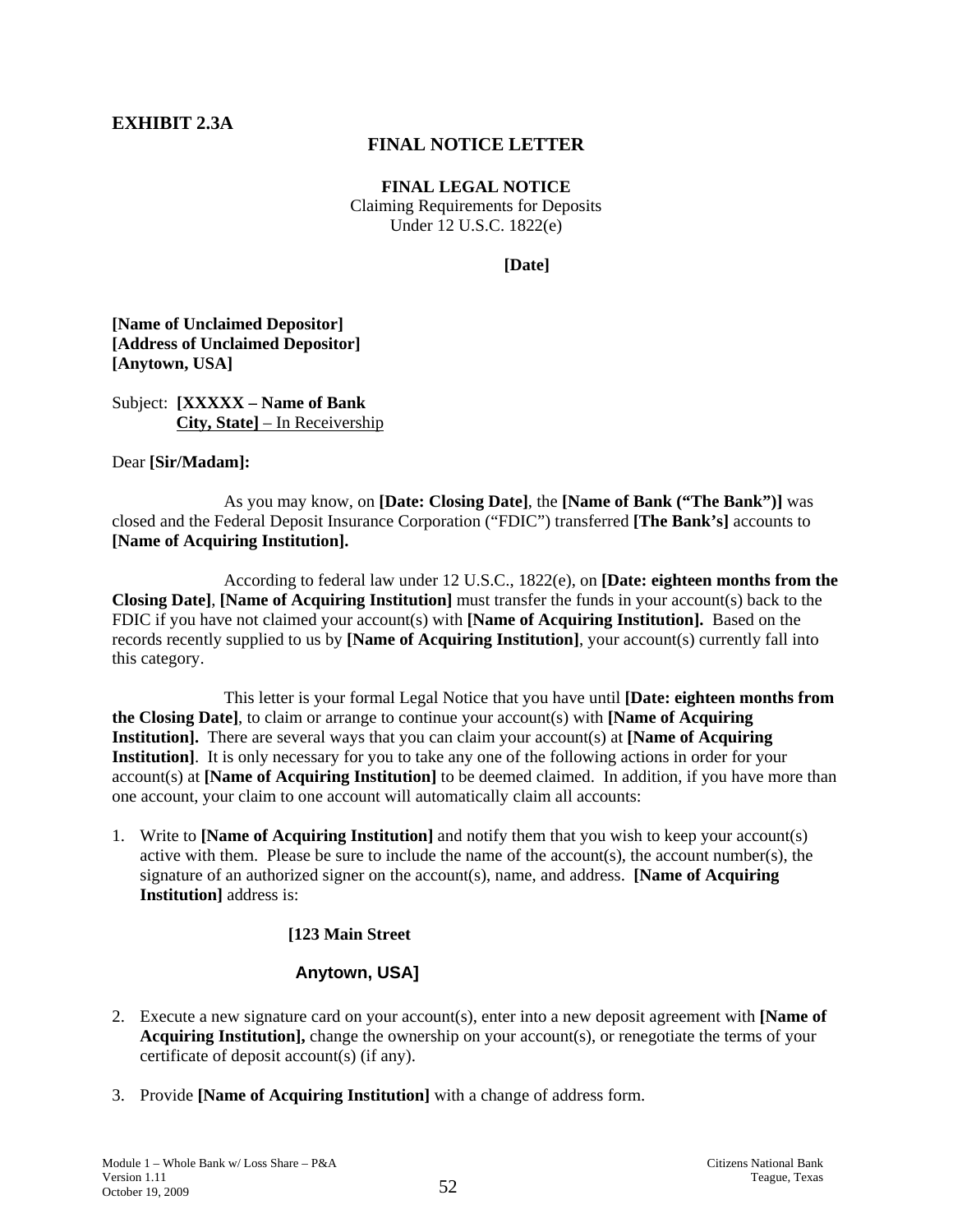#### **EXHIBIT 2.3A**

#### **FINAL NOTICE LETTER**

**FINAL LEGAL NOTICE**  Claiming Requirements for Deposits

Under 12 U.S.C. 1822(e)

**[Date]** 

**[Name of Unclaimed Depositor] [Address of Unclaimed Depositor] [Anytown, USA]** 

Subject: **[XXXXX – Name of Bank City, State]** – In Receivership

Dear **[Sir/Madam]:** 

As you may know, on **[Date: Closing Date]**, the **[Name of Bank ("The Bank")]** was closed and the Federal Deposit Insurance Corporation ("FDIC") transferred **[The Bank's]** accounts to **[Name of Acquiring Institution].** 

According to federal law under 12 U.S.C., 1822(e), on **[Date: eighteen months from the Closing Date]**, **[Name of Acquiring Institution]** must transfer the funds in your account(s) back to the FDIC if you have not claimed your account(s) with **[Name of Acquiring Institution].** Based on the records recently supplied to us by **[Name of Acquiring Institution]**, your account(s) currently fall into this category.

This letter is your formal Legal Notice that you have until **[Date: eighteen months from the Closing Date]**, to claim or arrange to continue your account(s) with **[Name of Acquiring Institution].** There are several ways that you can claim your account(s) at **[Name of Acquiring Institution]**. It is only necessary for you to take any one of the following actions in order for your account(s) at **[Name of Acquiring Institution]** to be deemed claimed. In addition, if you have more than one account, your claim to one account will automatically claim all accounts:

1. Write to **[Name of Acquiring Institution]** and notify them that you wish to keep your account(s) active with them. Please be sure to include the name of the account(s), the account number(s), the signature of an authorized signer on the account(s), name, and address. **[Name of Acquiring Institution]** address is:

#### **[123 Main Street**

#### **Anytown, USA]**

- 2. Execute a new signature card on your account(s), enter into a new deposit agreement with **[Name of Acquiring Institution],** change the ownership on your account(s), or renegotiate the terms of your certificate of deposit account(s) (if any).
- 3. Provide **[Name of Acquiring Institution]** with a change of address form.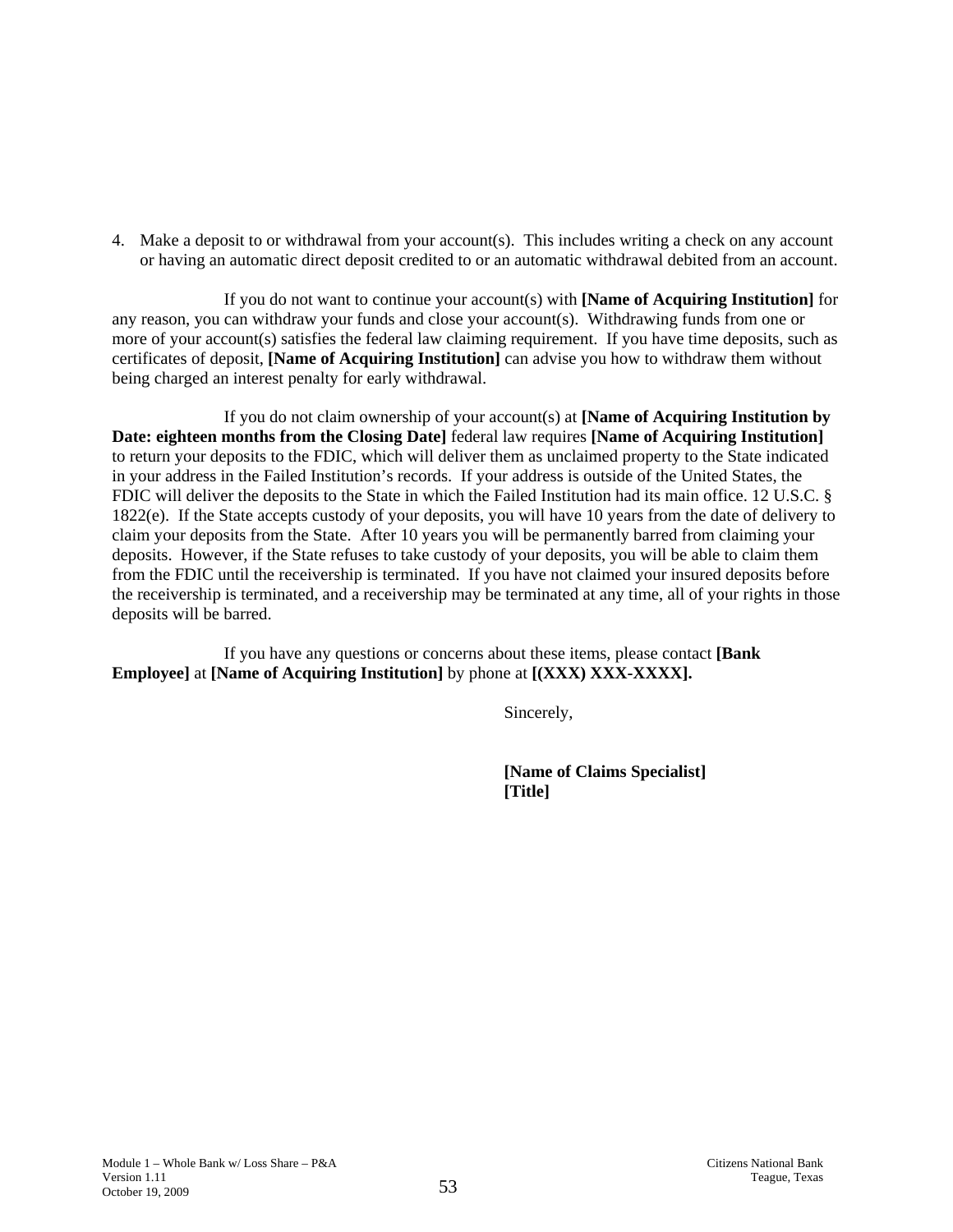4. Make a deposit to or withdrawal from your account(s). This includes writing a check on any account or having an automatic direct deposit credited to or an automatic withdrawal debited from an account.

If you do not want to continue your account(s) with **[Name of Acquiring Institution]** for any reason, you can withdraw your funds and close your account(s). Withdrawing funds from one or more of your account(s) satisfies the federal law claiming requirement. If you have time deposits, such as certificates of deposit, **[Name of Acquiring Institution]** can advise you how to withdraw them without being charged an interest penalty for early withdrawal.

If you do not claim ownership of your account(s) at **[Name of Acquiring Institution by Date: eighteen months from the Closing Date]** federal law requires **[Name of Acquiring Institution]**  to return your deposits to the FDIC, which will deliver them as unclaimed property to the State indicated in your address in the Failed Institution's records. If your address is outside of the United States, the FDIC will deliver the deposits to the State in which the Failed Institution had its main office. 12 U.S.C. § 1822(e). If the State accepts custody of your deposits, you will have 10 years from the date of delivery to claim your deposits from the State. After 10 years you will be permanently barred from claiming your deposits. However, if the State refuses to take custody of your deposits, you will be able to claim them from the FDIC until the receivership is terminated. If you have not claimed your insured deposits before the receivership is terminated, and a receivership may be terminated at any time, all of your rights in those deposits will be barred.

If you have any questions or concerns about these items, please contact **[Bank Employee]** at **[Name of Acquiring Institution]** by phone at **[(XXX) XXX-XXXX].** 

Sincerely,

**[Name of Claims Specialist] [Title]**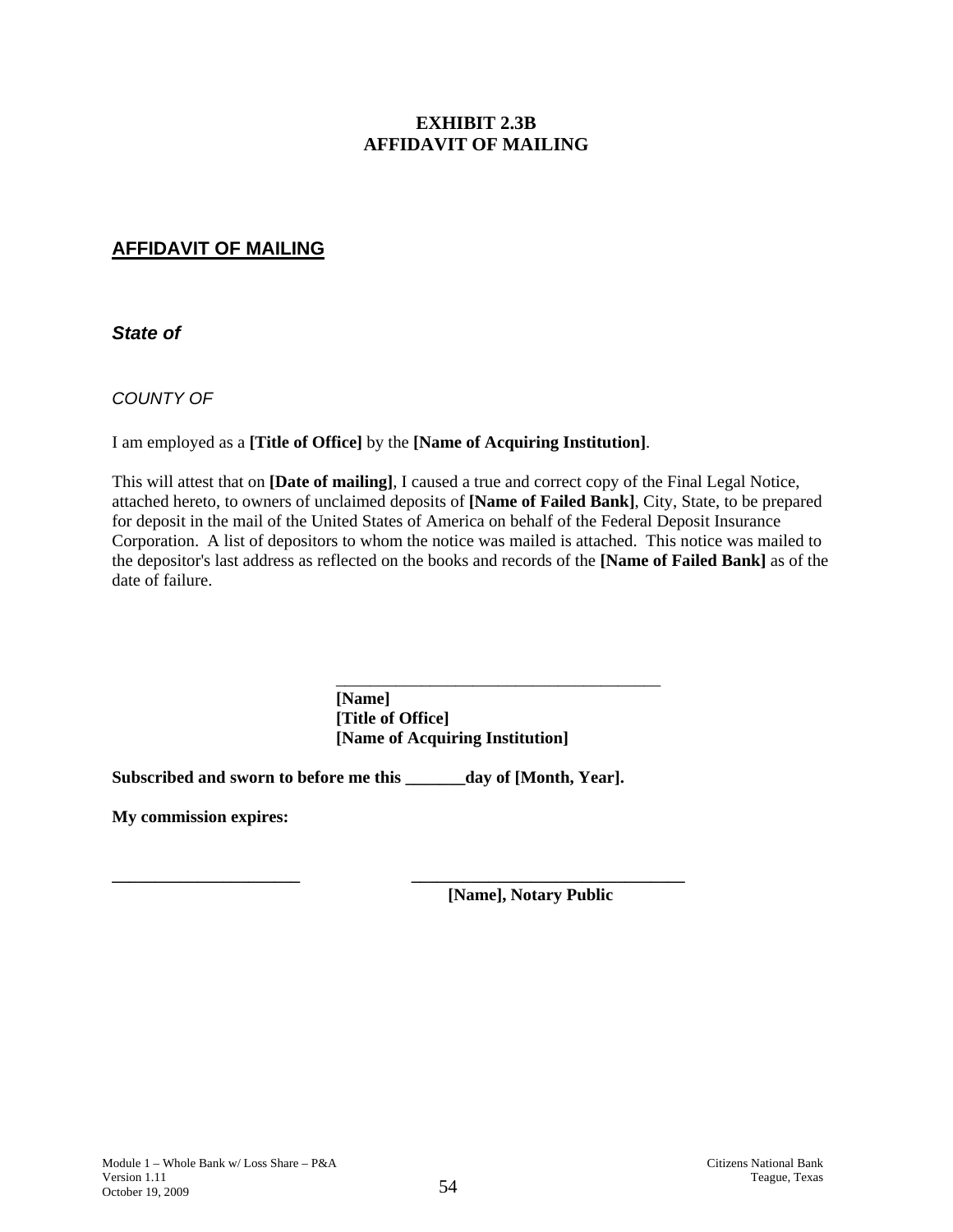# **EXHIBIT 2.3B AFFIDAVIT OF MAILING**

# **AFFIDAVIT OF MAILING**

*State of* 

*COUNTY OF* 

I am employed as a **[Title of Office]** by the **[Name of Acquiring Institution]**.

This will attest that on **[Date of mailing]**, I caused a true and correct copy of the Final Legal Notice, attached hereto, to owners of unclaimed deposits of **[Name of Failed Bank]**, City, State, to be prepared for deposit in the mail of the United States of America on behalf of the Federal Deposit Insurance Corporation. A list of depositors to whom the notice was mailed is attached. This notice was mailed to the depositor's last address as reflected on the books and records of the **[Name of Failed Bank]** as of the date of failure.

 $\overline{\phantom{a}}$  ,  $\overline{\phantom{a}}$  ,  $\overline{\phantom{a}}$  ,  $\overline{\phantom{a}}$  ,  $\overline{\phantom{a}}$  ,  $\overline{\phantom{a}}$  ,  $\overline{\phantom{a}}$  ,  $\overline{\phantom{a}}$  ,  $\overline{\phantom{a}}$  ,  $\overline{\phantom{a}}$  ,  $\overline{\phantom{a}}$  ,  $\overline{\phantom{a}}$  ,  $\overline{\phantom{a}}$  ,  $\overline{\phantom{a}}$  ,  $\overline{\phantom{a}}$  ,  $\overline{\phantom{a}}$ **[Name] [Title of Office] [Name of Acquiring Institution]** 

**Subscribed and sworn to before me this \_\_\_\_\_\_\_day of [Month, Year].** 

**My commission expires:** 

**\_\_\_\_\_\_\_\_\_\_\_\_\_\_\_\_\_\_\_\_\_\_ \_\_\_\_\_\_\_\_\_\_\_\_\_\_\_\_\_\_\_\_\_\_\_\_\_\_\_\_\_\_\_\_ [Name], Notary Public**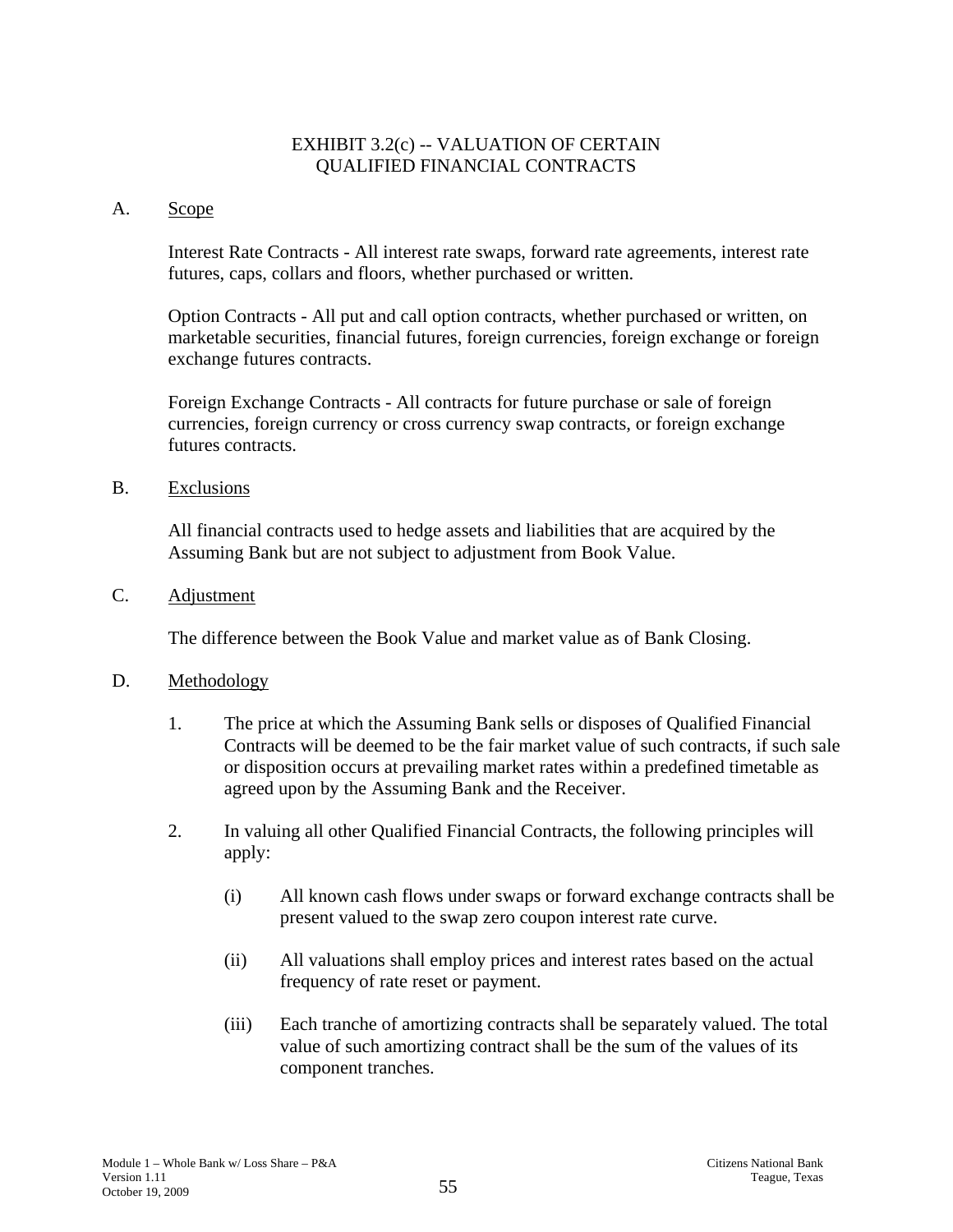## EXHIBIT 3.2(c) -- VALUATION OF CERTAIN QUALIFIED FINANCIAL CONTRACTS

#### A. Scope

Interest Rate Contracts - All interest rate swaps, forward rate agreements, interest rate futures, caps, collars and floors, whether purchased or written.

Option Contracts - All put and call option contracts, whether purchased or written, on marketable securities, financial futures, foreign currencies, foreign exchange or foreign exchange futures contracts.

Foreign Exchange Contracts - All contracts for future purchase or sale of foreign currencies, foreign currency or cross currency swap contracts, or foreign exchange futures contracts.

#### B. Exclusions

All financial contracts used to hedge assets and liabilities that are acquired by the Assuming Bank but are not subject to adjustment from Book Value.

#### C. Adjustment

The difference between the Book Value and market value as of Bank Closing.

## D. Methodology

- 1. The price at which the Assuming Bank sells or disposes of Qualified Financial Contracts will be deemed to be the fair market value of such contracts, if such sale or disposition occurs at prevailing market rates within a predefined timetable as agreed upon by the Assuming Bank and the Receiver.
- 2. In valuing all other Qualified Financial Contracts, the following principles will apply:
	- (i) All known cash flows under swaps or forward exchange contracts shall be present valued to the swap zero coupon interest rate curve.
	- (ii) All valuations shall employ prices and interest rates based on the actual frequency of rate reset or payment.
	- (iii) Each tranche of amortizing contracts shall be separately valued. The total value of such amortizing contract shall be the sum of the values of its component tranches.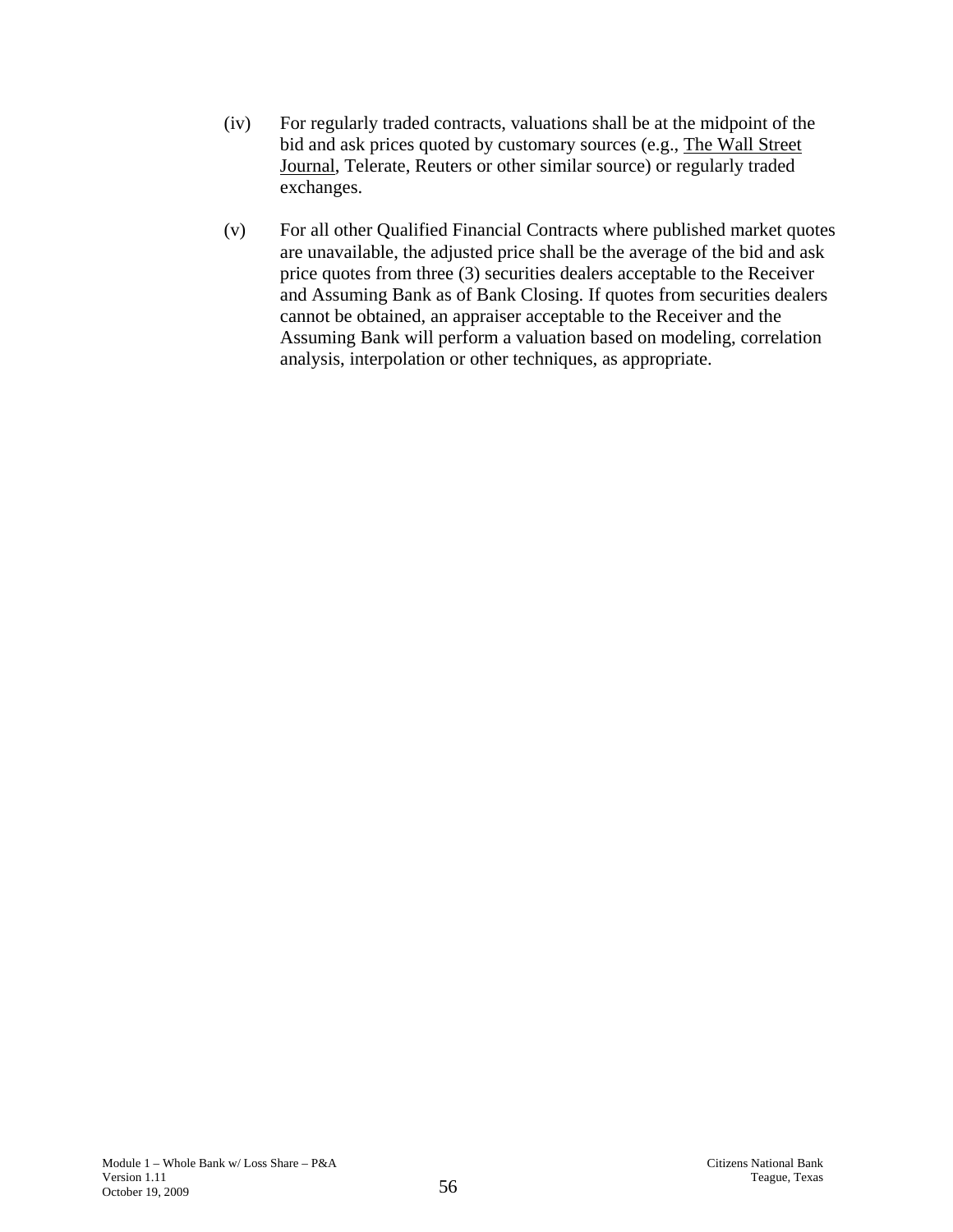- (iv) For regularly traded contracts, valuations shall be at the midpoint of the bid and ask prices quoted by customary sources (e.g., The Wall Street Journal, Telerate, Reuters or other similar source) or regularly traded exchanges.
- (v) For all other Qualified Financial Contracts where published market quotes are unavailable, the adjusted price shall be the average of the bid and ask price quotes from three (3) securities dealers acceptable to the Receiver and Assuming Bank as of Bank Closing. If quotes from securities dealers cannot be obtained, an appraiser acceptable to the Receiver and the Assuming Bank will perform a valuation based on modeling, correlation analysis, interpolation or other techniques, as appropriate.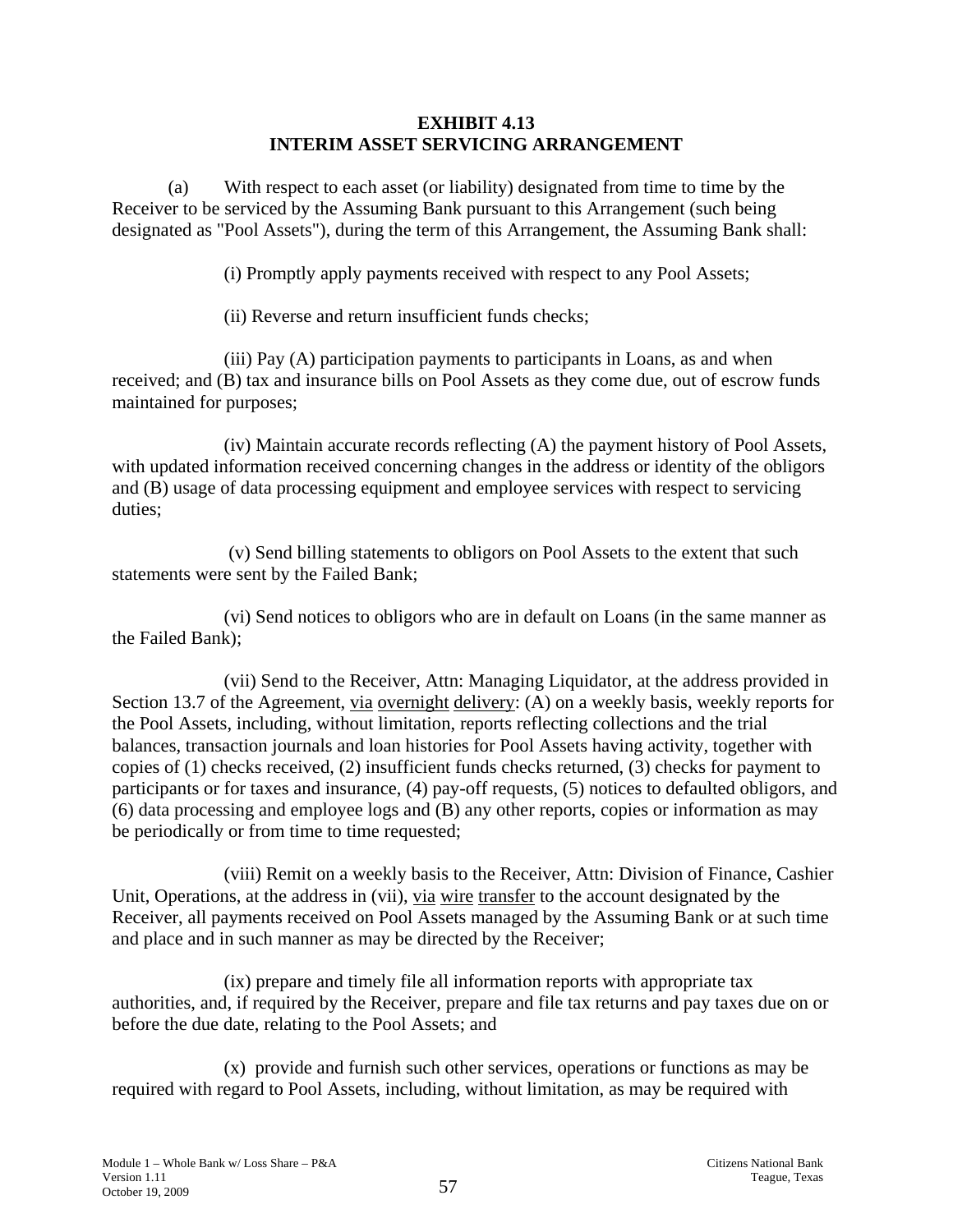#### **EXHIBIT 4.13 INTERIM ASSET SERVICING ARRANGEMENT**

(a) With respect to each asset (or liability) designated from time to time by the Receiver to be serviced by the Assuming Bank pursuant to this Arrangement (such being designated as "Pool Assets"), during the term of this Arrangement, the Assuming Bank shall:

(i) Promptly apply payments received with respect to any Pool Assets;

(ii) Reverse and return insufficient funds checks;

(iii) Pay (A) participation payments to participants in Loans, as and when received; and (B) tax and insurance bills on Pool Assets as they come due, out of escrow funds maintained for purposes;

(iv) Maintain accurate records reflecting (A) the payment history of Pool Assets, with updated information received concerning changes in the address or identity of the obligors and (B) usage of data processing equipment and employee services with respect to servicing duties;

 (v) Send billing statements to obligors on Pool Assets to the extent that such statements were sent by the Failed Bank;

(vi) Send notices to obligors who are in default on Loans (in the same manner as the Failed Bank);

(vii) Send to the Receiver, Attn: Managing Liquidator, at the address provided in Section 13.7 of the Agreement, via overnight delivery: (A) on a weekly basis, weekly reports for the Pool Assets, including, without limitation, reports reflecting collections and the trial balances, transaction journals and loan histories for Pool Assets having activity, together with copies of (1) checks received, (2) insufficient funds checks returned, (3) checks for payment to participants or for taxes and insurance, (4) pay-off requests, (5) notices to defaulted obligors, and (6) data processing and employee logs and (B) any other reports, copies or information as may be periodically or from time to time requested;

(viii) Remit on a weekly basis to the Receiver, Attn: Division of Finance, Cashier Unit, Operations, at the address in (vii), via wire transfer to the account designated by the Receiver, all payments received on Pool Assets managed by the Assuming Bank or at such time and place and in such manner as may be directed by the Receiver;

(ix) prepare and timely file all information reports with appropriate tax authorities, and, if required by the Receiver, prepare and file tax returns and pay taxes due on or before the due date, relating to the Pool Assets; and

(x) provide and furnish such other services, operations or functions as may be required with regard to Pool Assets, including, without limitation, as may be required with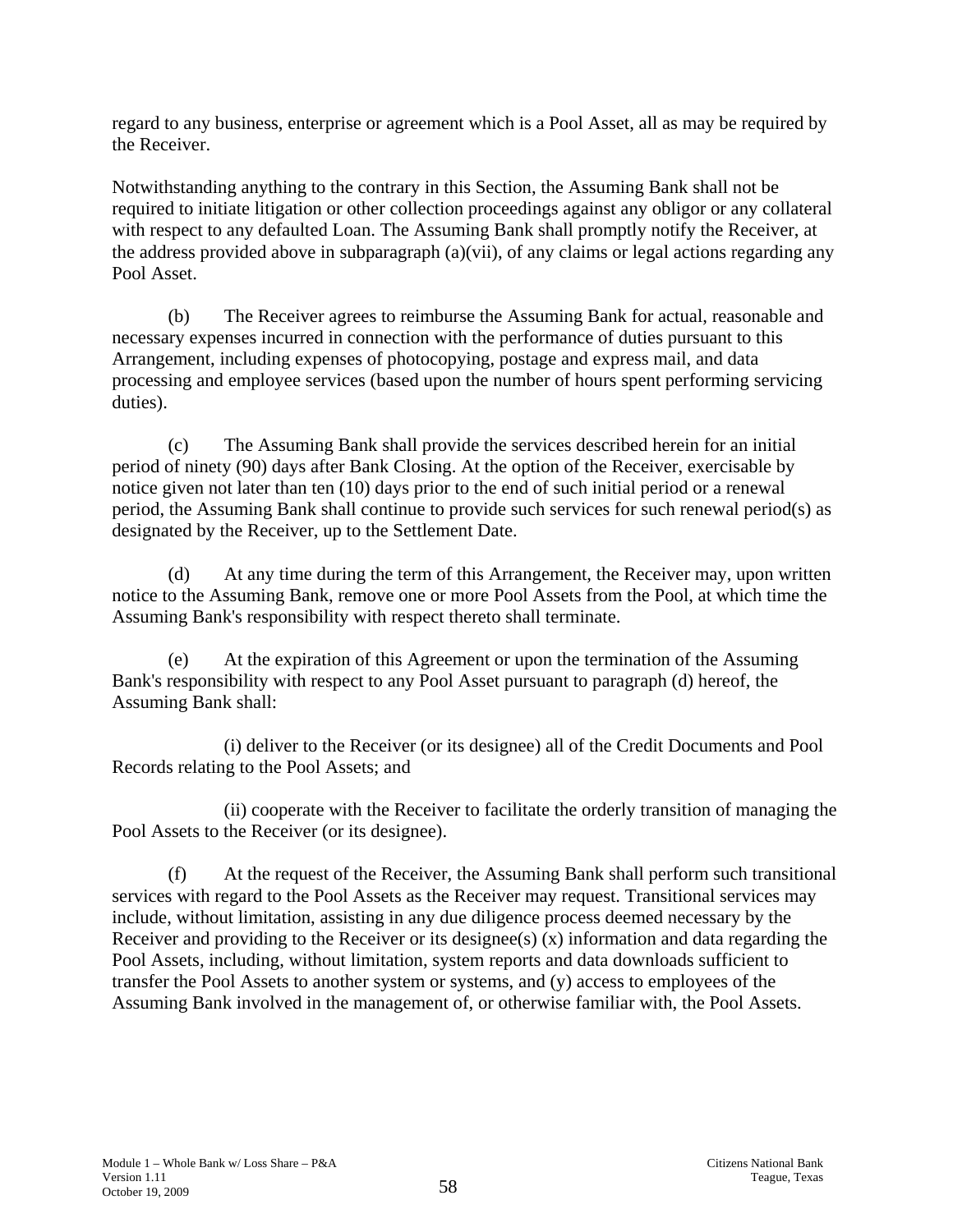regard to any business, enterprise or agreement which is a Pool Asset, all as may be required by the Receiver.

Notwithstanding anything to the contrary in this Section, the Assuming Bank shall not be required to initiate litigation or other collection proceedings against any obligor or any collateral with respect to any defaulted Loan. The Assuming Bank shall promptly notify the Receiver, at the address provided above in subparagraph (a)(vii), of any claims or legal actions regarding any Pool Asset.

(b) The Receiver agrees to reimburse the Assuming Bank for actual, reasonable and necessary expenses incurred in connection with the performance of duties pursuant to this Arrangement, including expenses of photocopying, postage and express mail, and data processing and employee services (based upon the number of hours spent performing servicing duties).

(c) The Assuming Bank shall provide the services described herein for an initial period of ninety (90) days after Bank Closing. At the option of the Receiver, exercisable by notice given not later than ten (10) days prior to the end of such initial period or a renewal period, the Assuming Bank shall continue to provide such services for such renewal period(s) as designated by the Receiver, up to the Settlement Date.

(d) At any time during the term of this Arrangement, the Receiver may, upon written notice to the Assuming Bank, remove one or more Pool Assets from the Pool, at which time the Assuming Bank's responsibility with respect thereto shall terminate.

(e) At the expiration of this Agreement or upon the termination of the Assuming Bank's responsibility with respect to any Pool Asset pursuant to paragraph (d) hereof, the Assuming Bank shall:

(i) deliver to the Receiver (or its designee) all of the Credit Documents and Pool Records relating to the Pool Assets; and

(ii) cooperate with the Receiver to facilitate the orderly transition of managing the Pool Assets to the Receiver (or its designee).

(f) At the request of the Receiver, the Assuming Bank shall perform such transitional services with regard to the Pool Assets as the Receiver may request. Transitional services may include, without limitation, assisting in any due diligence process deemed necessary by the Receiver and providing to the Receiver or its designee(s) (x) information and data regarding the Pool Assets, including, without limitation, system reports and data downloads sufficient to transfer the Pool Assets to another system or systems, and (y) access to employees of the Assuming Bank involved in the management of, or otherwise familiar with, the Pool Assets.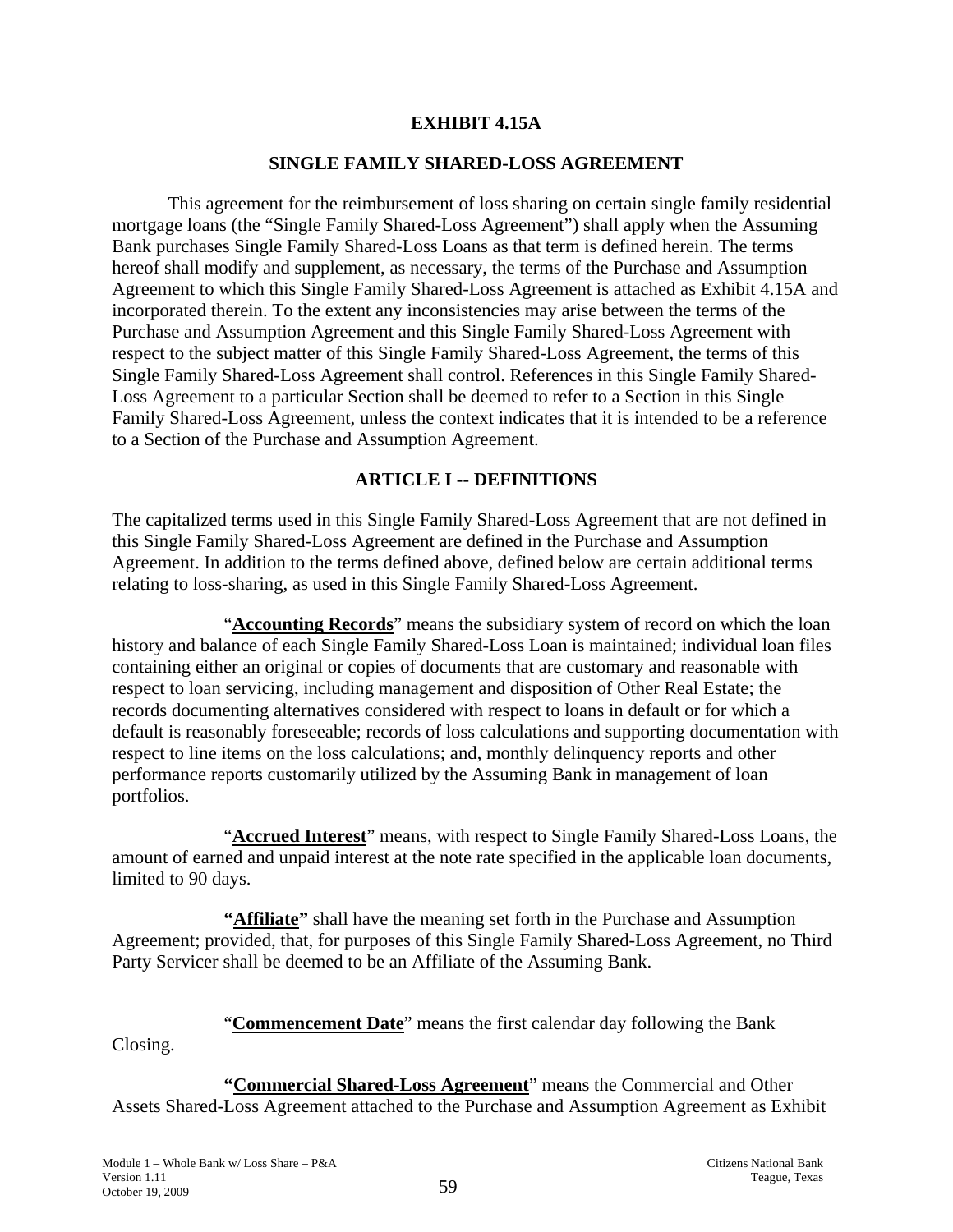#### **EXHIBIT 4.15A**

#### **SINGLE FAMILY SHARED-LOSS AGREEMENT**

This agreement for the reimbursement of loss sharing on certain single family residential mortgage loans (the "Single Family Shared-Loss Agreement") shall apply when the Assuming Bank purchases Single Family Shared-Loss Loans as that term is defined herein. The terms hereof shall modify and supplement, as necessary, the terms of the Purchase and Assumption Agreement to which this Single Family Shared-Loss Agreement is attached as Exhibit 4.15A and incorporated therein. To the extent any inconsistencies may arise between the terms of the Purchase and Assumption Agreement and this Single Family Shared-Loss Agreement with respect to the subject matter of this Single Family Shared-Loss Agreement, the terms of this Single Family Shared-Loss Agreement shall control. References in this Single Family Shared-Loss Agreement to a particular Section shall be deemed to refer to a Section in this Single Family Shared-Loss Agreement, unless the context indicates that it is intended to be a reference to a Section of the Purchase and Assumption Agreement.

#### **ARTICLE I -- DEFINITIONS**

The capitalized terms used in this Single Family Shared-Loss Agreement that are not defined in this Single Family Shared-Loss Agreement are defined in the Purchase and Assumption Agreement. In addition to the terms defined above, defined below are certain additional terms relating to loss-sharing, as used in this Single Family Shared-Loss Agreement.

"**Accounting Records**" means the subsidiary system of record on which the loan history and balance of each Single Family Shared-Loss Loan is maintained; individual loan files containing either an original or copies of documents that are customary and reasonable with respect to loan servicing, including management and disposition of Other Real Estate; the records documenting alternatives considered with respect to loans in default or for which a default is reasonably foreseeable; records of loss calculations and supporting documentation with respect to line items on the loss calculations; and, monthly delinquency reports and other performance reports customarily utilized by the Assuming Bank in management of loan portfolios.

"**Accrued Interest**" means, with respect to Single Family Shared-Loss Loans, the amount of earned and unpaid interest at the note rate specified in the applicable loan documents, limited to 90 days.

**"Affiliate"** shall have the meaning set forth in the Purchase and Assumption Agreement; provided, that, for purposes of this Single Family Shared-Loss Agreement, no Third Party Servicer shall be deemed to be an Affiliate of the Assuming Bank.

"**Commencement Date**" means the first calendar day following the Bank

Closing.

**"Commercial Shared-Loss Agreement**" means the Commercial and Other Assets Shared-Loss Agreement attached to the Purchase and Assumption Agreement as Exhibit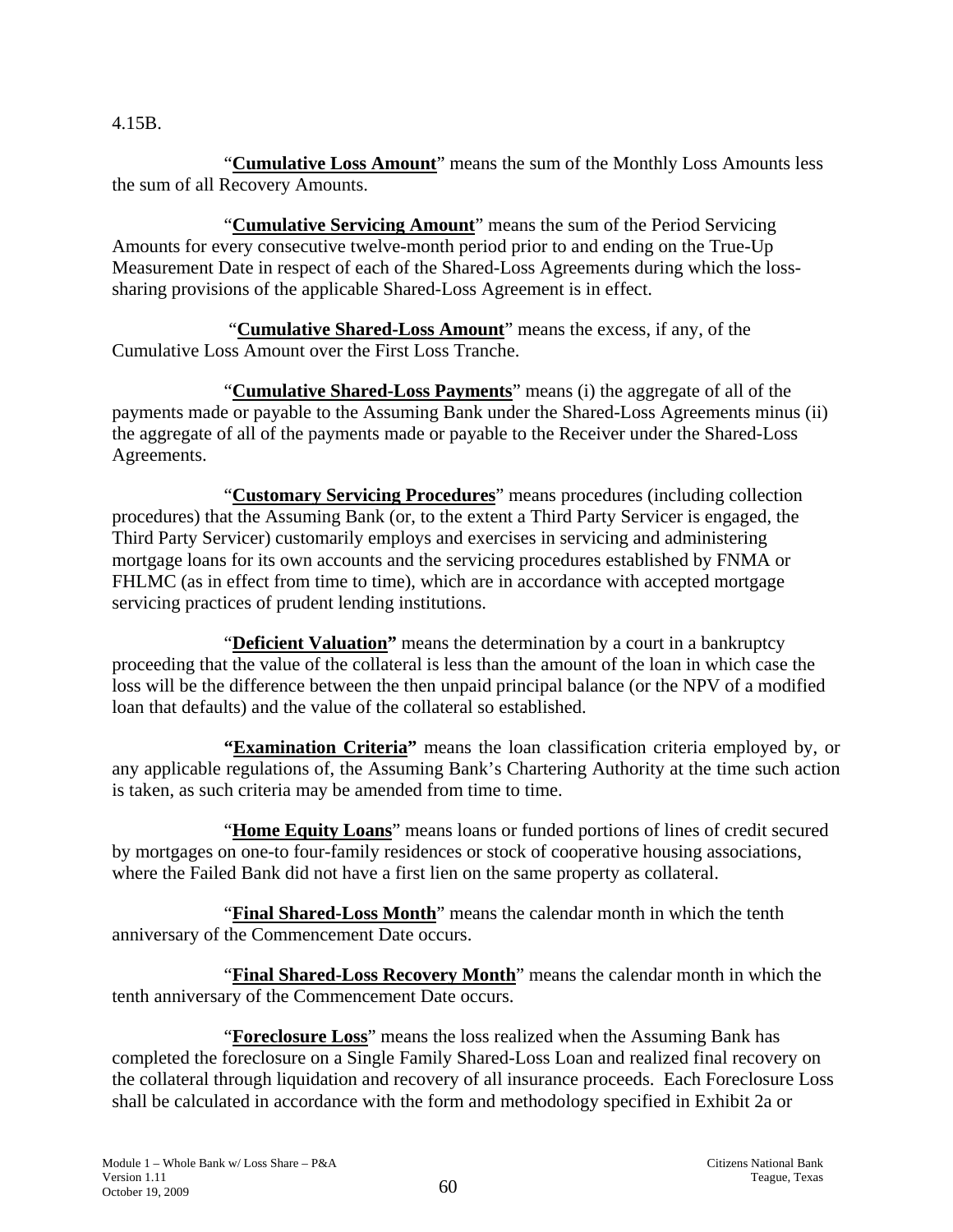4.15B.

"**Cumulative Loss Amount**" means the sum of the Monthly Loss Amounts less the sum of all Recovery Amounts.

"**Cumulative Servicing Amount**" means the sum of the Period Servicing Amounts for every consecutive twelve-month period prior to and ending on the True-Up Measurement Date in respect of each of the Shared-Loss Agreements during which the losssharing provisions of the applicable Shared-Loss Agreement is in effect.

"**Cumulative Shared-Loss Amount**" means the excess, if any, of the Cumulative Loss Amount over the First Loss Tranche.

"**Cumulative Shared-Loss Payments**" means (i) the aggregate of all of the payments made or payable to the Assuming Bank under the Shared-Loss Agreements minus (ii) the aggregate of all of the payments made or payable to the Receiver under the Shared-Loss Agreements.

"**Customary Servicing Procedures**" means procedures (including collection procedures) that the Assuming Bank (or, to the extent a Third Party Servicer is engaged, the Third Party Servicer) customarily employs and exercises in servicing and administering mortgage loans for its own accounts and the servicing procedures established by FNMA or FHLMC (as in effect from time to time), which are in accordance with accepted mortgage servicing practices of prudent lending institutions.

"**Deficient Valuation"** means the determination by a court in a bankruptcy proceeding that the value of the collateral is less than the amount of the loan in which case the loss will be the difference between the then unpaid principal balance (or the NPV of a modified loan that defaults) and the value of the collateral so established.

**"Examination Criteria"** means the loan classification criteria employed by, or any applicable regulations of, the Assuming Bank's Chartering Authority at the time such action is taken, as such criteria may be amended from time to time.

"**Home Equity Loans**" means loans or funded portions of lines of credit secured by mortgages on one-to four-family residences or stock of cooperative housing associations, where the Failed Bank did not have a first lien on the same property as collateral.

"**Final Shared-Loss Month**" means the calendar month in which the tenth anniversary of the Commencement Date occurs.

"**Final Shared-Loss Recovery Month**" means the calendar month in which the tenth anniversary of the Commencement Date occurs.

"**Foreclosure Loss**" means the loss realized when the Assuming Bank has completed the foreclosure on a Single Family Shared-Loss Loan and realized final recovery on the collateral through liquidation and recovery of all insurance proceeds. Each Foreclosure Loss shall be calculated in accordance with the form and methodology specified in Exhibit 2a or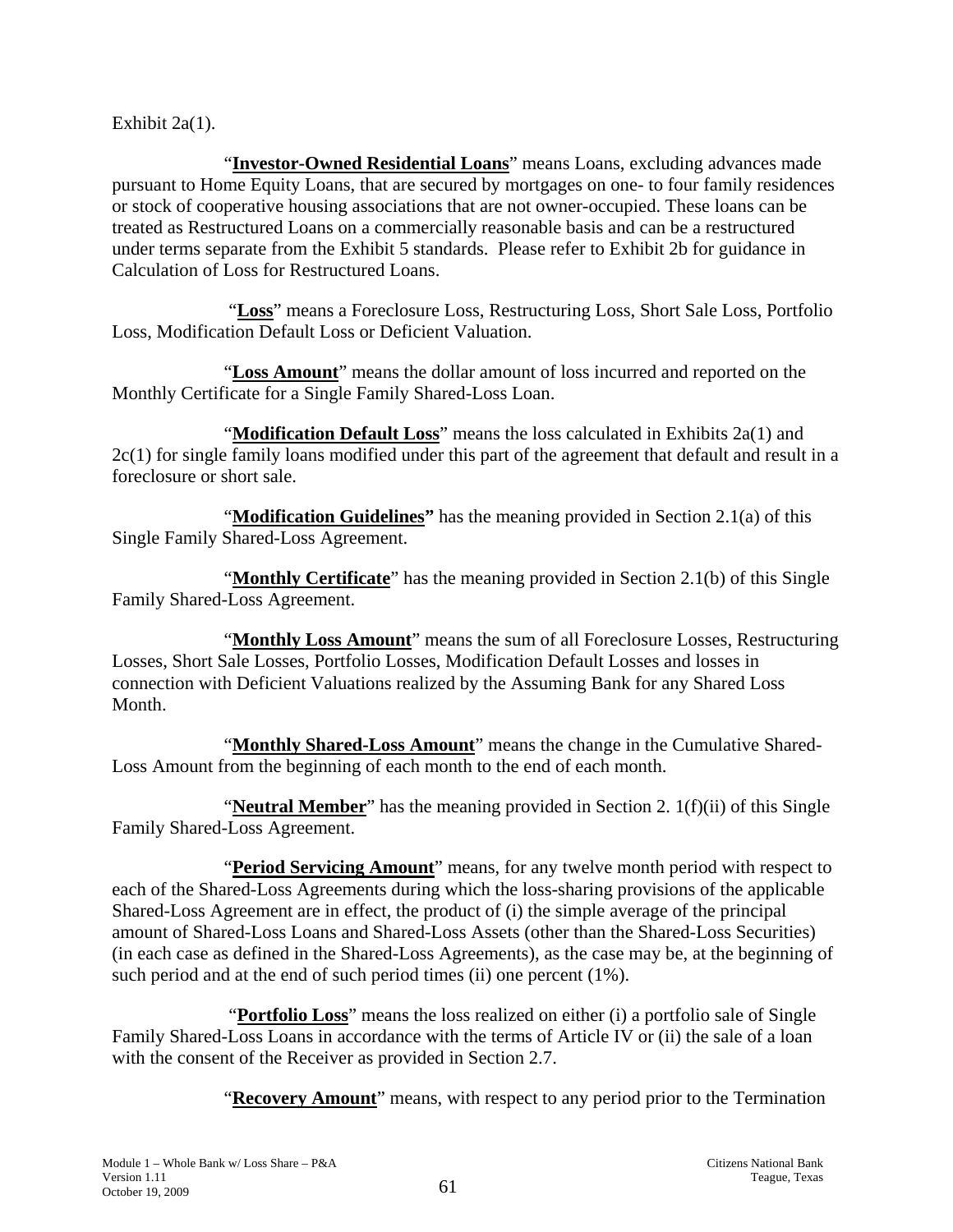Exhibit 2a(1).

"**Investor-Owned Residential Loans**" means Loans, excluding advances made pursuant to Home Equity Loans, that are secured by mortgages on one- to four family residences or stock of cooperative housing associations that are not owner-occupied. These loans can be treated as Restructured Loans on a commercially reasonable basis and can be a restructured under terms separate from the Exhibit 5 standards. Please refer to Exhibit 2b for guidance in Calculation of Loss for Restructured Loans.

"**Loss**" means a Foreclosure Loss, Restructuring Loss, Short Sale Loss, Portfolio Loss, Modification Default Loss or Deficient Valuation.

"**Loss Amount**" means the dollar amount of loss incurred and reported on the Monthly Certificate for a Single Family Shared-Loss Loan.

"**Modification Default Loss**" means the loss calculated in Exhibits 2a(1) and 2c(1) for single family loans modified under this part of the agreement that default and result in a foreclosure or short sale.

"**Modification Guidelines"** has the meaning provided in Section 2.1(a) of this Single Family Shared-Loss Agreement.

"**Monthly Certificate**" has the meaning provided in Section 2.1(b) of this Single Family Shared-Loss Agreement.

"**Monthly Loss Amount**" means the sum of all Foreclosure Losses, Restructuring Losses, Short Sale Losses, Portfolio Losses, Modification Default Losses and losses in connection with Deficient Valuations realized by the Assuming Bank for any Shared Loss Month.

"**Monthly Shared-Loss Amount**" means the change in the Cumulative Shared-Loss Amount from the beginning of each month to the end of each month.

"**Neutral Member**" has the meaning provided in Section 2. 1(f)(ii) of this Single Family Shared-Loss Agreement.

"**Period Servicing Amount**" means, for any twelve month period with respect to each of the Shared-Loss Agreements during which the loss-sharing provisions of the applicable Shared-Loss Agreement are in effect, the product of (i) the simple average of the principal amount of Shared-Loss Loans and Shared-Loss Assets (other than the Shared-Loss Securities) (in each case as defined in the Shared-Loss Agreements), as the case may be, at the beginning of such period and at the end of such period times (ii) one percent (1%).

"**Portfolio Loss**" means the loss realized on either (i) a portfolio sale of Single Family Shared-Loss Loans in accordance with the terms of Article IV or (ii) the sale of a loan with the consent of the Receiver as provided in Section 2.7.

"**Recovery Amount**" means, with respect to any period prior to the Termination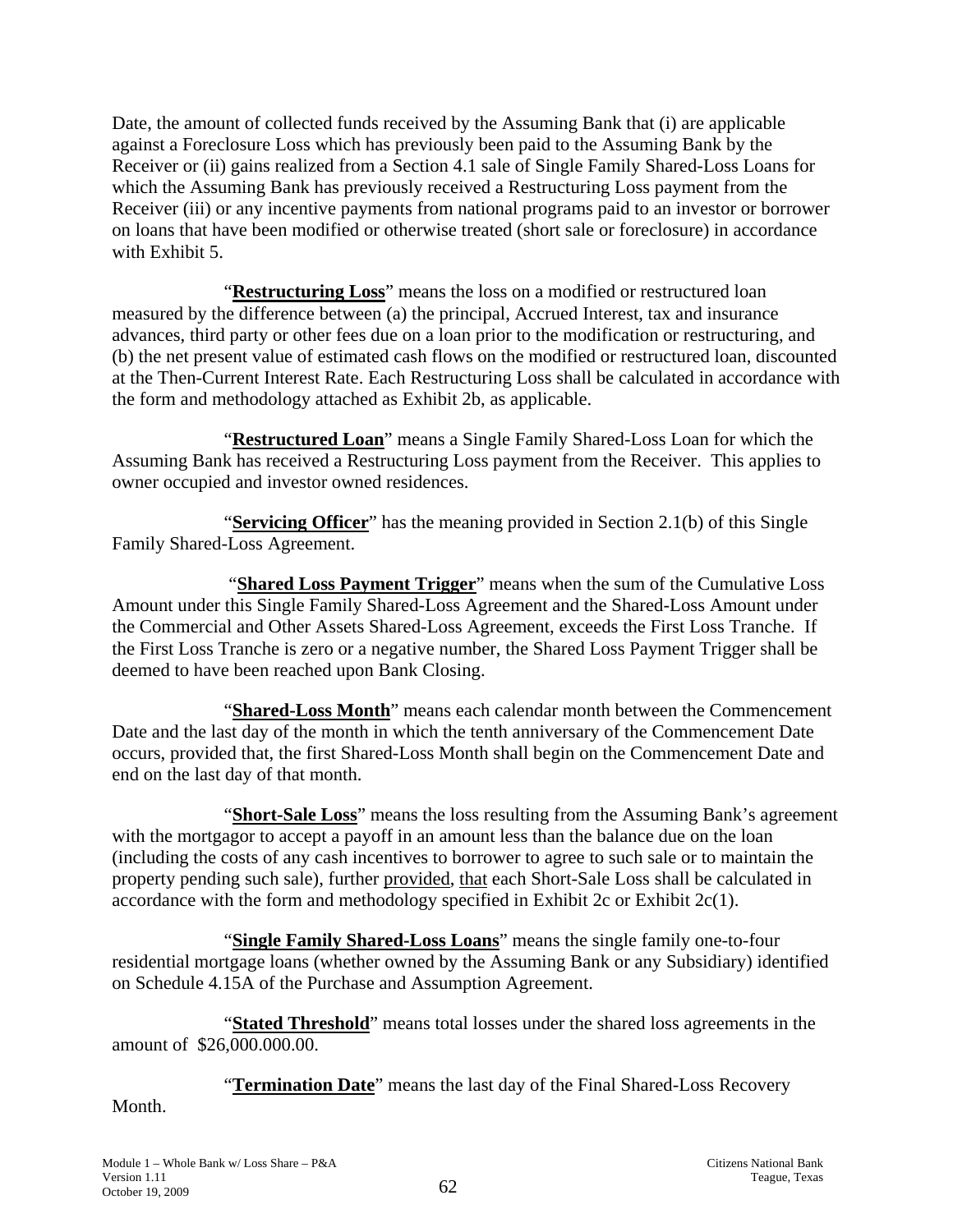Date, the amount of collected funds received by the Assuming Bank that (i) are applicable against a Foreclosure Loss which has previously been paid to the Assuming Bank by the Receiver or (ii) gains realized from a Section 4.1 sale of Single Family Shared-Loss Loans for which the Assuming Bank has previously received a Restructuring Loss payment from the Receiver (iii) or any incentive payments from national programs paid to an investor or borrower on loans that have been modified or otherwise treated (short sale or foreclosure) in accordance with Exhibit 5.

"**Restructuring Loss**" means the loss on a modified or restructured loan measured by the difference between (a) the principal, Accrued Interest, tax and insurance advances, third party or other fees due on a loan prior to the modification or restructuring, and (b) the net present value of estimated cash flows on the modified or restructured loan, discounted at the Then-Current Interest Rate. Each Restructuring Loss shall be calculated in accordance with the form and methodology attached as Exhibit 2b, as applicable.

"**Restructured Loan**" means a Single Family Shared-Loss Loan for which the Assuming Bank has received a Restructuring Loss payment from the Receiver. This applies to owner occupied and investor owned residences.

"**Servicing Officer**" has the meaning provided in Section 2.1(b) of this Single Family Shared-Loss Agreement.

"**Shared Loss Payment Trigger**" means when the sum of the Cumulative Loss Amount under this Single Family Shared-Loss Agreement and the Shared-Loss Amount under the Commercial and Other Assets Shared-Loss Agreement, exceeds the First Loss Tranche. If the First Loss Tranche is zero or a negative number, the Shared Loss Payment Trigger shall be deemed to have been reached upon Bank Closing.

"**Shared-Loss Month**" means each calendar month between the Commencement Date and the last day of the month in which the tenth anniversary of the Commencement Date occurs, provided that, the first Shared-Loss Month shall begin on the Commencement Date and end on the last day of that month.

"**Short-Sale Loss**" means the loss resulting from the Assuming Bank's agreement with the mortgagor to accept a payoff in an amount less than the balance due on the loan (including the costs of any cash incentives to borrower to agree to such sale or to maintain the property pending such sale), further provided, that each Short-Sale Loss shall be calculated in accordance with the form and methodology specified in Exhibit 2c or Exhibit 2c(1).

"**Single Family Shared-Loss Loans**" means the single family one-to-four residential mortgage loans (whether owned by the Assuming Bank or any Subsidiary) identified on Schedule 4.15A of the Purchase and Assumption Agreement.

"**Stated Threshold**" means total losses under the shared loss agreements in the amount of \$26,000.000.00.

"**Termination Date**" means the last day of the Final Shared-Loss Recovery Month.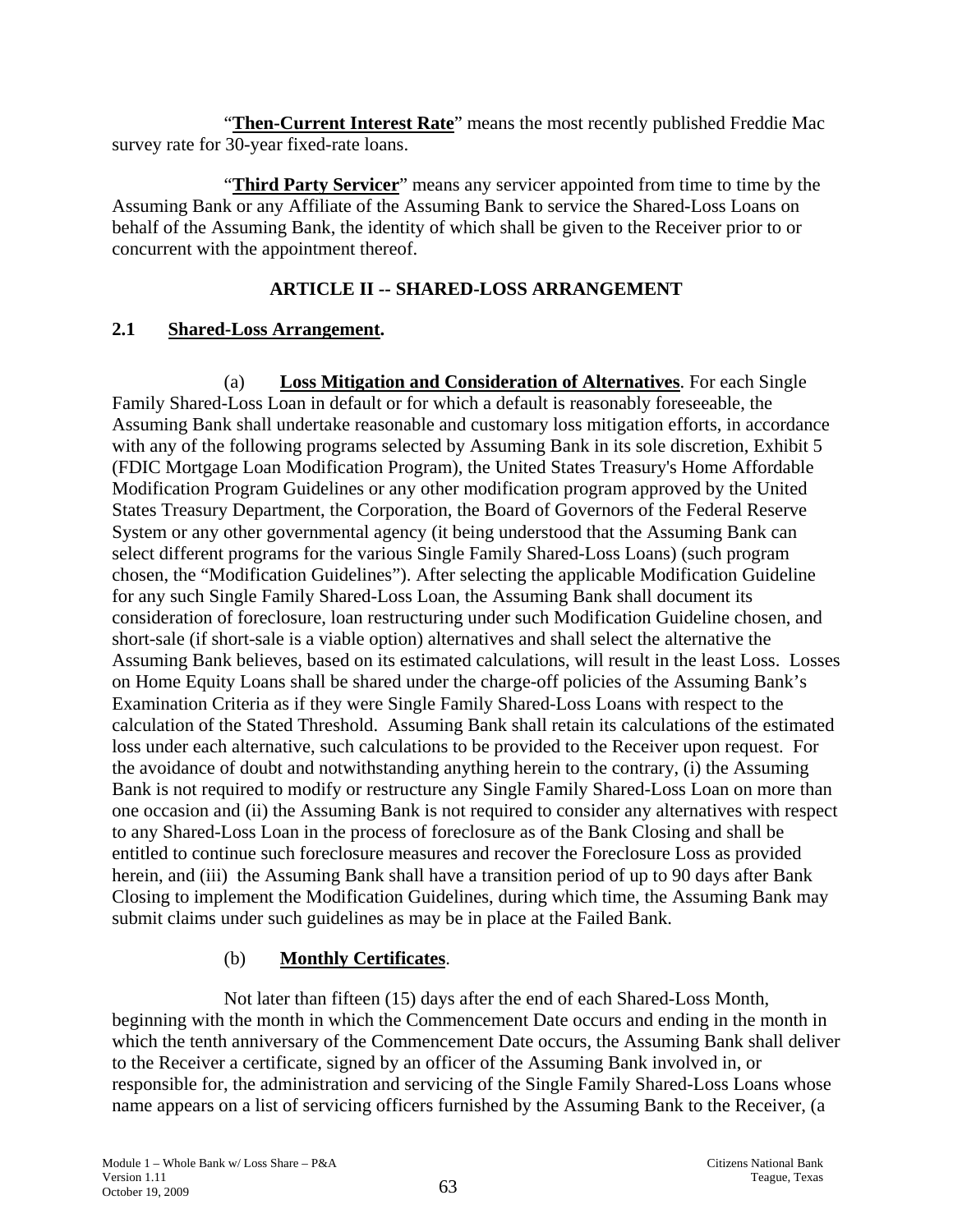"**Then-Current Interest Rate**" means the most recently published Freddie Mac survey rate for 30-year fixed-rate loans.

"**Third Party Servicer**" means any servicer appointed from time to time by the Assuming Bank or any Affiliate of the Assuming Bank to service the Shared-Loss Loans on behalf of the Assuming Bank, the identity of which shall be given to the Receiver prior to or concurrent with the appointment thereof.

# **ARTICLE II -- SHARED-LOSS ARRANGEMENT**

# **2.1 Shared-Loss Arrangement.**

(a) **Loss Mitigation and Consideration of Alternatives**. For each Single Family Shared-Loss Loan in default or for which a default is reasonably foreseeable, the Assuming Bank shall undertake reasonable and customary loss mitigation efforts, in accordance with any of the following programs selected by Assuming Bank in its sole discretion, Exhibit 5 (FDIC Mortgage Loan Modification Program), the United States Treasury's Home Affordable Modification Program Guidelines or any other modification program approved by the United States Treasury Department, the Corporation, the Board of Governors of the Federal Reserve System or any other governmental agency (it being understood that the Assuming Bank can select different programs for the various Single Family Shared-Loss Loans) (such program chosen, the "Modification Guidelines"). After selecting the applicable Modification Guideline for any such Single Family Shared-Loss Loan, the Assuming Bank shall document its consideration of foreclosure, loan restructuring under such Modification Guideline chosen, and short-sale (if short-sale is a viable option) alternatives and shall select the alternative the Assuming Bank believes, based on its estimated calculations, will result in the least Loss. Losses on Home Equity Loans shall be shared under the charge-off policies of the Assuming Bank's Examination Criteria as if they were Single Family Shared-Loss Loans with respect to the calculation of the Stated Threshold. Assuming Bank shall retain its calculations of the estimated loss under each alternative, such calculations to be provided to the Receiver upon request. For the avoidance of doubt and notwithstanding anything herein to the contrary, (i) the Assuming Bank is not required to modify or restructure any Single Family Shared-Loss Loan on more than one occasion and (ii) the Assuming Bank is not required to consider any alternatives with respect to any Shared-Loss Loan in the process of foreclosure as of the Bank Closing and shall be entitled to continue such foreclosure measures and recover the Foreclosure Loss as provided herein, and (iii) the Assuming Bank shall have a transition period of up to 90 days after Bank Closing to implement the Modification Guidelines, during which time, the Assuming Bank may submit claims under such guidelines as may be in place at the Failed Bank.

# (b) **Monthly Certificates**.

Not later than fifteen (15) days after the end of each Shared-Loss Month, beginning with the month in which the Commencement Date occurs and ending in the month in which the tenth anniversary of the Commencement Date occurs, the Assuming Bank shall deliver to the Receiver a certificate, signed by an officer of the Assuming Bank involved in, or responsible for, the administration and servicing of the Single Family Shared-Loss Loans whose name appears on a list of servicing officers furnished by the Assuming Bank to the Receiver, (a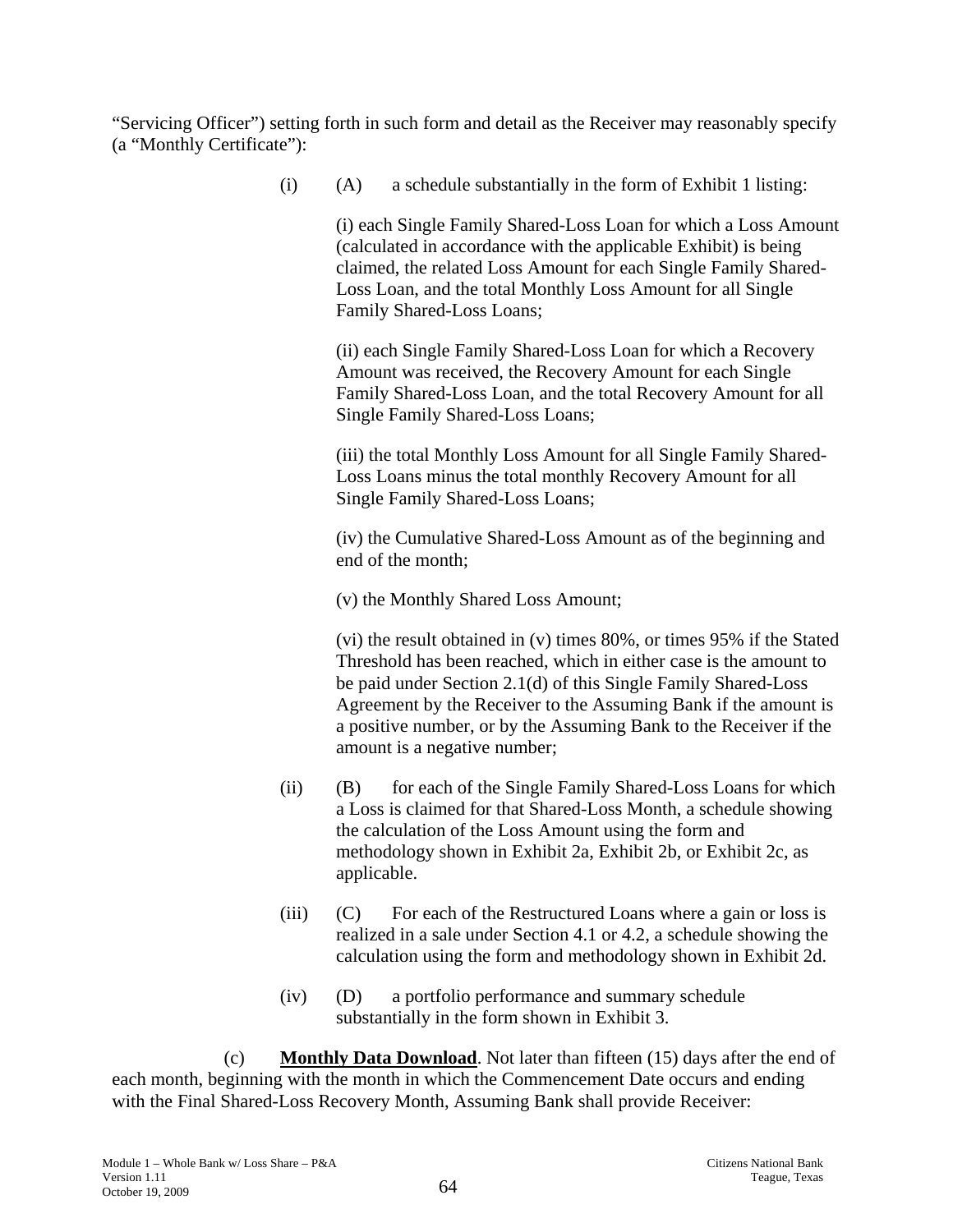"Servicing Officer") setting forth in such form and detail as the Receiver may reasonably specify (a "Monthly Certificate"):

 $(i)$  (A) a schedule substantially in the form of Exhibit 1 listing:

(i) each Single Family Shared-Loss Loan for which a Loss Amount (calculated in accordance with the applicable Exhibit) is being claimed, the related Loss Amount for each Single Family Shared-Loss Loan, and the total Monthly Loss Amount for all Single Family Shared-Loss Loans;

(ii) each Single Family Shared-Loss Loan for which a Recovery Amount was received, the Recovery Amount for each Single Family Shared-Loss Loan, and the total Recovery Amount for all Single Family Shared-Loss Loans;

(iii) the total Monthly Loss Amount for all Single Family Shared-Loss Loans minus the total monthly Recovery Amount for all Single Family Shared-Loss Loans;

(iv) the Cumulative Shared-Loss Amount as of the beginning and end of the month;

(v) the Monthly Shared Loss Amount;

(vi) the result obtained in (v) times 80%, or times 95% if the Stated Threshold has been reached, which in either case is the amount to be paid under Section 2.1(d) of this Single Family Shared-Loss Agreement by the Receiver to the Assuming Bank if the amount is a positive number, or by the Assuming Bank to the Receiver if the amount is a negative number;

- (ii) (B) for each of the Single Family Shared-Loss Loans for which a Loss is claimed for that Shared-Loss Month, a schedule showing the calculation of the Loss Amount using the form and methodology shown in Exhibit 2a, Exhibit 2b, or Exhibit 2c, as applicable.
- (iii)  $(C)$  For each of the Restructured Loans where a gain or loss is realized in a sale under Section 4.1 or 4.2, a schedule showing the calculation using the form and methodology shown in Exhibit 2d.
- (iv) (D) a portfolio performance and summary schedule substantially in the form shown in Exhibit 3.

(c) **Monthly Data Download**. Not later than fifteen (15) days after the end of each month, beginning with the month in which the Commencement Date occurs and ending with the Final Shared-Loss Recovery Month, Assuming Bank shall provide Receiver: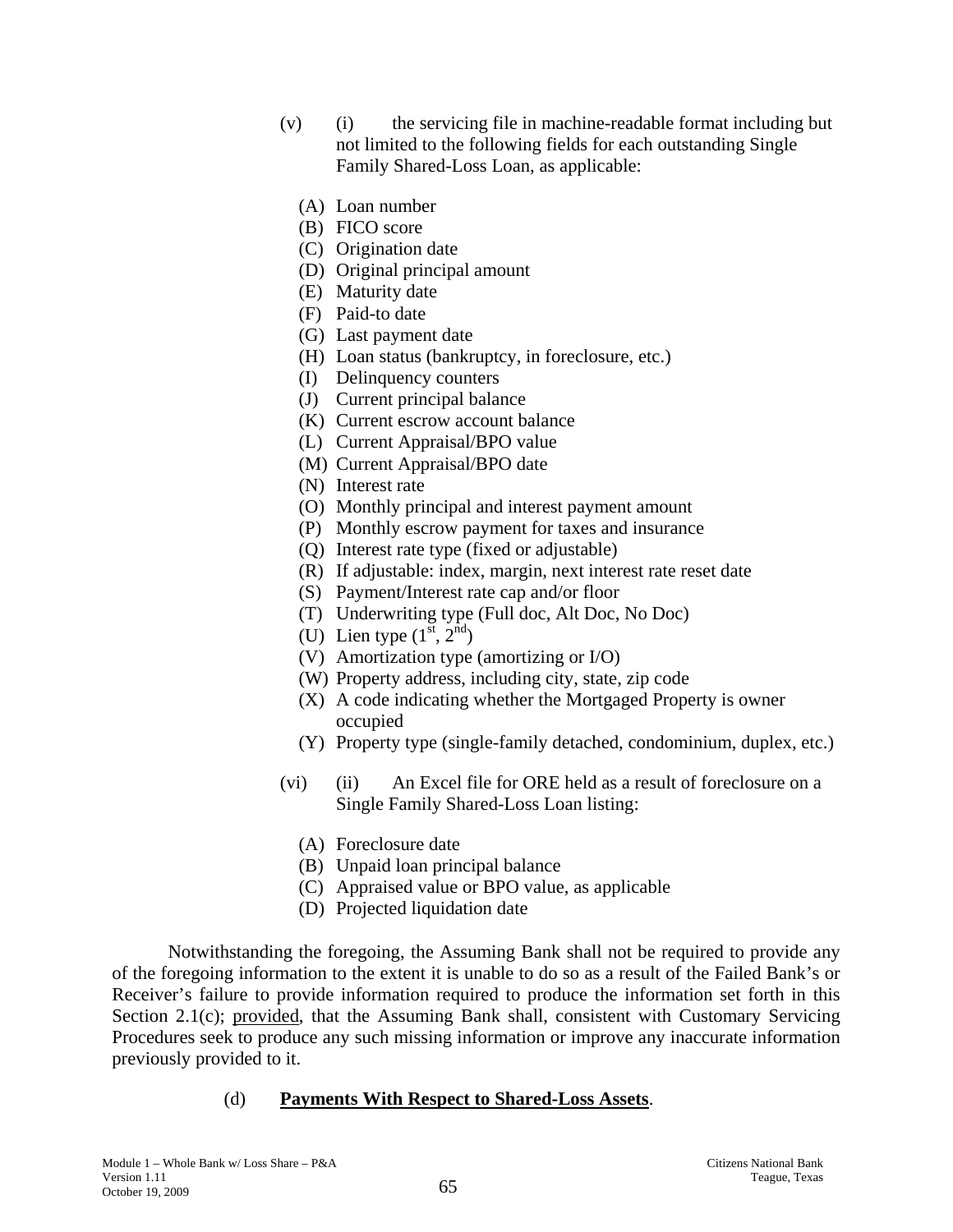- $(v)$  (i) the servicing file in machine-readable format including but not limited to the following fields for each outstanding Single Family Shared-Loss Loan, as applicable:
	- (A) Loan number
	- (B) FICO score
	- (C) Origination date
	- (D) Original principal amount
	- (E) Maturity date
	- (F) Paid-to date
	- (G) Last payment date
	- (H) Loan status (bankruptcy, in foreclosure, etc.)
	- (I) Delinquency counters
	- (J) Current principal balance
	- (K) Current escrow account balance
	- (L) Current Appraisal/BPO value
	- (M) Current Appraisal/BPO date
	- (N) Interest rate
	- (O) Monthly principal and interest payment amount
	- (P) Monthly escrow payment for taxes and insurance
	- (Q) Interest rate type (fixed or adjustable)
	- (R) If adjustable: index, margin, next interest rate reset date
	- (S) Payment/Interest rate cap and/or floor
	- (T) Underwriting type (Full doc, Alt Doc, No Doc)
	- (U) Lien type  $(1^{\overline{s}t}, 2^{\overline{n}d})$
	- (V) Amortization type (amortizing or I/O)
	- (W) Property address, including city, state, zip code
	- (X) A code indicating whether the Mortgaged Property is owner occupied
	- (Y) Property type (single-family detached, condominium, duplex, etc.)
- (vi) (ii) An Excel file for ORE held as a result of foreclosure on a Single Family Shared-Loss Loan listing:
	- (A) Foreclosure date
	- (B) Unpaid loan principal balance
	- (C) Appraised value or BPO value, as applicable
	- (D) Projected liquidation date

Notwithstanding the foregoing, the Assuming Bank shall not be required to provide any of the foregoing information to the extent it is unable to do so as a result of the Failed Bank's or Receiver's failure to provide information required to produce the information set forth in this Section 2.1(c); provided, that the Assuming Bank shall, consistent with Customary Servicing Procedures seek to produce any such missing information or improve any inaccurate information previously provided to it.

(d) **Payments With Respect to Shared-Loss Assets**.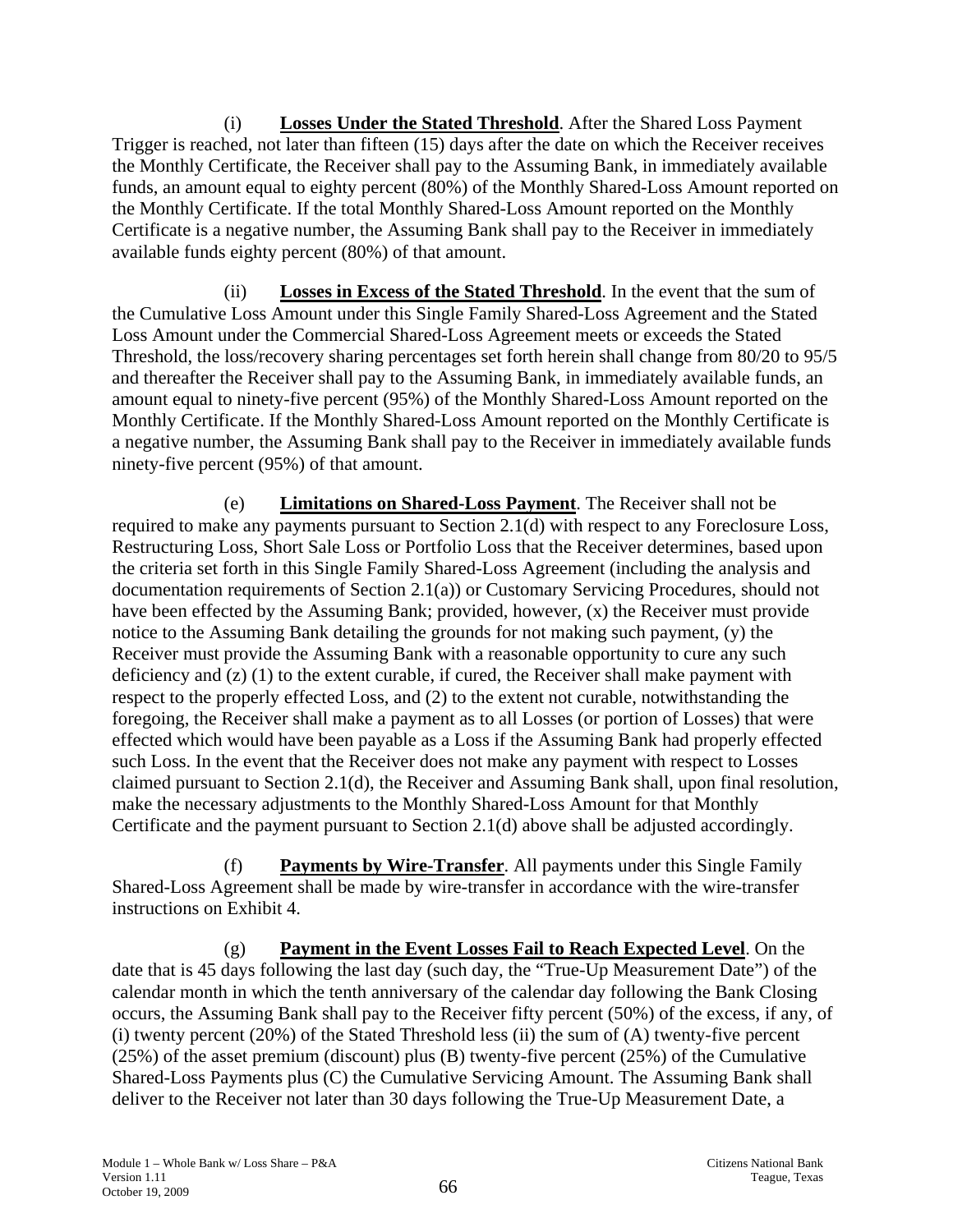(i) **Losses Under the Stated Threshold**. After the Shared Loss Payment Trigger is reached, not later than fifteen (15) days after the date on which the Receiver receives the Monthly Certificate, the Receiver shall pay to the Assuming Bank, in immediately available funds, an amount equal to eighty percent (80%) of the Monthly Shared-Loss Amount reported on the Monthly Certificate. If the total Monthly Shared-Loss Amount reported on the Monthly Certificate is a negative number, the Assuming Bank shall pay to the Receiver in immediately available funds eighty percent (80%) of that amount.

(ii) **Losses in Excess of the Stated Threshold**. In the event that the sum of the Cumulative Loss Amount under this Single Family Shared-Loss Agreement and the Stated Loss Amount under the Commercial Shared-Loss Agreement meets or exceeds the Stated Threshold, the loss/recovery sharing percentages set forth herein shall change from 80/20 to 95/5 and thereafter the Receiver shall pay to the Assuming Bank, in immediately available funds, an amount equal to ninety-five percent (95%) of the Monthly Shared-Loss Amount reported on the Monthly Certificate. If the Monthly Shared-Loss Amount reported on the Monthly Certificate is a negative number, the Assuming Bank shall pay to the Receiver in immediately available funds ninety-five percent (95%) of that amount.

(e) **Limitations on Shared-Loss Payment**. The Receiver shall not be required to make any payments pursuant to Section 2.1(d) with respect to any Foreclosure Loss, Restructuring Loss, Short Sale Loss or Portfolio Loss that the Receiver determines, based upon the criteria set forth in this Single Family Shared-Loss Agreement (including the analysis and documentation requirements of Section 2.1(a)) or Customary Servicing Procedures, should not have been effected by the Assuming Bank; provided, however, (x) the Receiver must provide notice to the Assuming Bank detailing the grounds for not making such payment, (y) the Receiver must provide the Assuming Bank with a reasonable opportunity to cure any such deficiency and (z) (1) to the extent curable, if cured, the Receiver shall make payment with respect to the properly effected Loss, and (2) to the extent not curable, notwithstanding the foregoing, the Receiver shall make a payment as to all Losses (or portion of Losses) that were effected which would have been payable as a Loss if the Assuming Bank had properly effected such Loss. In the event that the Receiver does not make any payment with respect to Losses claimed pursuant to Section 2.1(d), the Receiver and Assuming Bank shall, upon final resolution, make the necessary adjustments to the Monthly Shared-Loss Amount for that Monthly Certificate and the payment pursuant to Section 2.1(d) above shall be adjusted accordingly.

(f) **Payments by Wire-Transfer**. All payments under this Single Family Shared-Loss Agreement shall be made by wire-transfer in accordance with the wire-transfer instructions on Exhibit 4.

 (g) **Payment in the Event Losses Fail to Reach Expected Level**. On the date that is 45 days following the last day (such day, the "True-Up Measurement Date") of the calendar month in which the tenth anniversary of the calendar day following the Bank Closing occurs, the Assuming Bank shall pay to the Receiver fifty percent (50%) of the excess, if any, of  $(i)$  twenty percent (20%) of the Stated Threshold less  $(ii)$  the sum of  $(A)$  twenty-five percent (25%) of the asset premium (discount) plus (B) twenty-five percent (25%) of the Cumulative Shared-Loss Payments plus (C) the Cumulative Servicing Amount. The Assuming Bank shall deliver to the Receiver not later than 30 days following the True-Up Measurement Date, a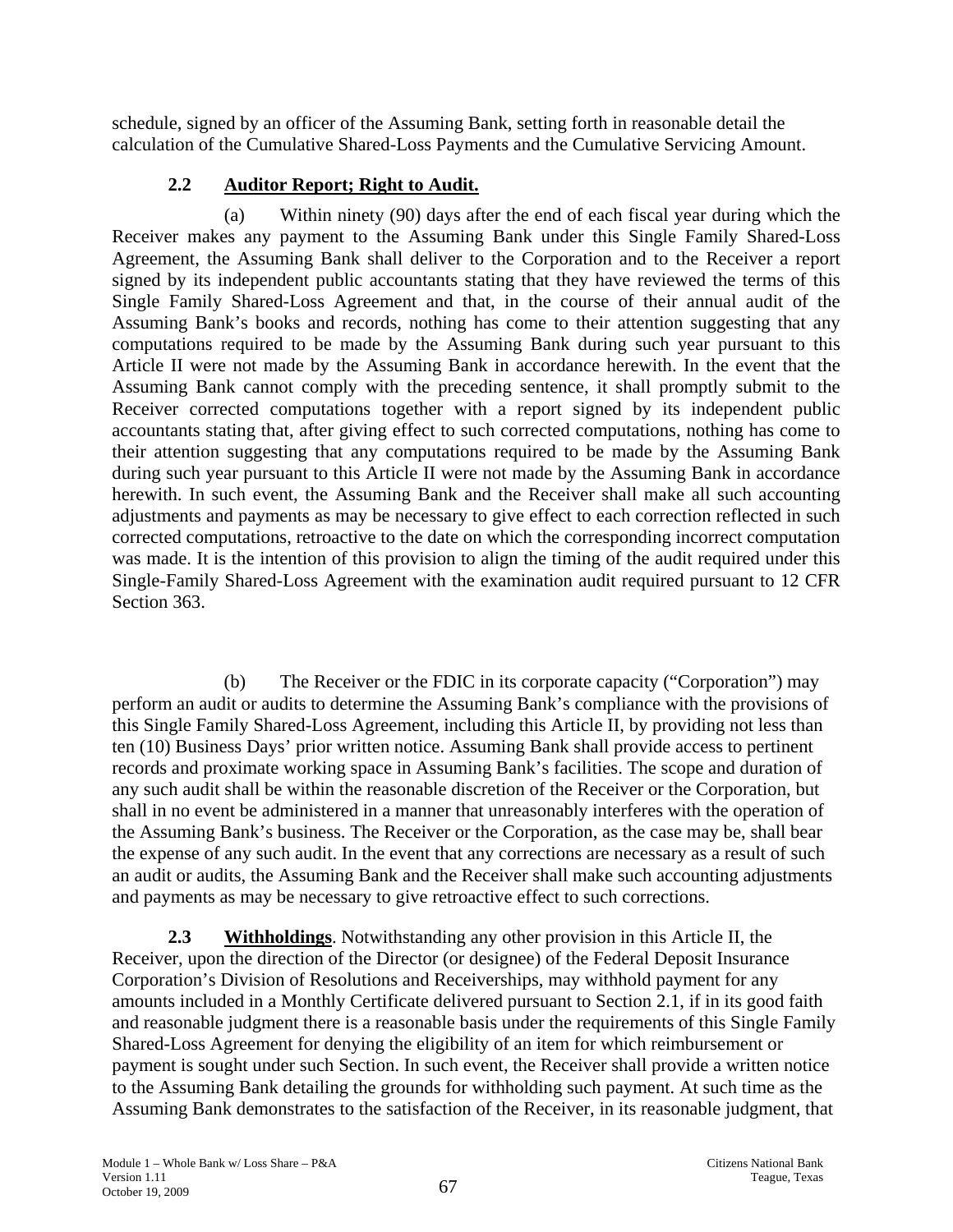schedule, signed by an officer of the Assuming Bank, setting forth in reasonable detail the calculation of the Cumulative Shared-Loss Payments and the Cumulative Servicing Amount.

# **2.2 Auditor Report; Right to Audit.**

(a) Within ninety (90) days after the end of each fiscal year during which the Receiver makes any payment to the Assuming Bank under this Single Family Shared-Loss Agreement, the Assuming Bank shall deliver to the Corporation and to the Receiver a report signed by its independent public accountants stating that they have reviewed the terms of this Single Family Shared-Loss Agreement and that, in the course of their annual audit of the Assuming Bank's books and records, nothing has come to their attention suggesting that any computations required to be made by the Assuming Bank during such year pursuant to this Article II were not made by the Assuming Bank in accordance herewith. In the event that the Assuming Bank cannot comply with the preceding sentence, it shall promptly submit to the Receiver corrected computations together with a report signed by its independent public accountants stating that, after giving effect to such corrected computations, nothing has come to their attention suggesting that any computations required to be made by the Assuming Bank during such year pursuant to this Article II were not made by the Assuming Bank in accordance herewith. In such event, the Assuming Bank and the Receiver shall make all such accounting adjustments and payments as may be necessary to give effect to each correction reflected in such corrected computations, retroactive to the date on which the corresponding incorrect computation was made. It is the intention of this provision to align the timing of the audit required under this Single-Family Shared-Loss Agreement with the examination audit required pursuant to 12 CFR Section 363.

(b) The Receiver or the FDIC in its corporate capacity ("Corporation") may perform an audit or audits to determine the Assuming Bank's compliance with the provisions of this Single Family Shared-Loss Agreement, including this Article II, by providing not less than ten (10) Business Days' prior written notice. Assuming Bank shall provide access to pertinent records and proximate working space in Assuming Bank's facilities. The scope and duration of any such audit shall be within the reasonable discretion of the Receiver or the Corporation, but shall in no event be administered in a manner that unreasonably interferes with the operation of the Assuming Bank's business. The Receiver or the Corporation, as the case may be, shall bear the expense of any such audit. In the event that any corrections are necessary as a result of such an audit or audits, the Assuming Bank and the Receiver shall make such accounting adjustments and payments as may be necessary to give retroactive effect to such corrections.

**2.3 Withholdings**. Notwithstanding any other provision in this Article II, the Receiver, upon the direction of the Director (or designee) of the Federal Deposit Insurance Corporation's Division of Resolutions and Receiverships, may withhold payment for any amounts included in a Monthly Certificate delivered pursuant to Section 2.1, if in its good faith and reasonable judgment there is a reasonable basis under the requirements of this Single Family Shared-Loss Agreement for denying the eligibility of an item for which reimbursement or payment is sought under such Section. In such event, the Receiver shall provide a written notice to the Assuming Bank detailing the grounds for withholding such payment. At such time as the Assuming Bank demonstrates to the satisfaction of the Receiver, in its reasonable judgment, that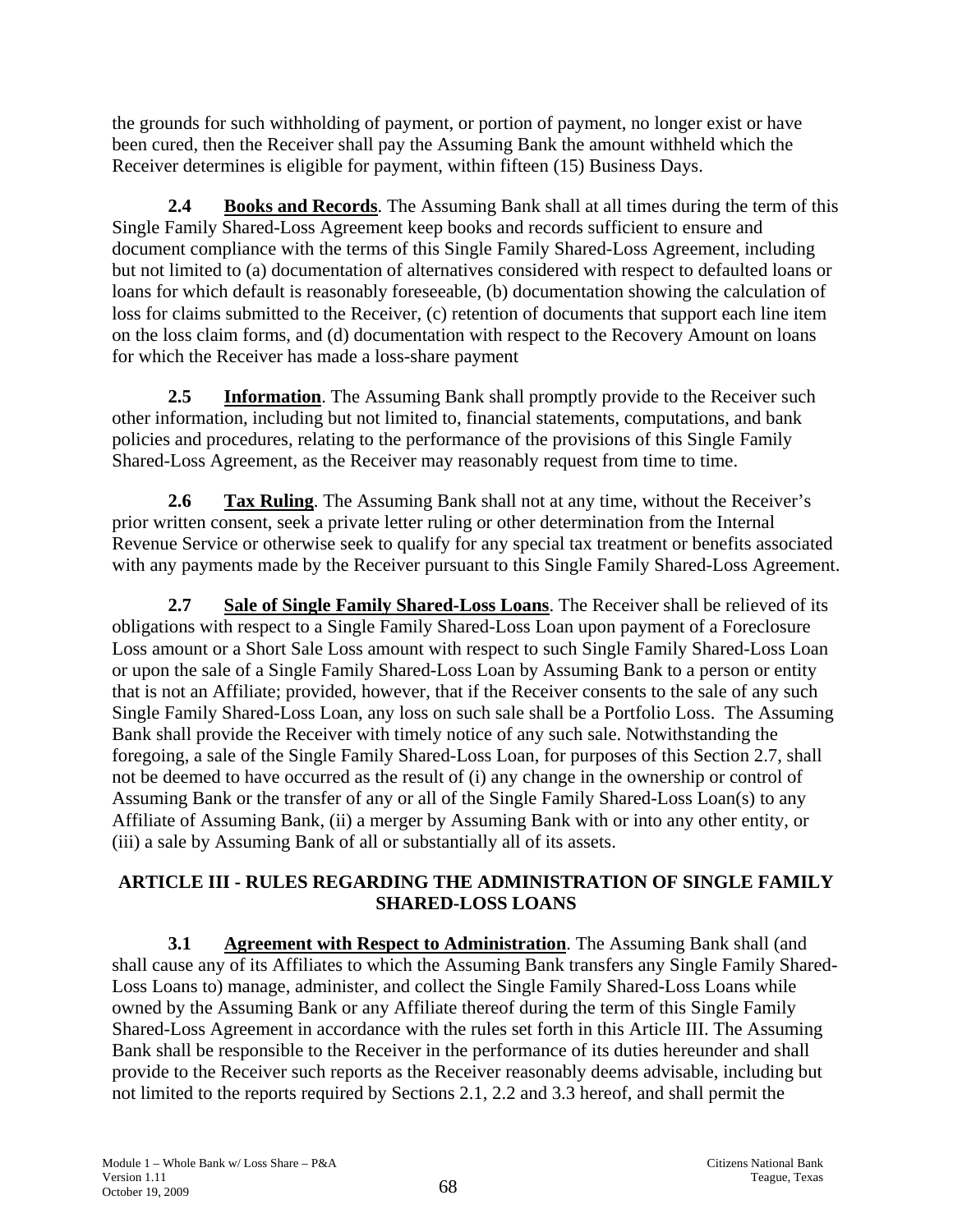the grounds for such withholding of payment, or portion of payment, no longer exist or have been cured, then the Receiver shall pay the Assuming Bank the amount withheld which the Receiver determines is eligible for payment, within fifteen (15) Business Days.

**2.4 Books and Records**. The Assuming Bank shall at all times during the term of this Single Family Shared-Loss Agreement keep books and records sufficient to ensure and document compliance with the terms of this Single Family Shared-Loss Agreement, including but not limited to (a) documentation of alternatives considered with respect to defaulted loans or loans for which default is reasonably foreseeable, (b) documentation showing the calculation of loss for claims submitted to the Receiver, (c) retention of documents that support each line item on the loss claim forms, and (d) documentation with respect to the Recovery Amount on loans for which the Receiver has made a loss-share payment

**2.5 Information**. The Assuming Bank shall promptly provide to the Receiver such other information, including but not limited to, financial statements, computations, and bank policies and procedures, relating to the performance of the provisions of this Single Family Shared-Loss Agreement, as the Receiver may reasonably request from time to time.

**2.6** Tax Ruling. The Assuming Bank shall not at any time, without the Receiver's prior written consent, seek a private letter ruling or other determination from the Internal Revenue Service or otherwise seek to qualify for any special tax treatment or benefits associated with any payments made by the Receiver pursuant to this Single Family Shared-Loss Agreement.

**2.7 Sale of Single Family Shared-Loss Loans**. The Receiver shall be relieved of its obligations with respect to a Single Family Shared-Loss Loan upon payment of a Foreclosure Loss amount or a Short Sale Loss amount with respect to such Single Family Shared-Loss Loan or upon the sale of a Single Family Shared-Loss Loan by Assuming Bank to a person or entity that is not an Affiliate; provided, however, that if the Receiver consents to the sale of any such Single Family Shared-Loss Loan, any loss on such sale shall be a Portfolio Loss. The Assuming Bank shall provide the Receiver with timely notice of any such sale. Notwithstanding the foregoing, a sale of the Single Family Shared-Loss Loan, for purposes of this Section 2.7, shall not be deemed to have occurred as the result of (i) any change in the ownership or control of Assuming Bank or the transfer of any or all of the Single Family Shared-Loss Loan(s) to any Affiliate of Assuming Bank, (ii) a merger by Assuming Bank with or into any other entity, or (iii) a sale by Assuming Bank of all or substantially all of its assets.

# **ARTICLE III - RULES REGARDING THE ADMINISTRATION OF SINGLE FAMILY SHARED-LOSS LOANS**

**3.1 Agreement with Respect to Administration**. The Assuming Bank shall (and shall cause any of its Affiliates to which the Assuming Bank transfers any Single Family Shared-Loss Loans to) manage, administer, and collect the Single Family Shared-Loss Loans while owned by the Assuming Bank or any Affiliate thereof during the term of this Single Family Shared-Loss Agreement in accordance with the rules set forth in this Article III. The Assuming Bank shall be responsible to the Receiver in the performance of its duties hereunder and shall provide to the Receiver such reports as the Receiver reasonably deems advisable, including but not limited to the reports required by Sections 2.1, 2.2 and 3.3 hereof, and shall permit the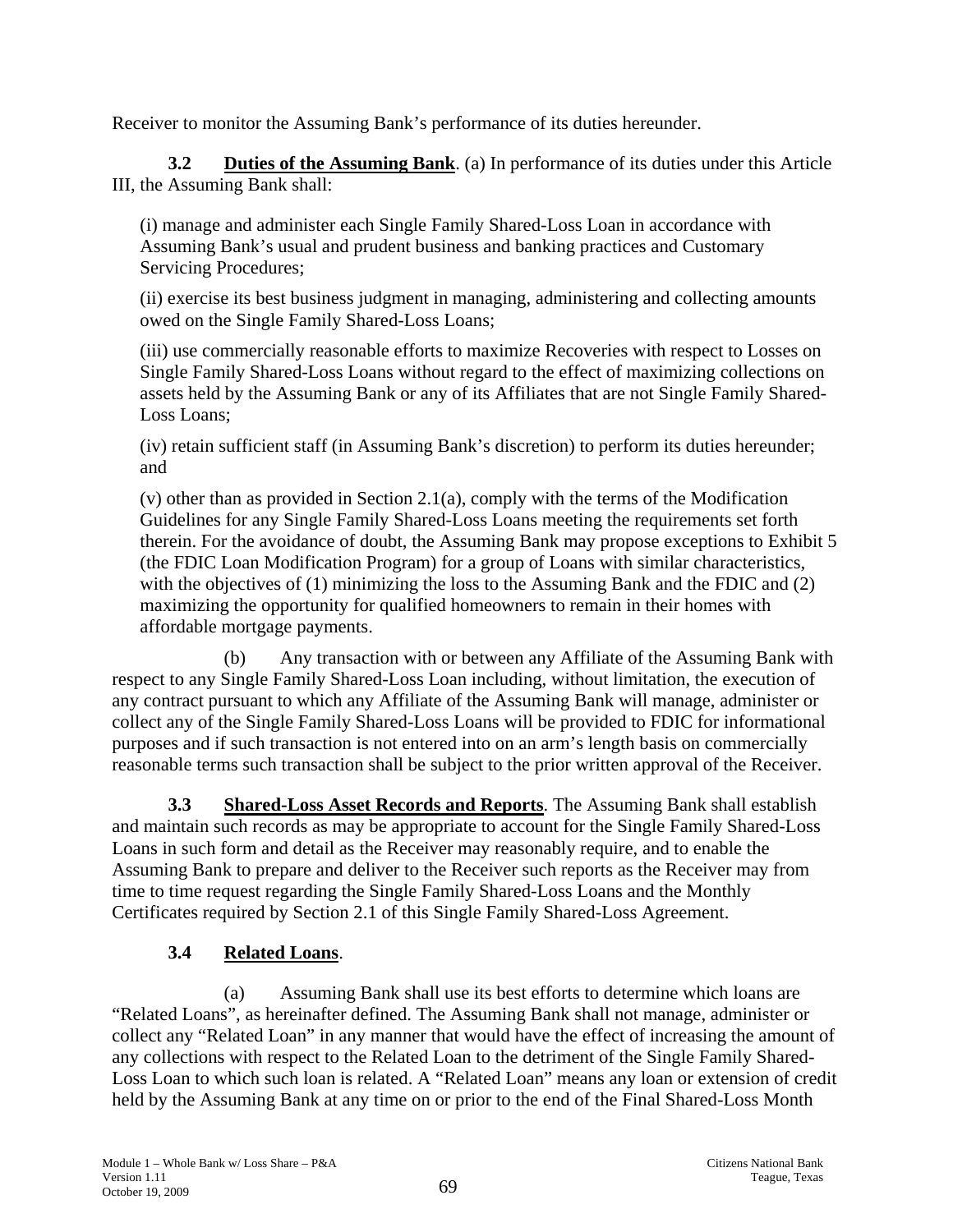Receiver to monitor the Assuming Bank's performance of its duties hereunder.

**3.2 Duties of the Assuming Bank**. (a) In performance of its duties under this Article III, the Assuming Bank shall:

(i) manage and administer each Single Family Shared-Loss Loan in accordance with Assuming Bank's usual and prudent business and banking practices and Customary Servicing Procedures;

(ii) exercise its best business judgment in managing, administering and collecting amounts owed on the Single Family Shared-Loss Loans;

(iii) use commercially reasonable efforts to maximize Recoveries with respect to Losses on Single Family Shared-Loss Loans without regard to the effect of maximizing collections on assets held by the Assuming Bank or any of its Affiliates that are not Single Family Shared-Loss Loans;

(iv) retain sufficient staff (in Assuming Bank's discretion) to perform its duties hereunder; and

(v) other than as provided in Section 2.1(a), comply with the terms of the Modification Guidelines for any Single Family Shared-Loss Loans meeting the requirements set forth therein. For the avoidance of doubt, the Assuming Bank may propose exceptions to Exhibit 5 (the FDIC Loan Modification Program) for a group of Loans with similar characteristics, with the objectives of (1) minimizing the loss to the Assuming Bank and the FDIC and (2) maximizing the opportunity for qualified homeowners to remain in their homes with affordable mortgage payments.

(b) Any transaction with or between any Affiliate of the Assuming Bank with respect to any Single Family Shared-Loss Loan including, without limitation, the execution of any contract pursuant to which any Affiliate of the Assuming Bank will manage, administer or collect any of the Single Family Shared-Loss Loans will be provided to FDIC for informational purposes and if such transaction is not entered into on an arm's length basis on commercially reasonable terms such transaction shall be subject to the prior written approval of the Receiver.

**3.3 Shared-Loss Asset Records and Reports**. The Assuming Bank shall establish and maintain such records as may be appropriate to account for the Single Family Shared-Loss Loans in such form and detail as the Receiver may reasonably require, and to enable the Assuming Bank to prepare and deliver to the Receiver such reports as the Receiver may from time to time request regarding the Single Family Shared-Loss Loans and the Monthly Certificates required by Section 2.1 of this Single Family Shared-Loss Agreement.

## **3.4 Related Loans**.

(a) Assuming Bank shall use its best efforts to determine which loans are "Related Loans", as hereinafter defined. The Assuming Bank shall not manage, administer or collect any "Related Loan" in any manner that would have the effect of increasing the amount of any collections with respect to the Related Loan to the detriment of the Single Family Shared-Loss Loan to which such loan is related. A "Related Loan" means any loan or extension of credit held by the Assuming Bank at any time on or prior to the end of the Final Shared-Loss Month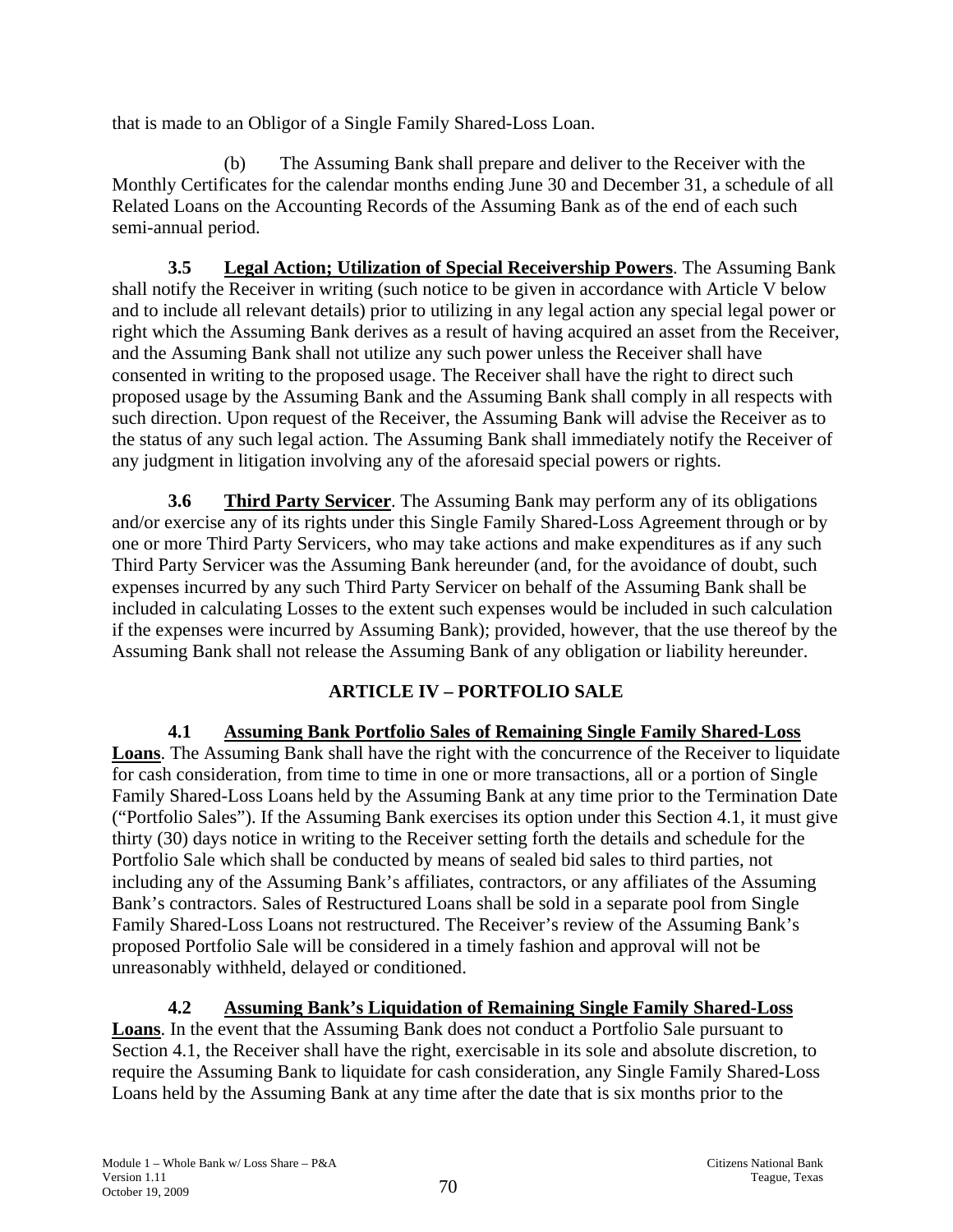that is made to an Obligor of a Single Family Shared-Loss Loan.

(b) The Assuming Bank shall prepare and deliver to the Receiver with the Monthly Certificates for the calendar months ending June 30 and December 31, a schedule of all Related Loans on the Accounting Records of the Assuming Bank as of the end of each such semi-annual period.

**3.5 Legal Action; Utilization of Special Receivership Powers**. The Assuming Bank shall notify the Receiver in writing (such notice to be given in accordance with Article V below and to include all relevant details) prior to utilizing in any legal action any special legal power or right which the Assuming Bank derives as a result of having acquired an asset from the Receiver, and the Assuming Bank shall not utilize any such power unless the Receiver shall have consented in writing to the proposed usage. The Receiver shall have the right to direct such proposed usage by the Assuming Bank and the Assuming Bank shall comply in all respects with such direction. Upon request of the Receiver, the Assuming Bank will advise the Receiver as to the status of any such legal action. The Assuming Bank shall immediately notify the Receiver of any judgment in litigation involving any of the aforesaid special powers or rights.

**3.6 Third Party Servicer**. The Assuming Bank may perform any of its obligations and/or exercise any of its rights under this Single Family Shared-Loss Agreement through or by one or more Third Party Servicers, who may take actions and make expenditures as if any such Third Party Servicer was the Assuming Bank hereunder (and, for the avoidance of doubt, such expenses incurred by any such Third Party Servicer on behalf of the Assuming Bank shall be included in calculating Losses to the extent such expenses would be included in such calculation if the expenses were incurred by Assuming Bank); provided, however, that the use thereof by the Assuming Bank shall not release the Assuming Bank of any obligation or liability hereunder.

## **ARTICLE IV – PORTFOLIO SALE**

**4.1 Assuming Bank Portfolio Sales of Remaining Single Family Shared-Loss** 

**Loans**. The Assuming Bank shall have the right with the concurrence of the Receiver to liquidate for cash consideration, from time to time in one or more transactions, all or a portion of Single Family Shared-Loss Loans held by the Assuming Bank at any time prior to the Termination Date ("Portfolio Sales"). If the Assuming Bank exercises its option under this Section 4.1, it must give thirty (30) days notice in writing to the Receiver setting forth the details and schedule for the Portfolio Sale which shall be conducted by means of sealed bid sales to third parties, not including any of the Assuming Bank's affiliates, contractors, or any affiliates of the Assuming Bank's contractors. Sales of Restructured Loans shall be sold in a separate pool from Single Family Shared-Loss Loans not restructured. The Receiver's review of the Assuming Bank's proposed Portfolio Sale will be considered in a timely fashion and approval will not be unreasonably withheld, delayed or conditioned.

## **4.2 Assuming Bank's Liquidation of Remaining Single Family Shared-Loss**

**Loans**. In the event that the Assuming Bank does not conduct a Portfolio Sale pursuant to Section 4.1, the Receiver shall have the right, exercisable in its sole and absolute discretion, to require the Assuming Bank to liquidate for cash consideration, any Single Family Shared-Loss Loans held by the Assuming Bank at any time after the date that is six months prior to the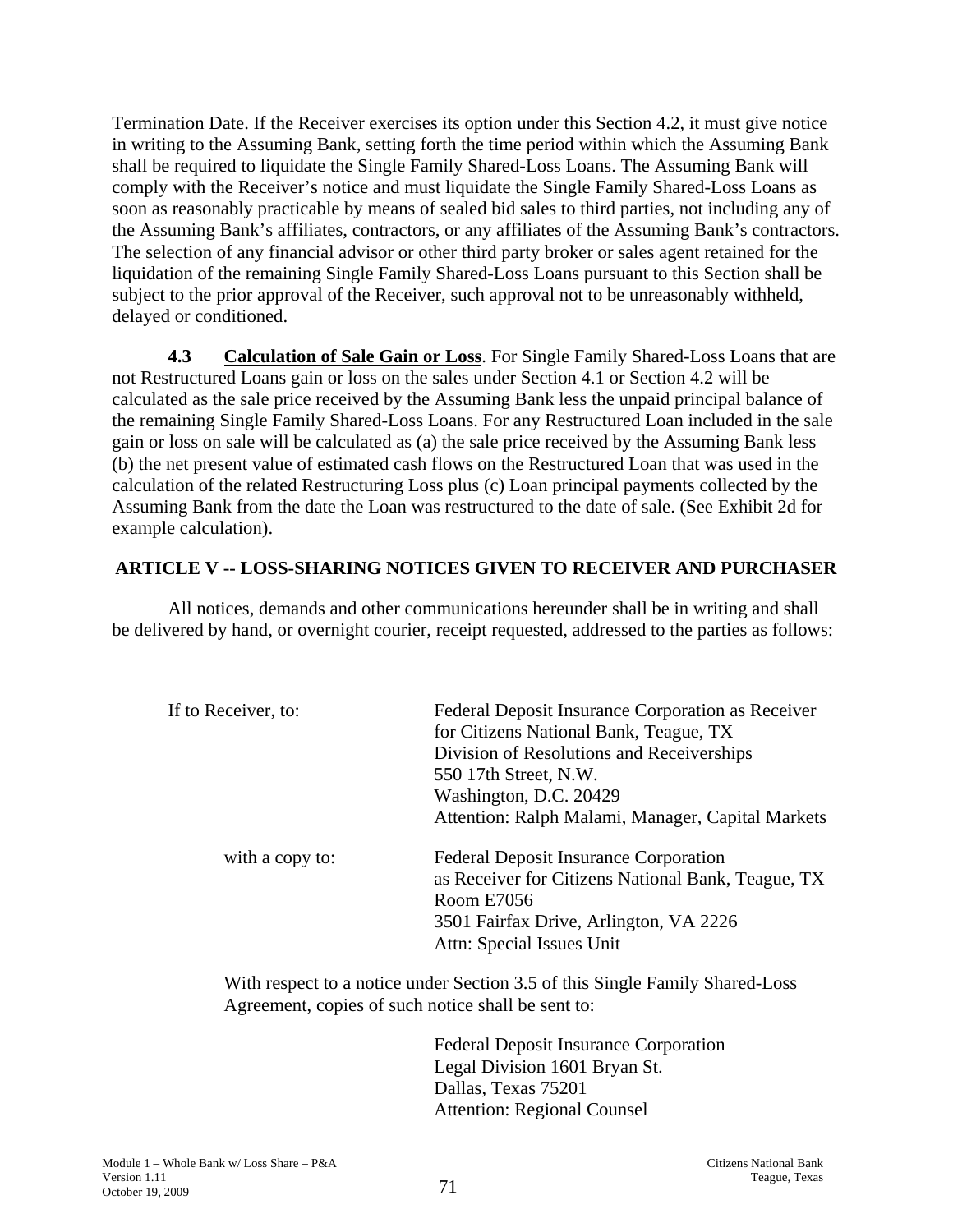Termination Date. If the Receiver exercises its option under this Section 4.2, it must give notice in writing to the Assuming Bank, setting forth the time period within which the Assuming Bank shall be required to liquidate the Single Family Shared-Loss Loans. The Assuming Bank will comply with the Receiver's notice and must liquidate the Single Family Shared-Loss Loans as soon as reasonably practicable by means of sealed bid sales to third parties, not including any of the Assuming Bank's affiliates, contractors, or any affiliates of the Assuming Bank's contractors. The selection of any financial advisor or other third party broker or sales agent retained for the liquidation of the remaining Single Family Shared-Loss Loans pursuant to this Section shall be subject to the prior approval of the Receiver, such approval not to be unreasonably withheld, delayed or conditioned.

**4.3 Calculation of Sale Gain or Loss**. For Single Family Shared-Loss Loans that are not Restructured Loans gain or loss on the sales under Section 4.1 or Section 4.2 will be calculated as the sale price received by the Assuming Bank less the unpaid principal balance of the remaining Single Family Shared-Loss Loans. For any Restructured Loan included in the sale gain or loss on sale will be calculated as (a) the sale price received by the Assuming Bank less (b) the net present value of estimated cash flows on the Restructured Loan that was used in the calculation of the related Restructuring Loss plus (c) Loan principal payments collected by the Assuming Bank from the date the Loan was restructured to the date of sale. (See Exhibit 2d for example calculation).

### **ARTICLE V -- LOSS-SHARING NOTICES GIVEN TO RECEIVER AND PURCHASER**

All notices, demands and other communications hereunder shall be in writing and shall be delivered by hand, or overnight courier, receipt requested, addressed to the parties as follows:

| If to Receiver, to: | Federal Deposit Insurance Corporation as Receiver<br>for Citizens National Bank, Teague, TX<br>Division of Resolutions and Receiverships<br>550 17th Street, N.W.<br>Washington, D.C. 20429<br>Attention: Ralph Malami, Manager, Capital Markets |  |  |
|---------------------|--------------------------------------------------------------------------------------------------------------------------------------------------------------------------------------------------------------------------------------------------|--|--|
| with a copy to:     | <b>Federal Deposit Insurance Corporation</b><br>as Receiver for Citizens National Bank, Teague, TX<br>Room E7056<br>3501 Fairfax Drive, Arlington, VA 2226<br>Attn: Special Issues Unit                                                          |  |  |

With respect to a notice under Section 3.5 of this Single Family Shared-Loss Agreement, copies of such notice shall be sent to:

> Federal Deposit Insurance Corporation Legal Division 1601 Bryan St. Dallas, Texas 75201 Attention: Regional Counsel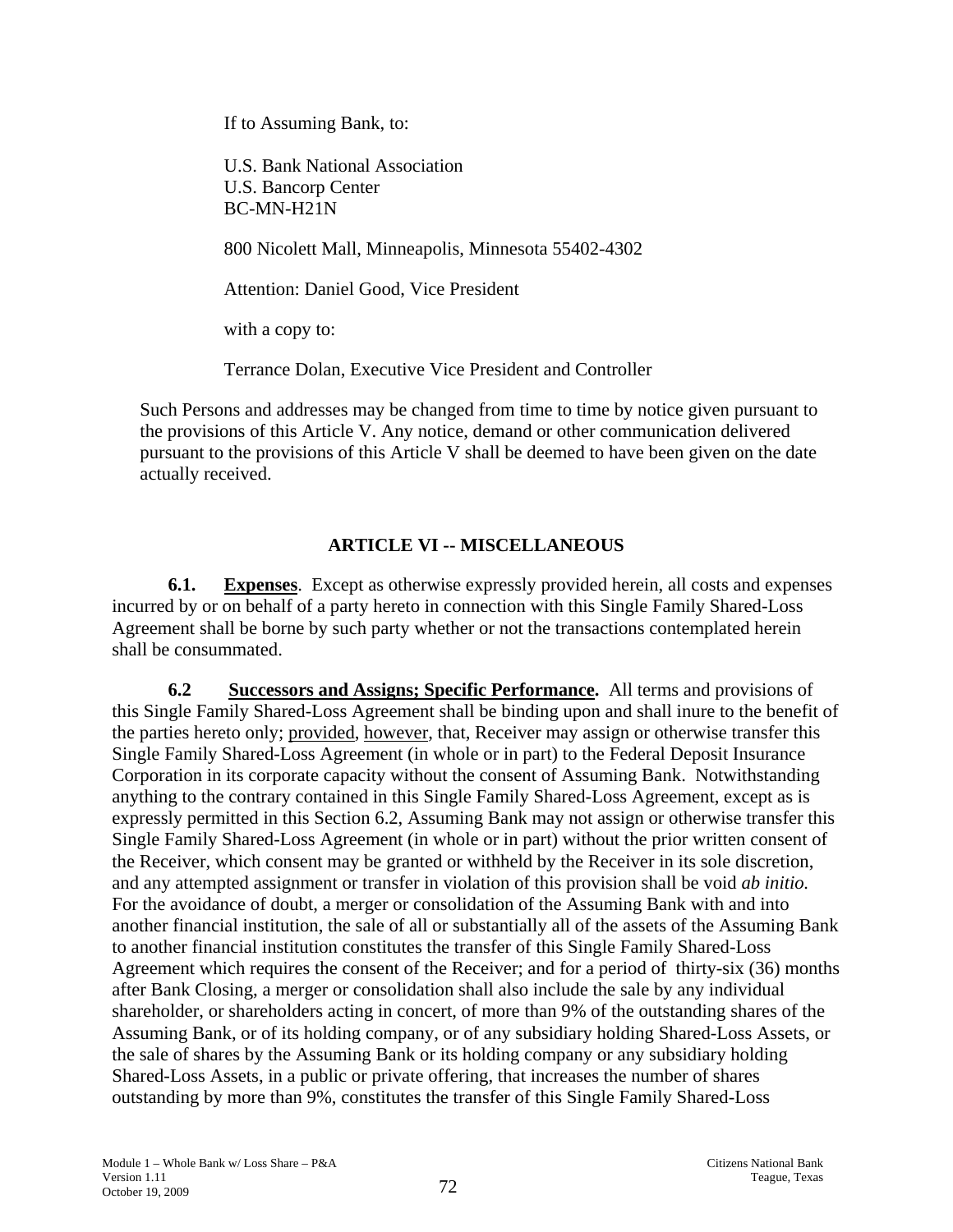If to Assuming Bank, to:

U.S. Bank National Association U.S. Bancorp Center BC-MN-H21N

800 Nicolett Mall, Minneapolis, Minnesota 55402-4302

Attention: Daniel Good, Vice President

with a copy to:

Terrance Dolan, Executive Vice President and Controller

Such Persons and addresses may be changed from time to time by notice given pursuant to the provisions of this Article V. Any notice, demand or other communication delivered pursuant to the provisions of this Article V shall be deemed to have been given on the date actually received.

## **ARTICLE VI -- MISCELLANEOUS**

**6.1. Expenses**. Except as otherwise expressly provided herein, all costs and expenses incurred by or on behalf of a party hereto in connection with this Single Family Shared-Loss Agreement shall be borne by such party whether or not the transactions contemplated herein shall be consummated.

**6.2 Successors and Assigns; Specific Performance.** All terms and provisions of this Single Family Shared-Loss Agreement shall be binding upon and shall inure to the benefit of the parties hereto only; provided, however, that, Receiver may assign or otherwise transfer this Single Family Shared-Loss Agreement (in whole or in part) to the Federal Deposit Insurance Corporation in its corporate capacity without the consent of Assuming Bank. Notwithstanding anything to the contrary contained in this Single Family Shared-Loss Agreement, except as is expressly permitted in this Section 6.2, Assuming Bank may not assign or otherwise transfer this Single Family Shared-Loss Agreement (in whole or in part) without the prior written consent of the Receiver, which consent may be granted or withheld by the Receiver in its sole discretion, and any attempted assignment or transfer in violation of this provision shall be void *ab initio.*  For the avoidance of doubt, a merger or consolidation of the Assuming Bank with and into another financial institution, the sale of all or substantially all of the assets of the Assuming Bank to another financial institution constitutes the transfer of this Single Family Shared-Loss Agreement which requires the consent of the Receiver; and for a period of thirty-six (36) months after Bank Closing, a merger or consolidation shall also include the sale by any individual shareholder, or shareholders acting in concert, of more than 9% of the outstanding shares of the Assuming Bank, or of its holding company, or of any subsidiary holding Shared-Loss Assets, or the sale of shares by the Assuming Bank or its holding company or any subsidiary holding Shared-Loss Assets, in a public or private offering, that increases the number of shares outstanding by more than 9%, constitutes the transfer of this Single Family Shared-Loss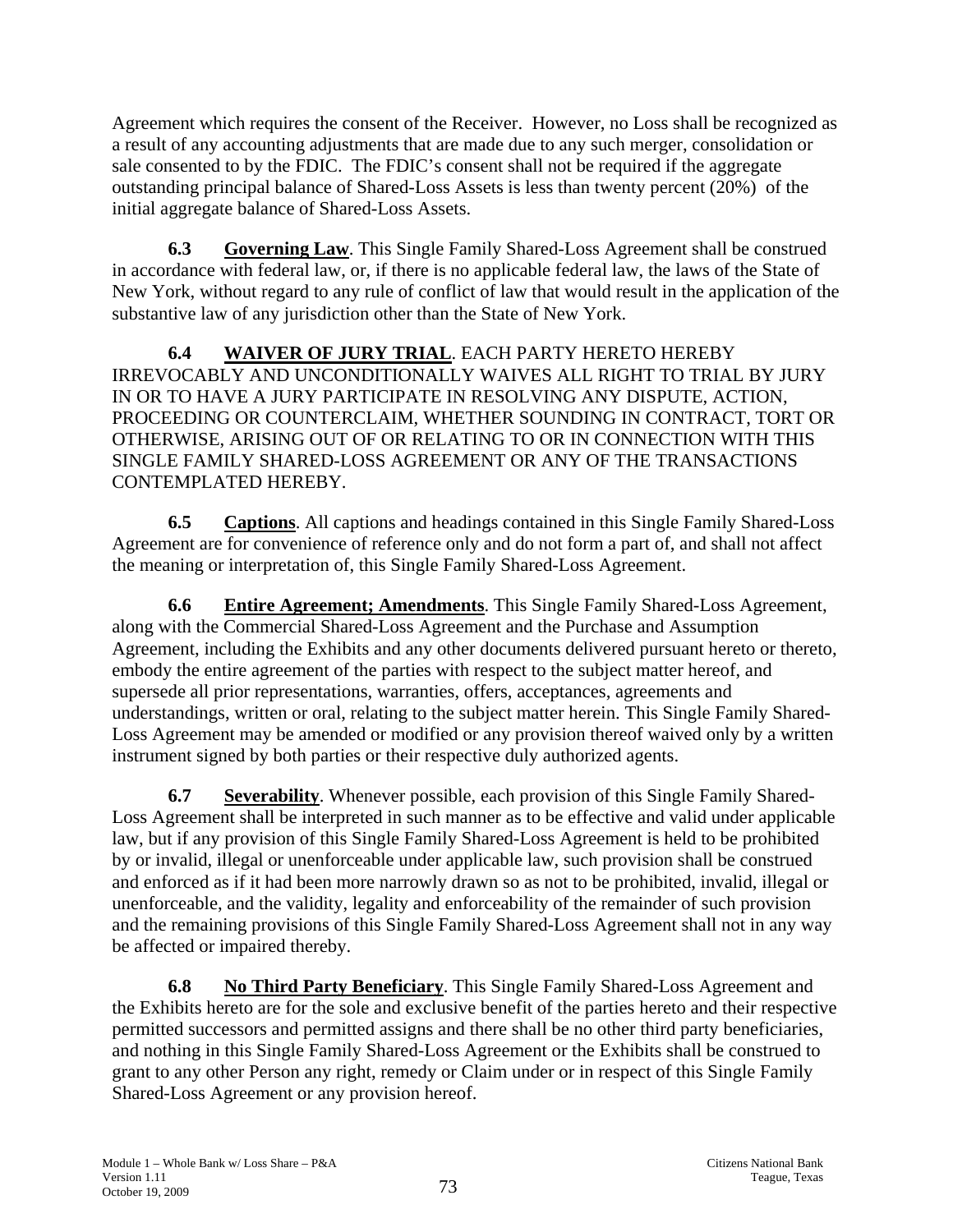Agreement which requires the consent of the Receiver. However, no Loss shall be recognized as a result of any accounting adjustments that are made due to any such merger, consolidation or sale consented to by the FDIC. The FDIC's consent shall not be required if the aggregate outstanding principal balance of Shared-Loss Assets is less than twenty percent (20%) of the initial aggregate balance of Shared-Loss Assets.

**6.3 Governing Law**. This Single Family Shared-Loss Agreement shall be construed in accordance with federal law, or, if there is no applicable federal law, the laws of the State of New York, without regard to any rule of conflict of law that would result in the application of the substantive law of any jurisdiction other than the State of New York.

**6.4 WAIVER OF JURY TRIAL**. EACH PARTY HERETO HEREBY IRREVOCABLY AND UNCONDITIONALLY WAIVES ALL RIGHT TO TRIAL BY JURY IN OR TO HAVE A JURY PARTICIPATE IN RESOLVING ANY DISPUTE, ACTION, PROCEEDING OR COUNTERCLAIM, WHETHER SOUNDING IN CONTRACT, TORT OR OTHERWISE, ARISING OUT OF OR RELATING TO OR IN CONNECTION WITH THIS SINGLE FAMILY SHARED-LOSS AGREEMENT OR ANY OF THE TRANSACTIONS CONTEMPLATED HEREBY.

**6.5 Captions**. All captions and headings contained in this Single Family Shared-Loss Agreement are for convenience of reference only and do not form a part of, and shall not affect the meaning or interpretation of, this Single Family Shared-Loss Agreement.

**6.6 Entire Agreement; Amendments**. This Single Family Shared-Loss Agreement, along with the Commercial Shared-Loss Agreement and the Purchase and Assumption Agreement, including the Exhibits and any other documents delivered pursuant hereto or thereto, embody the entire agreement of the parties with respect to the subject matter hereof, and supersede all prior representations, warranties, offers, acceptances, agreements and understandings, written or oral, relating to the subject matter herein. This Single Family Shared-Loss Agreement may be amended or modified or any provision thereof waived only by a written instrument signed by both parties or their respective duly authorized agents.

**6.7 Severability**. Whenever possible, each provision of this Single Family Shared-Loss Agreement shall be interpreted in such manner as to be effective and valid under applicable law, but if any provision of this Single Family Shared-Loss Agreement is held to be prohibited by or invalid, illegal or unenforceable under applicable law, such provision shall be construed and enforced as if it had been more narrowly drawn so as not to be prohibited, invalid, illegal or unenforceable, and the validity, legality and enforceability of the remainder of such provision and the remaining provisions of this Single Family Shared-Loss Agreement shall not in any way be affected or impaired thereby.

**6.8 No Third Party Beneficiary**. This Single Family Shared-Loss Agreement and the Exhibits hereto are for the sole and exclusive benefit of the parties hereto and their respective permitted successors and permitted assigns and there shall be no other third party beneficiaries, and nothing in this Single Family Shared-Loss Agreement or the Exhibits shall be construed to grant to any other Person any right, remedy or Claim under or in respect of this Single Family Shared-Loss Agreement or any provision hereof.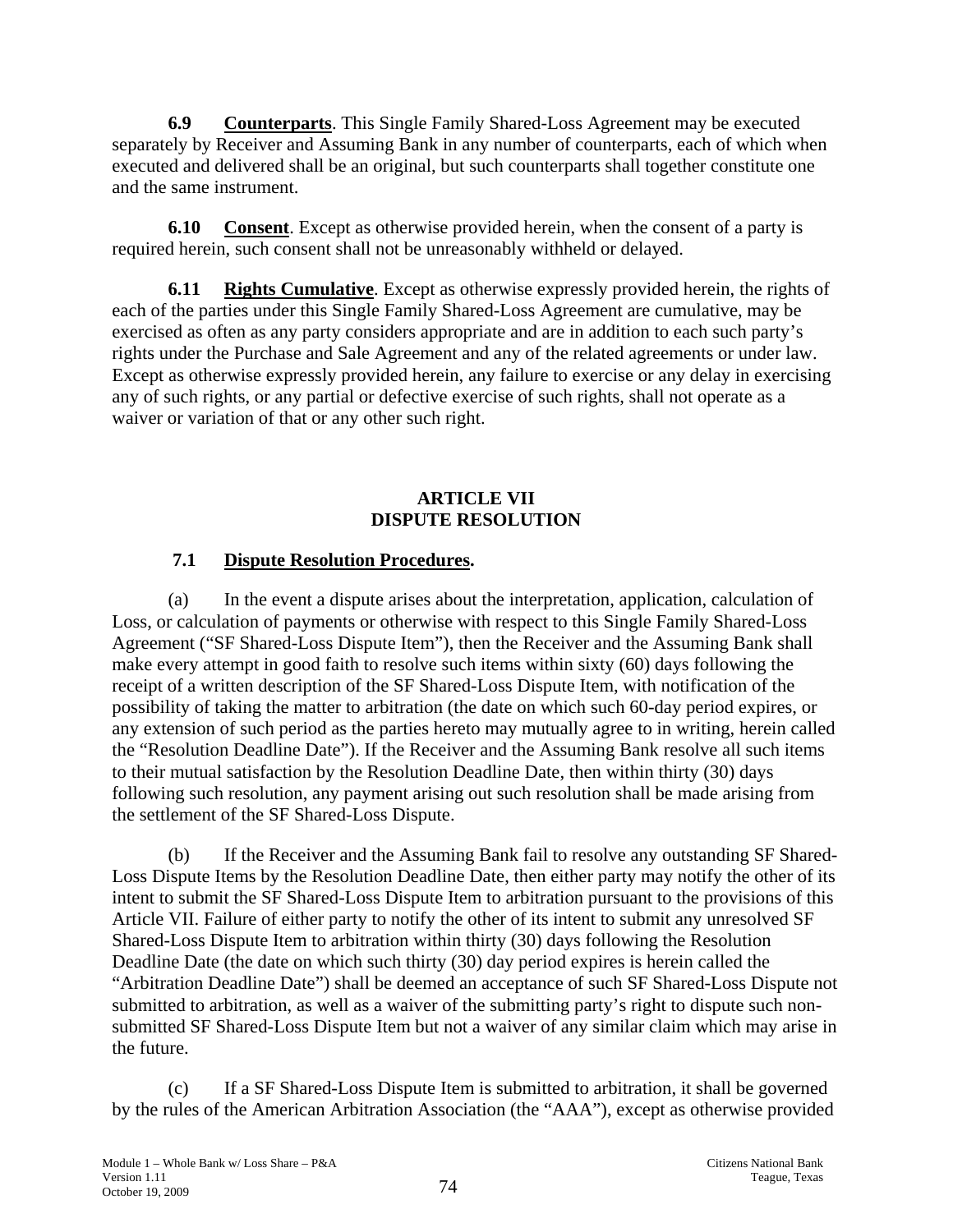**6.9 Counterparts**. This Single Family Shared-Loss Agreement may be executed separately by Receiver and Assuming Bank in any number of counterparts, each of which when executed and delivered shall be an original, but such counterparts shall together constitute one and the same instrument.

**6.10 Consent**. Except as otherwise provided herein, when the consent of a party is required herein, such consent shall not be unreasonably withheld or delayed.

**6.11 Rights Cumulative.** Except as otherwise expressly provided herein, the rights of each of the parties under this Single Family Shared-Loss Agreement are cumulative, may be exercised as often as any party considers appropriate and are in addition to each such party's rights under the Purchase and Sale Agreement and any of the related agreements or under law. Except as otherwise expressly provided herein, any failure to exercise or any delay in exercising any of such rights, or any partial or defective exercise of such rights, shall not operate as a waiver or variation of that or any other such right.

## **ARTICLE VII DISPUTE RESOLUTION**

# **7.1 Dispute Resolution Procedures.**

(a) In the event a dispute arises about the interpretation, application, calculation of Loss, or calculation of payments or otherwise with respect to this Single Family Shared-Loss Agreement ("SF Shared-Loss Dispute Item"), then the Receiver and the Assuming Bank shall make every attempt in good faith to resolve such items within sixty (60) days following the receipt of a written description of the SF Shared-Loss Dispute Item, with notification of the possibility of taking the matter to arbitration (the date on which such 60-day period expires, or any extension of such period as the parties hereto may mutually agree to in writing, herein called the "Resolution Deadline Date"). If the Receiver and the Assuming Bank resolve all such items to their mutual satisfaction by the Resolution Deadline Date, then within thirty (30) days following such resolution, any payment arising out such resolution shall be made arising from the settlement of the SF Shared-Loss Dispute.

(b) If the Receiver and the Assuming Bank fail to resolve any outstanding SF Shared-Loss Dispute Items by the Resolution Deadline Date, then either party may notify the other of its intent to submit the SF Shared-Loss Dispute Item to arbitration pursuant to the provisions of this Article VII. Failure of either party to notify the other of its intent to submit any unresolved SF Shared-Loss Dispute Item to arbitration within thirty (30) days following the Resolution Deadline Date (the date on which such thirty (30) day period expires is herein called the "Arbitration Deadline Date") shall be deemed an acceptance of such SF Shared-Loss Dispute not submitted to arbitration, as well as a waiver of the submitting party's right to dispute such nonsubmitted SF Shared-Loss Dispute Item but not a waiver of any similar claim which may arise in the future.

(c) If a SF Shared-Loss Dispute Item is submitted to arbitration, it shall be governed by the rules of the American Arbitration Association (the "AAA"), except as otherwise provided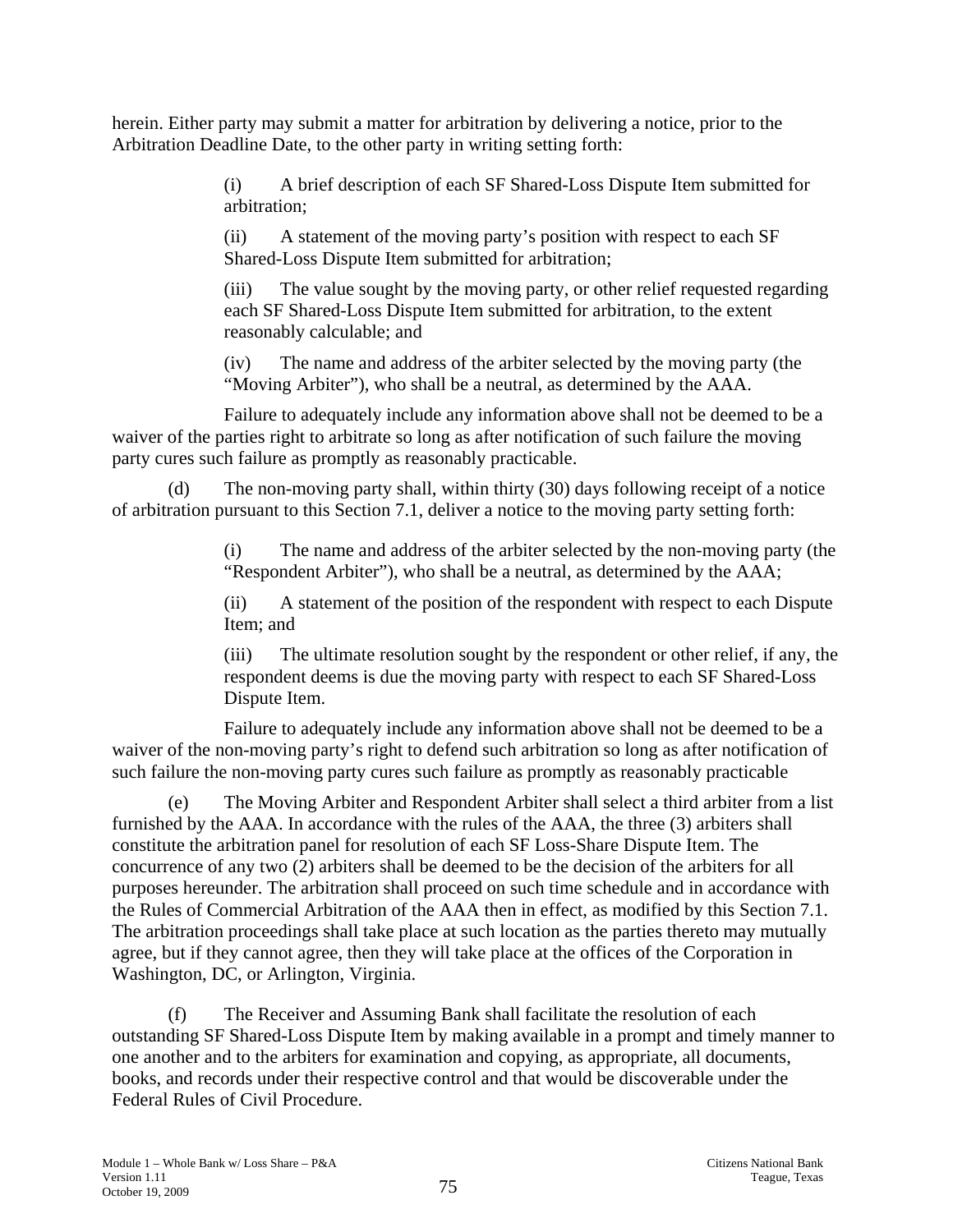herein. Either party may submit a matter for arbitration by delivering a notice, prior to the Arbitration Deadline Date, to the other party in writing setting forth:

> (i) A brief description of each SF Shared-Loss Dispute Item submitted for arbitration;

(ii) A statement of the moving party's position with respect to each SF Shared-Loss Dispute Item submitted for arbitration;

(iii) The value sought by the moving party, or other relief requested regarding each SF Shared-Loss Dispute Item submitted for arbitration, to the extent reasonably calculable; and

(iv) The name and address of the arbiter selected by the moving party (the "Moving Arbiter"), who shall be a neutral, as determined by the AAA.

Failure to adequately include any information above shall not be deemed to be a waiver of the parties right to arbitrate so long as after notification of such failure the moving party cures such failure as promptly as reasonably practicable.

(d) The non-moving party shall, within thirty (30) days following receipt of a notice of arbitration pursuant to this Section 7.1, deliver a notice to the moving party setting forth:

> (i) The name and address of the arbiter selected by the non-moving party (the "Respondent Arbiter"), who shall be a neutral, as determined by the AAA;

> (ii) A statement of the position of the respondent with respect to each Dispute Item; and

> (iii) The ultimate resolution sought by the respondent or other relief, if any, the respondent deems is due the moving party with respect to each SF Shared-Loss Dispute Item.

Failure to adequately include any information above shall not be deemed to be a waiver of the non-moving party's right to defend such arbitration so long as after notification of such failure the non-moving party cures such failure as promptly as reasonably practicable

(e) The Moving Arbiter and Respondent Arbiter shall select a third arbiter from a list furnished by the AAA. In accordance with the rules of the AAA, the three (3) arbiters shall constitute the arbitration panel for resolution of each SF Loss-Share Dispute Item. The concurrence of any two (2) arbiters shall be deemed to be the decision of the arbiters for all purposes hereunder. The arbitration shall proceed on such time schedule and in accordance with the Rules of Commercial Arbitration of the AAA then in effect, as modified by this Section 7.1. The arbitration proceedings shall take place at such location as the parties thereto may mutually agree, but if they cannot agree, then they will take place at the offices of the Corporation in Washington, DC, or Arlington, Virginia.

(f) The Receiver and Assuming Bank shall facilitate the resolution of each outstanding SF Shared-Loss Dispute Item by making available in a prompt and timely manner to one another and to the arbiters for examination and copying, as appropriate, all documents, books, and records under their respective control and that would be discoverable under the Federal Rules of Civil Procedure.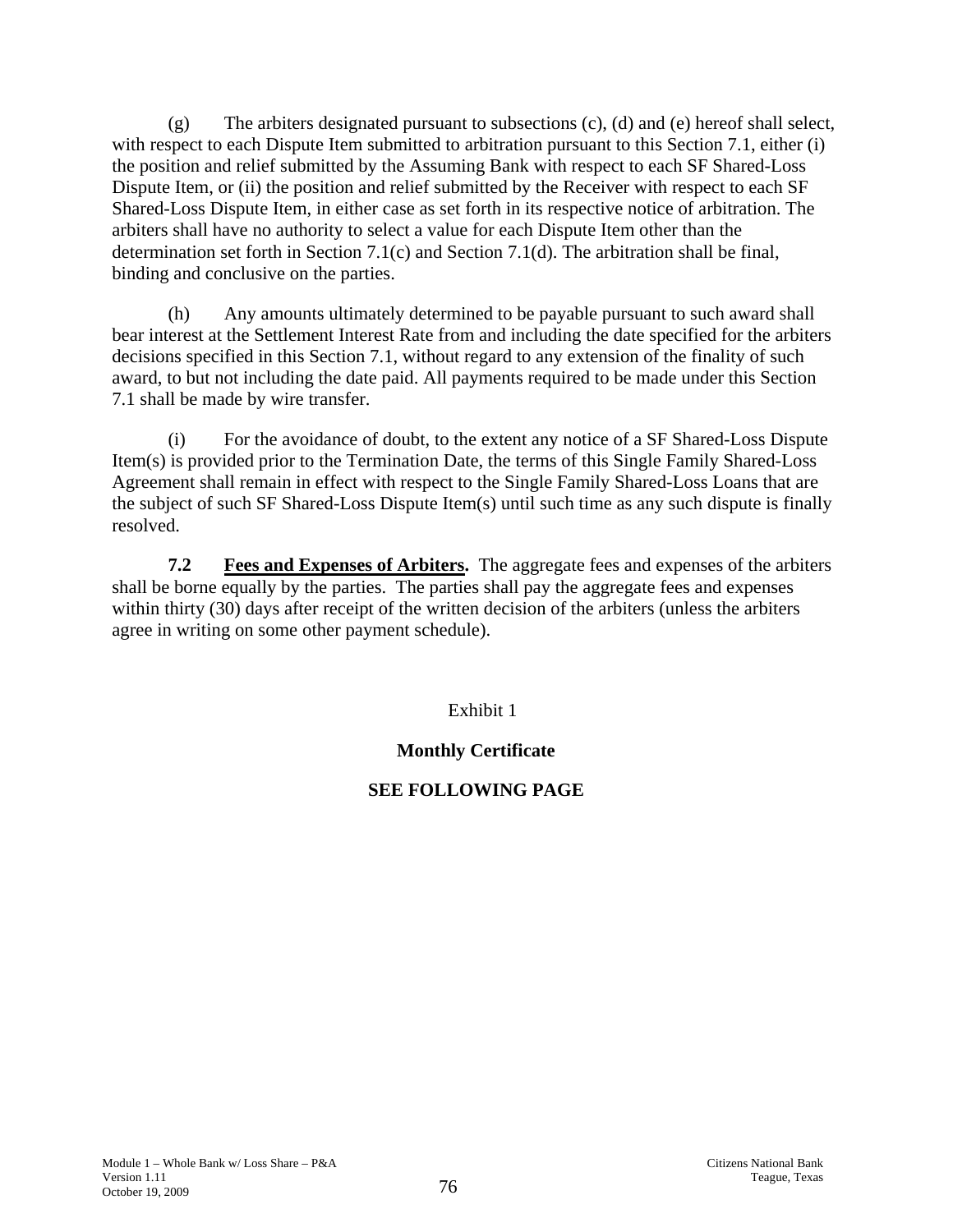(g) The arbiters designated pursuant to subsections (c), (d) and (e) hereof shall select, with respect to each Dispute Item submitted to arbitration pursuant to this Section 7.1, either (i) the position and relief submitted by the Assuming Bank with respect to each SF Shared-Loss Dispute Item, or (ii) the position and relief submitted by the Receiver with respect to each SF Shared-Loss Dispute Item, in either case as set forth in its respective notice of arbitration. The arbiters shall have no authority to select a value for each Dispute Item other than the determination set forth in Section 7.1(c) and Section 7.1(d). The arbitration shall be final, binding and conclusive on the parties.

(h) Any amounts ultimately determined to be payable pursuant to such award shall bear interest at the Settlement Interest Rate from and including the date specified for the arbiters decisions specified in this Section 7.1, without regard to any extension of the finality of such award, to but not including the date paid. All payments required to be made under this Section 7.1 shall be made by wire transfer.

(i) For the avoidance of doubt, to the extent any notice of a SF Shared-Loss Dispute Item(s) is provided prior to the Termination Date, the terms of this Single Family Shared-Loss Agreement shall remain in effect with respect to the Single Family Shared-Loss Loans that are the subject of such SF Shared-Loss Dispute Item(s) until such time as any such dispute is finally resolved.

**7.2 Fees and Expenses of Arbiters.** The aggregate fees and expenses of the arbiters shall be borne equally by the parties. The parties shall pay the aggregate fees and expenses within thirty (30) days after receipt of the written decision of the arbiters (unless the arbiters agree in writing on some other payment schedule).

Exhibit 1

# **Monthly Certificate**

# **SEE FOLLOWING PAGE**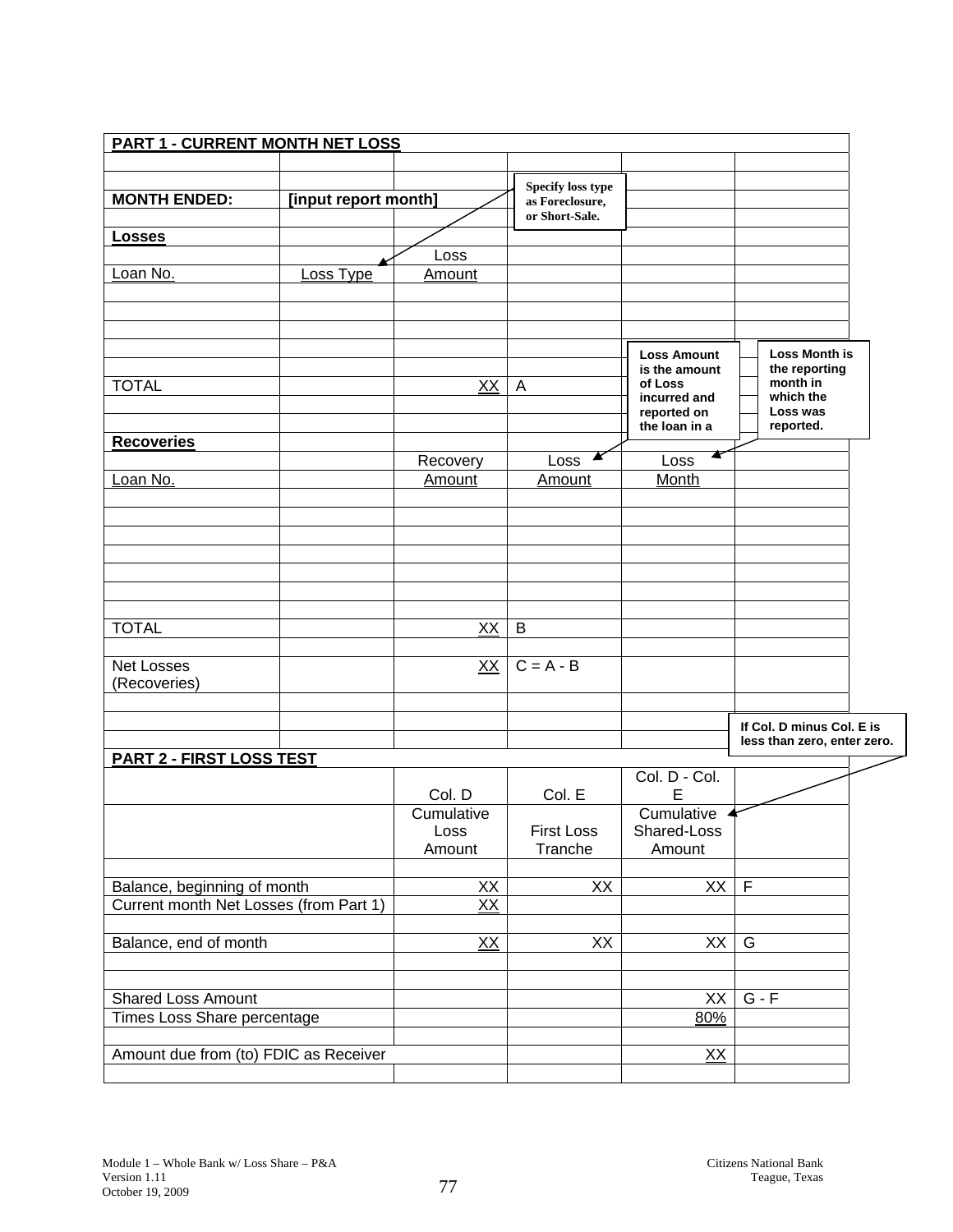| <b>PART 1 - CURRENT MONTH NET LOSS</b> |                      |                |                                   |                             |                             |
|----------------------------------------|----------------------|----------------|-----------------------------------|-----------------------------|-----------------------------|
|                                        |                      |                |                                   |                             |                             |
|                                        |                      |                | <b>Specify loss type</b>          |                             |                             |
| <b>MONTH ENDED:</b>                    | [input report month] |                | as Foreclosure,<br>or Short-Sale. |                             |                             |
| <b>Losses</b>                          |                      |                |                                   |                             |                             |
|                                        |                      | Loss           |                                   |                             |                             |
| Loan No.                               | Loss Type            | Amount         |                                   |                             |                             |
|                                        |                      |                |                                   |                             |                             |
|                                        |                      |                |                                   |                             |                             |
|                                        |                      |                |                                   |                             |                             |
|                                        |                      |                |                                   | <b>Loss Amount</b>          | <b>Loss Month is</b>        |
|                                        |                      |                |                                   | is the amount               | the reporting               |
| <b>TOTAL</b>                           |                      | XX             | A                                 | of Loss                     | month in<br>which the       |
|                                        |                      |                |                                   | incurred and<br>reported on | Loss was                    |
|                                        |                      |                |                                   | the loan in a               | reported.                   |
| <b>Recoveries</b>                      |                      |                |                                   | ×                           |                             |
|                                        |                      | Recovery       | $Loss \nightharpoonup$            | Loss                        |                             |
| Loan No.                               |                      | Amount         | Amount                            | Month                       |                             |
|                                        |                      |                |                                   |                             |                             |
|                                        |                      |                |                                   |                             |                             |
|                                        |                      |                |                                   |                             |                             |
|                                        |                      |                |                                   |                             |                             |
|                                        |                      |                |                                   |                             |                             |
|                                        |                      |                |                                   |                             |                             |
| <b>TOTAL</b>                           |                      | XX             | $\mathsf B$                       |                             |                             |
|                                        |                      |                |                                   |                             |                             |
| <b>Net Losses</b>                      |                      | XX             | $C = A - B$                       |                             |                             |
| (Recoveries)                           |                      |                |                                   |                             |                             |
|                                        |                      |                |                                   |                             |                             |
|                                        |                      |                |                                   |                             | If Col. D minus Col. E is   |
|                                        |                      |                |                                   |                             | less than zero, enter zero. |
| <b>PART 2 - FIRST LOSS TEST</b>        |                      |                |                                   |                             |                             |
|                                        |                      |                |                                   | Col. D - Col.               |                             |
|                                        |                      | Col. D         | Col. E                            | Е                           |                             |
|                                        |                      | Cumulative     |                                   | Cumulative                  |                             |
|                                        |                      | Loss<br>Amount | <b>First Loss</b><br>Tranche      | Shared-Loss<br>Amount       |                             |
|                                        |                      |                |                                   |                             |                             |
| Balance, beginning of month            |                      | XX             | XX                                | XX                          | $\mathsf F$                 |
| Current month Net Losses (from Part 1) |                      | XX             |                                   |                             |                             |
|                                        |                      |                |                                   |                             |                             |
| Balance, end of month                  |                      | XX             | XX                                | XX                          | G                           |
|                                        |                      |                |                                   |                             |                             |
|                                        |                      |                |                                   |                             |                             |
| Shared Loss Amount                     |                      |                |                                   | XX                          | $G - F$                     |
| Times Loss Share percentage            |                      |                |                                   | 80%                         |                             |
|                                        |                      |                |                                   |                             |                             |
| Amount due from (to) FDIC as Receiver  |                      |                |                                   | XX                          |                             |
|                                        |                      |                |                                   |                             |                             |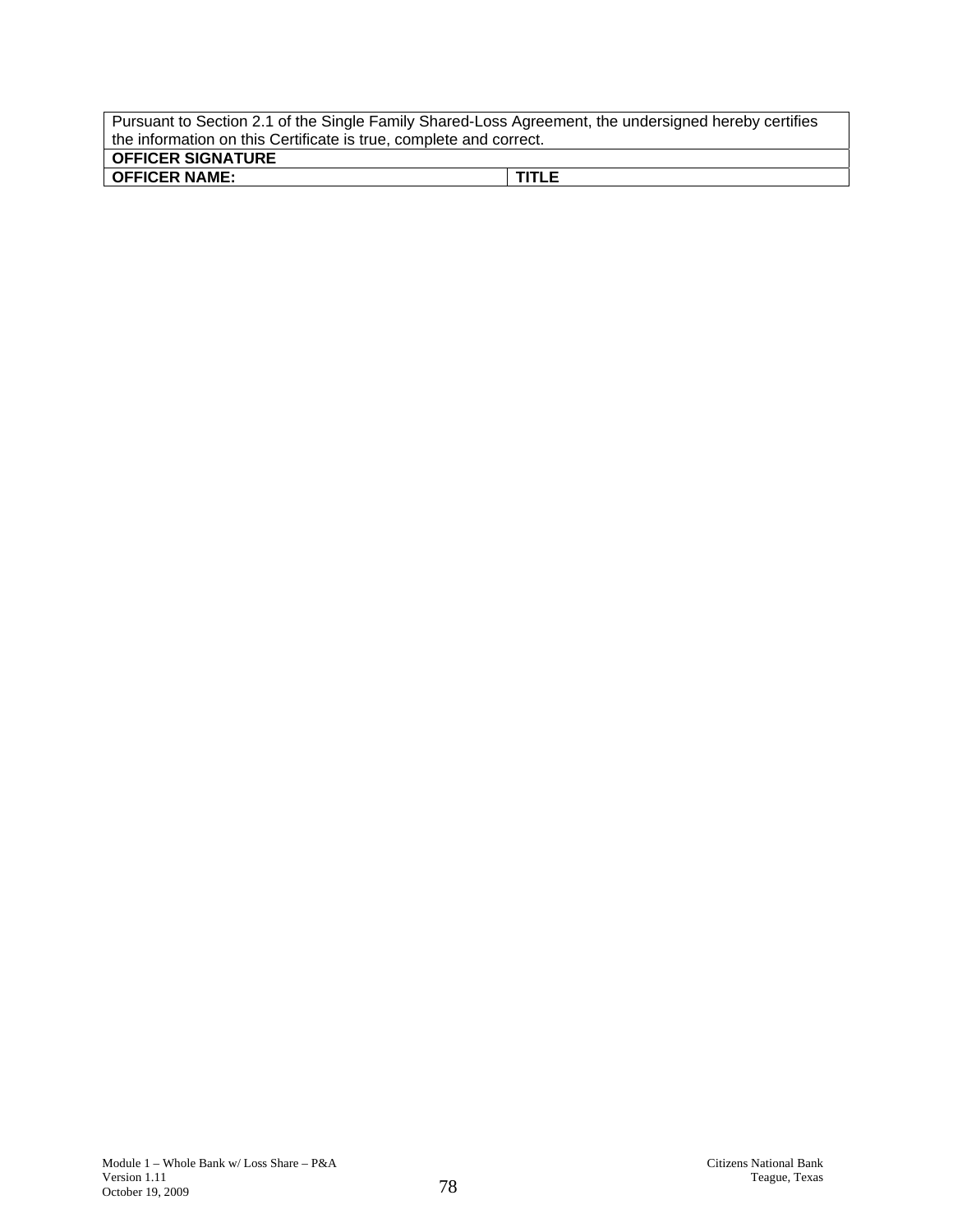| Pursuant to Section 2.1 of the Single Family Shared-Loss Agreement, the undersigned hereby certifies |              |  |  |
|------------------------------------------------------------------------------------------------------|--------------|--|--|
| the information on this Certificate is true, complete and correct.                                   |              |  |  |
| <b>OFFICER SIGNATURE</b>                                                                             |              |  |  |
| <b>OFFICER NAME:</b>                                                                                 | <b>TITLE</b> |  |  |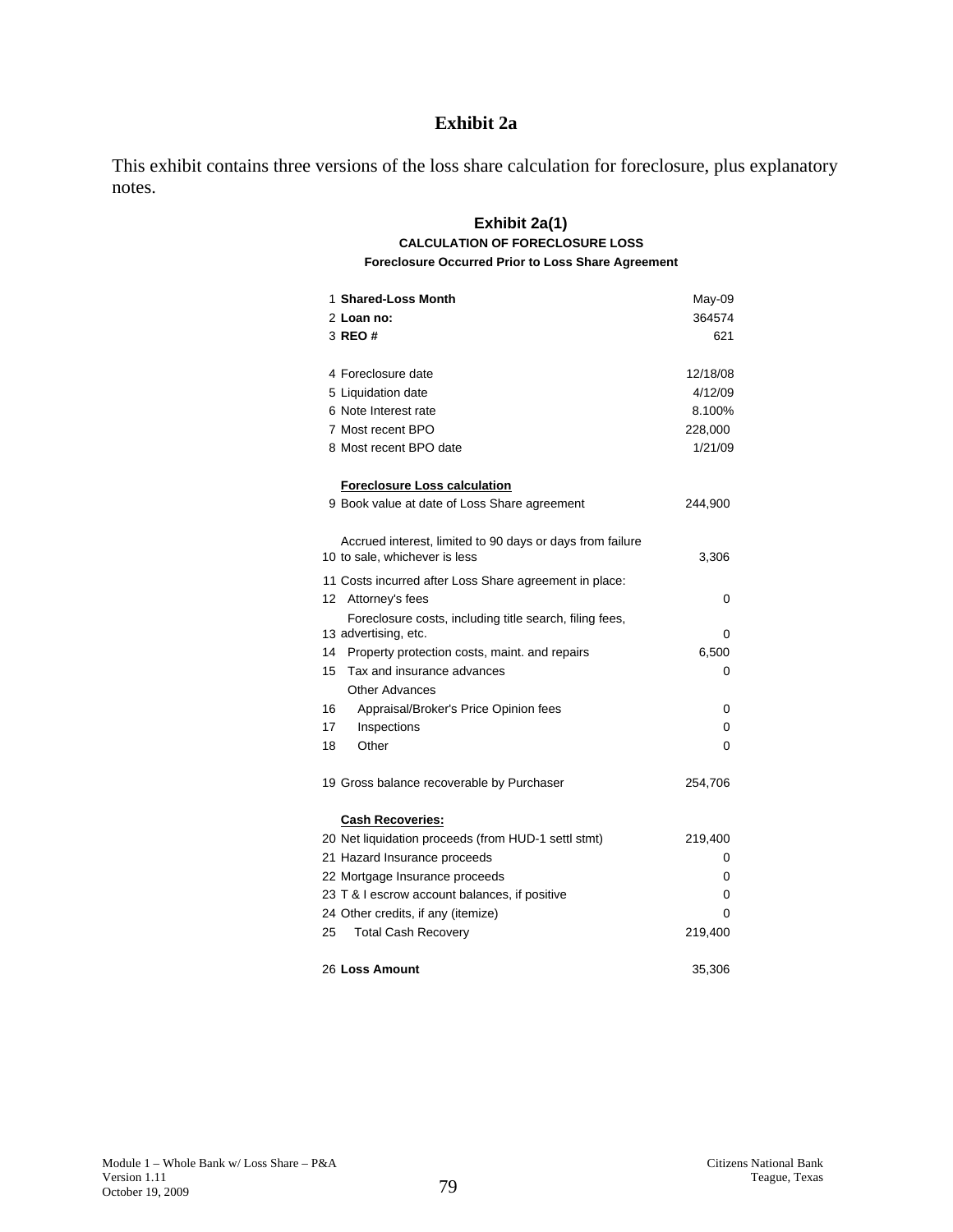### **Exhibit 2a**

This exhibit contains three versions of the loss share calculation for foreclosure, plus explanatory notes.

#### **Exhibit 2a(1) CALCULATION OF FORECLOSURE LOSS Foreclosure Occurred Prior to Loss Share Agreement**

|    | 1 Shared-Loss Month<br>2 Loan no:<br>3 REO #              | May-09<br>364574<br>621 |
|----|-----------------------------------------------------------|-------------------------|
|    | 4 Foreclosure date                                        | 12/18/08                |
|    | 5 Liquidation date                                        | 4/12/09                 |
|    | 6 Note Interest rate                                      | 8.100%                  |
|    | 7 Most recent BPO                                         | 228,000                 |
|    | 8 Most recent BPO date                                    | 1/21/09                 |
|    | <b>Foreclosure Loss calculation</b>                       |                         |
|    | 9 Book value at date of Loss Share agreement              | 244,900                 |
|    | Accrued interest, limited to 90 days or days from failure |                         |
|    | 10 to sale, whichever is less                             | 3,306                   |
|    | 11 Costs incurred after Loss Share agreement in place:    |                         |
| 12 | Attorney's fees                                           | 0                       |
|    | Foreclosure costs, including title search, filing fees,   |                         |
|    | 13 advertising, etc.                                      | 0                       |
| 14 | Property protection costs, maint. and repairs             | 6,500                   |
| 15 | Tax and insurance advances                                | 0                       |
|    | <b>Other Advances</b>                                     |                         |
| 16 | Appraisal/Broker's Price Opinion fees                     | 0                       |
| 17 | Inspections                                               | 0                       |
| 18 | Other                                                     | 0                       |
|    | 19 Gross balance recoverable by Purchaser                 | 254,706                 |
|    | <b>Cash Recoveries:</b>                                   |                         |
|    | 20 Net liquidation proceeds (from HUD-1 settl stmt)       | 219,400                 |
|    | 21 Hazard Insurance proceeds                              | 0                       |
|    | 22 Mortgage Insurance proceeds                            | 0                       |
|    | 23 T & I escrow account balances, if positive             | 0                       |
|    | 24 Other credits, if any (itemize)                        | 0                       |
| 25 | <b>Total Cash Recovery</b>                                | 219,400                 |
|    | <b>26 Loss Amount</b>                                     | 35,306                  |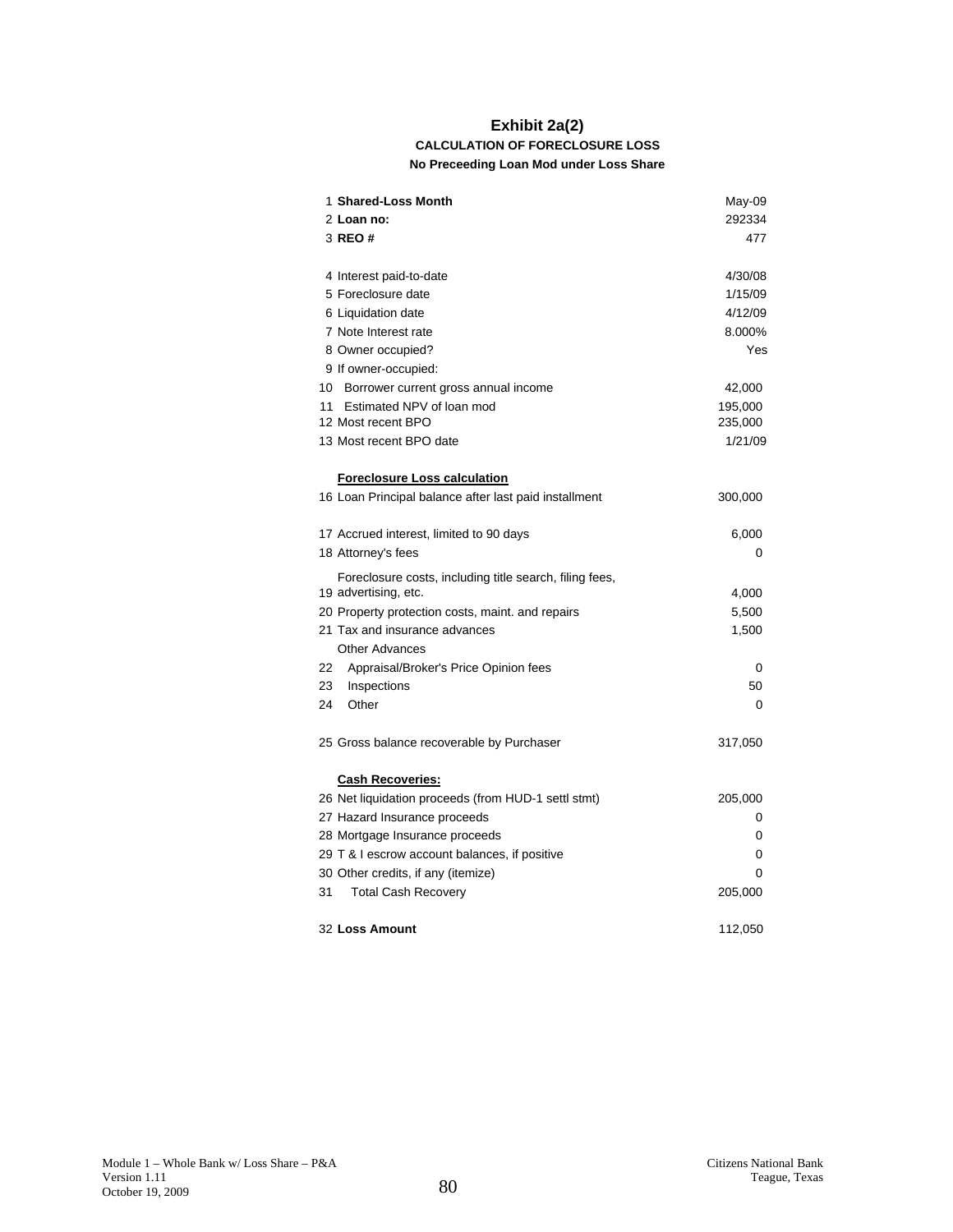#### **Exhibit 2a(2)**

#### **CALCULATION OF FORECLOSURE LOSS**

#### **No Preceeding Loan Mod under Loss Share**

| 1 Shared-Loss Month                                                             | May-09  |
|---------------------------------------------------------------------------------|---------|
| 2 Loan no:                                                                      | 292334  |
| 3 REO #                                                                         | 477     |
| 4 Interest paid-to-date                                                         | 4/30/08 |
| 5 Foreclosure date                                                              | 1/15/09 |
| 6 Liquidation date                                                              | 4/12/09 |
| 7 Note Interest rate                                                            | 8.000%  |
| 8 Owner occupied?                                                               | Yes     |
| 9 If owner-occupied:                                                            |         |
| 10<br>Borrower current gross annual income                                      | 42,000  |
| Estimated NPV of loan mod<br>11                                                 | 195,000 |
| 12 Most recent BPO                                                              | 235,000 |
| 13 Most recent BPO date                                                         | 1/21/09 |
| <b>Foreclosure Loss calculation</b>                                             |         |
| 16 Loan Principal balance after last paid installment                           | 300,000 |
| 17 Accrued interest, limited to 90 days                                         | 6,000   |
| 18 Attorney's fees                                                              | 0       |
| Foreclosure costs, including title search, filing fees,<br>19 advertising, etc. | 4,000   |
| 20 Property protection costs, maint. and repairs                                | 5,500   |
| 21 Tax and insurance advances                                                   | 1,500   |
| <b>Other Advances</b>                                                           |         |
| 22<br>Appraisal/Broker's Price Opinion fees                                     | 0       |
| 23<br>Inspections                                                               | 50      |
| 24<br>Other                                                                     | 0       |
| 25 Gross balance recoverable by Purchaser                                       | 317,050 |
| <b>Cash Recoveries:</b>                                                         |         |
| 26 Net liquidation proceeds (from HUD-1 settl stmt)                             | 205,000 |
| 27 Hazard Insurance proceeds                                                    | 0       |
| 28 Mortgage Insurance proceeds                                                  | 0       |
| 29 T & I escrow account balances, if positive                                   | 0       |
| 30 Other credits, if any (itemize)                                              | 0       |
| 31<br><b>Total Cash Recovery</b>                                                | 205,000 |
| 32 Loss Amount                                                                  | 112,050 |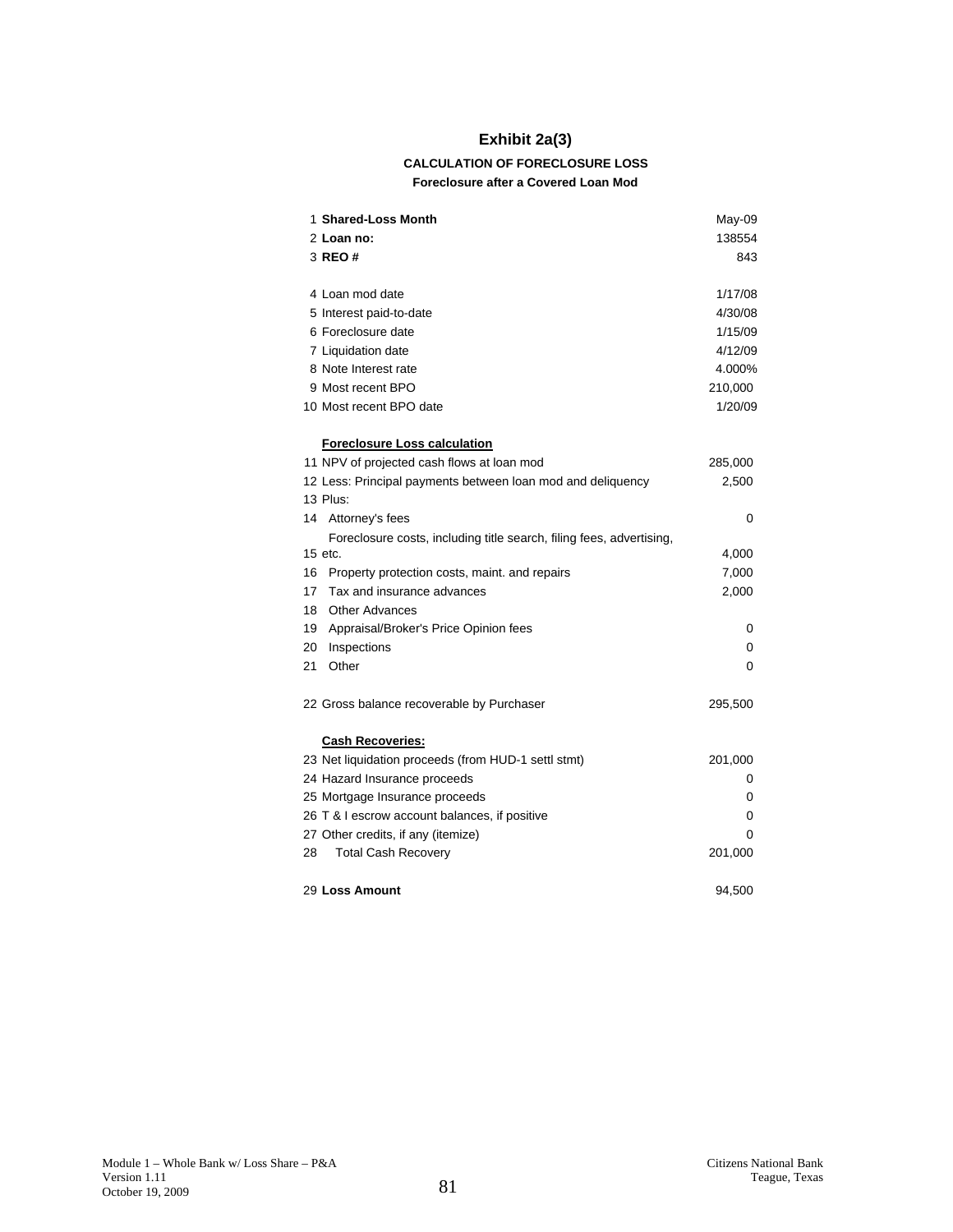## **Exhibit 2a(3)**

#### **CALCULATION OF FORECLOSURE LOSS Foreclosure after a Covered Loan Mod**

| 1 Shared-Loss Month                                                  | May-09  |
|----------------------------------------------------------------------|---------|
| 2 Loan no:                                                           | 138554  |
| 3 REO #                                                              | 843     |
|                                                                      |         |
| 4 Loan mod date                                                      | 1/17/08 |
| 5 Interest paid-to-date                                              | 4/30/08 |
| 6 Foreclosure date                                                   | 1/15/09 |
| 7 Liquidation date                                                   | 4/12/09 |
| 8 Note Interest rate                                                 | 4.000%  |
| 9 Most recent BPO                                                    | 210,000 |
| 10 Most recent BPO date                                              | 1/20/09 |
|                                                                      |         |
| <b>Foreclosure Loss calculation</b>                                  |         |
| 11 NPV of projected cash flows at loan mod                           | 285,000 |
| 12 Less: Principal payments between loan mod and deliquency          | 2,500   |
| 13 Plus:                                                             |         |
| Attorney's fees<br>14                                                | 0       |
| Foreclosure costs, including title search, filing fees, advertising, |         |
| 15 etc.                                                              | 4,000   |
| 16<br>Property protection costs, maint. and repairs                  | 7,000   |
| 17<br>Tax and insurance advances                                     | 2,000   |
| 18 Other Advances                                                    |         |
| 19 Appraisal/Broker's Price Opinion fees                             | 0       |
| 20<br>Inspections                                                    | 0       |
| 21<br>Other                                                          | 0       |
|                                                                      |         |
| 22 Gross balance recoverable by Purchaser                            | 295,500 |
|                                                                      |         |
| <b>Cash Recoveries:</b>                                              |         |
| 23 Net liquidation proceeds (from HUD-1 settl stmt)                  | 201,000 |
| 24 Hazard Insurance proceeds                                         | 0       |
| 25 Mortgage Insurance proceeds                                       | 0       |
| 26 T & I escrow account balances, if positive                        | 0       |
| 27 Other credits, if any (itemize)                                   | 0       |
| 28<br><b>Total Cash Recovery</b>                                     | 201,000 |
|                                                                      |         |
| 29 Loss Amount                                                       | 94,500  |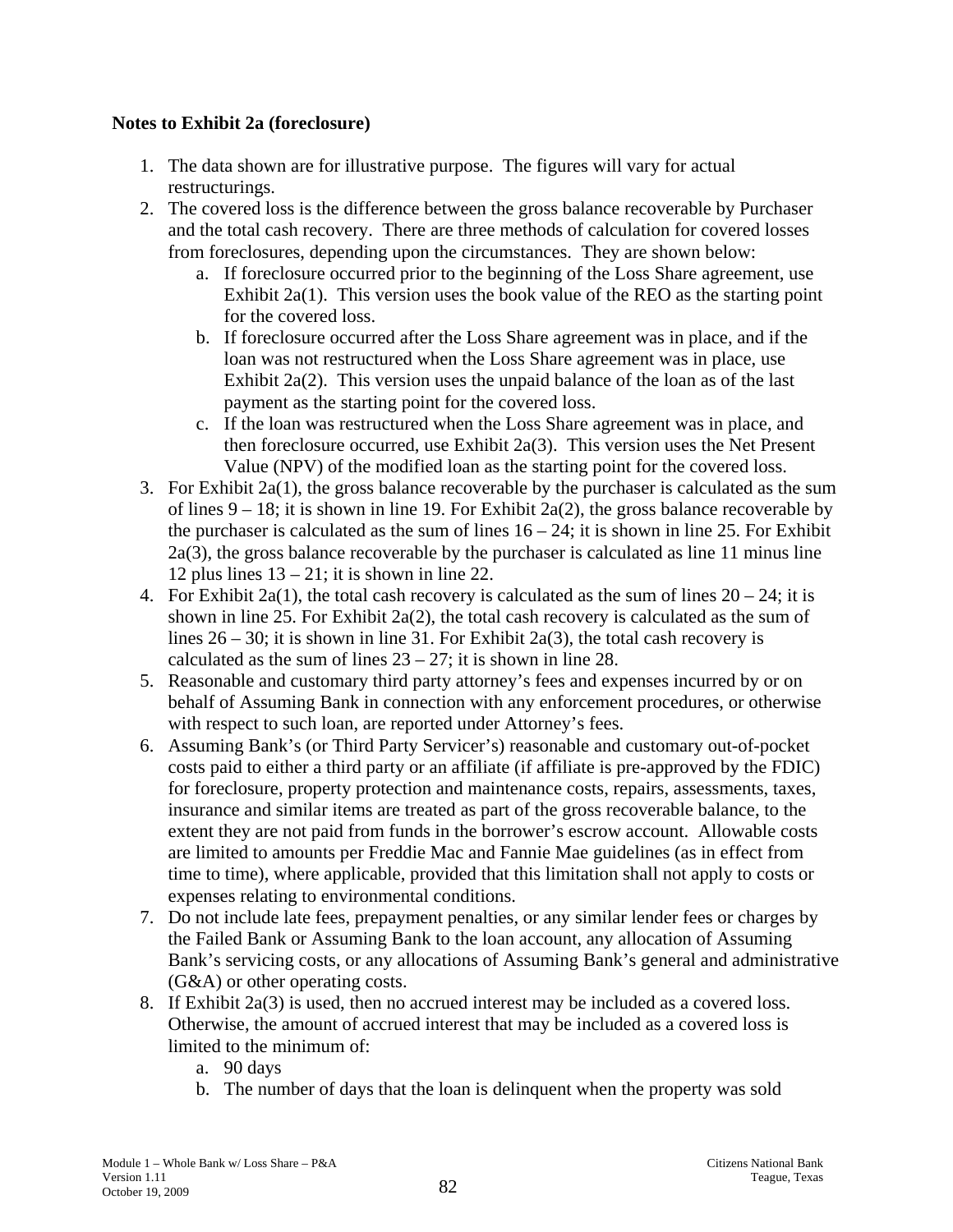## **Notes to Exhibit 2a (foreclosure)**

- 1. The data shown are for illustrative purpose. The figures will vary for actual restructurings.
- 2. The covered loss is the difference between the gross balance recoverable by Purchaser and the total cash recovery. There are three methods of calculation for covered losses from foreclosures, depending upon the circumstances. They are shown below:
	- a. If foreclosure occurred prior to the beginning of the Loss Share agreement, use Exhibit 2a(1). This version uses the book value of the REO as the starting point for the covered loss.
	- b. If foreclosure occurred after the Loss Share agreement was in place, and if the loan was not restructured when the Loss Share agreement was in place, use Exhibit 2a(2). This version uses the unpaid balance of the loan as of the last payment as the starting point for the covered loss.
	- c. If the loan was restructured when the Loss Share agreement was in place, and then foreclosure occurred, use Exhibit 2a(3). This version uses the Net Present Value (NPV) of the modified loan as the starting point for the covered loss.
- 3. For Exhibit  $2a(1)$ , the gross balance recoverable by the purchaser is calculated as the sum of lines  $9 - 18$ ; it is shown in line 19. For Exhibit 2a(2), the gross balance recoverable by the purchaser is calculated as the sum of lines  $16 - 24$ ; it is shown in line 25. For Exhibit 2a(3), the gross balance recoverable by the purchaser is calculated as line 11 minus line 12 plus lines  $13 - 21$ ; it is shown in line 22.
- 4. For Exhibit 2a(1), the total cash recovery is calculated as the sum of lines  $20 24$ ; it is shown in line 25. For Exhibit 2a(2), the total cash recovery is calculated as the sum of lines  $26 - 30$ ; it is shown in line 31. For Exhibit 2a(3), the total cash recovery is calculated as the sum of lines  $23 - 27$ ; it is shown in line 28.
- 5. Reasonable and customary third party attorney's fees and expenses incurred by or on behalf of Assuming Bank in connection with any enforcement procedures, or otherwise with respect to such loan, are reported under Attorney's fees.
- 6. Assuming Bank's (or Third Party Servicer's) reasonable and customary out-of-pocket costs paid to either a third party or an affiliate (if affiliate is pre-approved by the FDIC) for foreclosure, property protection and maintenance costs, repairs, assessments, taxes, insurance and similar items are treated as part of the gross recoverable balance, to the extent they are not paid from funds in the borrower's escrow account. Allowable costs are limited to amounts per Freddie Mac and Fannie Mae guidelines (as in effect from time to time), where applicable, provided that this limitation shall not apply to costs or expenses relating to environmental conditions.
- 7. Do not include late fees, prepayment penalties, or any similar lender fees or charges by the Failed Bank or Assuming Bank to the loan account, any allocation of Assuming Bank's servicing costs, or any allocations of Assuming Bank's general and administrative (G&A) or other operating costs.
- 8. If Exhibit  $2a(3)$  is used, then no accrued interest may be included as a covered loss. Otherwise, the amount of accrued interest that may be included as a covered loss is limited to the minimum of:
	- a. 90 days
	- b. The number of days that the loan is delinquent when the property was sold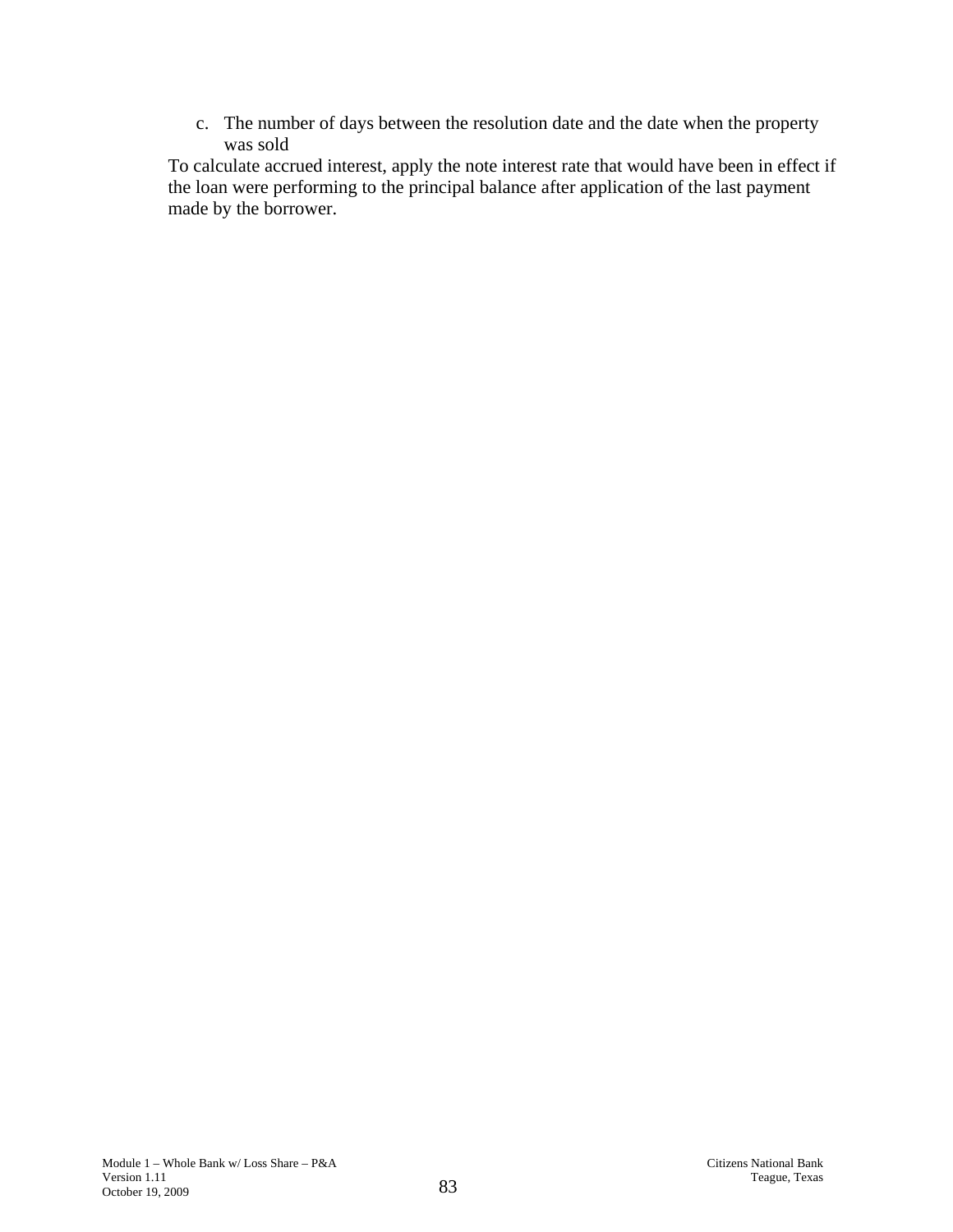c. The number of days between the resolution date and the date when the property was sold

To calculate accrued interest, apply the note interest rate that would have been in effect if the loan were performing to the principal balance after application of the last payment made by the borrower.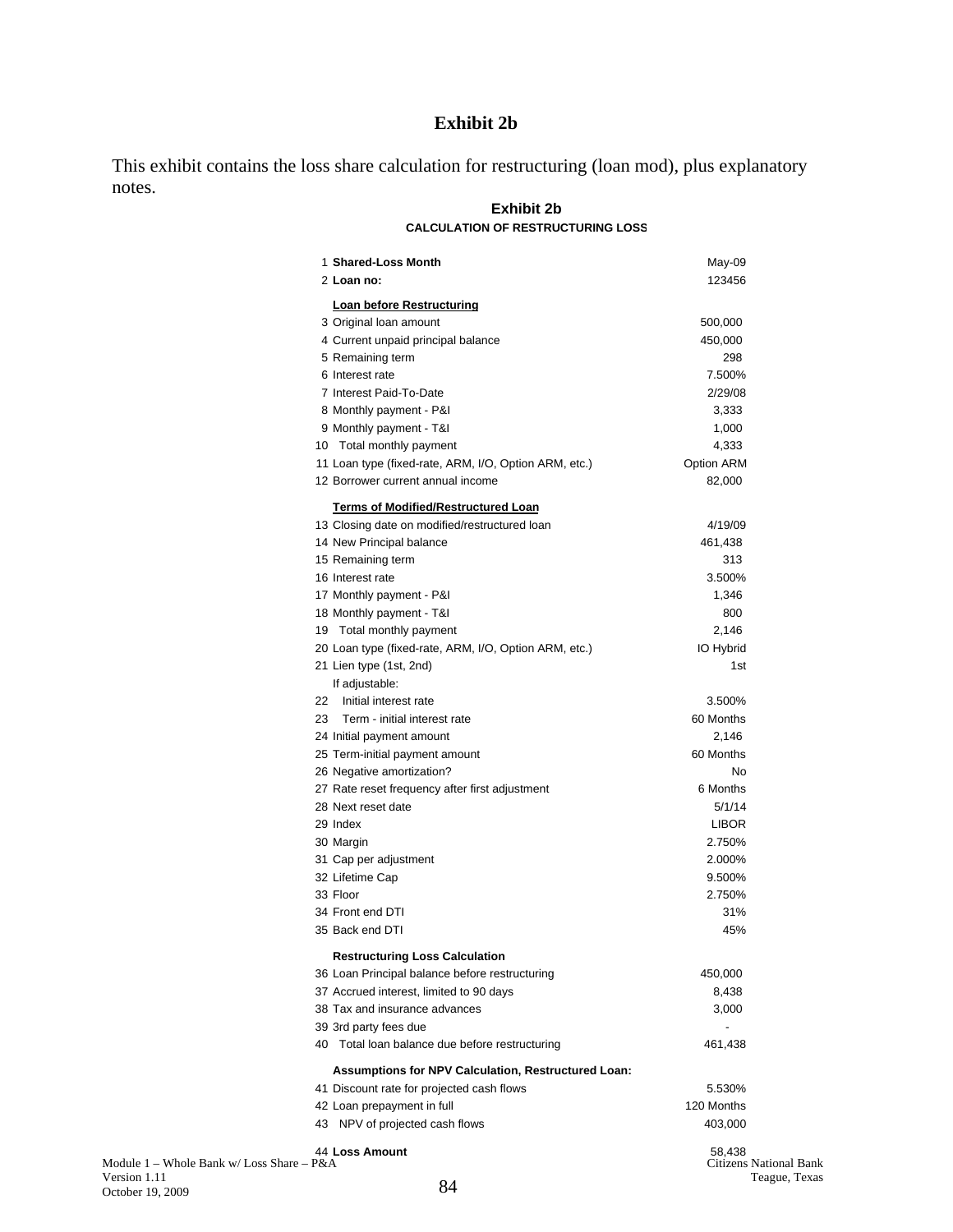# **Exhibit 2b**

This exhibit contains the loss share calculation for restructuring (loan mod), plus explanatory notes.

#### **Exhibit 2b CALCULATION OF RESTRUCTURING LOSS**

|                                                                     | 1 Shared-Loss Month                                   | May-09                                           |
|---------------------------------------------------------------------|-------------------------------------------------------|--------------------------------------------------|
|                                                                     | 2 Loan no:                                            | 123456                                           |
|                                                                     | <b>Loan before Restructuring</b>                      |                                                  |
|                                                                     | 3 Original loan amount                                | 500,000                                          |
|                                                                     | 4 Current unpaid principal balance                    | 450,000                                          |
|                                                                     | 5 Remaining term                                      | 298                                              |
|                                                                     | 6 Interest rate                                       | 7.500%                                           |
|                                                                     | 7 Interest Paid-To-Date                               | 2/29/08                                          |
|                                                                     | 8 Monthly payment - P&I                               | 3,333                                            |
|                                                                     | 9 Monthly payment - T&I                               | 1,000                                            |
|                                                                     | 10 Total monthly payment                              | 4,333                                            |
|                                                                     | 11 Loan type (fixed-rate, ARM, I/O, Option ARM, etc.) | <b>Option ARM</b>                                |
|                                                                     | 12 Borrower current annual income                     | 82,000                                           |
|                                                                     | <b>Terms of Modified/Restructured Loan</b>            |                                                  |
|                                                                     | 13 Closing date on modified/restructured loan         | 4/19/09                                          |
|                                                                     | 14 New Principal balance                              | 461,438                                          |
|                                                                     | 15 Remaining term                                     | 313                                              |
|                                                                     | 16 Interest rate                                      | 3.500%                                           |
|                                                                     | 17 Monthly payment - P&I                              | 1,346                                            |
|                                                                     | 18 Monthly payment - T&I                              | 800                                              |
|                                                                     | 19 Total monthly payment                              | 2,146                                            |
|                                                                     | 20 Loan type (fixed-rate, ARM, I/O, Option ARM, etc.) | IO Hybrid                                        |
|                                                                     | 21 Lien type (1st, 2nd)                               | 1st                                              |
|                                                                     | If adjustable:                                        |                                                  |
|                                                                     | 22<br>Initial interest rate                           | 3.500%                                           |
|                                                                     | 23<br>Term - initial interest rate                    | 60 Months                                        |
|                                                                     | 24 Initial payment amount                             | 2,146                                            |
|                                                                     | 25 Term-initial payment amount                        | 60 Months                                        |
|                                                                     | 26 Negative amortization?                             | No                                               |
|                                                                     | 27 Rate reset frequency after first adjustment        | 6 Months                                         |
|                                                                     | 28 Next reset date                                    | 5/1/14                                           |
|                                                                     | 29 Index                                              | <b>LIBOR</b>                                     |
|                                                                     | 30 Margin                                             | 2.750%                                           |
|                                                                     | 31 Cap per adjustment                                 | 2.000%                                           |
|                                                                     | 32 Lifetime Cap                                       | 9.500%                                           |
|                                                                     | 33 Floor                                              | 2.750%                                           |
|                                                                     | 34 Front end DTI                                      | 31%                                              |
|                                                                     | 35 Back end DTI                                       | 45%                                              |
|                                                                     | <b>Restructuring Loss Calculation</b>                 |                                                  |
|                                                                     | 36 Loan Principal balance before restructuring        | 450,000                                          |
|                                                                     | 37 Accrued interest, limited to 90 days               | 8,438                                            |
|                                                                     | 38 Tax and insurance advances                         | 3,000                                            |
|                                                                     | 39 3rd party fees due                                 |                                                  |
|                                                                     | 40 Total loan balance due before restructuring        | 461,438                                          |
|                                                                     | Assumptions for NPV Calculation, Restructured Loan:   |                                                  |
|                                                                     | 41 Discount rate for projected cash flows             | 5.530%                                           |
|                                                                     | 42 Loan prepayment in full                            | 120 Months                                       |
|                                                                     | 43 NPV of projected cash flows                        | 403,000                                          |
|                                                                     | 44 Loss Amount                                        | 58,438                                           |
| Module 1 – Whole Bank w/ Loss Share – P&A<br>$\frac{1}{2}$ and 1.11 |                                                       | Citizens National Bank<br>$T_{222}$ and $T_{22}$ |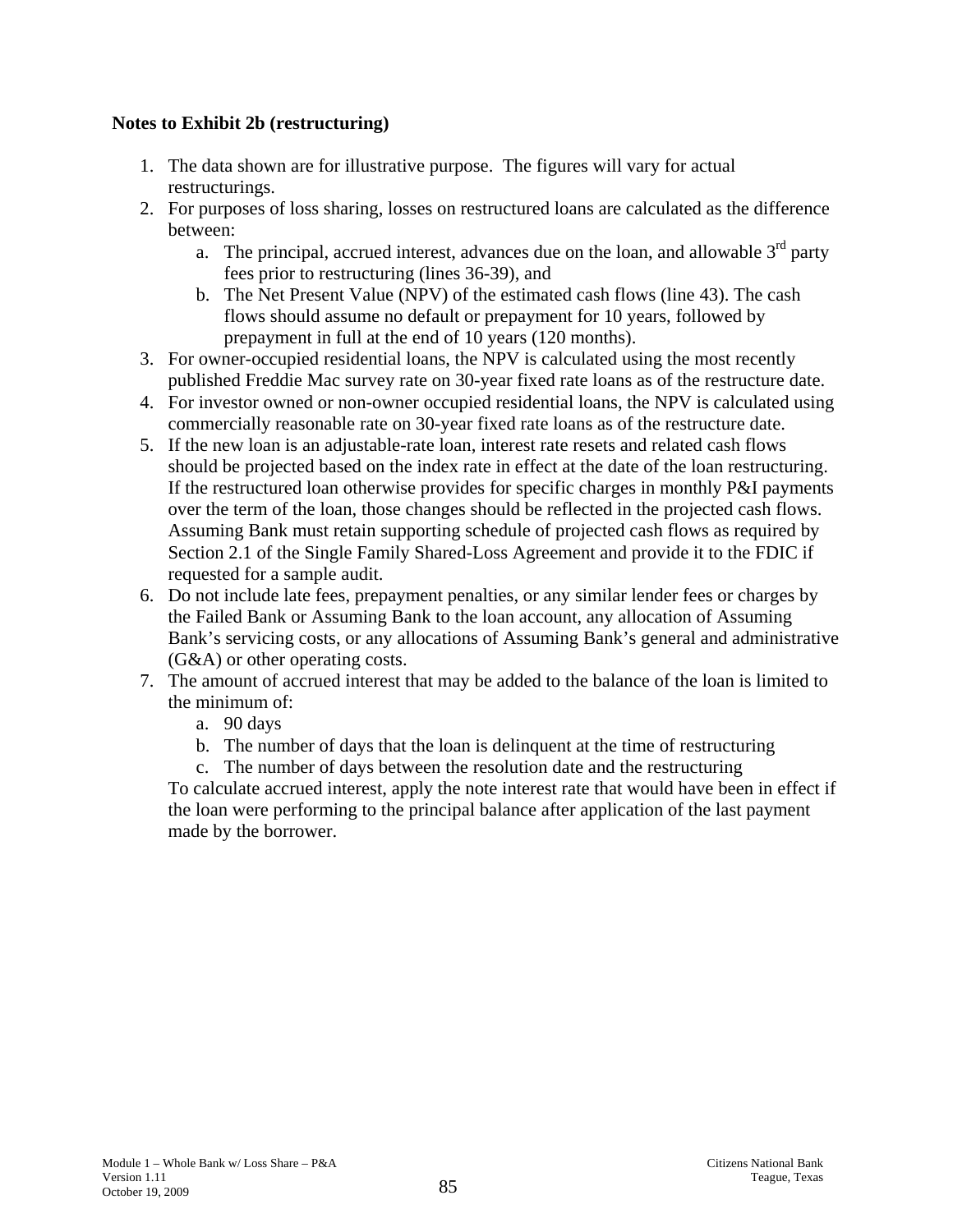## **Notes to Exhibit 2b (restructuring)**

- 1. The data shown are for illustrative purpose. The figures will vary for actual restructurings.
- 2. For purposes of loss sharing, losses on restructured loans are calculated as the difference between:
	- a. The principal, accrued interest, advances due on the loan, and allowable  $3<sup>rd</sup>$  party fees prior to restructuring (lines 36-39), and
	- b. The Net Present Value (NPV) of the estimated cash flows (line 43). The cash flows should assume no default or prepayment for 10 years, followed by prepayment in full at the end of 10 years (120 months).
- 3. For owner-occupied residential loans, the NPV is calculated using the most recently published Freddie Mac survey rate on 30-year fixed rate loans as of the restructure date.
- 4. For investor owned or non-owner occupied residential loans, the NPV is calculated using commercially reasonable rate on 30-year fixed rate loans as of the restructure date.
- 5. If the new loan is an adjustable-rate loan, interest rate resets and related cash flows should be projected based on the index rate in effect at the date of the loan restructuring. If the restructured loan otherwise provides for specific charges in monthly P&I payments over the term of the loan, those changes should be reflected in the projected cash flows. Assuming Bank must retain supporting schedule of projected cash flows as required by Section 2.1 of the Single Family Shared-Loss Agreement and provide it to the FDIC if requested for a sample audit.
- 6. Do not include late fees, prepayment penalties, or any similar lender fees or charges by the Failed Bank or Assuming Bank to the loan account, any allocation of Assuming Bank's servicing costs, or any allocations of Assuming Bank's general and administrative (G&A) or other operating costs.
- 7. The amount of accrued interest that may be added to the balance of the loan is limited to the minimum of:
	- a. 90 days
	- b. The number of days that the loan is delinquent at the time of restructuring

c. The number of days between the resolution date and the restructuring To calculate accrued interest, apply the note interest rate that would have been in effect if the loan were performing to the principal balance after application of the last payment made by the borrower.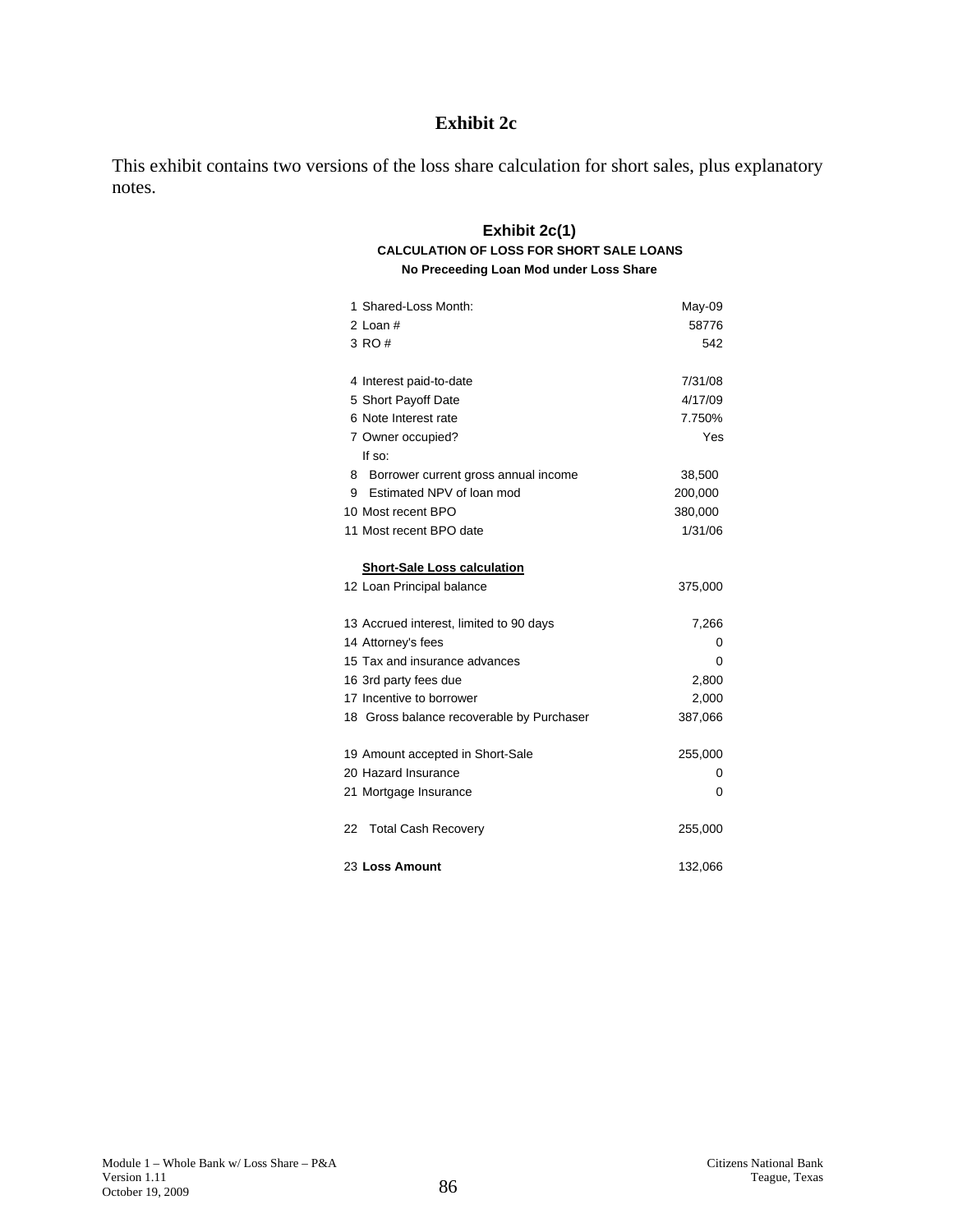### **Exhibit 2c**

This exhibit contains two versions of the loss share calculation for short sales, plus explanatory notes.

#### **Exhibit 2c(1) CALCULATION OF LOSS FOR SHORT SALE LOANS No Preceeding Loan Mod under Loss Share**

| 1 Shared-Loss Month:                      | May-09  |
|-------------------------------------------|---------|
| 2 Loan #                                  | 58776   |
| 3 RO #                                    | 542     |
|                                           |         |
| 4 Interest paid-to-date                   | 7/31/08 |
| 5 Short Payoff Date                       | 4/17/09 |
| 6 Note Interest rate                      | 7.750%  |
| 7 Owner occupied?                         | Yes     |
| If so:                                    |         |
| Borrower current gross annual income<br>8 | 38,500  |
| Estimated NPV of loan mod<br>9            | 200,000 |
| 10 Most recent BPO                        | 380,000 |
| 11 Most recent BPO date                   | 1/31/06 |
|                                           |         |
| <b>Short-Sale Loss calculation</b>        |         |
| 12 Loan Principal balance                 | 375,000 |
|                                           |         |
| 13 Accrued interest, limited to 90 days   | 7,266   |
| 14 Attorney's fees                        | 0       |
| 15 Tax and insurance advances             | 0       |
| 16 3rd party fees due                     | 2,800   |
| 17 Incentive to borrower                  | 2,000   |
| 18 Gross balance recoverable by Purchaser | 387,066 |
|                                           |         |
| 19 Amount accepted in Short-Sale          | 255,000 |
| 20 Hazard Insurance                       | 0       |
| 21 Mortgage Insurance                     | 0       |
|                                           |         |
| 22 Total Cash Recovery                    | 255,000 |
|                                           |         |
| 23 Loss Amount                            | 132,066 |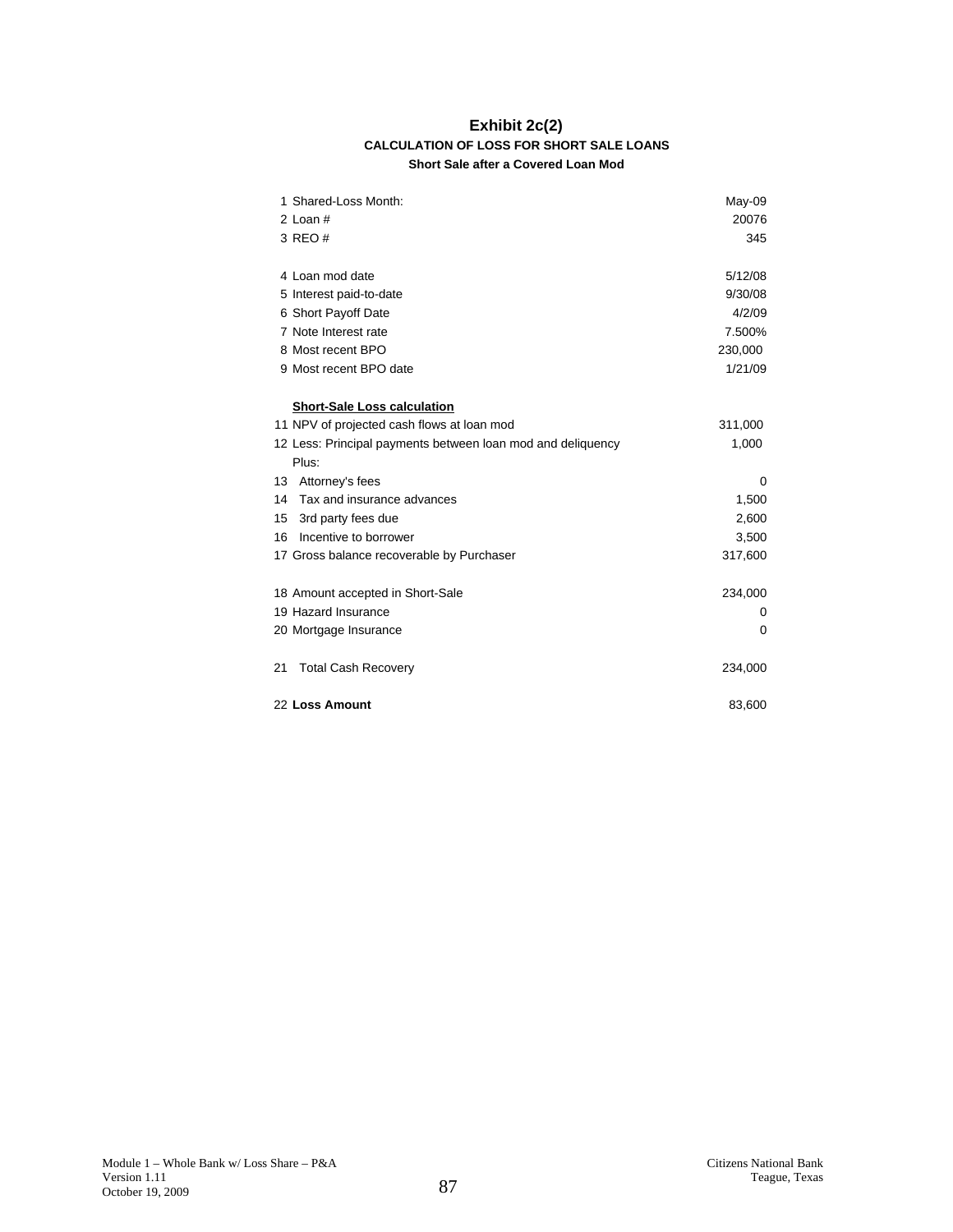#### **Exhibit 2c(2) CALCULATION OF LOSS FOR SHORT SALE LOANS Short Sale after a Covered Loan Mod**

| 1 Shared-Loss Month:<br>2 Loan $#$                          | May-09<br>20076 |
|-------------------------------------------------------------|-----------------|
| 3 REO #                                                     | 345             |
| 4 Loan mod date                                             | 5/12/08         |
| 5 Interest paid-to-date                                     | 9/30/08         |
| 6 Short Payoff Date                                         | 4/2/09          |
| 7 Note Interest rate                                        | 7.500%          |
| 8 Most recent BPO                                           | 230,000         |
| 9 Most recent BPO date                                      | 1/21/09         |
|                                                             |                 |
| <b>Short-Sale Loss calculation</b>                          |                 |
| 11 NPV of projected cash flows at loan mod                  | 311,000         |
| 12 Less: Principal payments between loan mod and deliquency | 1,000           |
| Plus:                                                       |                 |
| 13<br>Attorney's fees                                       | 0               |
| Tax and insurance advances<br>14                            | 1,500           |
| 3rd party fees due<br>15                                    | 2,600           |
| 16<br>Incentive to borrower                                 | 3,500           |
| 17 Gross balance recoverable by Purchaser                   | 317,600         |
|                                                             |                 |
| 18 Amount accepted in Short-Sale                            | 234,000         |
| 19 Hazard Insurance                                         | 0               |
| 20 Mortgage Insurance                                       | $\Omega$        |
|                                                             |                 |
| <b>Total Cash Recovery</b><br>21                            | 234,000         |
|                                                             |                 |
| 22 Loss Amount                                              | 83,600          |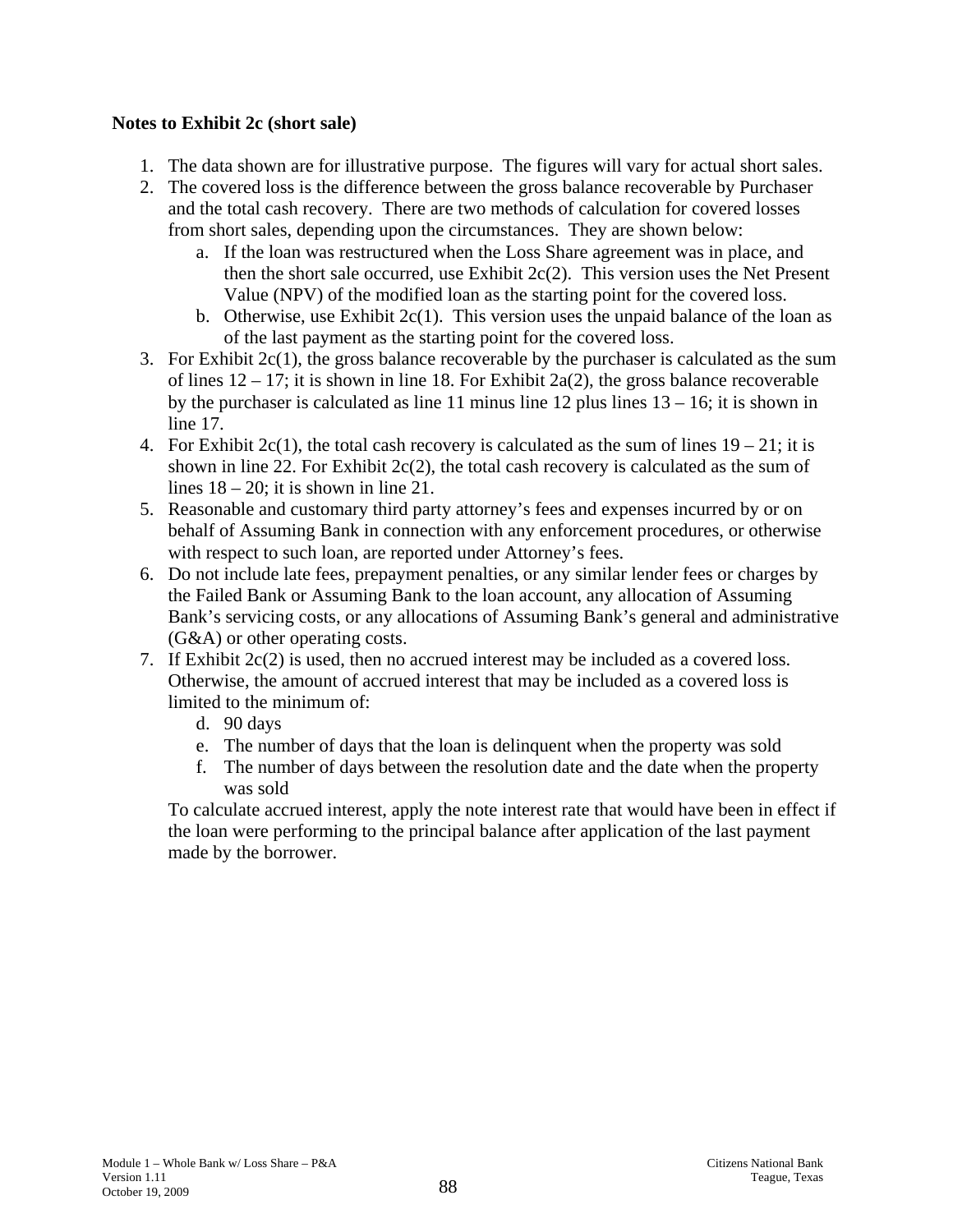## **Notes to Exhibit 2c (short sale)**

- 1. The data shown are for illustrative purpose. The figures will vary for actual short sales.
- 2. The covered loss is the difference between the gross balance recoverable by Purchaser and the total cash recovery. There are two methods of calculation for covered losses from short sales, depending upon the circumstances. They are shown below:
	- a. If the loan was restructured when the Loss Share agreement was in place, and then the short sale occurred, use Exhibit  $2c(2)$ . This version uses the Net Present Value (NPV) of the modified loan as the starting point for the covered loss.
	- b. Otherwise, use Exhibit  $2c(1)$ . This version uses the unpaid balance of the loan as of the last payment as the starting point for the covered loss.
- 3. For Exhibit  $2c(1)$ , the gross balance recoverable by the purchaser is calculated as the sum of lines  $12 - 17$ ; it is shown in line 18. For Exhibit 2a(2), the gross balance recoverable by the purchaser is calculated as line 11 minus line 12 plus lines 13 – 16; it is shown in line 17.
- 4. For Exhibit 2c(1), the total cash recovery is calculated as the sum of lines  $19 21$ ; it is shown in line 22. For Exhibit  $2c(2)$ , the total cash recovery is calculated as the sum of lines  $18 - 20$ ; it is shown in line 21.
- 5. Reasonable and customary third party attorney's fees and expenses incurred by or on behalf of Assuming Bank in connection with any enforcement procedures, or otherwise with respect to such loan, are reported under Attorney's fees.
- 6. Do not include late fees, prepayment penalties, or any similar lender fees or charges by the Failed Bank or Assuming Bank to the loan account, any allocation of Assuming Bank's servicing costs, or any allocations of Assuming Bank's general and administrative (G&A) or other operating costs.
- 7. If Exhibit  $2c(2)$  is used, then no accrued interest may be included as a covered loss. Otherwise, the amount of accrued interest that may be included as a covered loss is limited to the minimum of:
	- d. 90 days
	- e. The number of days that the loan is delinquent when the property was sold
	- f. The number of days between the resolution date and the date when the property was sold

To calculate accrued interest, apply the note interest rate that would have been in effect if the loan were performing to the principal balance after application of the last payment made by the borrower.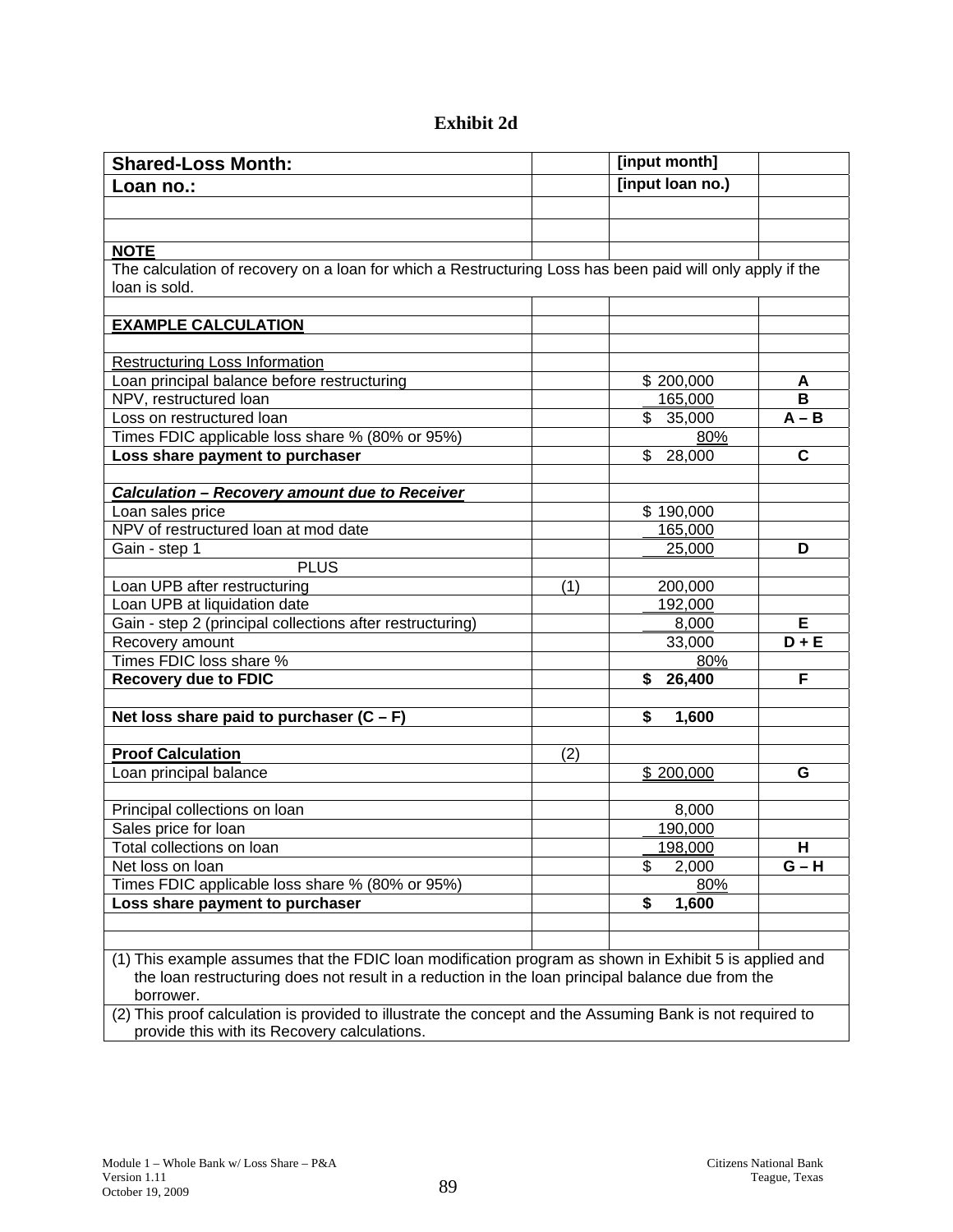# **Exhibit 2d**

| [input month]<br><b>Shared-Loss Month:</b>                                                                                                                                                                |     |                    |         |
|-----------------------------------------------------------------------------------------------------------------------------------------------------------------------------------------------------------|-----|--------------------|---------|
| [input loan no.)<br>Loan no.:                                                                                                                                                                             |     |                    |         |
|                                                                                                                                                                                                           |     |                    |         |
|                                                                                                                                                                                                           |     |                    |         |
| <b>NOTE</b>                                                                                                                                                                                               |     |                    |         |
| The calculation of recovery on a loan for which a Restructuring Loss has been paid will only apply if the                                                                                                 |     |                    |         |
| loan is sold.                                                                                                                                                                                             |     |                    |         |
|                                                                                                                                                                                                           |     |                    |         |
| <b>EXAMPLE CALCULATION</b>                                                                                                                                                                                |     |                    |         |
|                                                                                                                                                                                                           |     |                    |         |
| <b>Restructuring Loss Information</b>                                                                                                                                                                     |     |                    |         |
| Loan principal balance before restructuring                                                                                                                                                               |     | \$200,000          | A       |
| NPV, restructured loan                                                                                                                                                                                    |     | 165,000            | B       |
| Loss on restructured loan                                                                                                                                                                                 |     | \$35,000           | $A - B$ |
| Times FDIC applicable loss share % (80% or 95%)                                                                                                                                                           |     | 80%                |         |
| Loss share payment to purchaser                                                                                                                                                                           |     | \$28,000           | C       |
|                                                                                                                                                                                                           |     |                    |         |
| Calculation - Recovery amount due to Receiver                                                                                                                                                             |     |                    |         |
| Loan sales price                                                                                                                                                                                          |     | \$190,000          |         |
| NPV of restructured loan at mod date                                                                                                                                                                      |     | 165,000            |         |
| Gain - step 1                                                                                                                                                                                             |     | 25,000             | D       |
| <b>PLUS</b>                                                                                                                                                                                               |     |                    |         |
| Loan UPB after restructuring                                                                                                                                                                              | (1) | 200,000<br>192,000 |         |
| Loan UPB at liquidation date<br>Gain - step 2 (principal collections after restructuring)                                                                                                                 |     | 8,000              | Е       |
| Recovery amount                                                                                                                                                                                           |     | 33,000             | $D + E$ |
| Times FDIC loss share %                                                                                                                                                                                   |     | 80%                |         |
| <b>Recovery due to FDIC</b>                                                                                                                                                                               |     | \$26,400           | F       |
|                                                                                                                                                                                                           |     |                    |         |
| Net loss share paid to purchaser $(C - F)$                                                                                                                                                                |     | \$<br>1,600        |         |
|                                                                                                                                                                                                           |     |                    |         |
| <b>Proof Calculation</b>                                                                                                                                                                                  | (2) |                    |         |
| Loan principal balance                                                                                                                                                                                    |     | \$200,000          | G       |
|                                                                                                                                                                                                           |     |                    |         |
| Principal collections on loan                                                                                                                                                                             |     | 8,000              |         |
| Sales price for loan                                                                                                                                                                                      |     | 190,000            |         |
| Total collections on loan                                                                                                                                                                                 |     | 198,000            | H       |
| Net loss on loan                                                                                                                                                                                          |     | \$<br>2,000        | G – H   |
| Times FDIC applicable loss share % (80% or 95%)                                                                                                                                                           |     | 80%                |         |
| Loss share payment to purchaser                                                                                                                                                                           |     | 1,600<br>\$        |         |
|                                                                                                                                                                                                           |     |                    |         |
|                                                                                                                                                                                                           |     |                    |         |
| (1) This example assumes that the FDIC loan modification program as shown in Exhibit 5 is applied and<br>the loan restructuring does not result in a reduction in the loan principal balance due from the |     |                    |         |
| borrower.                                                                                                                                                                                                 |     |                    |         |
| (2) This proof calculation is provided to illustrate the concept and the Assuming Bank is not required to                                                                                                 |     |                    |         |
| provide this with its Recovery calculations.                                                                                                                                                              |     |                    |         |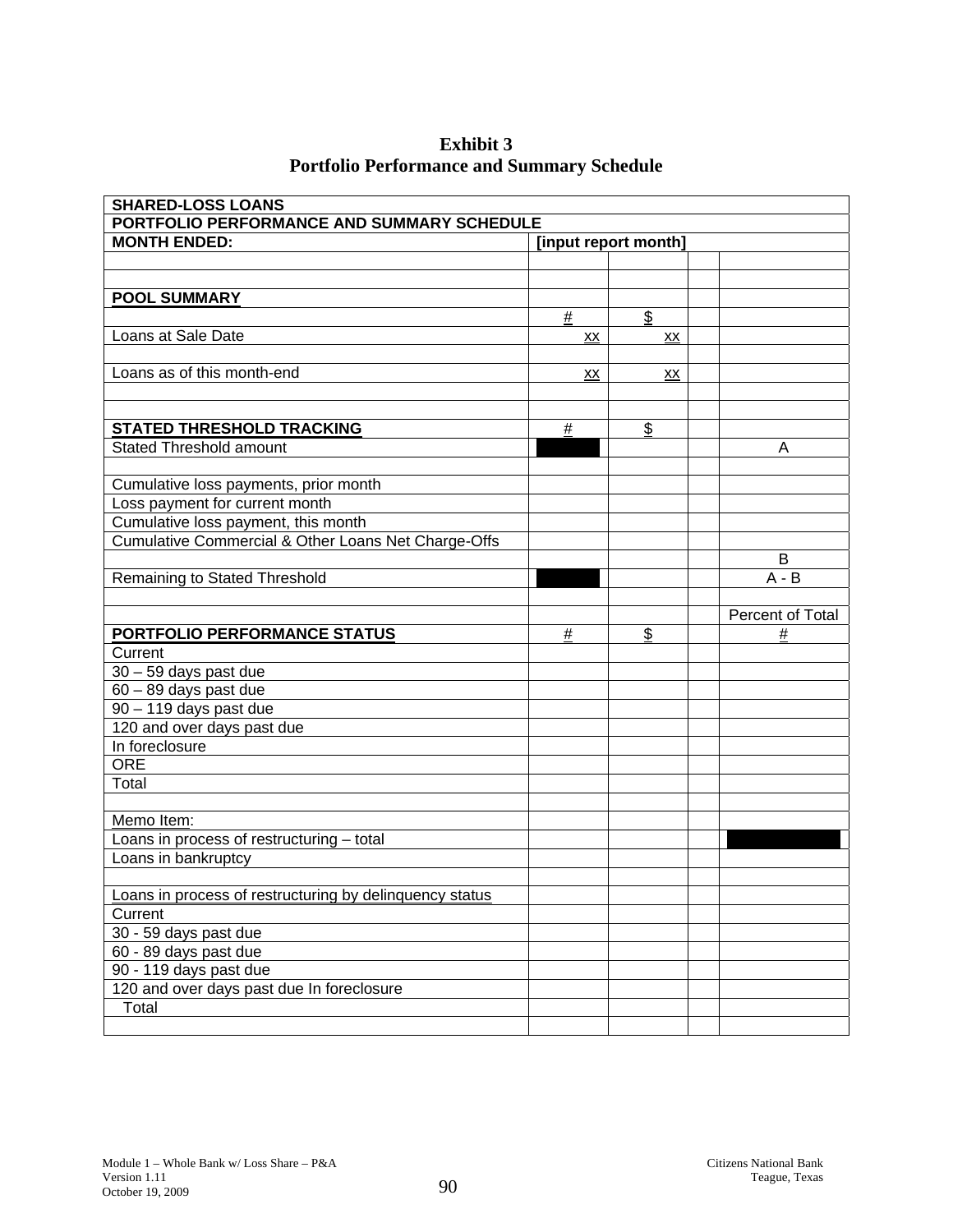| <b>SHARED-LOSS LOANS</b><br>PORTFOLIO PERFORMANCE AND SUMMARY SCHEDULE |                      |    |                  |
|------------------------------------------------------------------------|----------------------|----|------------------|
| <b>MONTH ENDED:</b>                                                    | [input report month] |    |                  |
|                                                                        |                      |    |                  |
|                                                                        |                      |    |                  |
| <b>POOL SUMMARY</b>                                                    |                      |    |                  |
|                                                                        | $\#$                 | \$ |                  |
| Loans at Sale Date                                                     | XX                   | XX |                  |
|                                                                        |                      |    |                  |
| Loans as of this month-end                                             | XX                   | XX |                  |
| <b>STATED THRESHOLD TRACKING</b>                                       | $\#$                 | \$ |                  |
| <b>Stated Threshold amount</b>                                         |                      |    | A                |
|                                                                        |                      |    |                  |
| Cumulative loss payments, prior month                                  |                      |    |                  |
| Loss payment for current month                                         |                      |    |                  |
| Cumulative loss payment, this month                                    |                      |    |                  |
| Cumulative Commercial & Other Loans Net Charge-Offs                    |                      |    |                  |
|                                                                        |                      |    | B                |
| Remaining to Stated Threshold                                          |                      |    | $A - B$          |
|                                                                        |                      |    |                  |
|                                                                        |                      |    | Percent of Total |
| <b>PORTFOLIO PERFORMANCE STATUS</b>                                    | $\#$                 | \$ | $\#$             |
| Current                                                                |                      |    |                  |
| $30 - 59$ days past due                                                |                      |    |                  |
| $60 - 89$ days past due                                                |                      |    |                  |
| $90 - 119$ days past due                                               |                      |    |                  |
| 120 and over days past due                                             |                      |    |                  |
| In foreclosure                                                         |                      |    |                  |
| <b>ORE</b>                                                             |                      |    |                  |
| Total                                                                  |                      |    |                  |
|                                                                        |                      |    |                  |
| Memo Item:                                                             |                      |    |                  |
| Loans in process of restructuring - total                              |                      |    |                  |
| Loans in bankruptcy                                                    |                      |    |                  |
|                                                                        |                      |    |                  |
| Loans in process of restructuring by delinguency status                |                      |    |                  |
| Current                                                                |                      |    |                  |
| 30 - 59 days past due                                                  |                      |    |                  |
| 60 - 89 days past due                                                  |                      |    |                  |
| 90 - 119 days past due                                                 |                      |    |                  |
| 120 and over days past due In foreclosure                              |                      |    |                  |
| Total                                                                  |                      |    |                  |
|                                                                        |                      |    |                  |

## **Exhibit 3 Portfolio Performance and Summary Schedule**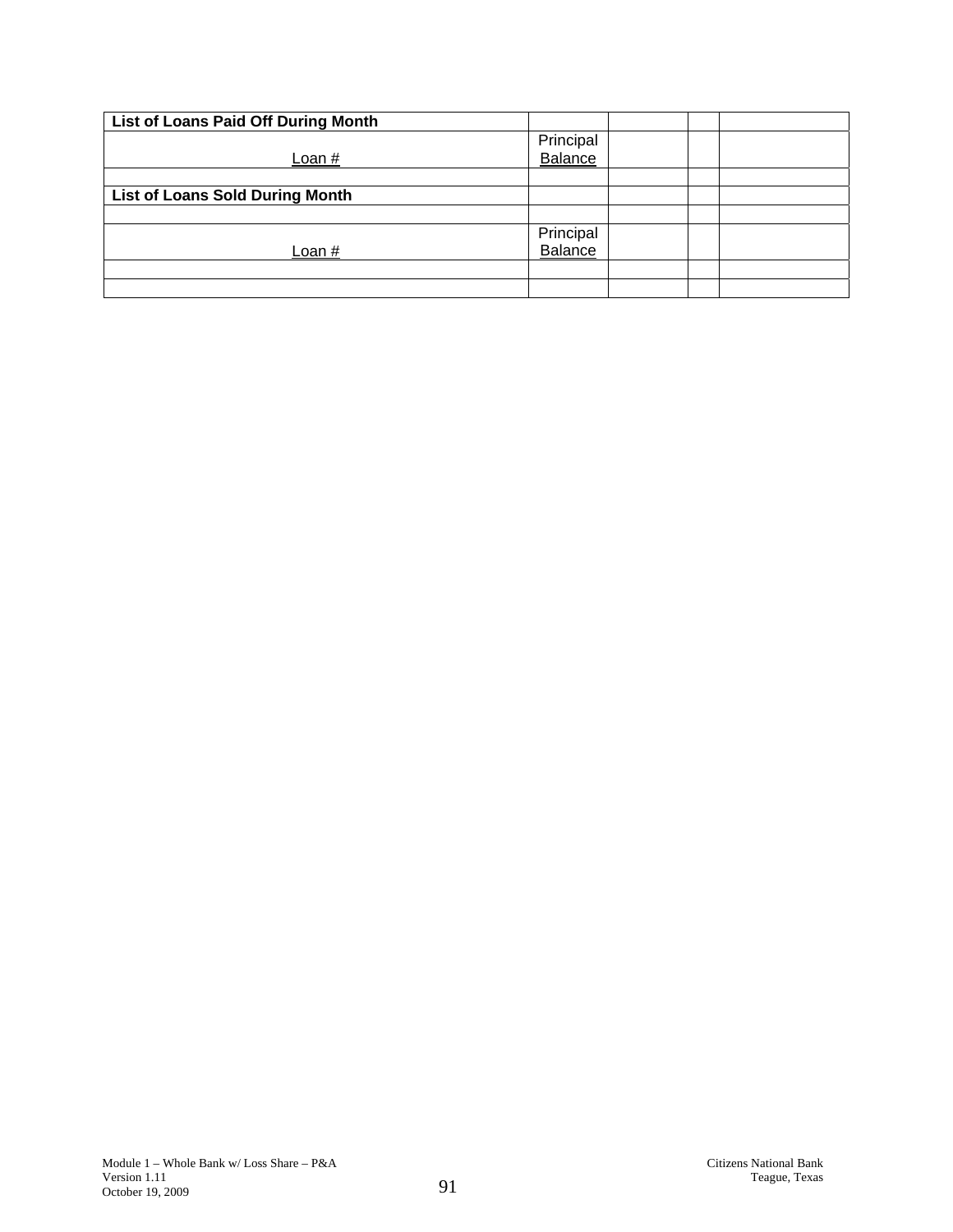| List of Loans Paid Off During Month    |                      |  |  |
|----------------------------------------|----------------------|--|--|
|                                        | Principal            |  |  |
| Loan #                                 | Balance              |  |  |
|                                        |                      |  |  |
| <b>List of Loans Sold During Month</b> |                      |  |  |
|                                        |                      |  |  |
|                                        | Principal<br>Balance |  |  |
| Loan #                                 |                      |  |  |
|                                        |                      |  |  |
|                                        |                      |  |  |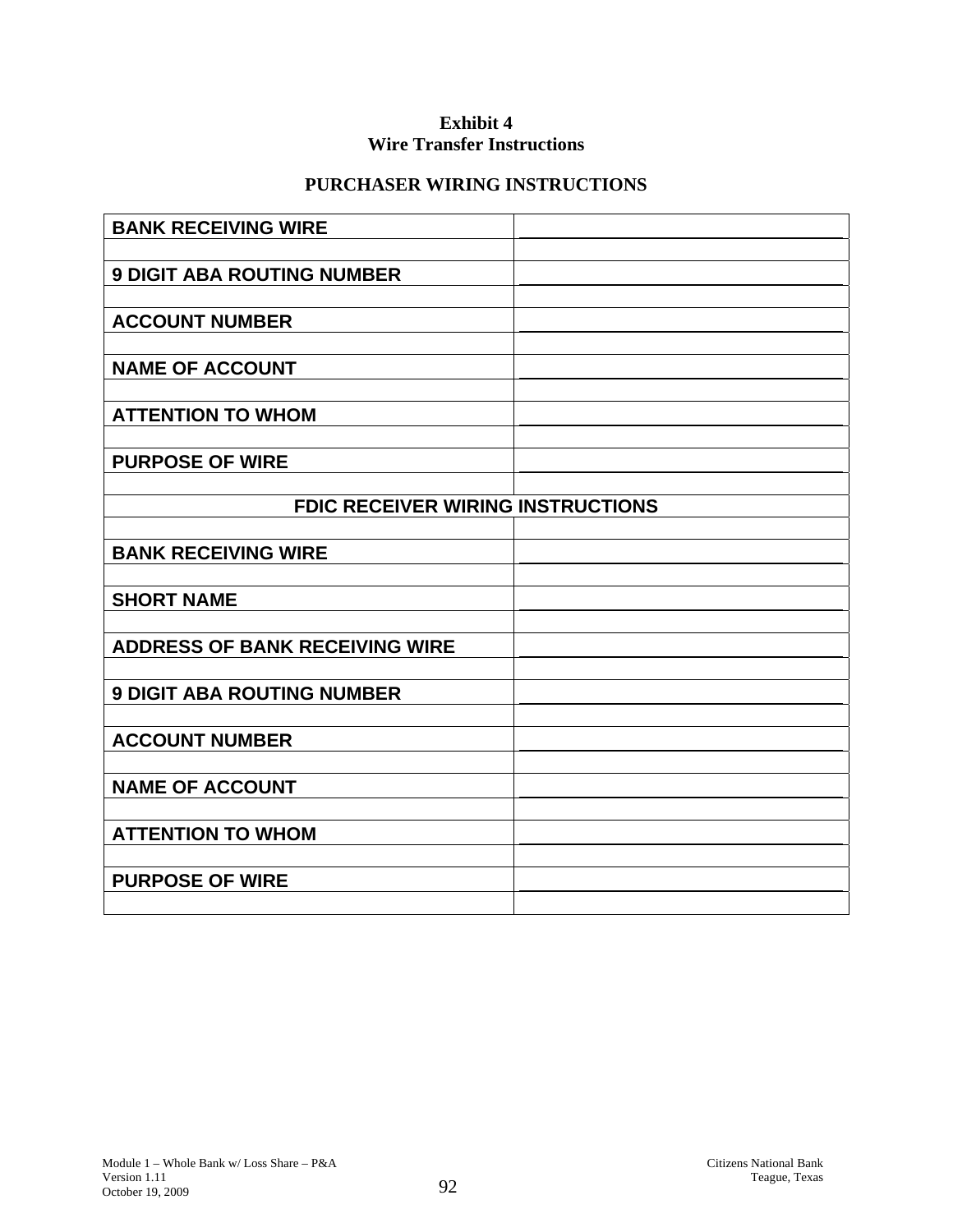## **Exhibit 4 Wire Transfer Instructions**

# **PURCHASER WIRING INSTRUCTIONS**

| <b>BANK RECEIVING WIRE</b>               |  |
|------------------------------------------|--|
|                                          |  |
| <b>9 DIGIT ABA ROUTING NUMBER</b>        |  |
|                                          |  |
| <b>ACCOUNT NUMBER</b>                    |  |
|                                          |  |
| <b>NAME OF ACCOUNT</b>                   |  |
|                                          |  |
| <b>ATTENTION TO WHOM</b>                 |  |
| <b>PURPOSE OF WIRE</b>                   |  |
|                                          |  |
| <b>FDIC RECEIVER WIRING INSTRUCTIONS</b> |  |
|                                          |  |
| <b>BANK RECEIVING WIRE</b>               |  |
|                                          |  |
| <b>SHORT NAME</b>                        |  |
|                                          |  |
| <b>ADDRESS OF BANK RECEIVING WIRE</b>    |  |
|                                          |  |
| <b>9 DIGIT ABA ROUTING NUMBER</b>        |  |
|                                          |  |
| <b>ACCOUNT NUMBER</b>                    |  |
| <b>NAME OF ACCOUNT</b>                   |  |
|                                          |  |
| <b>ATTENTION TO WHOM</b>                 |  |
|                                          |  |
| <b>PURPOSE OF WIRE</b>                   |  |
|                                          |  |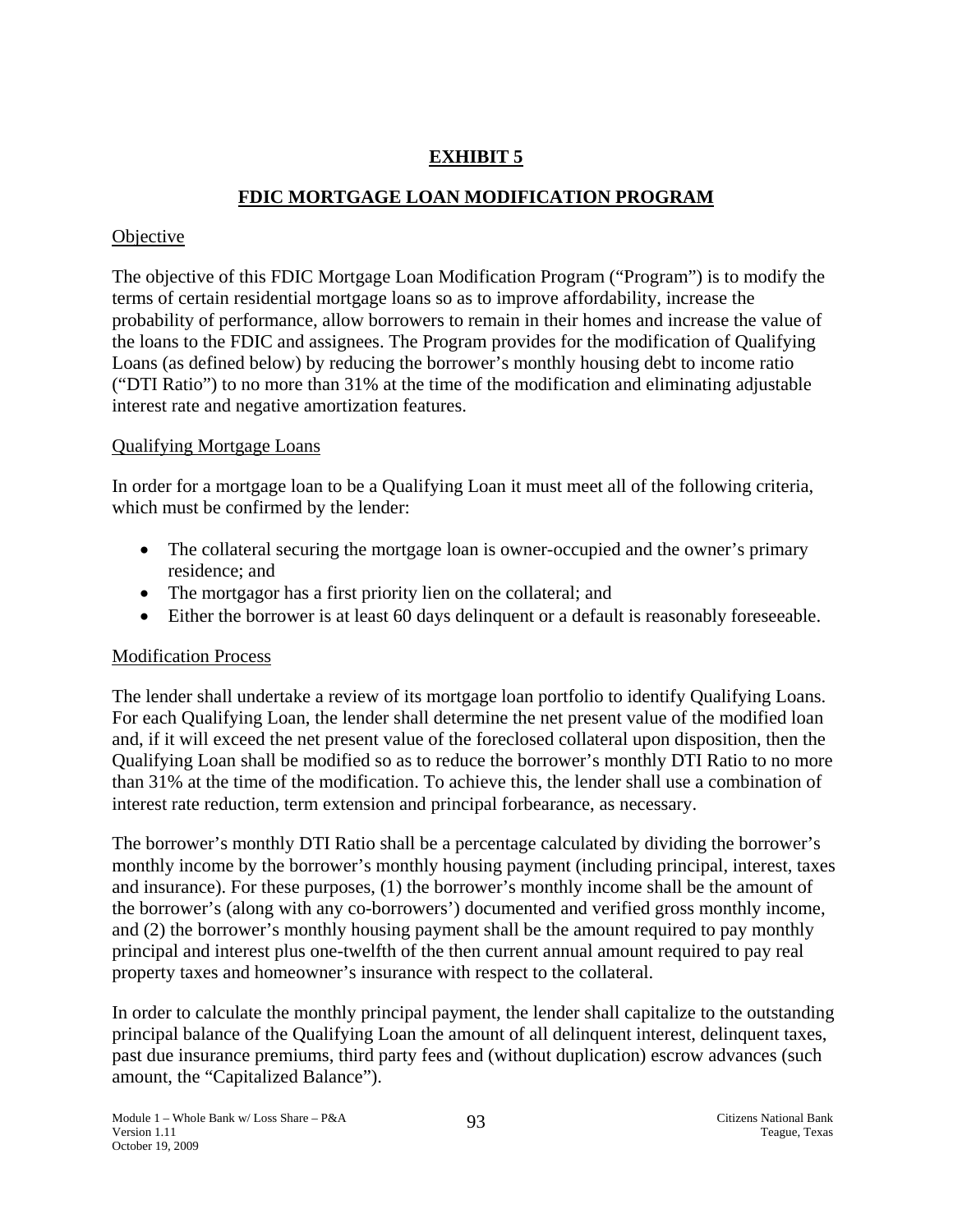# **EXHIBIT 5**

# **FDIC MORTGAGE LOAN MODIFICATION PROGRAM**

## **Objective**

The objective of this FDIC Mortgage Loan Modification Program ("Program") is to modify the terms of certain residential mortgage loans so as to improve affordability, increase the probability of performance, allow borrowers to remain in their homes and increase the value of the loans to the FDIC and assignees. The Program provides for the modification of Qualifying Loans (as defined below) by reducing the borrower's monthly housing debt to income ratio ("DTI Ratio") to no more than 31% at the time of the modification and eliminating adjustable interest rate and negative amortization features.

## Qualifying Mortgage Loans

In order for a mortgage loan to be a Qualifying Loan it must meet all of the following criteria, which must be confirmed by the lender:

- The collateral securing the mortgage loan is owner-occupied and the owner's primary residence; and
- The mortgagor has a first priority lien on the collateral; and
- Either the borrower is at least 60 days delinquent or a default is reasonably foreseeable.

## Modification Process

The lender shall undertake a review of its mortgage loan portfolio to identify Qualifying Loans. For each Qualifying Loan, the lender shall determine the net present value of the modified loan and, if it will exceed the net present value of the foreclosed collateral upon disposition, then the Qualifying Loan shall be modified so as to reduce the borrower's monthly DTI Ratio to no more than 31% at the time of the modification. To achieve this, the lender shall use a combination of interest rate reduction, term extension and principal forbearance, as necessary.

The borrower's monthly DTI Ratio shall be a percentage calculated by dividing the borrower's monthly income by the borrower's monthly housing payment (including principal, interest, taxes and insurance). For these purposes, (1) the borrower's monthly income shall be the amount of the borrower's (along with any co-borrowers') documented and verified gross monthly income, and (2) the borrower's monthly housing payment shall be the amount required to pay monthly principal and interest plus one-twelfth of the then current annual amount required to pay real property taxes and homeowner's insurance with respect to the collateral.

In order to calculate the monthly principal payment, the lender shall capitalize to the outstanding principal balance of the Qualifying Loan the amount of all delinquent interest, delinquent taxes, past due insurance premiums, third party fees and (without duplication) escrow advances (such amount, the "Capitalized Balance").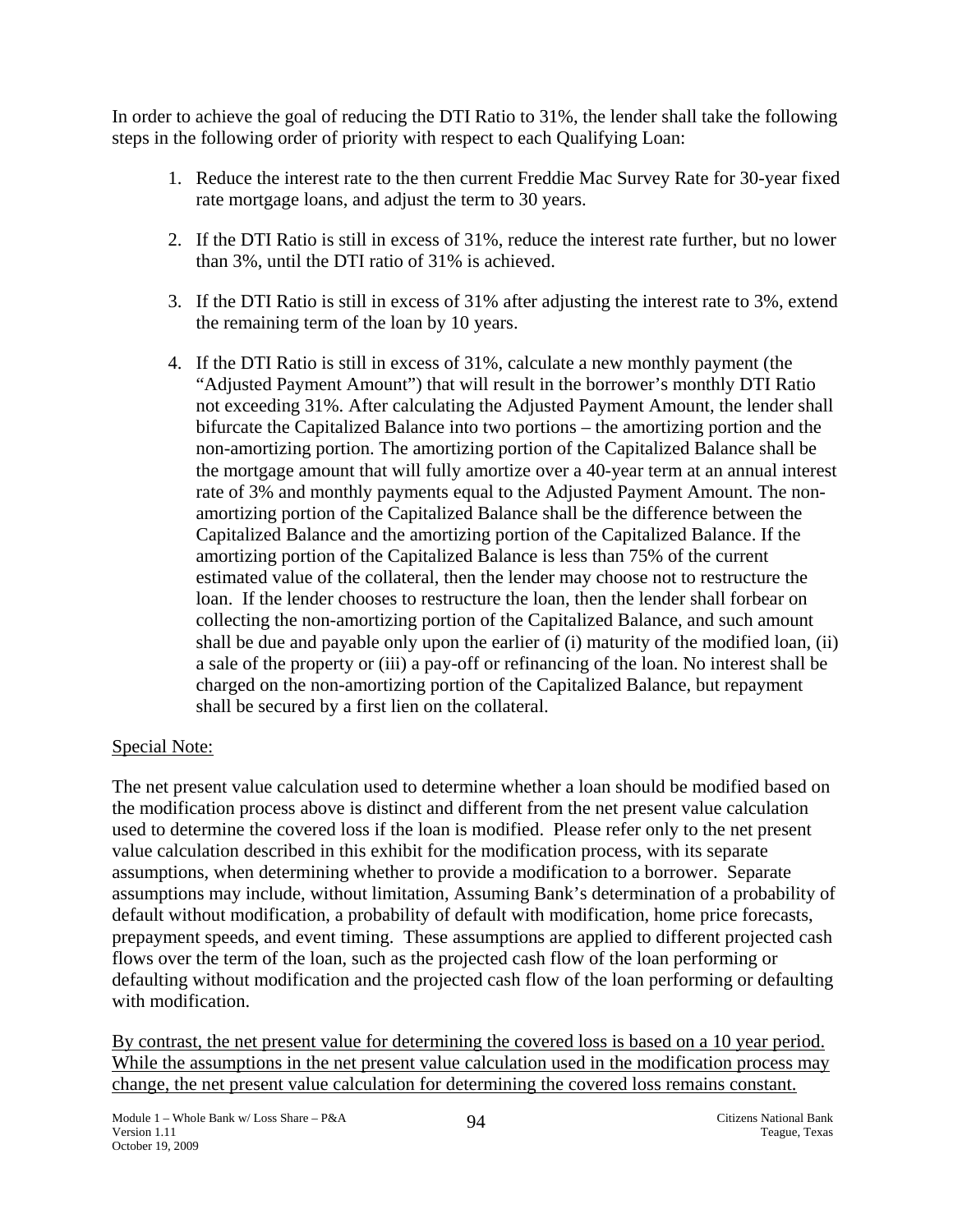In order to achieve the goal of reducing the DTI Ratio to 31%, the lender shall take the following steps in the following order of priority with respect to each Qualifying Loan:

- 1. Reduce the interest rate to the then current Freddie Mac Survey Rate for 30-year fixed rate mortgage loans, and adjust the term to 30 years.
- 2. If the DTI Ratio is still in excess of 31%, reduce the interest rate further, but no lower than 3%, until the DTI ratio of 31% is achieved.
- 3. If the DTI Ratio is still in excess of 31% after adjusting the interest rate to 3%, extend the remaining term of the loan by 10 years.
- 4. If the DTI Ratio is still in excess of 31%, calculate a new monthly payment (the "Adjusted Payment Amount") that will result in the borrower's monthly DTI Ratio not exceeding 31%. After calculating the Adjusted Payment Amount, the lender shall bifurcate the Capitalized Balance into two portions – the amortizing portion and the non-amortizing portion. The amortizing portion of the Capitalized Balance shall be the mortgage amount that will fully amortize over a 40-year term at an annual interest rate of 3% and monthly payments equal to the Adjusted Payment Amount. The nonamortizing portion of the Capitalized Balance shall be the difference between the Capitalized Balance and the amortizing portion of the Capitalized Balance. If the amortizing portion of the Capitalized Balance is less than 75% of the current estimated value of the collateral, then the lender may choose not to restructure the loan. If the lender chooses to restructure the loan, then the lender shall forbear on collecting the non-amortizing portion of the Capitalized Balance, and such amount shall be due and payable only upon the earlier of (i) maturity of the modified loan, (ii) a sale of the property or (iii) a pay-off or refinancing of the loan. No interest shall be charged on the non-amortizing portion of the Capitalized Balance, but repayment shall be secured by a first lien on the collateral.

## Special Note:

The net present value calculation used to determine whether a loan should be modified based on the modification process above is distinct and different from the net present value calculation used to determine the covered loss if the loan is modified. Please refer only to the net present value calculation described in this exhibit for the modification process, with its separate assumptions, when determining whether to provide a modification to a borrower. Separate assumptions may include, without limitation, Assuming Bank's determination of a probability of default without modification, a probability of default with modification, home price forecasts, prepayment speeds, and event timing. These assumptions are applied to different projected cash flows over the term of the loan, such as the projected cash flow of the loan performing or defaulting without modification and the projected cash flow of the loan performing or defaulting with modification.

change, the net present value calculation for determining the covered loss remains constant.<br>
Module 1 – Whole Bank w/ Loss Share – P&A 94 Citizens National Bank Teague, Texas By contrast, the net present value for determining the covered loss is based on a 10 year period. While the assumptions in the net present value calculation used in the modification process may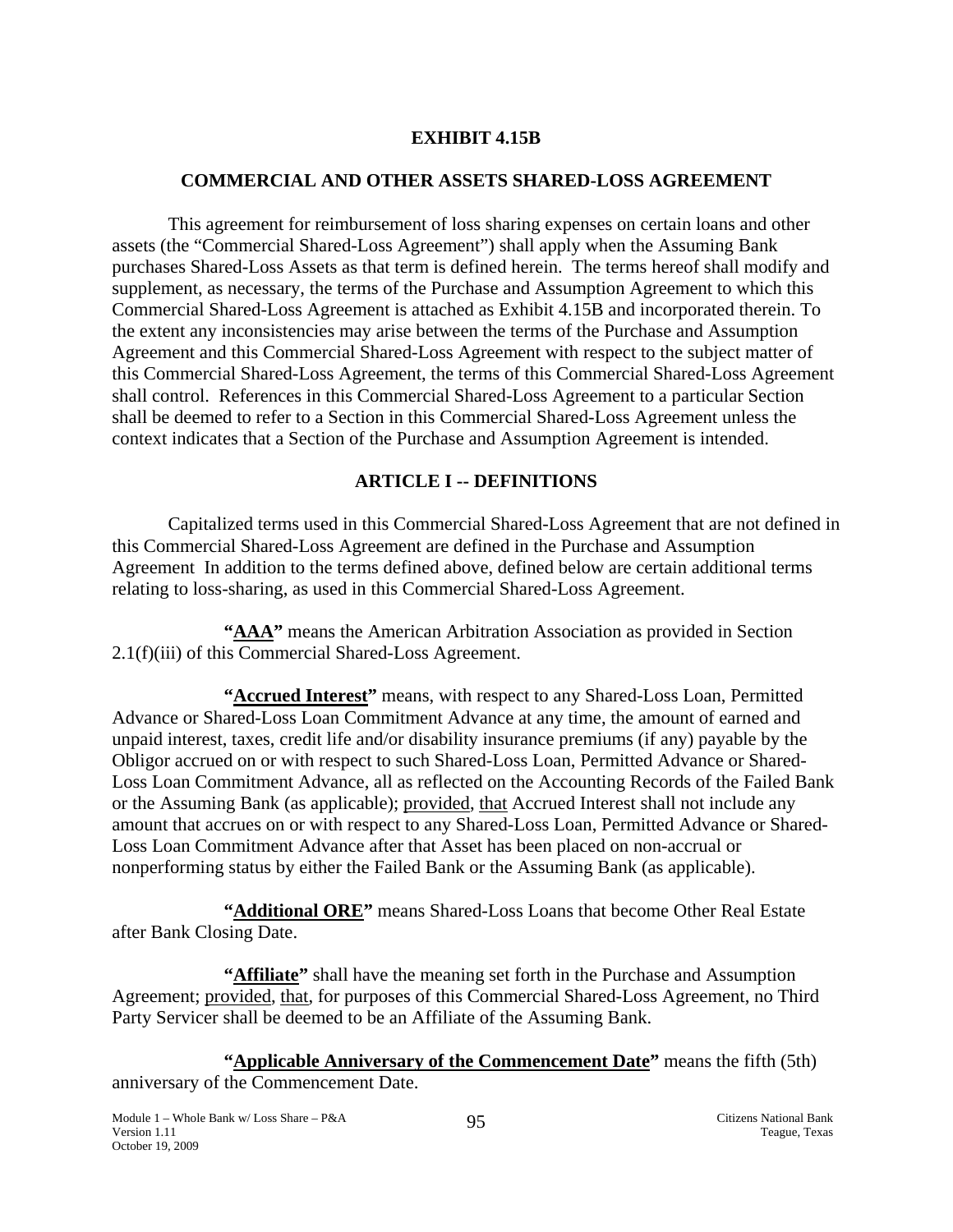### **EXHIBIT 4.15B**

### **COMMERCIAL AND OTHER ASSETS SHARED-LOSS AGREEMENT**

This agreement for reimbursement of loss sharing expenses on certain loans and other assets (the "Commercial Shared-Loss Agreement") shall apply when the Assuming Bank purchases Shared-Loss Assets as that term is defined herein. The terms hereof shall modify and supplement, as necessary, the terms of the Purchase and Assumption Agreement to which this Commercial Shared-Loss Agreement is attached as Exhibit 4.15B and incorporated therein. To the extent any inconsistencies may arise between the terms of the Purchase and Assumption Agreement and this Commercial Shared-Loss Agreement with respect to the subject matter of this Commercial Shared-Loss Agreement, the terms of this Commercial Shared-Loss Agreement shall control. References in this Commercial Shared-Loss Agreement to a particular Section shall be deemed to refer to a Section in this Commercial Shared-Loss Agreement unless the context indicates that a Section of the Purchase and Assumption Agreement is intended.

### **ARTICLE I -- DEFINITIONS**

Capitalized terms used in this Commercial Shared-Loss Agreement that are not defined in this Commercial Shared-Loss Agreement are defined in the Purchase and Assumption Agreement In addition to the terms defined above, defined below are certain additional terms relating to loss-sharing, as used in this Commercial Shared-Loss Agreement.

**"AAA"** means the American Arbitration Association as provided in Section 2.1(f)(iii) of this Commercial Shared-Loss Agreement.

**"Accrued Interest"** means, with respect to any Shared-Loss Loan, Permitted Advance or Shared-Loss Loan Commitment Advance at any time, the amount of earned and unpaid interest, taxes, credit life and/or disability insurance premiums (if any) payable by the Obligor accrued on or with respect to such Shared-Loss Loan, Permitted Advance or Shared-Loss Loan Commitment Advance, all as reflected on the Accounting Records of the Failed Bank or the Assuming Bank (as applicable); provided, that Accrued Interest shall not include any amount that accrues on or with respect to any Shared-Loss Loan, Permitted Advance or Shared-Loss Loan Commitment Advance after that Asset has been placed on non-accrual or nonperforming status by either the Failed Bank or the Assuming Bank (as applicable).

"**Additional ORE**" means Shared-Loss Loans that become Other Real Estate after Bank Closing Date.

"**Affiliate**" shall have the meaning set forth in the Purchase and Assumption Agreement; provided, that, for purposes of this Commercial Shared-Loss Agreement, no Third Party Servicer shall be deemed to be an Affiliate of the Assuming Bank.

**Examplicable Anniversary of the Commencement Date**" means the fifth (5th) anniversary of the Commencement Date.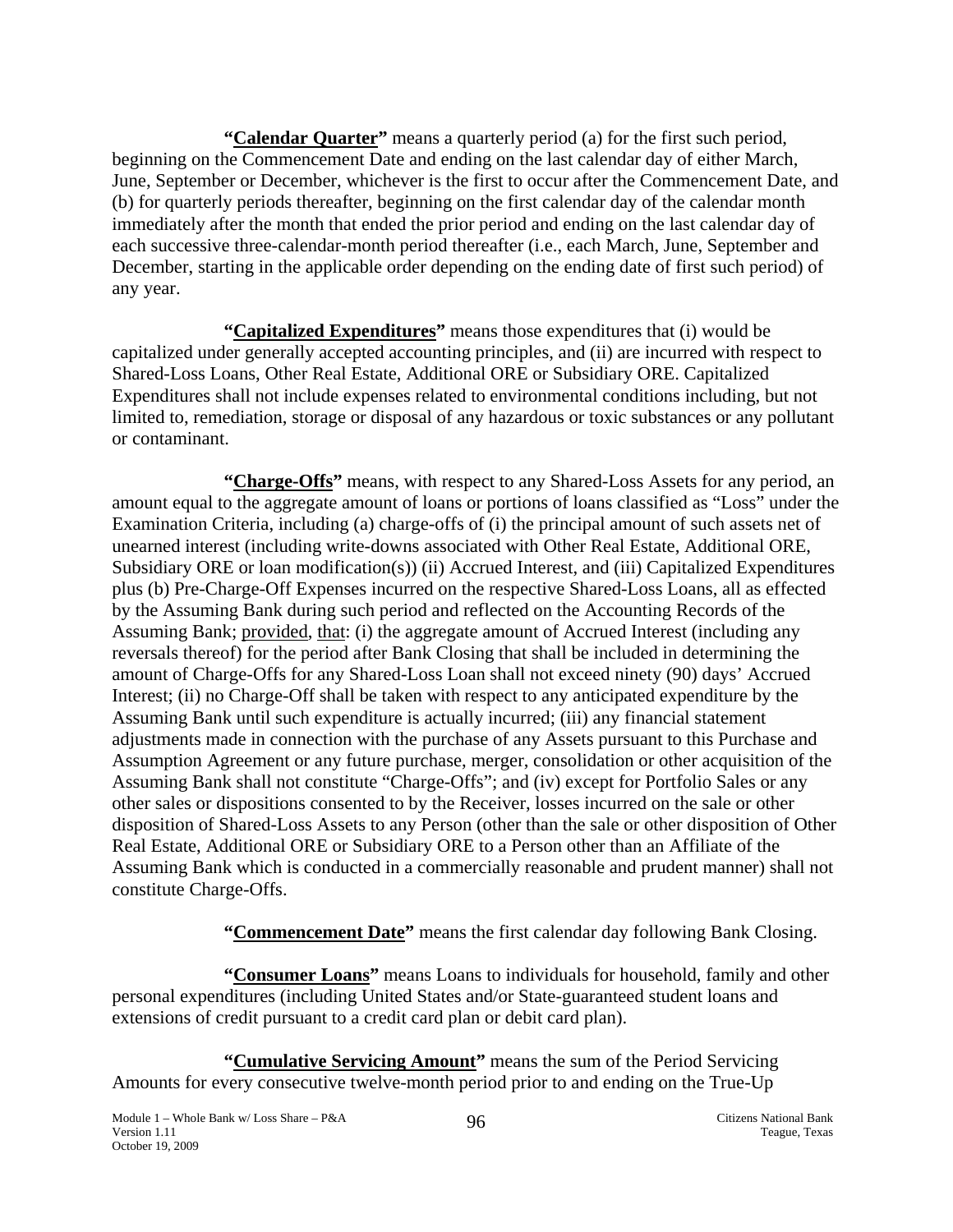**"Calendar Quarter"** means a quarterly period (a) for the first such period, beginning on the Commencement Date and ending on the last calendar day of either March, June, September or December, whichever is the first to occur after the Commencement Date, and (b) for quarterly periods thereafter, beginning on the first calendar day of the calendar month immediately after the month that ended the prior period and ending on the last calendar day of each successive three-calendar-month period thereafter (i.e., each March, June, September and December, starting in the applicable order depending on the ending date of first such period) of any year.

**"Capitalized Expenditures"** means those expenditures that (i) would be capitalized under generally accepted accounting principles, and (ii) are incurred with respect to Shared-Loss Loans, Other Real Estate, Additional ORE or Subsidiary ORE. Capitalized Expenditures shall not include expenses related to environmental conditions including, but not limited to, remediation, storage or disposal of any hazardous or toxic substances or any pollutant or contaminant.

**"Charge-Offs"** means, with respect to any Shared-Loss Assets for any period, an amount equal to the aggregate amount of loans or portions of loans classified as "Loss" under the Examination Criteria, including (a) charge-offs of (i) the principal amount of such assets net of unearned interest (including write-downs associated with Other Real Estate, Additional ORE, Subsidiary ORE or loan modification(s)) (ii) Accrued Interest, and (iii) Capitalized Expenditures plus (b) Pre-Charge-Off Expenses incurred on the respective Shared-Loss Loans, all as effected by the Assuming Bank during such period and reflected on the Accounting Records of the Assuming Bank; provided, that: (i) the aggregate amount of Accrued Interest (including any reversals thereof) for the period after Bank Closing that shall be included in determining the amount of Charge-Offs for any Shared-Loss Loan shall not exceed ninety (90) days' Accrued Interest; (ii) no Charge-Off shall be taken with respect to any anticipated expenditure by the Assuming Bank until such expenditure is actually incurred; (iii) any financial statement adjustments made in connection with the purchase of any Assets pursuant to this Purchase and Assumption Agreement or any future purchase, merger, consolidation or other acquisition of the Assuming Bank shall not constitute "Charge-Offs"; and (iv) except for Portfolio Sales or any other sales or dispositions consented to by the Receiver, losses incurred on the sale or other disposition of Shared-Loss Assets to any Person (other than the sale or other disposition of Other Real Estate, Additional ORE or Subsidiary ORE to a Person other than an Affiliate of the Assuming Bank which is conducted in a commercially reasonable and prudent manner) shall not constitute Charge-Offs.

**"Commencement Date"** means the first calendar day following Bank Closing.

**"Consumer Loans"** means Loans to individuals for household, family and other personal expenditures (including United States and/or State-guaranteed student loans and extensions of credit pursuant to a credit card plan or debit card plan).

**"Cumulative Servicing Amount"** means the sum of the Period Servicing Amounts for every consecutive twelve-month period prior to and ending on the True-Up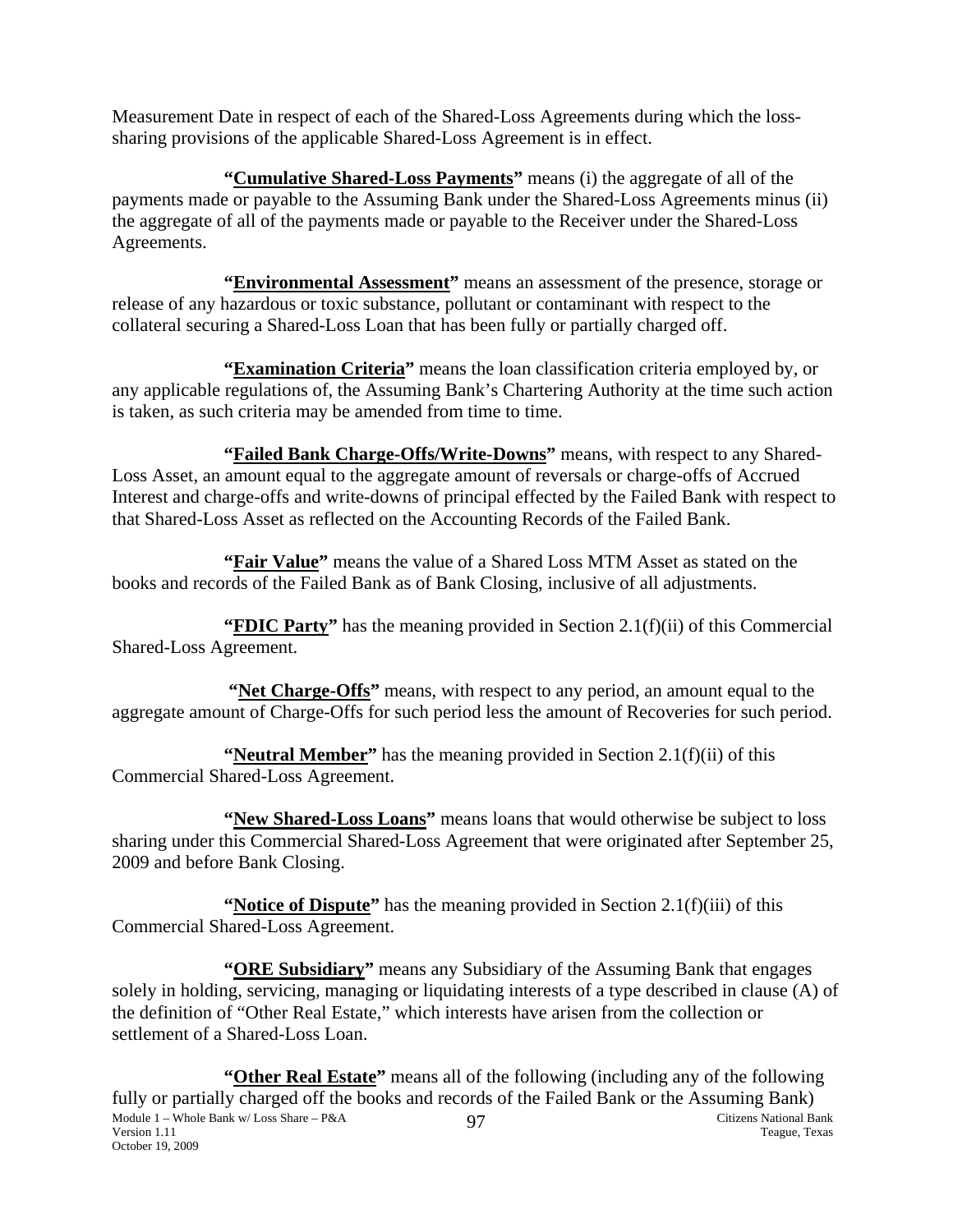Measurement Date in respect of each of the Shared-Loss Agreements during which the losssharing provisions of the applicable Shared-Loss Agreement is in effect.

**"Cumulative Shared-Loss Payments"** means (i) the aggregate of all of the payments made or payable to the Assuming Bank under the Shared-Loss Agreements minus (ii) the aggregate of all of the payments made or payable to the Receiver under the Shared-Loss Agreements.

**"Environmental Assessment"** means an assessment of the presence, storage or release of any hazardous or toxic substance, pollutant or contaminant with respect to the collateral securing a Shared-Loss Loan that has been fully or partially charged off.

**"Examination Criteria"** means the loan classification criteria employed by, or any applicable regulations of, the Assuming Bank's Chartering Authority at the time such action is taken, as such criteria may be amended from time to time.

**"Failed Bank Charge-Offs/Write-Downs"** means, with respect to any Shared-Loss Asset, an amount equal to the aggregate amount of reversals or charge-offs of Accrued Interest and charge-offs and write-downs of principal effected by the Failed Bank with respect to that Shared-Loss Asset as reflected on the Accounting Records of the Failed Bank.

**"Fair Value"** means the value of a Shared Loss MTM Asset as stated on the books and records of the Failed Bank as of Bank Closing, inclusive of all adjustments.

**"FDIC Party"** has the meaning provided in Section 2.1(f)(ii) of this Commercial Shared-Loss Agreement.

**"Net Charge-Offs"** means, with respect to any period, an amount equal to the aggregate amount of Charge-Offs for such period less the amount of Recoveries for such period.

 Commercial Shared-Loss Agreement. **"Neutral Member"** has the meaning provided in Section 2.1(f)(ii) of this

**"New Shared-Loss Loans"** means loans that would otherwise be subject to loss sharing under this Commercial Shared-Loss Agreement that were originated after September 25, 2009 and before Bank Closing.

**"Notice of Dispute"** has the meaning provided in Section 2.1(f)(iii) of this Commercial Shared-Loss Agreement.

**"ORE Subsidiary"** means any Subsidiary of the Assuming Bank that engages solely in holding, servicing, managing or liquidating interests of a type described in clause (A) of the definition of "Other Real Estate," which interests have arisen from the collection or settlement of a Shared-Loss Loan.

**"Other Real Estate"** means all of the following (including any of the following fully or partially charged off the books and records of the Failed Bank or the Assuming Bank) Module 1 – Whole Bank w/ Loss Share – P&A Citizens National Bank Citizens National Bank 97 Citizens National Bank Teague, Texas October 19, 2009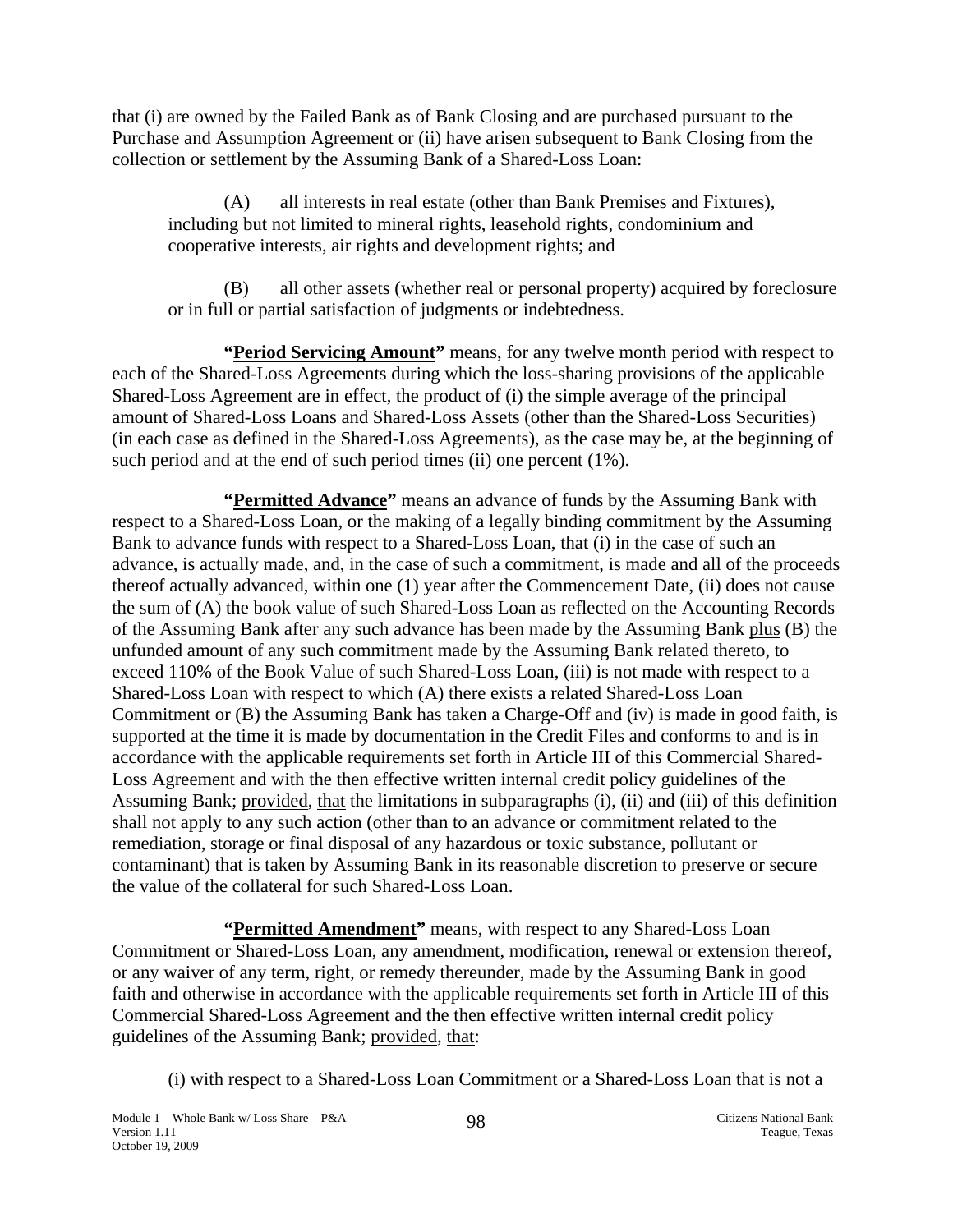that (i) are owned by the Failed Bank as of Bank Closing and are purchased pursuant to the Purchase and Assumption Agreement or (ii) have arisen subsequent to Bank Closing from the collection or settlement by the Assuming Bank of a Shared-Loss Loan:

(A) all interests in real estate (other than Bank Premises and Fixtures), including but not limited to mineral rights, leasehold rights, condominium and cooperative interests, air rights and development rights; and

(B) all other assets (whether real or personal property) acquired by foreclosure or in full or partial satisfaction of judgments or indebtedness.

**"Period Servicing Amount"** means, for any twelve month period with respect to each of the Shared-Loss Agreements during which the loss-sharing provisions of the applicable Shared-Loss Agreement are in effect, the product of (i) the simple average of the principal amount of Shared-Loss Loans and Shared-Loss Assets (other than the Shared-Loss Securities) (in each case as defined in the Shared-Loss Agreements), as the case may be, at the beginning of such period and at the end of such period times (ii) one percent (1%).

**"Permitted Advance"** means an advance of funds by the Assuming Bank with respect to a Shared-Loss Loan, or the making of a legally binding commitment by the Assuming Bank to advance funds with respect to a Shared-Loss Loan, that (i) in the case of such an advance, is actually made, and, in the case of such a commitment, is made and all of the proceeds thereof actually advanced, within one (1) year after the Commencement Date, (ii) does not cause the sum of (A) the book value of such Shared-Loss Loan as reflected on the Accounting Records of the Assuming Bank after any such advance has been made by the Assuming Bank plus (B) the unfunded amount of any such commitment made by the Assuming Bank related thereto, to exceed 110% of the Book Value of such Shared-Loss Loan, (iii) is not made with respect to a Shared-Loss Loan with respect to which (A) there exists a related Shared-Loss Loan Commitment or (B) the Assuming Bank has taken a Charge-Off and (iv) is made in good faith, is supported at the time it is made by documentation in the Credit Files and conforms to and is in accordance with the applicable requirements set forth in Article III of this Commercial Shared-Loss Agreement and with the then effective written internal credit policy guidelines of the Assuming Bank; provided, that the limitations in subparagraphs (i), (ii) and (iii) of this definition shall not apply to any such action (other than to an advance or commitment related to the remediation, storage or final disposal of any hazardous or toxic substance, pollutant or contaminant) that is taken by Assuming Bank in its reasonable discretion to preserve or secure the value of the collateral for such Shared-Loss Loan.

**"Permitted Amendment"** means, with respect to any Shared-Loss Loan Commitment or Shared-Loss Loan, any amendment, modification, renewal or extension thereof, or any waiver of any term, right, or remedy thereunder, made by the Assuming Bank in good faith and otherwise in accordance with the applicable requirements set forth in Article III of this Commercial Shared-Loss Agreement and the then effective written internal credit policy guidelines of the Assuming Bank; provided, that:

(i) with respect to a Shared-Loss Loan Commitment or a Shared-Loss Loan that is not a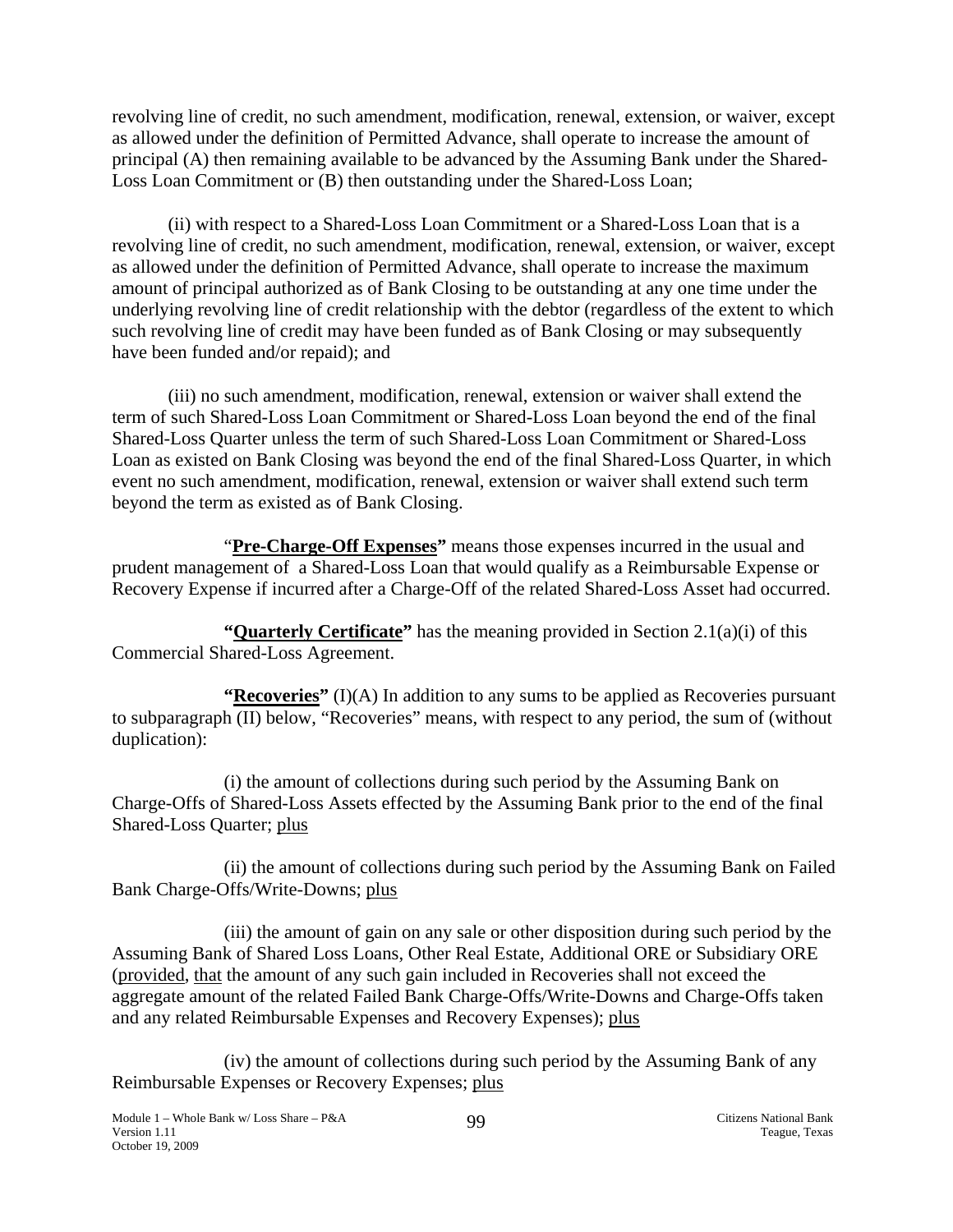revolving line of credit, no such amendment, modification, renewal, extension, or waiver, except as allowed under the definition of Permitted Advance, shall operate to increase the amount of principal (A) then remaining available to be advanced by the Assuming Bank under the Shared-Loss Loan Commitment or (B) then outstanding under the Shared-Loss Loan;

(ii) with respect to a Shared-Loss Loan Commitment or a Shared-Loss Loan that is a revolving line of credit, no such amendment, modification, renewal, extension, or waiver, except as allowed under the definition of Permitted Advance, shall operate to increase the maximum amount of principal authorized as of Bank Closing to be outstanding at any one time under the underlying revolving line of credit relationship with the debtor (regardless of the extent to which such revolving line of credit may have been funded as of Bank Closing or may subsequently have been funded and/or repaid); and

(iii) no such amendment, modification, renewal, extension or waiver shall extend the term of such Shared-Loss Loan Commitment or Shared-Loss Loan beyond the end of the final Shared-Loss Quarter unless the term of such Shared-Loss Loan Commitment or Shared-Loss Loan as existed on Bank Closing was beyond the end of the final Shared-Loss Quarter, in which event no such amendment, modification, renewal, extension or waiver shall extend such term beyond the term as existed as of Bank Closing.

"**Pre-Charge-Off Expenses"** means those expenses incurred in the usual and prudent management of a Shared-Loss Loan that would qualify as a Reimbursable Expense or Recovery Expense if incurred after a Charge-Off of the related Shared-Loss Asset had occurred.

**"Quarterly Certificate"** has the meaning provided in Section 2.1(a)(i) of this Commercial Shared-Loss Agreement.

**"Recoveries"** (I)(A) In addition to any sums to be applied as Recoveries pursuant to subparagraph (II) below, "Recoveries" means, with respect to any period, the sum of (without duplication):

**Shared-Loss Quarter; plus** (i) the amount of collections during such period by the Assuming Bank on Charge-Offs of Shared-Loss Assets effected by the Assuming Bank prior to the end of the final

(ii) the amount of collections during such period by the Assuming Bank on Failed Bank Charge-Offs/Write-Downs; plus

(iii) the amount of gain on any sale or other disposition during such period by the Assuming Bank of Shared Loss Loans, Other Real Estate, Additional ORE or Subsidiary ORE (provided, that the amount of any such gain included in Recoveries shall not exceed the aggregate amount of the related Failed Bank Charge-Offs/Write-Downs and Charge-Offs taken and any related Reimbursable Expenses and Recovery Expenses); plus

(iv) the amount of collections during such period by the Assuming Bank of any Reimbursable Expenses or Recovery Expenses; plus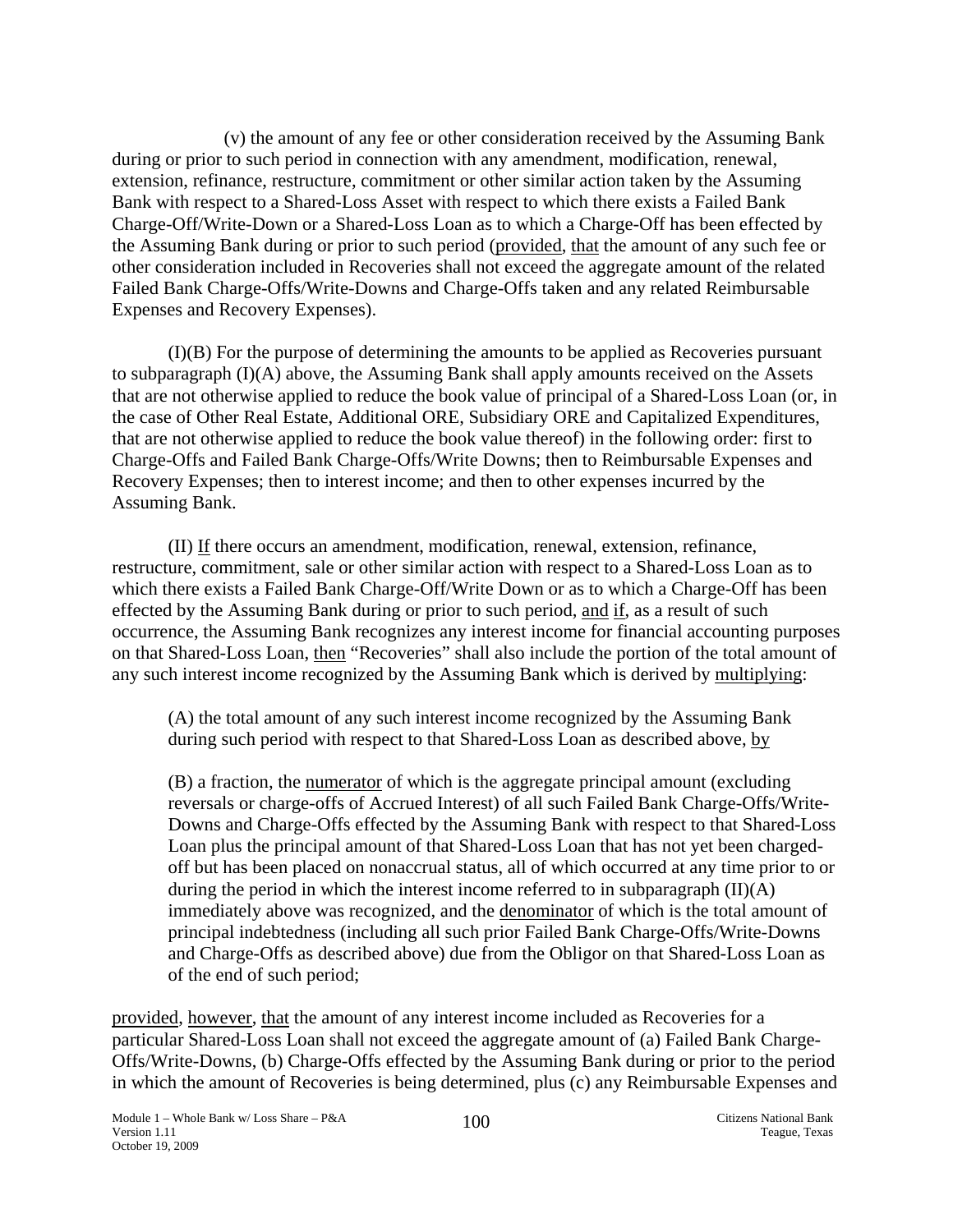(v) the amount of any fee or other consideration received by the Assuming Bank during or prior to such period in connection with any amendment, modification, renewal, extension, refinance, restructure, commitment or other similar action taken by the Assuming Bank with respect to a Shared-Loss Asset with respect to which there exists a Failed Bank Charge-Off/Write-Down or a Shared-Loss Loan as to which a Charge-Off has been effected by the Assuming Bank during or prior to such period (provided, that the amount of any such fee or other consideration included in Recoveries shall not exceed the aggregate amount of the related Failed Bank Charge-Offs/Write-Downs and Charge-Offs taken and any related Reimbursable Expenses and Recovery Expenses).

(I)(B) For the purpose of determining the amounts to be applied as Recoveries pursuant to subparagraph  $(I)(A)$  above, the Assuming Bank shall apply amounts received on the Assets that are not otherwise applied to reduce the book value of principal of a Shared-Loss Loan (or, in the case of Other Real Estate, Additional ORE, Subsidiary ORE and Capitalized Expenditures, that are not otherwise applied to reduce the book value thereof) in the following order: first to Charge-Offs and Failed Bank Charge-Offs/Write Downs; then to Reimbursable Expenses and Recovery Expenses; then to interest income; and then to other expenses incurred by the Assuming Bank.

(II) If there occurs an amendment, modification, renewal, extension, refinance, restructure, commitment, sale or other similar action with respect to a Shared-Loss Loan as to which there exists a Failed Bank Charge-Off/Write Down or as to which a Charge-Off has been effected by the Assuming Bank during or prior to such period, and if, as a result of such occurrence, the Assuming Bank recognizes any interest income for financial accounting purposes on that Shared-Loss Loan, then "Recoveries" shall also include the portion of the total amount of any such interest income recognized by the Assuming Bank which is derived by multiplying:

(A) the total amount of any such interest income recognized by the Assuming Bank during such period with respect to that Shared-Loss Loan as described above, by

(B) a fraction, the numerator of which is the aggregate principal amount (excluding reversals or charge-offs of Accrued Interest) of all such Failed Bank Charge-Offs/Write-Downs and Charge-Offs effected by the Assuming Bank with respect to that Shared-Loss Loan plus the principal amount of that Shared-Loss Loan that has not yet been chargedoff but has been placed on nonaccrual status, all of which occurred at any time prior to or during the period in which the interest income referred to in subparagraph (II)(A) immediately above was recognized, and the denominator of which is the total amount of principal indebtedness (including all such prior Failed Bank Charge-Offs/Write-Downs and Charge-Offs as described above) due from the Obligor on that Shared-Loss Loan as of the end of such period;

provided, however, that the amount of any interest income included as Recoveries for a particular Shared-Loss Loan shall not exceed the aggregate amount of (a) Failed Bank Charge-Offs/Write-Downs, (b) Charge-Offs effected by the Assuming Bank during or prior to the period in which the amount of Recoveries is being determined, plus (c) any Reimbursable Expenses and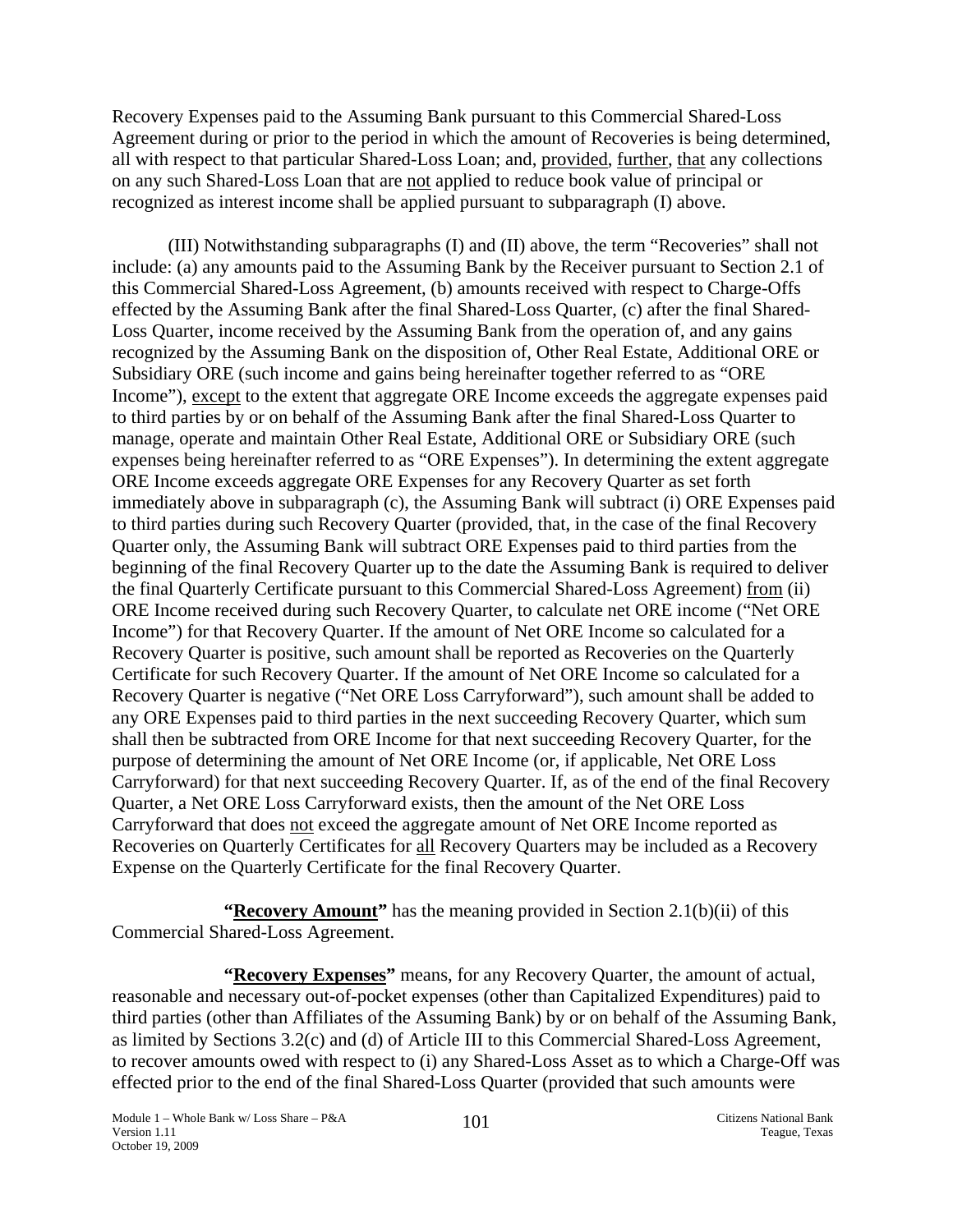Recovery Expenses paid to the Assuming Bank pursuant to this Commercial Shared-Loss Agreement during or prior to the period in which the amount of Recoveries is being determined, all with respect to that particular Shared-Loss Loan; and, provided, further, that any collections on any such Shared-Loss Loan that are not applied to reduce book value of principal or recognized as interest income shall be applied pursuant to subparagraph (I) above.

(III) Notwithstanding subparagraphs (I) and (II) above, the term "Recoveries" shall not include: (a) any amounts paid to the Assuming Bank by the Receiver pursuant to Section 2.1 of this Commercial Shared-Loss Agreement, (b) amounts received with respect to Charge-Offs effected by the Assuming Bank after the final Shared-Loss Quarter, (c) after the final Shared-Loss Quarter, income received by the Assuming Bank from the operation of, and any gains recognized by the Assuming Bank on the disposition of, Other Real Estate, Additional ORE or Subsidiary ORE (such income and gains being hereinafter together referred to as "ORE Income"), except to the extent that aggregate ORE Income exceeds the aggregate expenses paid to third parties by or on behalf of the Assuming Bank after the final Shared-Loss Quarter to manage, operate and maintain Other Real Estate, Additional ORE or Subsidiary ORE (such expenses being hereinafter referred to as "ORE Expenses"). In determining the extent aggregate ORE Income exceeds aggregate ORE Expenses for any Recovery Quarter as set forth immediately above in subparagraph (c), the Assuming Bank will subtract (i) ORE Expenses paid to third parties during such Recovery Quarter (provided, that, in the case of the final Recovery Quarter only, the Assuming Bank will subtract ORE Expenses paid to third parties from the beginning of the final Recovery Quarter up to the date the Assuming Bank is required to deliver the final Quarterly Certificate pursuant to this Commercial Shared-Loss Agreement) from (ii) ORE Income received during such Recovery Quarter, to calculate net ORE income ("Net ORE Income") for that Recovery Quarter. If the amount of Net ORE Income so calculated for a Recovery Quarter is positive, such amount shall be reported as Recoveries on the Quarterly Certificate for such Recovery Quarter. If the amount of Net ORE Income so calculated for a Recovery Quarter is negative ("Net ORE Loss Carryforward"), such amount shall be added to any ORE Expenses paid to third parties in the next succeeding Recovery Quarter, which sum shall then be subtracted from ORE Income for that next succeeding Recovery Quarter, for the purpose of determining the amount of Net ORE Income (or, if applicable, Net ORE Loss Carryforward) for that next succeeding Recovery Quarter. If, as of the end of the final Recovery Quarter, a Net ORE Loss Carryforward exists, then the amount of the Net ORE Loss Carryforward that does not exceed the aggregate amount of Net ORE Income reported as Recoveries on Quarterly Certificates for all Recovery Quarters may be included as a Recovery Expense on the Quarterly Certificate for the final Recovery Quarter.

**"Recovery Amount"** has the meaning provided in Section 2.1(b)(ii) of this Commercial Shared-Loss Agreement.

**"Recovery Expenses"** means, for any Recovery Quarter, the amount of actual, reasonable and necessary out-of-pocket expenses (other than Capitalized Expenditures) paid to third parties (other than Affiliates of the Assuming Bank) by or on behalf of the Assuming Bank, as limited by Sections 3.2(c) and (d) of Article III to this Commercial Shared-Loss Agreement, to recover amounts owed with respect to (i) any Shared-Loss Asset as to which a Charge-Off was effected prior to the end of the final Shared-Loss Quarter (provided that such amounts were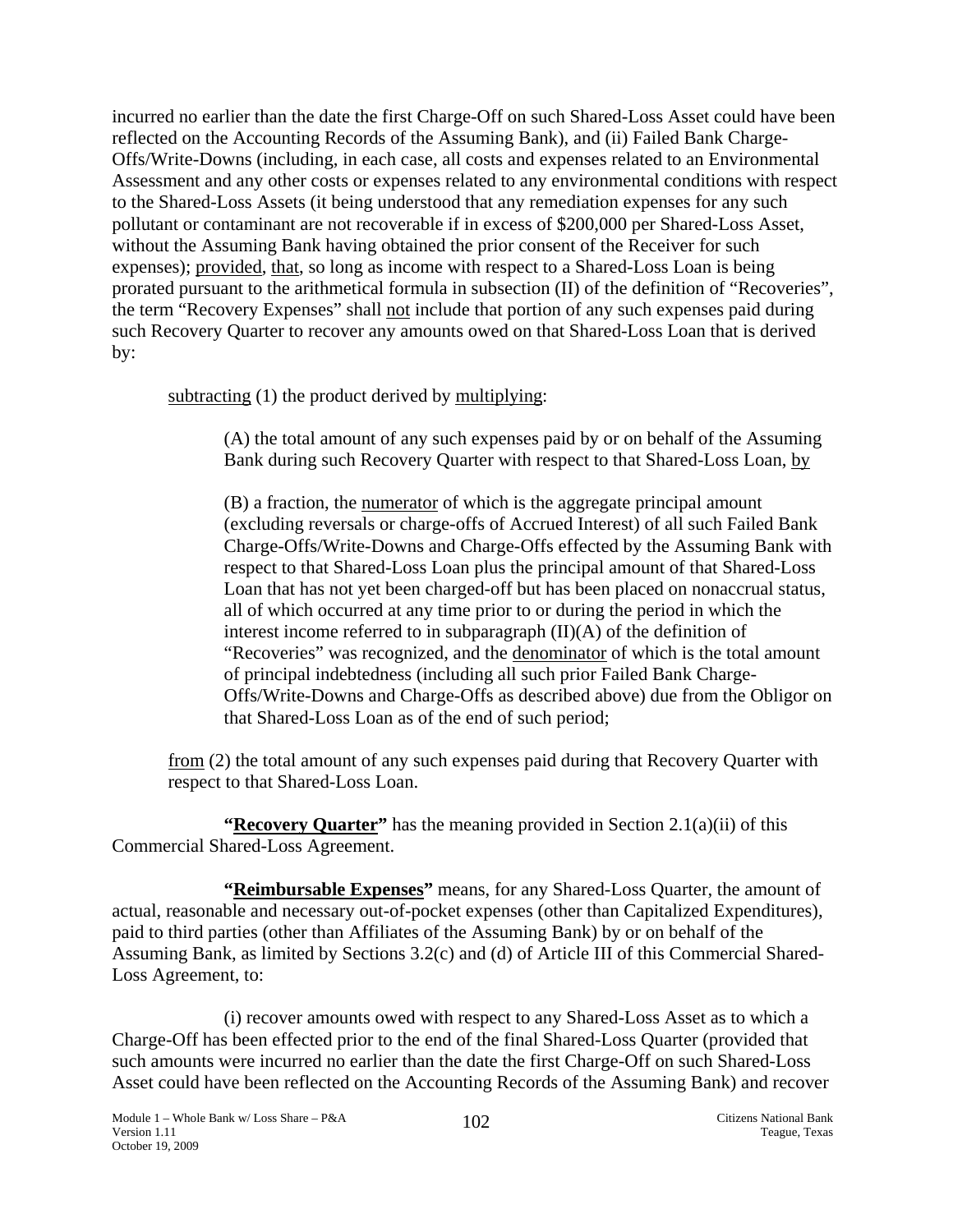incurred no earlier than the date the first Charge-Off on such Shared-Loss Asset could have been reflected on the Accounting Records of the Assuming Bank), and (ii) Failed Bank Charge-Offs/Write-Downs (including, in each case, all costs and expenses related to an Environmental Assessment and any other costs or expenses related to any environmental conditions with respect to the Shared-Loss Assets (it being understood that any remediation expenses for any such pollutant or contaminant are not recoverable if in excess of \$200,000 per Shared-Loss Asset, without the Assuming Bank having obtained the prior consent of the Receiver for such expenses); provided, that, so long as income with respect to a Shared-Loss Loan is being prorated pursuant to the arithmetical formula in subsection (II) of the definition of "Recoveries", the term "Recovery Expenses" shall not include that portion of any such expenses paid during such Recovery Quarter to recover any amounts owed on that Shared-Loss Loan that is derived by:

subtracting (1) the product derived by multiplying:

(A) the total amount of any such expenses paid by or on behalf of the Assuming Bank during such Recovery Quarter with respect to that Shared-Loss Loan, by

(B) a fraction, the numerator of which is the aggregate principal amount (excluding reversals or charge-offs of Accrued Interest) of all such Failed Bank Charge-Offs/Write-Downs and Charge-Offs effected by the Assuming Bank with respect to that Shared-Loss Loan plus the principal amount of that Shared-Loss Loan that has not yet been charged-off but has been placed on nonaccrual status, all of which occurred at any time prior to or during the period in which the interest income referred to in subparagraph  $(II)(A)$  of the definition of "Recoveries" was recognized, and the denominator of which is the total amount of principal indebtedness (including all such prior Failed Bank Charge-Offs/Write-Downs and Charge-Offs as described above) due from the Obligor on that Shared-Loss Loan as of the end of such period;

from (2) the total amount of any such expenses paid during that Recovery Quarter with respect to that Shared-Loss Loan.

**"Recovery Quarter"** has the meaning provided in Section 2.1(a)(ii) of this Commercial Shared-Loss Agreement.

**"Reimbursable Expenses"** means, for any Shared-Loss Quarter, the amount of actual, reasonable and necessary out-of-pocket expenses (other than Capitalized Expenditures), paid to third parties (other than Affiliates of the Assuming Bank) by or on behalf of the Assuming Bank, as limited by Sections 3.2(c) and (d) of Article III of this Commercial Shared-Loss Agreement, to:

(i) recover amounts owed with respect to any Shared-Loss Asset as to which a Charge-Off has been effected prior to the end of the final Shared-Loss Quarter (provided that such amounts were incurred no earlier than the date the first Charge-Off on such Shared-Loss Asset could have been reflected on the Accounting Records of the Assuming Bank) and recover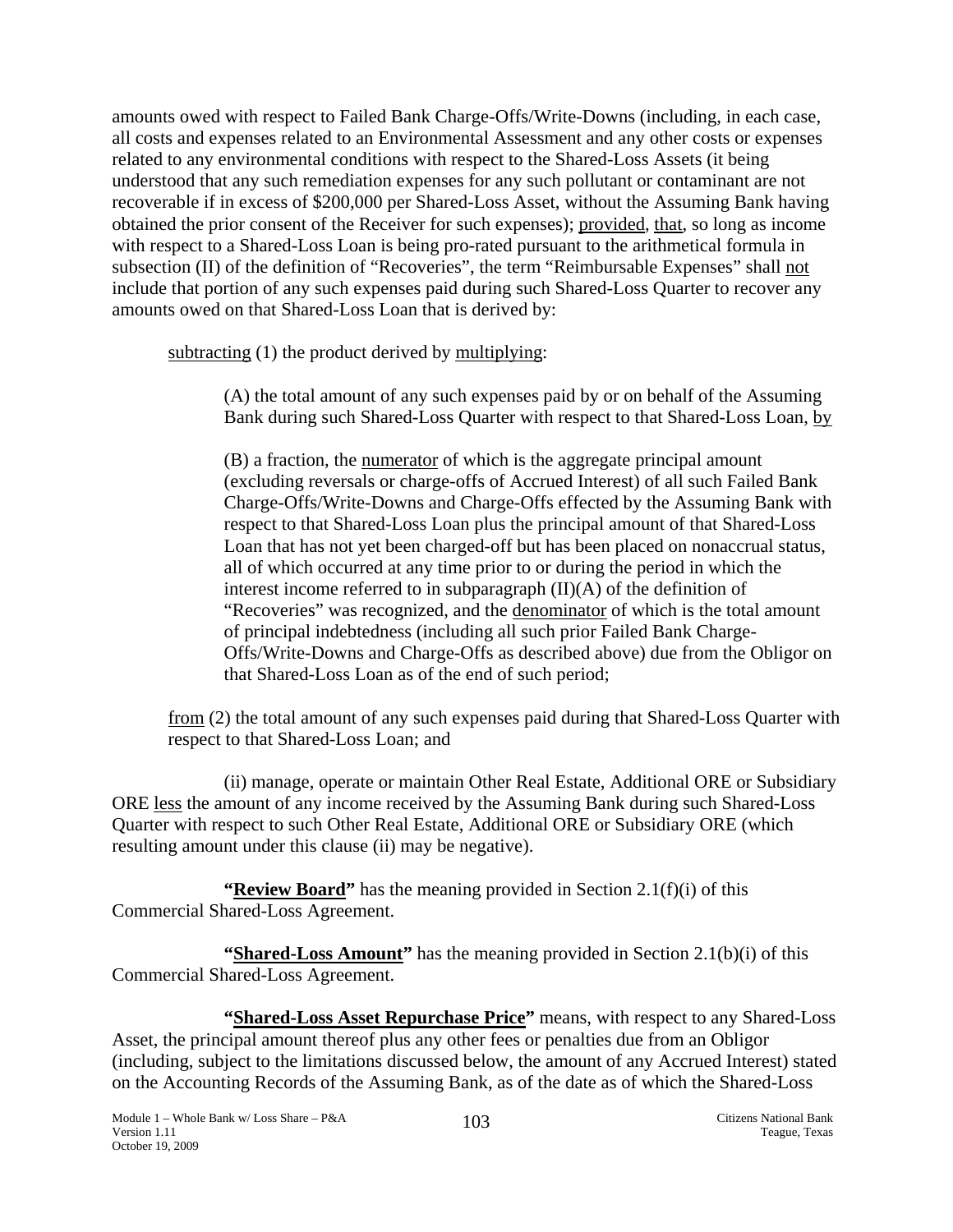amounts owed with respect to Failed Bank Charge-Offs/Write-Downs (including, in each case, all costs and expenses related to an Environmental Assessment and any other costs or expenses related to any environmental conditions with respect to the Shared-Loss Assets (it being understood that any such remediation expenses for any such pollutant or contaminant are not recoverable if in excess of \$200,000 per Shared-Loss Asset, without the Assuming Bank having obtained the prior consent of the Receiver for such expenses); provided, that, so long as income with respect to a Shared-Loss Loan is being pro-rated pursuant to the arithmetical formula in subsection (II) of the definition of "Recoveries", the term "Reimbursable Expenses" shall not include that portion of any such expenses paid during such Shared-Loss Quarter to recover any amounts owed on that Shared-Loss Loan that is derived by:

subtracting (1) the product derived by multiplying:

(A) the total amount of any such expenses paid by or on behalf of the Assuming Bank during such Shared-Loss Quarter with respect to that Shared-Loss Loan, by

(B) a fraction, the numerator of which is the aggregate principal amount (excluding reversals or charge-offs of Accrued Interest) of all such Failed Bank Charge-Offs/Write-Downs and Charge-Offs effected by the Assuming Bank with respect to that Shared-Loss Loan plus the principal amount of that Shared-Loss Loan that has not yet been charged-off but has been placed on nonaccrual status, all of which occurred at any time prior to or during the period in which the interest income referred to in subparagraph (II)(A) of the definition of "Recoveries" was recognized, and the denominator of which is the total amount of principal indebtedness (including all such prior Failed Bank Charge-Offs/Write-Downs and Charge-Offs as described above) due from the Obligor on that Shared-Loss Loan as of the end of such period;

from (2) the total amount of any such expenses paid during that Shared-Loss Quarter with respect to that Shared-Loss Loan; and

(ii) manage, operate or maintain Other Real Estate, Additional ORE or Subsidiary ORE less the amount of any income received by the Assuming Bank during such Shared-Loss Quarter with respect to such Other Real Estate, Additional ORE or Subsidiary ORE (which resulting amount under this clause (ii) may be negative).

**"Review Board"** has the meaning provided in Section 2.1(f)(i) of this Commercial Shared-Loss Agreement.

**"Shared-Loss Amount"** has the meaning provided in Section 2.1(b)(i) of this Commercial Shared-Loss Agreement.

**"Shared-Loss Asset Repurchase Price"** means, with respect to any Shared-Loss Asset, the principal amount thereof plus any other fees or penalties due from an Obligor (including, subject to the limitations discussed below, the amount of any Accrued Interest) stated on the Accounting Records of the Assuming Bank, as of the date as of which the Shared-Loss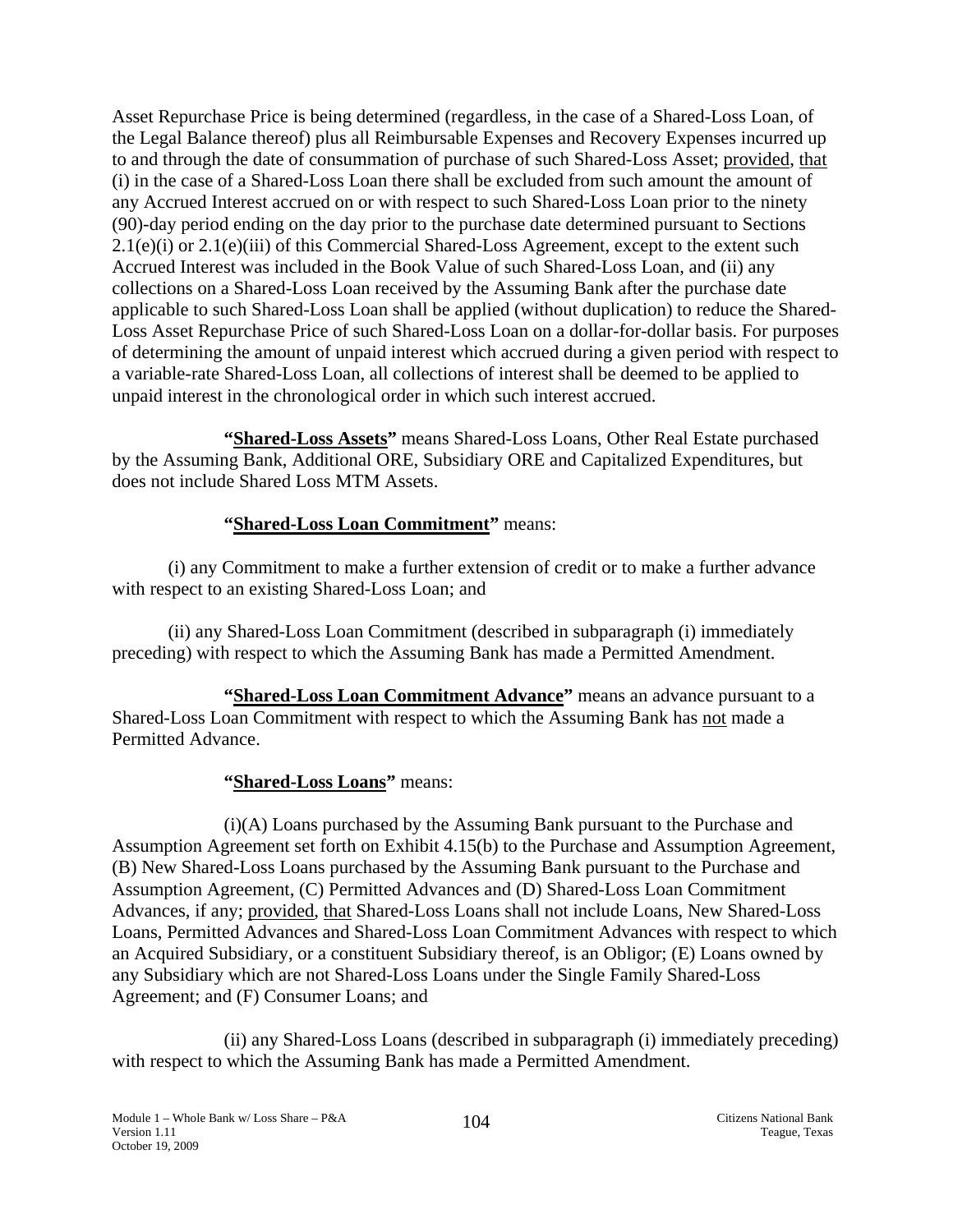Asset Repurchase Price is being determined (regardless, in the case of a Shared-Loss Loan, of the Legal Balance thereof) plus all Reimbursable Expenses and Recovery Expenses incurred up to and through the date of consummation of purchase of such Shared-Loss Asset; provided, that (i) in the case of a Shared-Loss Loan there shall be excluded from such amount the amount of any Accrued Interest accrued on or with respect to such Shared-Loss Loan prior to the ninety (90)-day period ending on the day prior to the purchase date determined pursuant to Sections 2.1(e)(i) or 2.1(e)(iii) of this Commercial Shared-Loss Agreement, except to the extent such Accrued Interest was included in the Book Value of such Shared-Loss Loan, and (ii) any collections on a Shared-Loss Loan received by the Assuming Bank after the purchase date applicable to such Shared-Loss Loan shall be applied (without duplication) to reduce the Shared-Loss Asset Repurchase Price of such Shared-Loss Loan on a dollar-for-dollar basis. For purposes of determining the amount of unpaid interest which accrued during a given period with respect to a variable-rate Shared-Loss Loan, all collections of interest shall be deemed to be applied to unpaid interest in the chronological order in which such interest accrued.

**"Shared-Loss Assets"** means Shared-Loss Loans, Other Real Estate purchased by the Assuming Bank, Additional ORE, Subsidiary ORE and Capitalized Expenditures, but does not include Shared Loss MTM Assets.

## "Shared-Loss Loan Commitment" means:

(i) any Commitment to make a further extension of credit or to make a further advance with respect to an existing Shared-Loss Loan; and

(ii) any Shared-Loss Loan Commitment (described in subparagraph (i) immediately preceding) with respect to which the Assuming Bank has made a Permitted Amendment.

**"Shared-Loss Loan Commitment Advance"** means an advance pursuant to a Shared-Loss Loan Commitment with respect to which the Assuming Bank has not made a Permitted Advance.

## **"Shared-Loss Loans"** means:

(i)(A) Loans purchased by the Assuming Bank pursuant to the Purchase and Assumption Agreement set forth on Exhibit 4.15(b) to the Purchase and Assumption Agreement, (B) New Shared-Loss Loans purchased by the Assuming Bank pursuant to the Purchase and Assumption Agreement, (C) Permitted Advances and (D) Shared-Loss Loan Commitment Advances, if any; provided, that Shared-Loss Loans shall not include Loans, New Shared-Loss Loans, Permitted Advances and Shared-Loss Loan Commitment Advances with respect to which an Acquired Subsidiary, or a constituent Subsidiary thereof, is an Obligor; (E) Loans owned by any Subsidiary which are not Shared-Loss Loans under the Single Family Shared-Loss Agreement; and (F) Consumer Loans; and

(ii) any Shared-Loss Loans (described in subparagraph (i) immediately preceding) with respect to which the Assuming Bank has made a Permitted Amendment.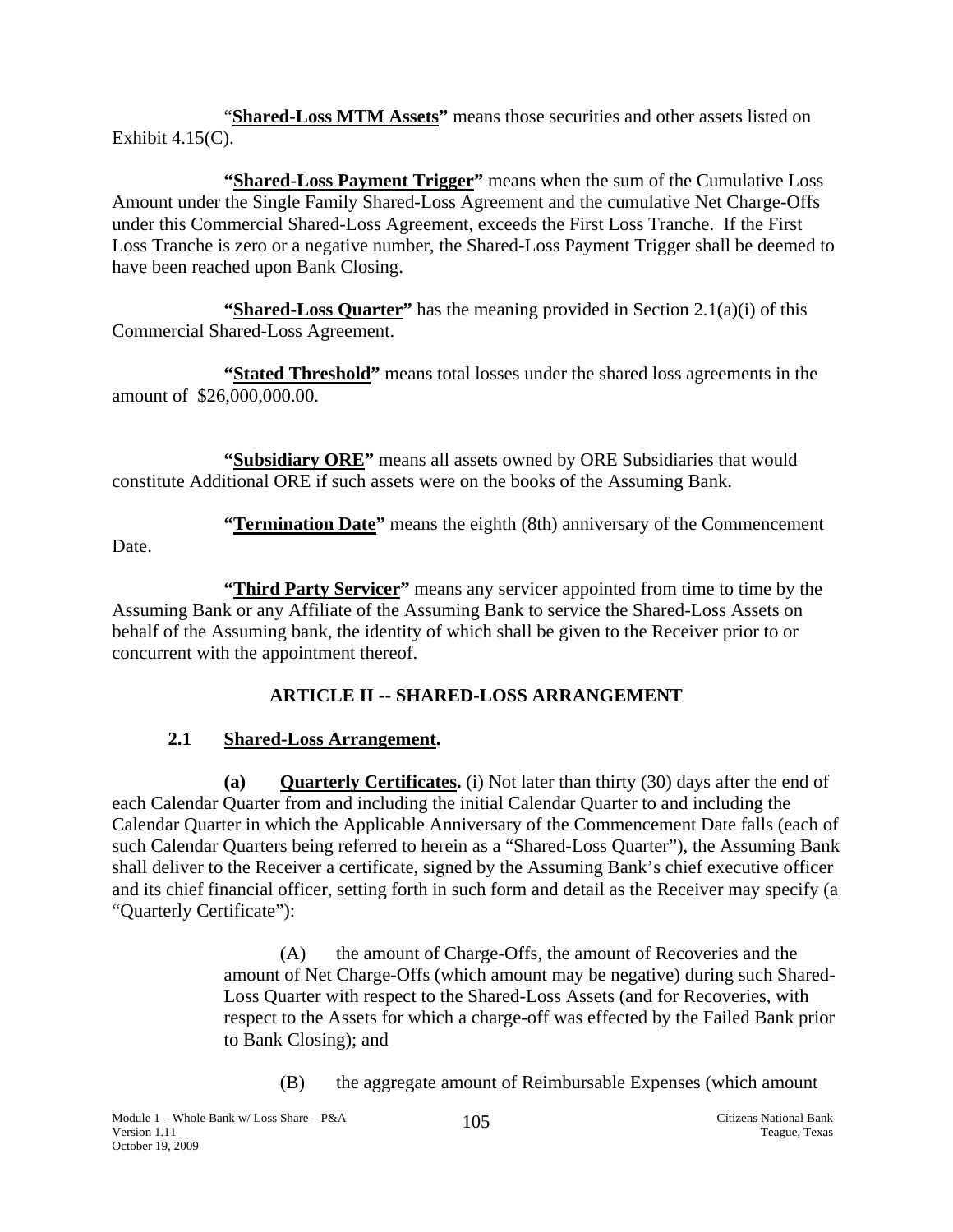"**Shared-Loss MTM Assets"** means those securities and other assets listed on Exhibit  $4.15(C)$ .

**"Shared-Loss Payment Trigger"** means when the sum of the Cumulative Loss Amount under the Single Family Shared-Loss Agreement and the cumulative Net Charge-Offs under this Commercial Shared-Loss Agreement, exceeds the First Loss Tranche. If the First Loss Tranche is zero or a negative number, the Shared-Loss Payment Trigger shall be deemed to have been reached upon Bank Closing.

**"Shared-Loss Quarter"** has the meaning provided in Section 2.1(a)(i) of this Commercial Shared-Loss Agreement.

**"Stated Threshold"** means total losses under the shared loss agreements in the amount of \$26,000,000.00.

**"Subsidiary ORE"** means all assets owned by ORE Subsidiaries that would constitute Additional ORE if such assets were on the books of the Assuming Bank.

**"Termination Date"** means the eighth (8th) anniversary of the Commencement Date.

**"Third Party Servicer"** means any servicer appointed from time to time by the Assuming Bank or any Affiliate of the Assuming Bank to service the Shared-Loss Assets on behalf of the Assuming bank, the identity of which shall be given to the Receiver prior to or concurrent with the appointment thereof.

## **ARTICLE II** -- **SHARED-LOSS ARRANGEMENT**

#### **2.1 Shared-Loss Arrangement.**

**(a) Quarterly Certificates.** (i) Not later than thirty (30) days after the end of each Calendar Quarter from and including the initial Calendar Quarter to and including the Calendar Quarter in which the Applicable Anniversary of the Commencement Date falls (each of such Calendar Quarters being referred to herein as a "Shared-Loss Quarter"), the Assuming Bank shall deliver to the Receiver a certificate, signed by the Assuming Bank's chief executive officer and its chief financial officer, setting forth in such form and detail as the Receiver may specify (a "Quarterly Certificate"):

> (A) the amount of Charge-Offs, the amount of Recoveries and the amount of Net Charge-Offs (which amount may be negative) during such Shared-Loss Quarter with respect to the Shared-Loss Assets (and for Recoveries, with respect to the Assets for which a charge-off was effected by the Failed Bank prior to Bank Closing); and

(B) the aggregate amount of Reimbursable Expenses (which amount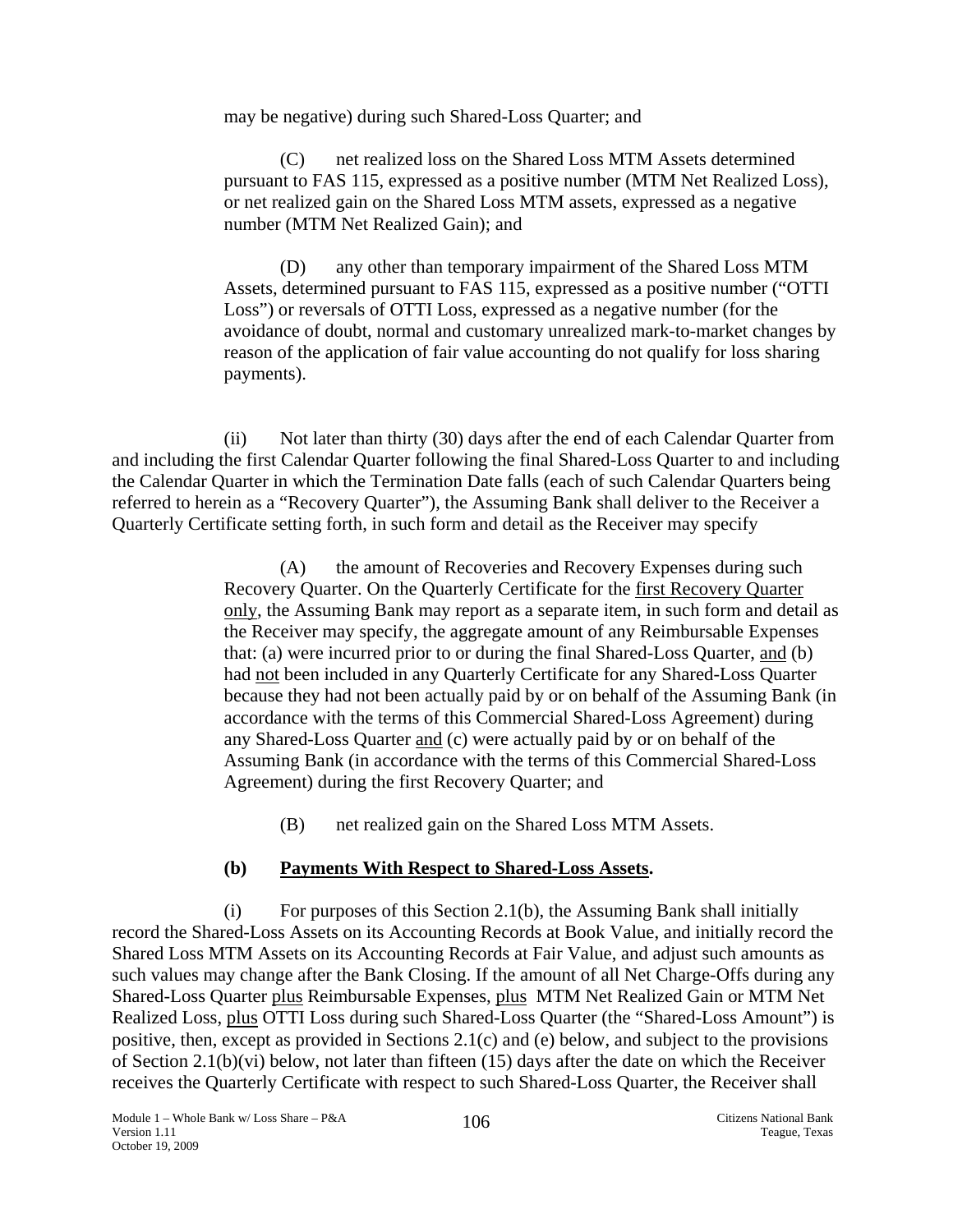may be negative) during such Shared-Loss Quarter; and

(C) net realized loss on the Shared Loss MTM Assets determined pursuant to FAS 115, expressed as a positive number (MTM Net Realized Loss), or net realized gain on the Shared Loss MTM assets, expressed as a negative number (MTM Net Realized Gain); and

(D) any other than temporary impairment of the Shared Loss MTM Assets, determined pursuant to FAS 115, expressed as a positive number ("OTTI Loss") or reversals of OTTI Loss, expressed as a negative number (for the avoidance of doubt, normal and customary unrealized mark-to-market changes by reason of the application of fair value accounting do not qualify for loss sharing payments).

(ii) Not later than thirty (30) days after the end of each Calendar Quarter from and including the first Calendar Quarter following the final Shared-Loss Quarter to and including the Calendar Quarter in which the Termination Date falls (each of such Calendar Quarters being referred to herein as a "Recovery Quarter"), the Assuming Bank shall deliver to the Receiver a Quarterly Certificate setting forth, in such form and detail as the Receiver may specify

> (A) the amount of Recoveries and Recovery Expenses during such Recovery Quarter. On the Quarterly Certificate for the first Recovery Quarter only, the Assuming Bank may report as a separate item, in such form and detail as the Receiver may specify, the aggregate amount of any Reimbursable Expenses that: (a) were incurred prior to or during the final Shared-Loss Quarter, and (b) had not been included in any Quarterly Certificate for any Shared-Loss Quarter because they had not been actually paid by or on behalf of the Assuming Bank (in accordance with the terms of this Commercial Shared-Loss Agreement) during any Shared-Loss Quarter and (c) were actually paid by or on behalf of the Assuming Bank (in accordance with the terms of this Commercial Shared-Loss Agreement) during the first Recovery Quarter; and

(B) net realized gain on the Shared Loss MTM Assets.

## **(b) Payments With Respect to Shared-Loss Assets.**

(i) For purposes of this Section 2.1(b), the Assuming Bank shall initially record the Shared-Loss Assets on its Accounting Records at Book Value, and initially record the Shared Loss MTM Assets on its Accounting Records at Fair Value, and adjust such amounts as such values may change after the Bank Closing. If the amount of all Net Charge-Offs during any Shared-Loss Quarter plus Reimbursable Expenses, plus MTM Net Realized Gain or MTM Net Realized Loss, plus OTTI Loss during such Shared-Loss Quarter (the "Shared-Loss Amount") is positive, then, except as provided in Sections 2.1(c) and (e) below, and subject to the provisions of Section 2.1(b)(vi) below, not later than fifteen (15) days after the date on which the Receiver receives the Quarterly Certificate with respect to such Shared-Loss Quarter, the Receiver shall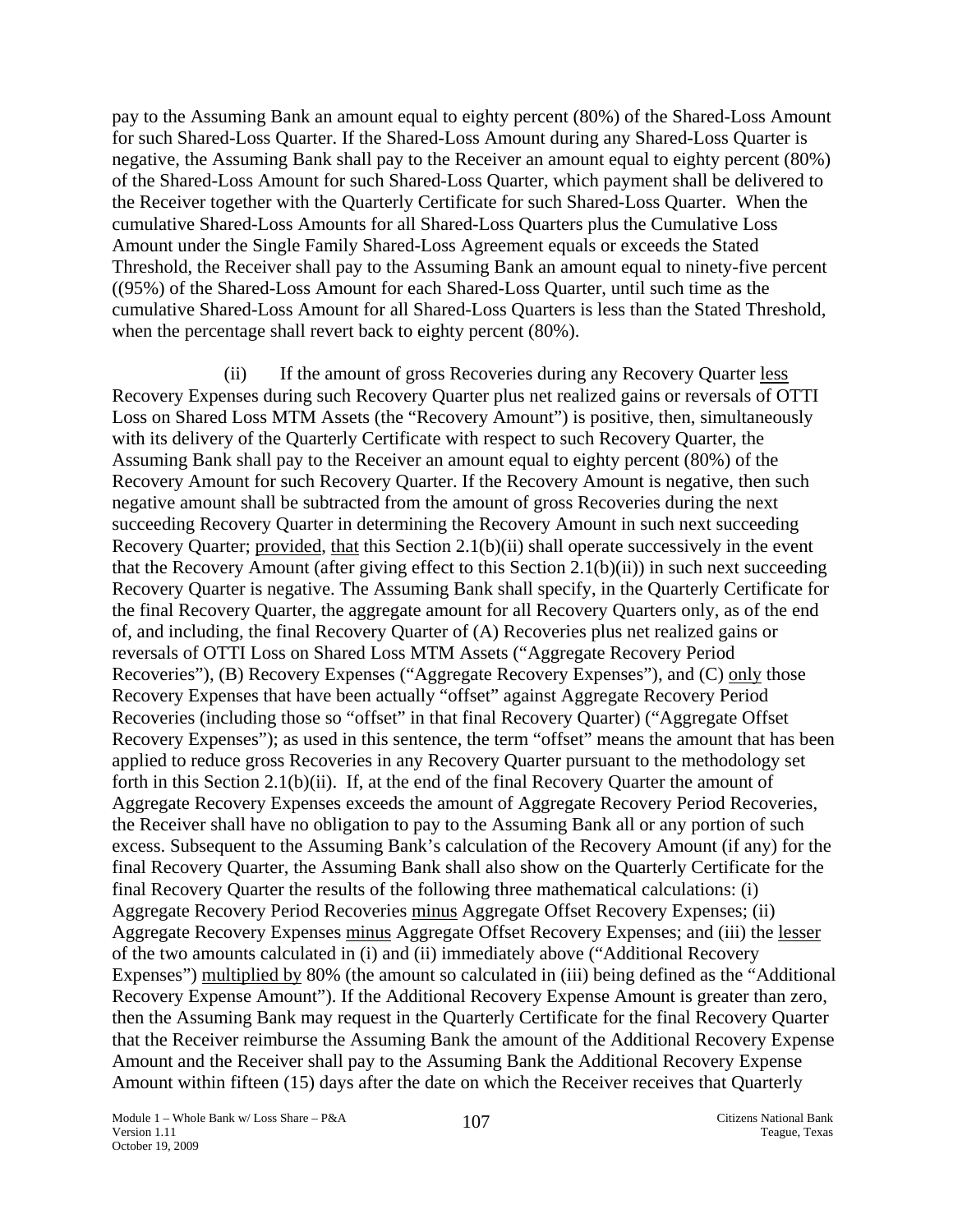pay to the Assuming Bank an amount equal to eighty percent (80%) of the Shared-Loss Amount for such Shared-Loss Quarter. If the Shared-Loss Amount during any Shared-Loss Quarter is negative, the Assuming Bank shall pay to the Receiver an amount equal to eighty percent (80%) of the Shared-Loss Amount for such Shared-Loss Quarter, which payment shall be delivered to the Receiver together with the Quarterly Certificate for such Shared-Loss Quarter. When the cumulative Shared-Loss Amounts for all Shared-Loss Quarters plus the Cumulative Loss Amount under the Single Family Shared-Loss Agreement equals or exceeds the Stated Threshold, the Receiver shall pay to the Assuming Bank an amount equal to ninety-five percent ((95%) of the Shared-Loss Amount for each Shared-Loss Quarter, until such time as the cumulative Shared-Loss Amount for all Shared-Loss Quarters is less than the Stated Threshold, when the percentage shall revert back to eighty percent (80%).

(ii) If the amount of gross Recoveries during any Recovery Quarter less Recovery Expenses during such Recovery Quarter plus net realized gains or reversals of OTTI Loss on Shared Loss MTM Assets (the "Recovery Amount") is positive, then, simultaneously with its delivery of the Quarterly Certificate with respect to such Recovery Quarter, the Assuming Bank shall pay to the Receiver an amount equal to eighty percent (80%) of the Recovery Amount for such Recovery Quarter. If the Recovery Amount is negative, then such negative amount shall be subtracted from the amount of gross Recoveries during the next succeeding Recovery Quarter in determining the Recovery Amount in such next succeeding Recovery Quarter; provided, that this Section 2.1(b)(ii) shall operate successively in the event that the Recovery Amount (after giving effect to this Section 2.1(b)(ii)) in such next succeeding Recovery Quarter is negative. The Assuming Bank shall specify, in the Quarterly Certificate for the final Recovery Quarter, the aggregate amount for all Recovery Quarters only, as of the end of, and including, the final Recovery Quarter of (A) Recoveries plus net realized gains or reversals of OTTI Loss on Shared Loss MTM Assets ("Aggregate Recovery Period Recoveries"), (B) Recovery Expenses ("Aggregate Recovery Expenses"), and (C) only those Recovery Expenses that have been actually "offset" against Aggregate Recovery Period Recoveries (including those so "offset" in that final Recovery Quarter) ("Aggregate Offset Recovery Expenses"); as used in this sentence, the term "offset" means the amount that has been applied to reduce gross Recoveries in any Recovery Quarter pursuant to the methodology set forth in this Section 2.1(b)(ii). If, at the end of the final Recovery Quarter the amount of Aggregate Recovery Expenses exceeds the amount of Aggregate Recovery Period Recoveries, the Receiver shall have no obligation to pay to the Assuming Bank all or any portion of such excess. Subsequent to the Assuming Bank's calculation of the Recovery Amount (if any) for the final Recovery Quarter, the Assuming Bank shall also show on the Quarterly Certificate for the final Recovery Quarter the results of the following three mathematical calculations: (i) Aggregate Recovery Period Recoveries minus Aggregate Offset Recovery Expenses; (ii) Aggregate Recovery Expenses minus Aggregate Offset Recovery Expenses; and (iii) the lesser of the two amounts calculated in (i) and (ii) immediately above ("Additional Recovery Expenses") multiplied by 80% (the amount so calculated in (iii) being defined as the "Additional Recovery Expense Amount"). If the Additional Recovery Expense Amount is greater than zero, then the Assuming Bank may request in the Quarterly Certificate for the final Recovery Quarter that the Receiver reimburse the Assuming Bank the amount of the Additional Recovery Expense Amount and the Receiver shall pay to the Assuming Bank the Additional Recovery Expense Amount within fifteen (15) days after the date on which the Receiver receives that Quarterly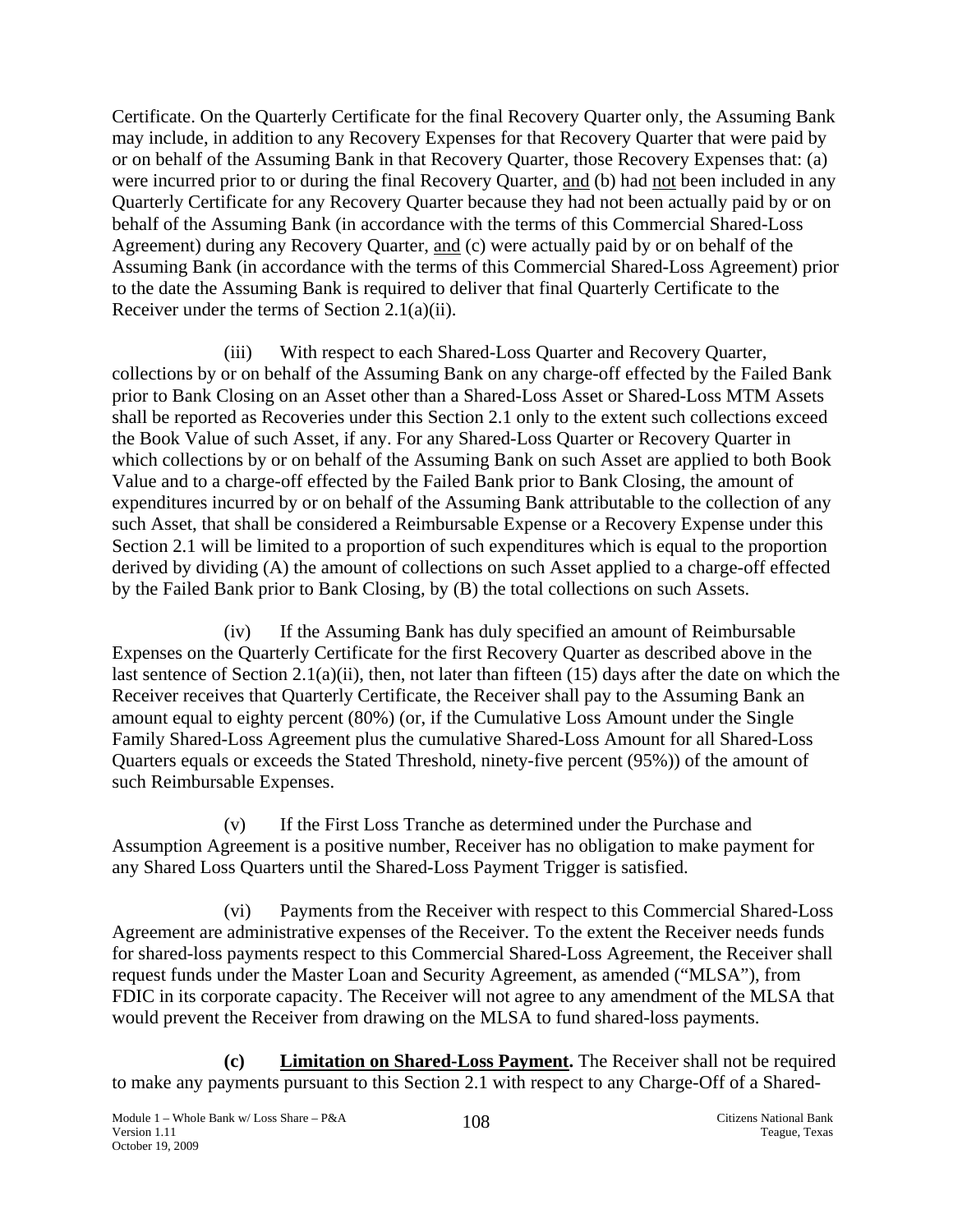Certificate. On the Quarterly Certificate for the final Recovery Quarter only, the Assuming Bank may include, in addition to any Recovery Expenses for that Recovery Quarter that were paid by or on behalf of the Assuming Bank in that Recovery Quarter, those Recovery Expenses that: (a) were incurred prior to or during the final Recovery Quarter, and (b) had not been included in any Quarterly Certificate for any Recovery Quarter because they had not been actually paid by or on behalf of the Assuming Bank (in accordance with the terms of this Commercial Shared-Loss Agreement) during any Recovery Quarter, and (c) were actually paid by or on behalf of the Assuming Bank (in accordance with the terms of this Commercial Shared-Loss Agreement) prior to the date the Assuming Bank is required to deliver that final Quarterly Certificate to the Receiver under the terms of Section 2.1(a)(ii).

(iii) With respect to each Shared-Loss Quarter and Recovery Quarter, collections by or on behalf of the Assuming Bank on any charge-off effected by the Failed Bank prior to Bank Closing on an Asset other than a Shared-Loss Asset or Shared-Loss MTM Assets shall be reported as Recoveries under this Section 2.1 only to the extent such collections exceed the Book Value of such Asset, if any. For any Shared-Loss Quarter or Recovery Quarter in which collections by or on behalf of the Assuming Bank on such Asset are applied to both Book Value and to a charge-off effected by the Failed Bank prior to Bank Closing, the amount of expenditures incurred by or on behalf of the Assuming Bank attributable to the collection of any such Asset, that shall be considered a Reimbursable Expense or a Recovery Expense under this Section 2.1 will be limited to a proportion of such expenditures which is equal to the proportion derived by dividing (A) the amount of collections on such Asset applied to a charge-off effected by the Failed Bank prior to Bank Closing, by (B) the total collections on such Assets.

(iv) If the Assuming Bank has duly specified an amount of Reimbursable Expenses on the Quarterly Certificate for the first Recovery Quarter as described above in the last sentence of Section 2.1(a)(ii), then, not later than fifteen (15) days after the date on which the Receiver receives that Quarterly Certificate, the Receiver shall pay to the Assuming Bank an amount equal to eighty percent (80%) (or, if the Cumulative Loss Amount under the Single Family Shared-Loss Agreement plus the cumulative Shared-Loss Amount for all Shared-Loss Quarters equals or exceeds the Stated Threshold, ninety-five percent (95%)) of the amount of such Reimbursable Expenses.

(v) If the First Loss Tranche as determined under the Purchase and Assumption Agreement is a positive number, Receiver has no obligation to make payment for any Shared Loss Quarters until the Shared-Loss Payment Trigger is satisfied.

(vi) Payments from the Receiver with respect to this Commercial Shared-Loss Agreement are administrative expenses of the Receiver. To the extent the Receiver needs funds for shared-loss payments respect to this Commercial Shared-Loss Agreement, the Receiver shall request funds under the Master Loan and Security Agreement, as amended ("MLSA"), from FDIC in its corporate capacity. The Receiver will not agree to any amendment of the MLSA that would prevent the Receiver from drawing on the MLSA to fund shared-loss payments.

**(c) Limitation on Shared-Loss Payment.** The Receiver shall not be required to make any payments pursuant to this Section 2.1 with respect to any Charge-Off of a Shared-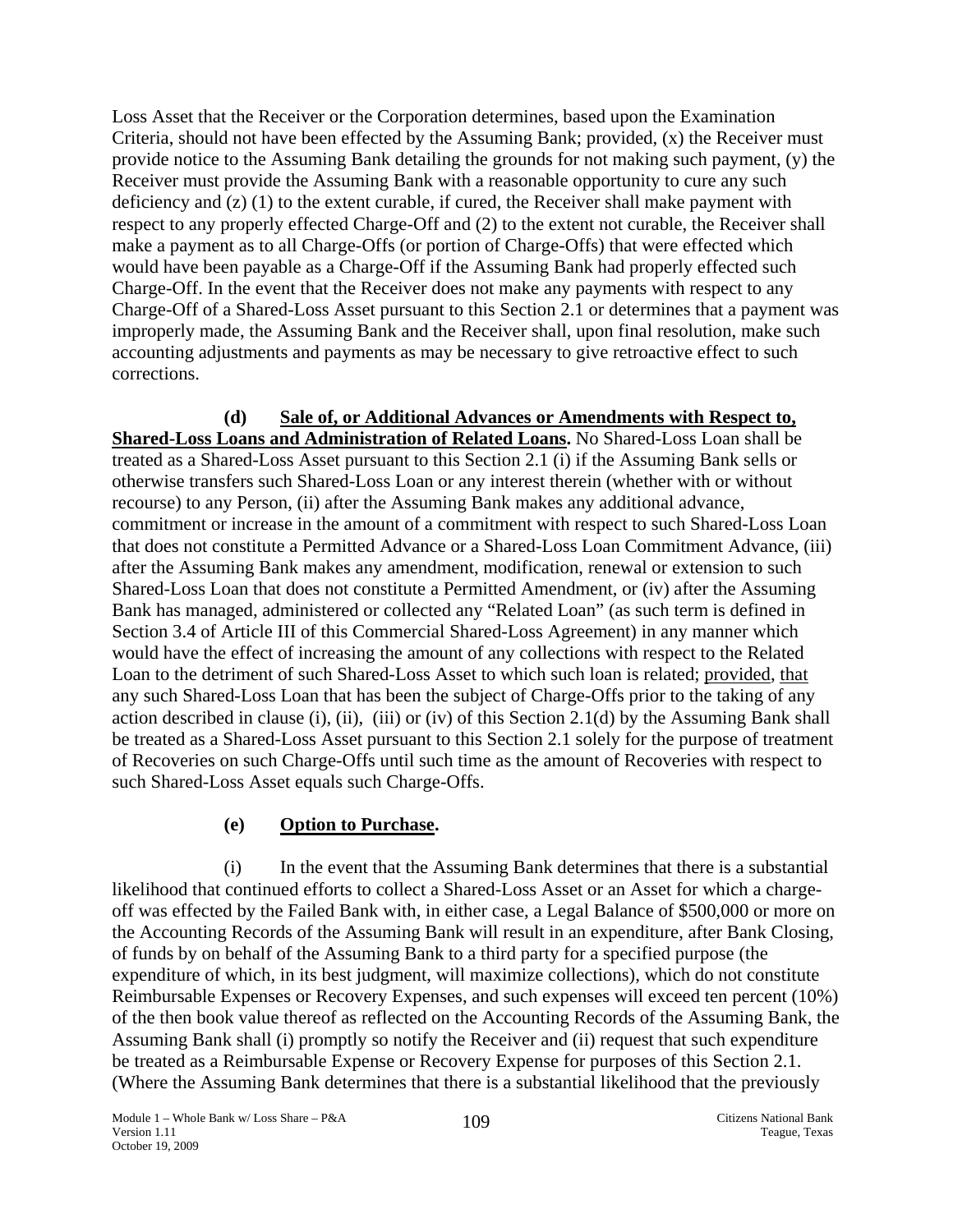Loss Asset that the Receiver or the Corporation determines, based upon the Examination Criteria, should not have been effected by the Assuming Bank; provided, (x) the Receiver must provide notice to the Assuming Bank detailing the grounds for not making such payment, (y) the Receiver must provide the Assuming Bank with a reasonable opportunity to cure any such deficiency and (z) (1) to the extent curable, if cured, the Receiver shall make payment with respect to any properly effected Charge-Off and (2) to the extent not curable, the Receiver shall make a payment as to all Charge-Offs (or portion of Charge-Offs) that were effected which would have been payable as a Charge-Off if the Assuming Bank had properly effected such Charge-Off. In the event that the Receiver does not make any payments with respect to any Charge-Off of a Shared-Loss Asset pursuant to this Section 2.1 or determines that a payment was improperly made, the Assuming Bank and the Receiver shall, upon final resolution, make such accounting adjustments and payments as may be necessary to give retroactive effect to such corrections.

Loan to the detriment of such Shared-Loss Asset to which such loan is related; provided, that **(d) Sale of, or Additional Advances or Amendments with Respect to, Shared-Loss Loans and Administration of Related Loans.** No Shared-Loss Loan shall be treated as a Shared-Loss Asset pursuant to this Section 2.1 (i) if the Assuming Bank sells or otherwise transfers such Shared-Loss Loan or any interest therein (whether with or without recourse) to any Person, (ii) after the Assuming Bank makes any additional advance, commitment or increase in the amount of a commitment with respect to such Shared-Loss Loan that does not constitute a Permitted Advance or a Shared-Loss Loan Commitment Advance, (iii) after the Assuming Bank makes any amendment, modification, renewal or extension to such Shared-Loss Loan that does not constitute a Permitted Amendment, or (iv) after the Assuming Bank has managed, administered or collected any "Related Loan" (as such term is defined in Section 3.4 of Article III of this Commercial Shared-Loss Agreement) in any manner which would have the effect of increasing the amount of any collections with respect to the Related any such Shared-Loss Loan that has been the subject of Charge-Offs prior to the taking of any action described in clause (i), (ii), (iii) or (iv) of this Section 2.1(d) by the Assuming Bank shall be treated as a Shared-Loss Asset pursuant to this Section 2.1 solely for the purpose of treatment of Recoveries on such Charge-Offs until such time as the amount of Recoveries with respect to such Shared-Loss Asset equals such Charge-Offs.

#### **(e) Option to Purchase.**

(i) In the event that the Assuming Bank determines that there is a substantial likelihood that continued efforts to collect a Shared-Loss Asset or an Asset for which a chargeoff was effected by the Failed Bank with, in either case, a Legal Balance of \$500,000 or more on the Accounting Records of the Assuming Bank will result in an expenditure, after Bank Closing, of funds by on behalf of the Assuming Bank to a third party for a specified purpose (the expenditure of which, in its best judgment, will maximize collections), which do not constitute Reimbursable Expenses or Recovery Expenses, and such expenses will exceed ten percent (10%) of the then book value thereof as reflected on the Accounting Records of the Assuming Bank, the Assuming Bank shall (i) promptly so notify the Receiver and (ii) request that such expenditure be treated as a Reimbursable Expense or Recovery Expense for purposes of this Section 2.1. (Where the Assuming Bank determines that there is a substantial likelihood that the previously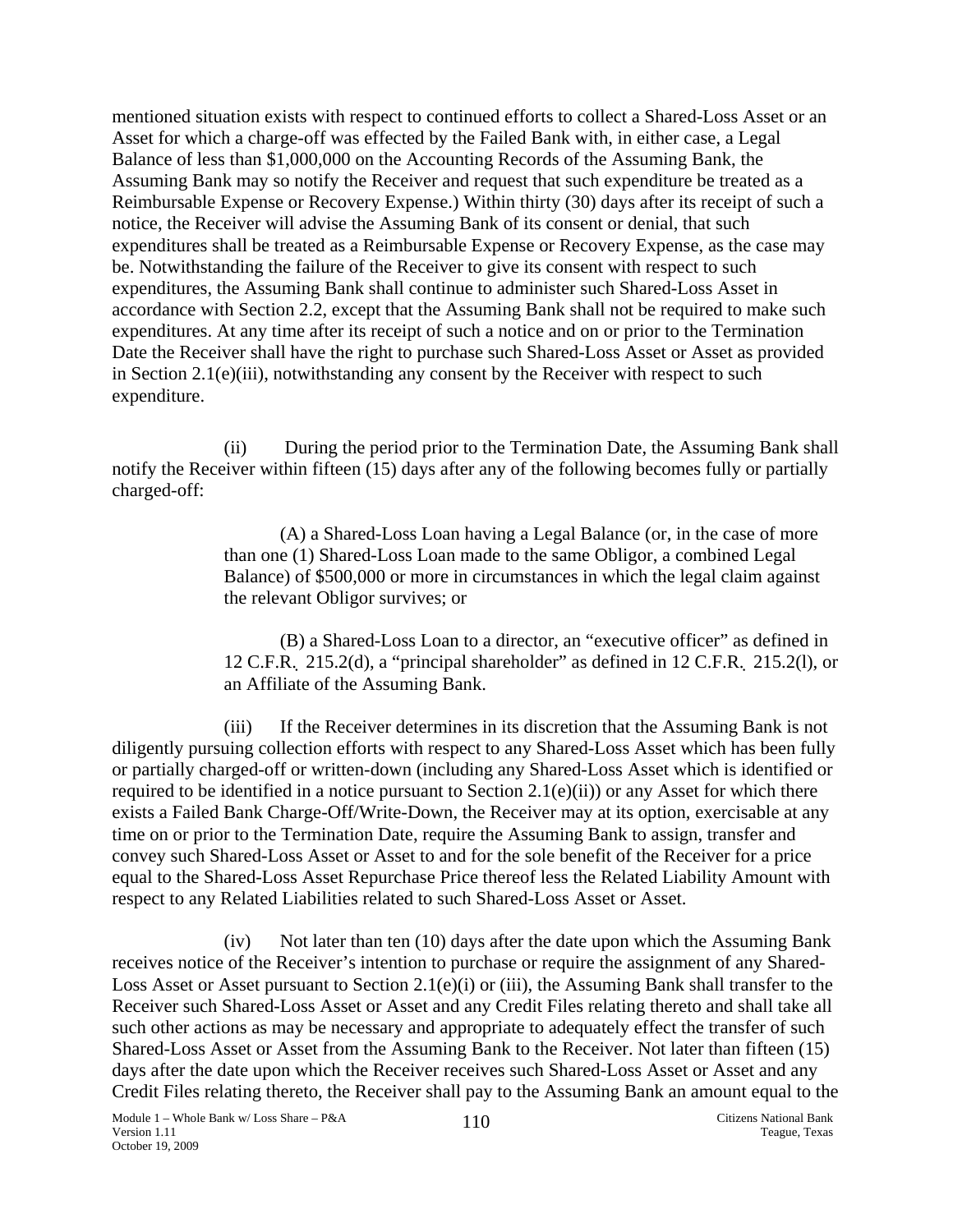mentioned situation exists with respect to continued efforts to collect a Shared-Loss Asset or an Asset for which a charge-off was effected by the Failed Bank with, in either case, a Legal Balance of less than \$1,000,000 on the Accounting Records of the Assuming Bank, the Assuming Bank may so notify the Receiver and request that such expenditure be treated as a Reimbursable Expense or Recovery Expense.) Within thirty (30) days after its receipt of such a notice, the Receiver will advise the Assuming Bank of its consent or denial, that such expenditures shall be treated as a Reimbursable Expense or Recovery Expense, as the case may be. Notwithstanding the failure of the Receiver to give its consent with respect to such expenditures, the Assuming Bank shall continue to administer such Shared-Loss Asset in accordance with Section 2.2, except that the Assuming Bank shall not be required to make such expenditures. At any time after its receipt of such a notice and on or prior to the Termination Date the Receiver shall have the right to purchase such Shared-Loss Asset or Asset as provided in Section 2.1(e)(iii), notwithstanding any consent by the Receiver with respect to such expenditure.

(ii) During the period prior to the Termination Date, the Assuming Bank shall notify the Receiver within fifteen (15) days after any of the following becomes fully or partially charged-off:

> (A) a Shared-Loss Loan having a Legal Balance (or, in the case of more than one (1) Shared-Loss Loan made to the same Obligor, a combined Legal Balance) of \$500,000 or more in circumstances in which the legal claim against the relevant Obligor survives; or

(B) a Shared-Loss Loan to a director, an "executive officer" as defined in 12 C.F.R. 215.2(d), a "principal shareholder" as defined in 12 C.F.R. 215.2(l), or an Affiliate of the Assuming Bank.

(iii) If the Receiver determines in its discretion that the Assuming Bank is not diligently pursuing collection efforts with respect to any Shared-Loss Asset which has been fully or partially charged-off or written-down (including any Shared-Loss Asset which is identified or required to be identified in a notice pursuant to Section  $2.1(e)(ii)$  or any Asset for which there exists a Failed Bank Charge-Off/Write-Down, the Receiver may at its option, exercisable at any time on or prior to the Termination Date, require the Assuming Bank to assign, transfer and convey such Shared-Loss Asset or Asset to and for the sole benefit of the Receiver for a price equal to the Shared-Loss Asset Repurchase Price thereof less the Related Liability Amount with respect to any Related Liabilities related to such Shared-Loss Asset or Asset.

(iv) Not later than ten (10) days after the date upon which the Assuming Bank receives notice of the Receiver's intention to purchase or require the assignment of any Shared-Loss Asset or Asset pursuant to Section 2.1(e)(i) or (iii), the Assuming Bank shall transfer to the Receiver such Shared-Loss Asset or Asset and any Credit Files relating thereto and shall take all such other actions as may be necessary and appropriate to adequately effect the transfer of such Shared-Loss Asset or Asset from the Assuming Bank to the Receiver. Not later than fifteen (15) days after the date upon which the Receiver receives such Shared-Loss Asset or Asset and any Credit Files relating thereto, the Receiver shall pay to the Assuming Bank an amount equal to the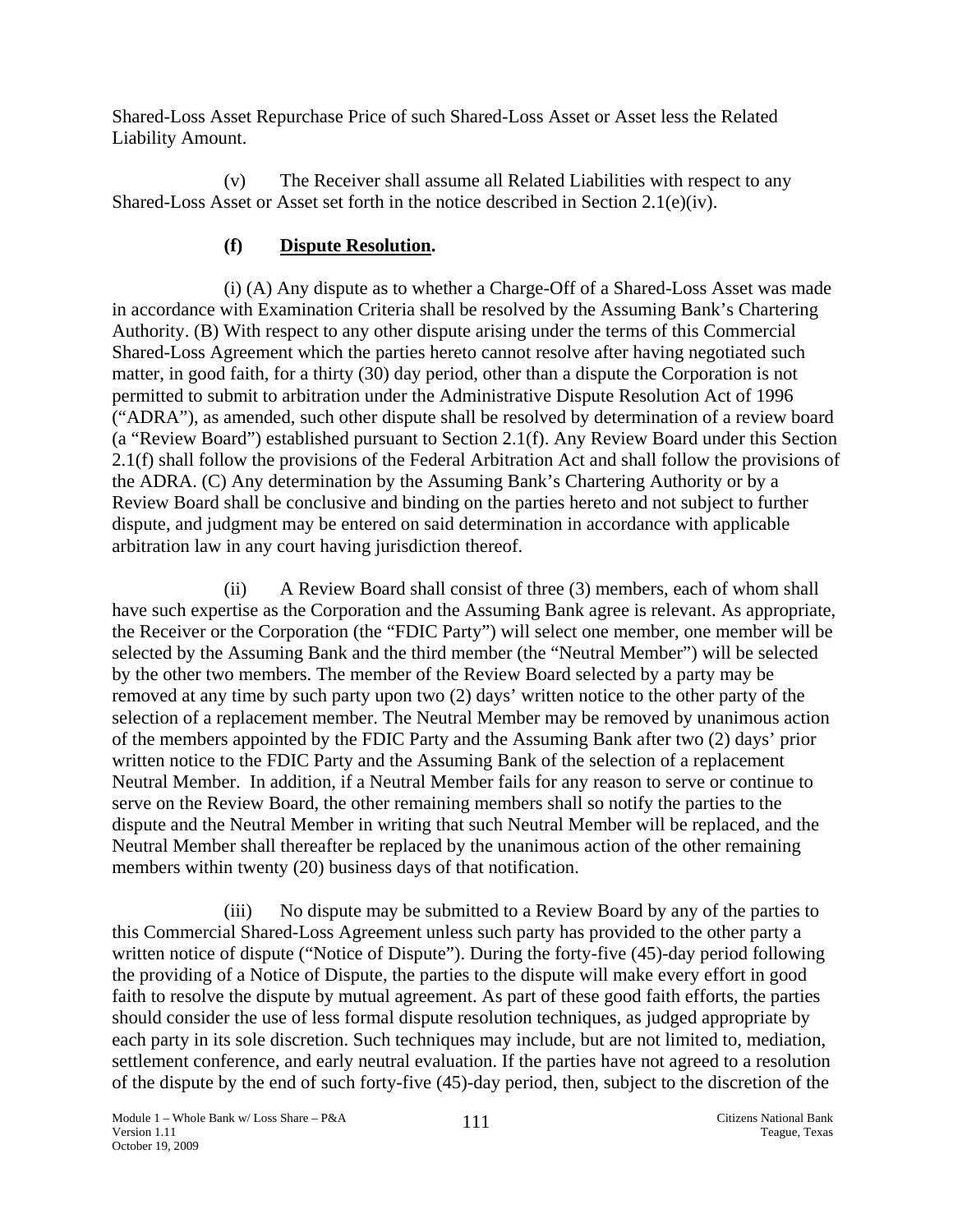Shared-Loss Asset Repurchase Price of such Shared-Loss Asset or Asset less the Related Liability Amount.

(v) The Receiver shall assume all Related Liabilities with respect to any Shared-Loss Asset or Asset set forth in the notice described in Section 2.1(e)(iv).

### **(f) Dispute Resolution.**

(i) (A) Any dispute as to whether a Charge-Off of a Shared-Loss Asset was made in accordance with Examination Criteria shall be resolved by the Assuming Bank's Chartering Authority. (B) With respect to any other dispute arising under the terms of this Commercial Shared-Loss Agreement which the parties hereto cannot resolve after having negotiated such matter, in good faith, for a thirty (30) day period, other than a dispute the Corporation is not permitted to submit to arbitration under the Administrative Dispute Resolution Act of 1996 ("ADRA"), as amended, such other dispute shall be resolved by determination of a review board (a "Review Board") established pursuant to Section 2.1(f). Any Review Board under this Section 2.1(f) shall follow the provisions of the Federal Arbitration Act and shall follow the provisions of the ADRA. (C) Any determination by the Assuming Bank's Chartering Authority or by a Review Board shall be conclusive and binding on the parties hereto and not subject to further dispute, and judgment may be entered on said determination in accordance with applicable arbitration law in any court having jurisdiction thereof.

(ii) A Review Board shall consist of three (3) members, each of whom shall have such expertise as the Corporation and the Assuming Bank agree is relevant. As appropriate, the Receiver or the Corporation (the "FDIC Party") will select one member, one member will be selected by the Assuming Bank and the third member (the "Neutral Member") will be selected by the other two members. The member of the Review Board selected by a party may be removed at any time by such party upon two (2) days' written notice to the other party of the selection of a replacement member. The Neutral Member may be removed by unanimous action of the members appointed by the FDIC Party and the Assuming Bank after two (2) days' prior written notice to the FDIC Party and the Assuming Bank of the selection of a replacement Neutral Member. In addition, if a Neutral Member fails for any reason to serve or continue to serve on the Review Board, the other remaining members shall so notify the parties to the dispute and the Neutral Member in writing that such Neutral Member will be replaced, and the Neutral Member shall thereafter be replaced by the unanimous action of the other remaining members within twenty (20) business days of that notification.

(iii) No dispute may be submitted to a Review Board by any of the parties to this Commercial Shared-Loss Agreement unless such party has provided to the other party a written notice of dispute ("Notice of Dispute"). During the forty-five (45)-day period following the providing of a Notice of Dispute, the parties to the dispute will make every effort in good faith to resolve the dispute by mutual agreement. As part of these good faith efforts, the parties should consider the use of less formal dispute resolution techniques, as judged appropriate by each party in its sole discretion. Such techniques may include, but are not limited to, mediation, settlement conference, and early neutral evaluation. If the parties have not agreed to a resolution of the dispute by the end of such forty-five (45)-day period, then, subject to the discretion of the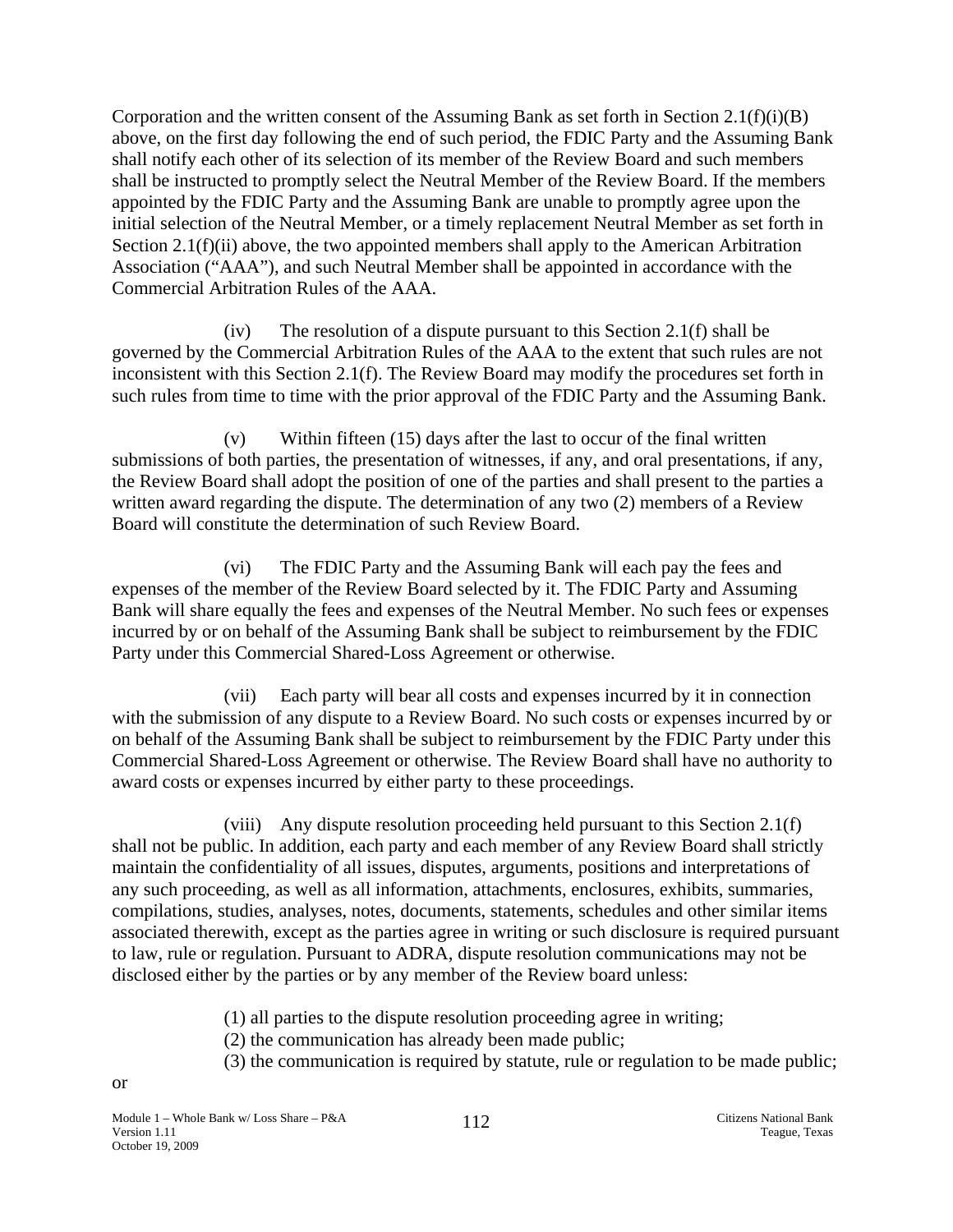Corporation and the written consent of the Assuming Bank as set forth in Section 2.1(f)(i)(B) above, on the first day following the end of such period, the FDIC Party and the Assuming Bank shall notify each other of its selection of its member of the Review Board and such members shall be instructed to promptly select the Neutral Member of the Review Board. If the members appointed by the FDIC Party and the Assuming Bank are unable to promptly agree upon the initial selection of the Neutral Member, or a timely replacement Neutral Member as set forth in Section 2.1(f)(ii) above, the two appointed members shall apply to the American Arbitration Association ("AAA"), and such Neutral Member shall be appointed in accordance with the Commercial Arbitration Rules of the AAA.

(iv) The resolution of a dispute pursuant to this Section 2.1(f) shall be governed by the Commercial Arbitration Rules of the AAA to the extent that such rules are not inconsistent with this Section 2.1(f). The Review Board may modify the procedures set forth in such rules from time to time with the prior approval of the FDIC Party and the Assuming Bank.

(v) Within fifteen (15) days after the last to occur of the final written submissions of both parties, the presentation of witnesses, if any, and oral presentations, if any, the Review Board shall adopt the position of one of the parties and shall present to the parties a written award regarding the dispute. The determination of any two (2) members of a Review Board will constitute the determination of such Review Board.

(vi) The FDIC Party and the Assuming Bank will each pay the fees and expenses of the member of the Review Board selected by it. The FDIC Party and Assuming Bank will share equally the fees and expenses of the Neutral Member. No such fees or expenses incurred by or on behalf of the Assuming Bank shall be subject to reimbursement by the FDIC Party under this Commercial Shared-Loss Agreement or otherwise.

(vii) Each party will bear all costs and expenses incurred by it in connection with the submission of any dispute to a Review Board. No such costs or expenses incurred by or on behalf of the Assuming Bank shall be subject to reimbursement by the FDIC Party under this Commercial Shared-Loss Agreement or otherwise. The Review Board shall have no authority to award costs or expenses incurred by either party to these proceedings.

(viii) Any dispute resolution proceeding held pursuant to this Section 2.1(f) shall not be public. In addition, each party and each member of any Review Board shall strictly maintain the confidentiality of all issues, disputes, arguments, positions and interpretations of any such proceeding, as well as all information, attachments, enclosures, exhibits, summaries, compilations, studies, analyses, notes, documents, statements, schedules and other similar items associated therewith, except as the parties agree in writing or such disclosure is required pursuant to law, rule or regulation. Pursuant to ADRA, dispute resolution communications may not be disclosed either by the parties or by any member of the Review board unless:

(1) all parties to the dispute resolution proceeding agree in writing;

- (2) the communication has already been made public;
- (3) the communication is required by statute, rule or regulation to be made public;

or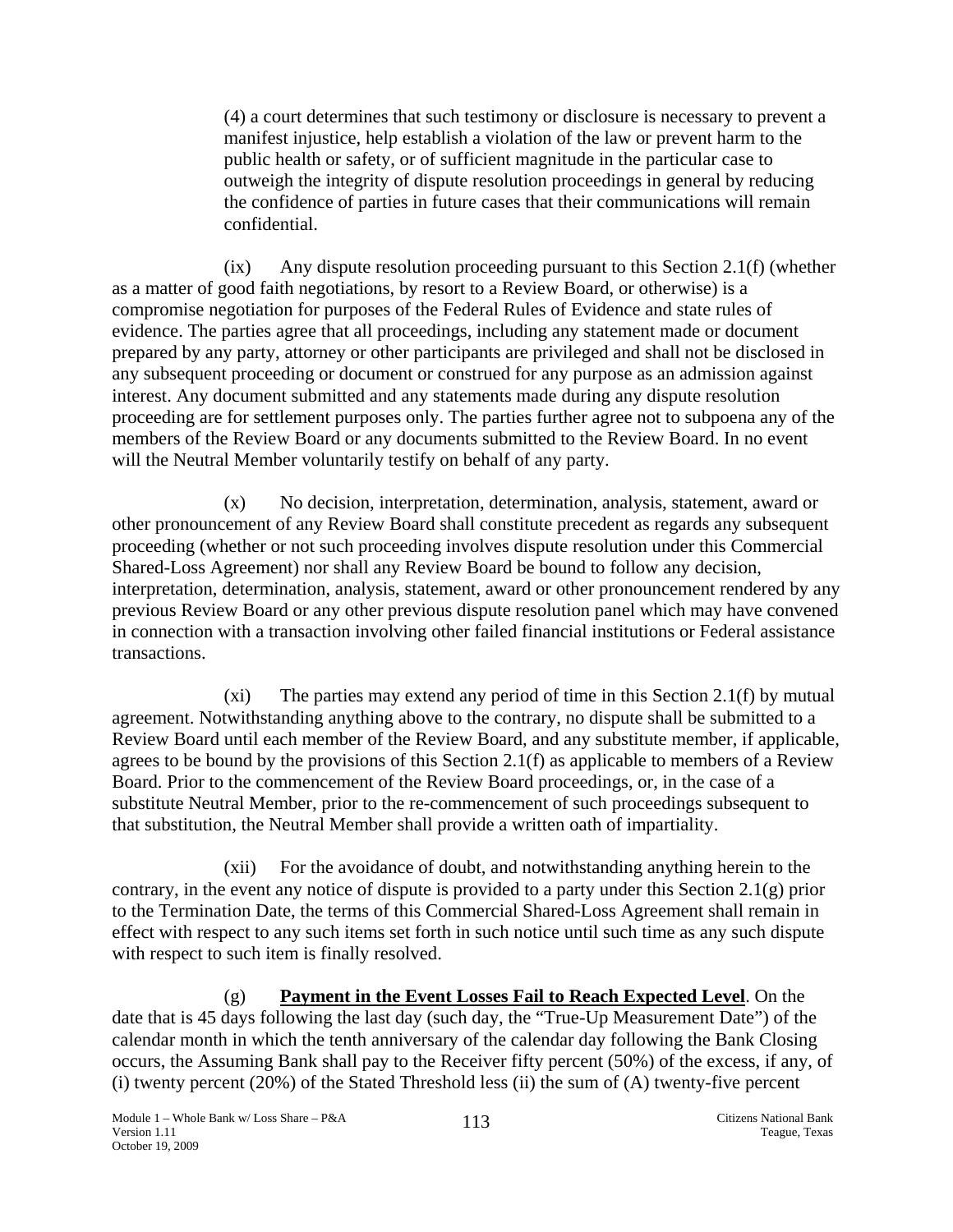(4) a court determines that such testimony or disclosure is necessary to prevent a manifest injustice, help establish a violation of the law or prevent harm to the public health or safety, or of sufficient magnitude in the particular case to outweigh the integrity of dispute resolution proceedings in general by reducing the confidence of parties in future cases that their communications will remain confidential.

 $(ix)$  Any dispute resolution proceeding pursuant to this Section 2.1(f) (whether as a matter of good faith negotiations, by resort to a Review Board, or otherwise) is a compromise negotiation for purposes of the Federal Rules of Evidence and state rules of evidence. The parties agree that all proceedings, including any statement made or document prepared by any party, attorney or other participants are privileged and shall not be disclosed in any subsequent proceeding or document or construed for any purpose as an admission against interest. Any document submitted and any statements made during any dispute resolution proceeding are for settlement purposes only. The parties further agree not to subpoena any of the members of the Review Board or any documents submitted to the Review Board. In no event will the Neutral Member voluntarily testify on behalf of any party.

(x) No decision, interpretation, determination, analysis, statement, award or other pronouncement of any Review Board shall constitute precedent as regards any subsequent proceeding (whether or not such proceeding involves dispute resolution under this Commercial Shared-Loss Agreement) nor shall any Review Board be bound to follow any decision, interpretation, determination, analysis, statement, award or other pronouncement rendered by any previous Review Board or any other previous dispute resolution panel which may have convened in connection with a transaction involving other failed financial institutions or Federal assistance transactions.

(xi) The parties may extend any period of time in this Section 2.1(f) by mutual agreement. Notwithstanding anything above to the contrary, no dispute shall be submitted to a Review Board until each member of the Review Board, and any substitute member, if applicable, agrees to be bound by the provisions of this Section 2.1(f) as applicable to members of a Review Board. Prior to the commencement of the Review Board proceedings, or, in the case of a substitute Neutral Member, prior to the re-commencement of such proceedings subsequent to that substitution, the Neutral Member shall provide a written oath of impartiality.

(xii) For the avoidance of doubt, and notwithstanding anything herein to the contrary, in the event any notice of dispute is provided to a party under this Section 2.1(g) prior to the Termination Date, the terms of this Commercial Shared-Loss Agreement shall remain in effect with respect to any such items set forth in such notice until such time as any such dispute with respect to such item is finally resolved.

 (g) **Payment in the Event Losses Fail to Reach Expected Level**. On the date that is 45 days following the last day (such day, the "True-Up Measurement Date") of the calendar month in which the tenth anniversary of the calendar day following the Bank Closing occurs, the Assuming Bank shall pay to the Receiver fifty percent (50%) of the excess, if any, of  $(i)$  twenty percent (20%) of the Stated Threshold less  $(ii)$  the sum of  $(A)$  twenty-five percent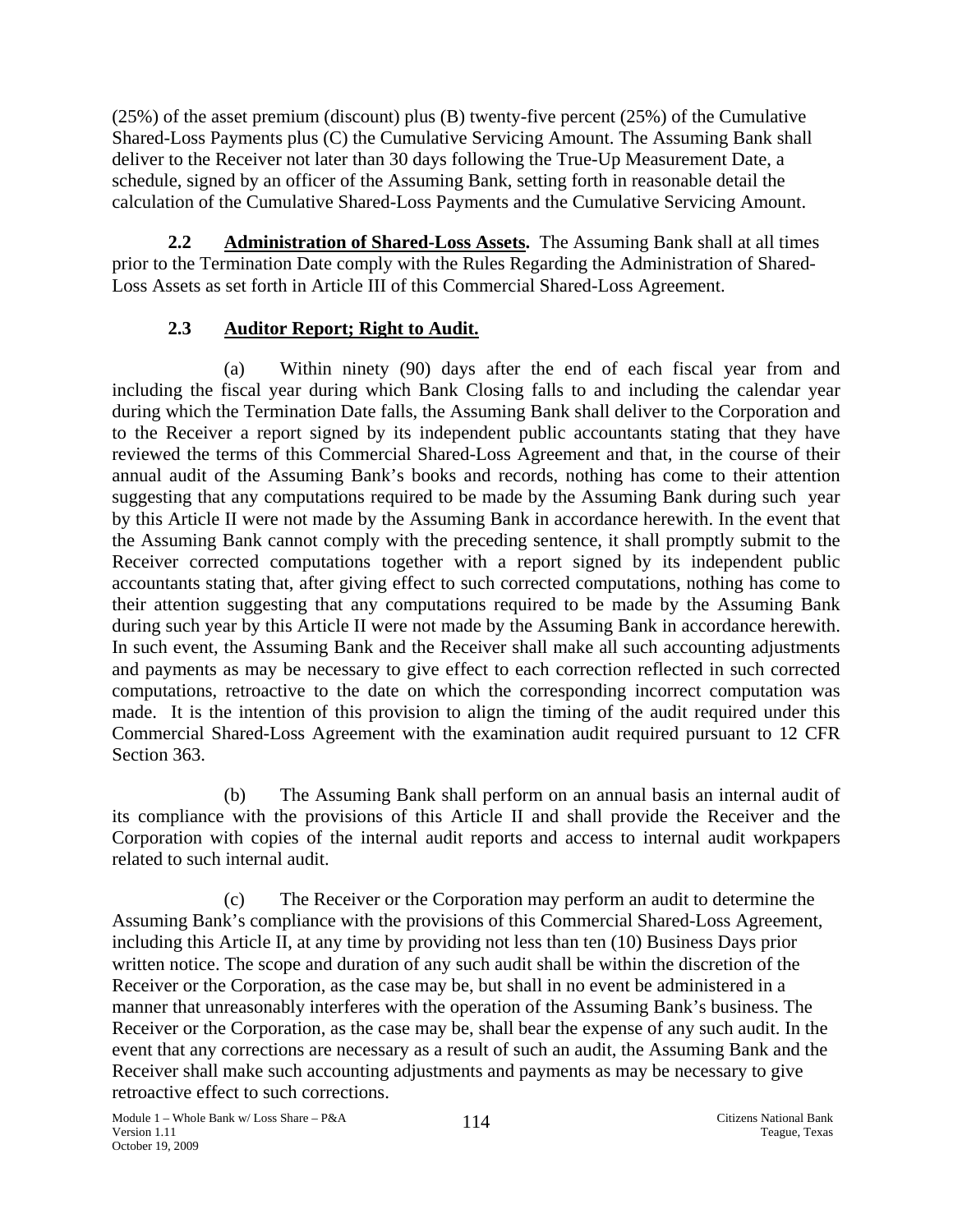(25%) of the asset premium (discount) plus (B) twenty-five percent (25%) of the Cumulative Shared-Loss Payments plus (C) the Cumulative Servicing Amount. The Assuming Bank shall deliver to the Receiver not later than 30 days following the True-Up Measurement Date, a schedule, signed by an officer of the Assuming Bank, setting forth in reasonable detail the calculation of the Cumulative Shared-Loss Payments and the Cumulative Servicing Amount.

**2.2 Administration of Shared-Loss Assets.** The Assuming Bank shall at all times prior to the Termination Date comply with the Rules Regarding the Administration of Shared-Loss Assets as set forth in Article III of this Commercial Shared-Loss Agreement.

## **2.3 Auditor Report; Right to Audit.**

(a) Within ninety (90) days after the end of each fiscal year from and including the fiscal year during which Bank Closing falls to and including the calendar year during which the Termination Date falls, the Assuming Bank shall deliver to the Corporation and to the Receiver a report signed by its independent public accountants stating that they have reviewed the terms of this Commercial Shared-Loss Agreement and that, in the course of their annual audit of the Assuming Bank's books and records, nothing has come to their attention suggesting that any computations required to be made by the Assuming Bank during such year by this Article II were not made by the Assuming Bank in accordance herewith. In the event that the Assuming Bank cannot comply with the preceding sentence, it shall promptly submit to the Receiver corrected computations together with a report signed by its independent public accountants stating that, after giving effect to such corrected computations, nothing has come to their attention suggesting that any computations required to be made by the Assuming Bank during such year by this Article II were not made by the Assuming Bank in accordance herewith. In such event, the Assuming Bank and the Receiver shall make all such accounting adjustments and payments as may be necessary to give effect to each correction reflected in such corrected computations, retroactive to the date on which the corresponding incorrect computation was made. It is the intention of this provision to align the timing of the audit required under this Commercial Shared-Loss Agreement with the examination audit required pursuant to 12 CFR Section 363.

(b) The Assuming Bank shall perform on an annual basis an internal audit of its compliance with the provisions of this Article II and shall provide the Receiver and the Corporation with copies of the internal audit reports and access to internal audit workpapers related to such internal audit.

(c) The Receiver or the Corporation may perform an audit to determine the Assuming Bank's compliance with the provisions of this Commercial Shared-Loss Agreement, including this Article II, at any time by providing not less than ten (10) Business Days prior written notice. The scope and duration of any such audit shall be within the discretion of the Receiver or the Corporation, as the case may be, but shall in no event be administered in a manner that unreasonably interferes with the operation of the Assuming Bank's business. The Receiver or the Corporation, as the case may be, shall bear the expense of any such audit. In the event that any corrections are necessary as a result of such an audit, the Assuming Bank and the Receiver shall make such accounting adjustments and payments as may be necessary to give retroactive effect to such corrections.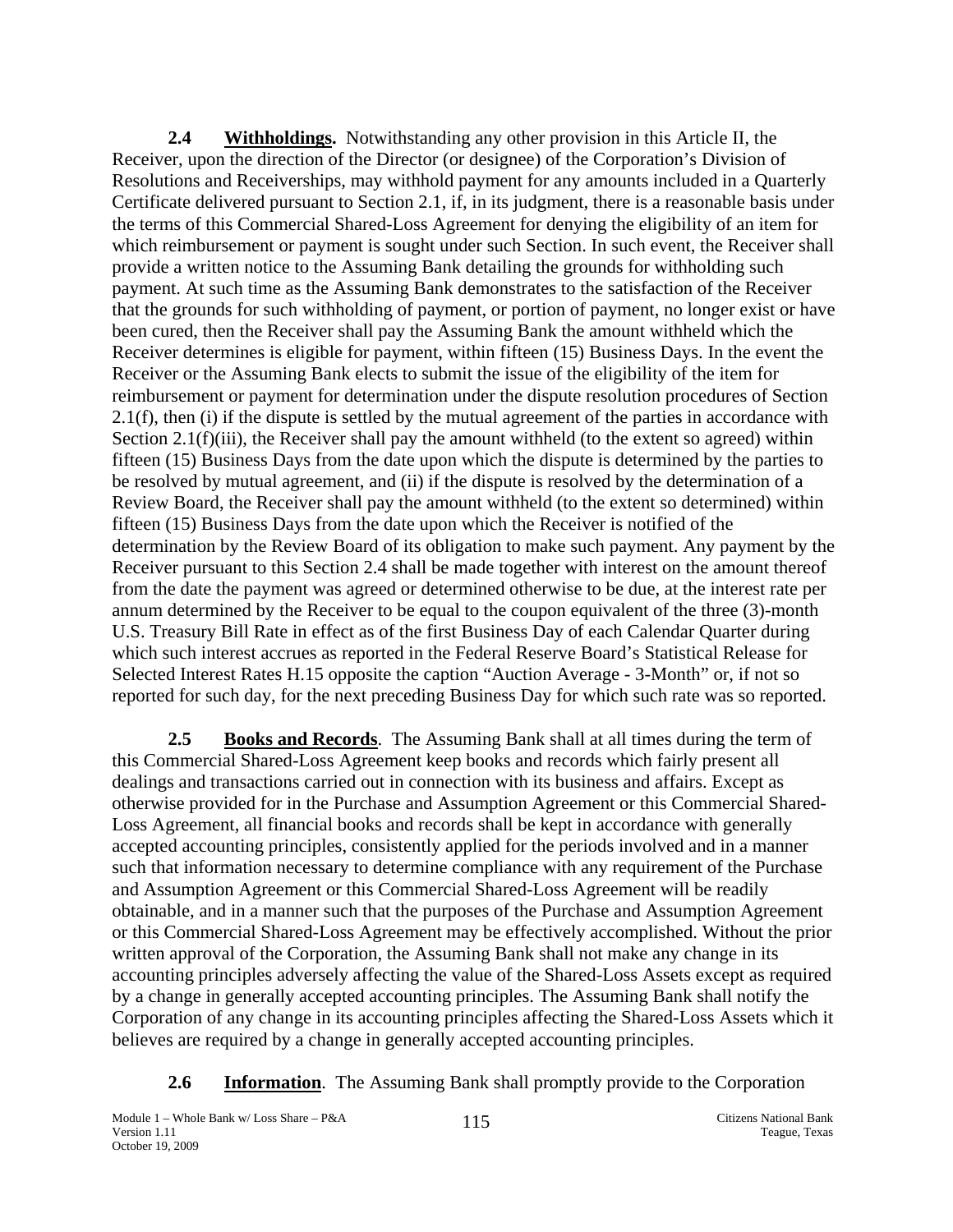**2.4 Withholdings.** Notwithstanding any other provision in this Article II, the Receiver, upon the direction of the Director (or designee) of the Corporation's Division of Resolutions and Receiverships, may withhold payment for any amounts included in a Quarterly Certificate delivered pursuant to Section 2.1, if, in its judgment, there is a reasonable basis under the terms of this Commercial Shared-Loss Agreement for denying the eligibility of an item for which reimbursement or payment is sought under such Section. In such event, the Receiver shall provide a written notice to the Assuming Bank detailing the grounds for withholding such payment. At such time as the Assuming Bank demonstrates to the satisfaction of the Receiver that the grounds for such withholding of payment, or portion of payment, no longer exist or have been cured, then the Receiver shall pay the Assuming Bank the amount withheld which the Receiver determines is eligible for payment, within fifteen (15) Business Days. In the event the Receiver or the Assuming Bank elects to submit the issue of the eligibility of the item for reimbursement or payment for determination under the dispute resolution procedures of Section 2.1(f), then (i) if the dispute is settled by the mutual agreement of the parties in accordance with Section 2.1(f)(iii), the Receiver shall pay the amount withheld (to the extent so agreed) within fifteen (15) Business Days from the date upon which the dispute is determined by the parties to be resolved by mutual agreement, and (ii) if the dispute is resolved by the determination of a Review Board, the Receiver shall pay the amount withheld (to the extent so determined) within fifteen (15) Business Days from the date upon which the Receiver is notified of the determination by the Review Board of its obligation to make such payment. Any payment by the Receiver pursuant to this Section 2.4 shall be made together with interest on the amount thereof from the date the payment was agreed or determined otherwise to be due, at the interest rate per annum determined by the Receiver to be equal to the coupon equivalent of the three (3)-month U.S. Treasury Bill Rate in effect as of the first Business Day of each Calendar Quarter during which such interest accrues as reported in the Federal Reserve Board's Statistical Release for Selected Interest Rates H.15 opposite the caption "Auction Average - 3-Month" or, if not so reported for such day, for the next preceding Business Day for which such rate was so reported.

**2.5 Books and Records**. The Assuming Bank shall at all times during the term of this Commercial Shared-Loss Agreement keep books and records which fairly present all dealings and transactions carried out in connection with its business and affairs. Except as otherwise provided for in the Purchase and Assumption Agreement or this Commercial Shared-Loss Agreement, all financial books and records shall be kept in accordance with generally accepted accounting principles, consistently applied for the periods involved and in a manner such that information necessary to determine compliance with any requirement of the Purchase and Assumption Agreement or this Commercial Shared-Loss Agreement will be readily obtainable, and in a manner such that the purposes of the Purchase and Assumption Agreement or this Commercial Shared-Loss Agreement may be effectively accomplished. Without the prior written approval of the Corporation, the Assuming Bank shall not make any change in its accounting principles adversely affecting the value of the Shared-Loss Assets except as required by a change in generally accepted accounting principles. The Assuming Bank shall notify the Corporation of any change in its accounting principles affecting the Shared-Loss Assets which it believes are required by a change in generally accepted accounting principles.

**2.6 Information**. The Assuming Bank shall promptly provide to the Corporation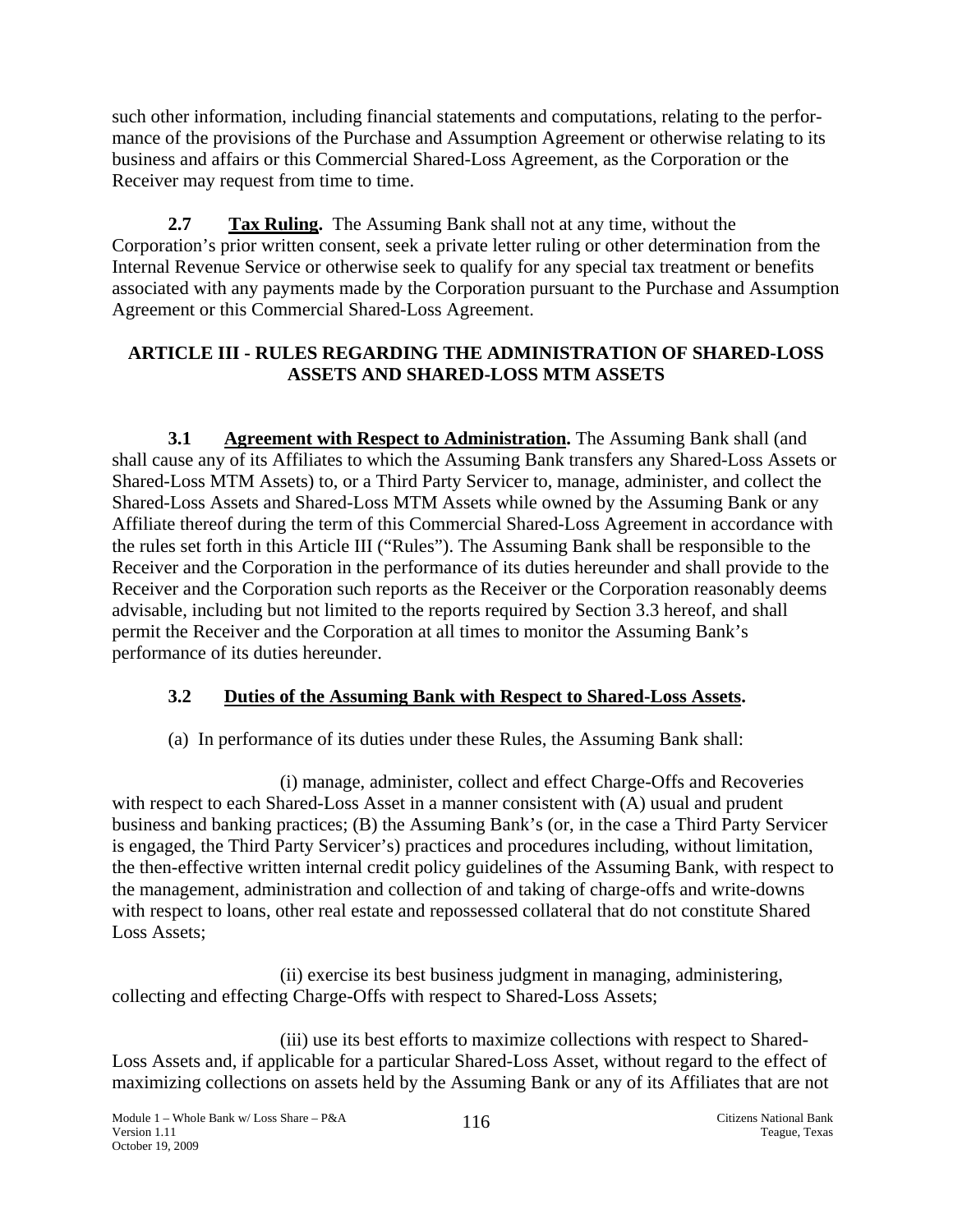such other information, including financial statements and computations, relating to the performance of the provisions of the Purchase and Assumption Agreement or otherwise relating to its business and affairs or this Commercial Shared-Loss Agreement, as the Corporation or the Receiver may request from time to time.

**2.7 Tax Ruling.** The Assuming Bank shall not at any time, without the Corporation's prior written consent, seek a private letter ruling or other determination from the Internal Revenue Service or otherwise seek to qualify for any special tax treatment or benefits associated with any payments made by the Corporation pursuant to the Purchase and Assumption Agreement or this Commercial Shared-Loss Agreement.

## **ARTICLE III - RULES REGARDING THE ADMINISTRATION OF SHARED-LOSS ASSETS AND SHARED-LOSS MTM ASSETS**

**3.1** Agreement with Respect to Administration. The Assuming Bank shall (and shall cause any of its Affiliates to which the Assuming Bank transfers any Shared-Loss Assets or Shared-Loss MTM Assets) to, or a Third Party Servicer to, manage, administer, and collect the Shared-Loss Assets and Shared-Loss MTM Assets while owned by the Assuming Bank or any Affiliate thereof during the term of this Commercial Shared-Loss Agreement in accordance with the rules set forth in this Article III ("Rules"). The Assuming Bank shall be responsible to the Receiver and the Corporation in the performance of its duties hereunder and shall provide to the Receiver and the Corporation such reports as the Receiver or the Corporation reasonably deems advisable, including but not limited to the reports required by Section 3.3 hereof, and shall permit the Receiver and the Corporation at all times to monitor the Assuming Bank's performance of its duties hereunder.

# **3.2 Duties of the Assuming Bank with Respect to Shared-Loss Assets.**

(a) In performance of its duties under these Rules, the Assuming Bank shall:

(i) manage, administer, collect and effect Charge-Offs and Recoveries with respect to each Shared-Loss Asset in a manner consistent with (A) usual and prudent business and banking practices; (B) the Assuming Bank's (or, in the case a Third Party Servicer is engaged, the Third Party Servicer's) practices and procedures including, without limitation, the then-effective written internal credit policy guidelines of the Assuming Bank, with respect to the management, administration and collection of and taking of charge-offs and write-downs with respect to loans, other real estate and repossessed collateral that do not constitute Shared Loss Assets;

(ii) exercise its best business judgment in managing, administering, collecting and effecting Charge-Offs with respect to Shared-Loss Assets;

(iii) use its best efforts to maximize collections with respect to Shared-Loss Assets and, if applicable for a particular Shared-Loss Asset, without regard to the effect of maximizing collections on assets held by the Assuming Bank or any of its Affiliates that are not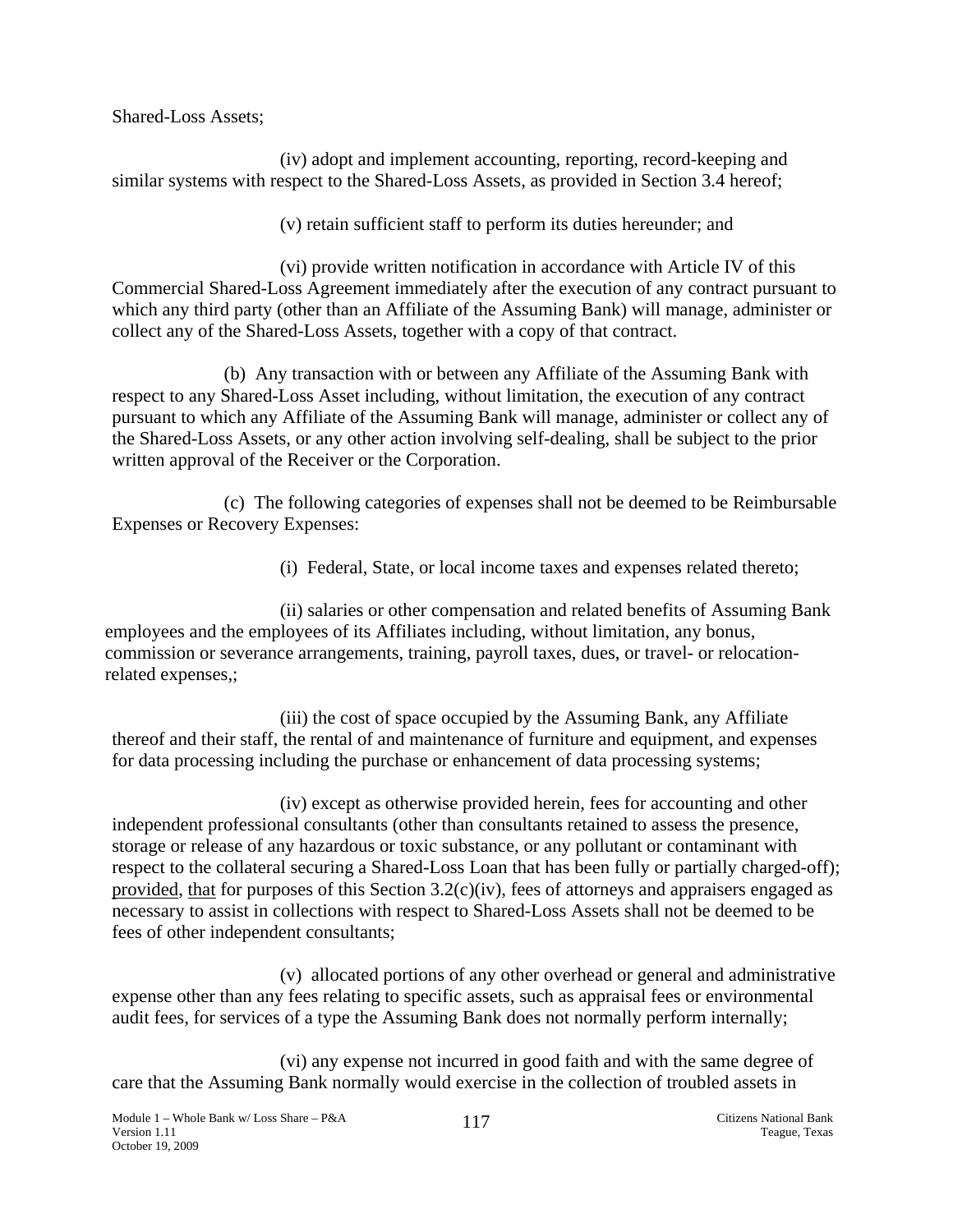Shared-Loss Assets;

(iv) adopt and implement accounting, reporting, record-keeping and similar systems with respect to the Shared-Loss Assets, as provided in Section 3.4 hereof;

(v) retain sufficient staff to perform its duties hereunder; and

(vi) provide written notification in accordance with Article IV of this Commercial Shared-Loss Agreement immediately after the execution of any contract pursuant to which any third party (other than an Affiliate of the Assuming Bank) will manage, administer or collect any of the Shared-Loss Assets, together with a copy of that contract.

(b) Any transaction with or between any Affiliate of the Assuming Bank with respect to any Shared-Loss Asset including, without limitation, the execution of any contract pursuant to which any Affiliate of the Assuming Bank will manage, administer or collect any of the Shared-Loss Assets, or any other action involving self-dealing, shall be subject to the prior written approval of the Receiver or the Corporation.

(c) The following categories of expenses shall not be deemed to be Reimbursable Expenses or Recovery Expenses:

(i) Federal, State, or local income taxes and expenses related thereto;

(ii) salaries or other compensation and related benefits of Assuming Bank employees and the employees of its Affiliates including, without limitation, any bonus, commission or severance arrangements, training, payroll taxes, dues, or travel- or relocationrelated expenses,;

(iii) the cost of space occupied by the Assuming Bank, any Affiliate thereof and their staff, the rental of and maintenance of furniture and equipment, and expenses for data processing including the purchase or enhancement of data processing systems;

(iv) except as otherwise provided herein, fees for accounting and other independent professional consultants (other than consultants retained to assess the presence, storage or release of any hazardous or toxic substance, or any pollutant or contaminant with respect to the collateral securing a Shared-Loss Loan that has been fully or partially charged-off); provided, that for purposes of this Section 3.2(c)(iv), fees of attorneys and appraisers engaged as necessary to assist in collections with respect to Shared-Loss Assets shall not be deemed to be fees of other independent consultants;

(v) allocated portions of any other overhead or general and administrative expense other than any fees relating to specific assets, such as appraisal fees or environmental audit fees, for services of a type the Assuming Bank does not normally perform internally;

(vi) any expense not incurred in good faith and with the same degree of care that the Assuming Bank normally would exercise in the collection of troubled assets in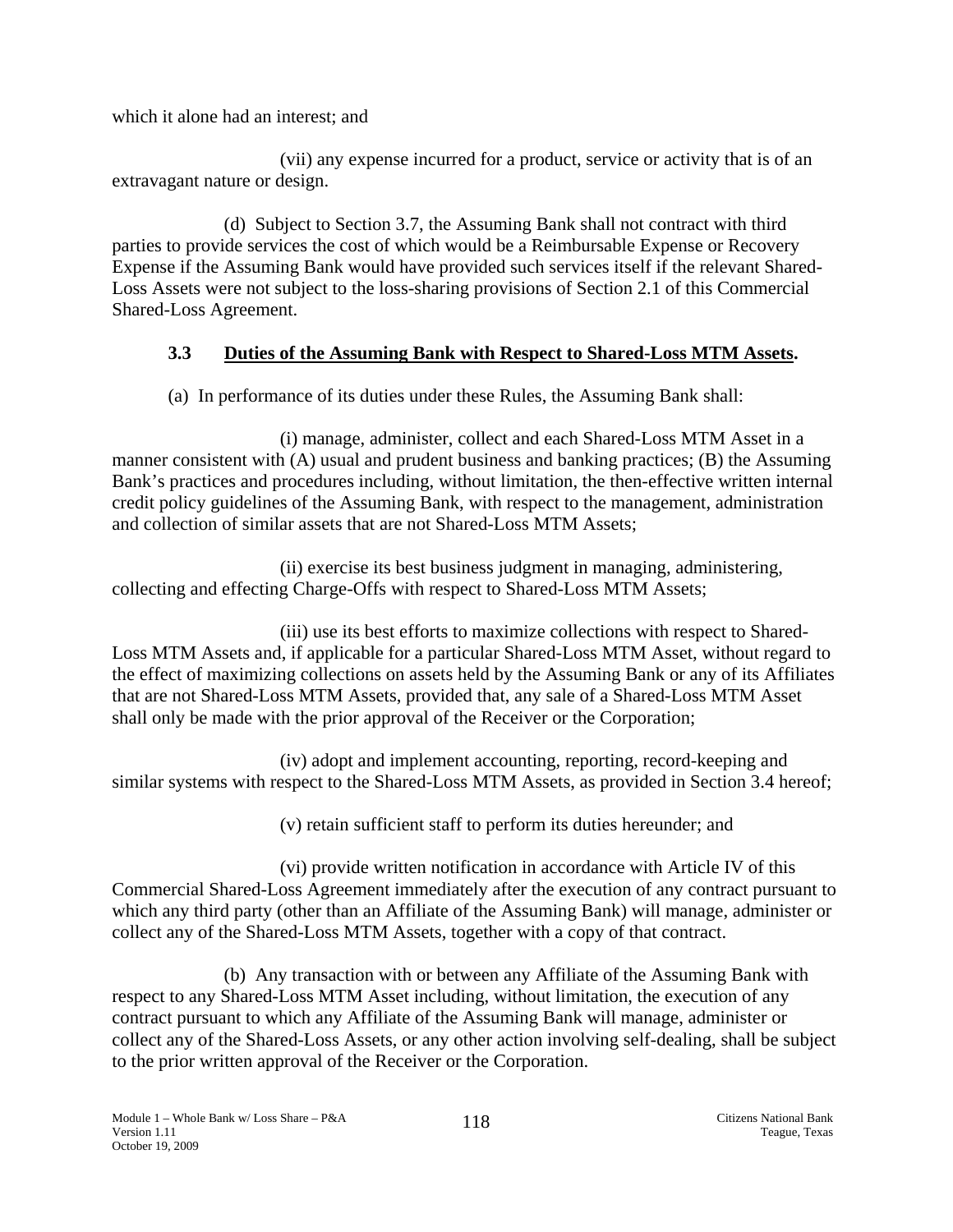which it alone had an interest; and

(vii) any expense incurred for a product, service or activity that is of an extravagant nature or design.

(d) Subject to Section 3.7, the Assuming Bank shall not contract with third parties to provide services the cost of which would be a Reimbursable Expense or Recovery Expense if the Assuming Bank would have provided such services itself if the relevant Shared-Loss Assets were not subject to the loss-sharing provisions of Section 2.1 of this Commercial Shared-Loss Agreement.

## **3.3 Duties of the Assuming Bank with Respect to Shared-Loss MTM Assets.**

(a) In performance of its duties under these Rules, the Assuming Bank shall:

(i) manage, administer, collect and each Shared-Loss MTM Asset in a manner consistent with  $(A)$  usual and prudent business and banking practices;  $(B)$  the Assuming Bank's practices and procedures including, without limitation, the then-effective written internal credit policy guidelines of the Assuming Bank, with respect to the management, administration and collection of similar assets that are not Shared-Loss MTM Assets;

(ii) exercise its best business judgment in managing, administering, collecting and effecting Charge-Offs with respect to Shared-Loss MTM Assets;

(iii) use its best efforts to maximize collections with respect to Shared-Loss MTM Assets and, if applicable for a particular Shared-Loss MTM Asset, without regard to the effect of maximizing collections on assets held by the Assuming Bank or any of its Affiliates that are not Shared-Loss MTM Assets, provided that, any sale of a Shared-Loss MTM Asset shall only be made with the prior approval of the Receiver or the Corporation;

(iv) adopt and implement accounting, reporting, record-keeping and similar systems with respect to the Shared-Loss MTM Assets, as provided in Section 3.4 hereof;

(v) retain sufficient staff to perform its duties hereunder; and

(vi) provide written notification in accordance with Article IV of this Commercial Shared-Loss Agreement immediately after the execution of any contract pursuant to which any third party (other than an Affiliate of the Assuming Bank) will manage, administer or collect any of the Shared-Loss MTM Assets, together with a copy of that contract.

(b) Any transaction with or between any Affiliate of the Assuming Bank with respect to any Shared-Loss MTM Asset including, without limitation, the execution of any contract pursuant to which any Affiliate of the Assuming Bank will manage, administer or collect any of the Shared-Loss Assets, or any other action involving self-dealing, shall be subject to the prior written approval of the Receiver or the Corporation.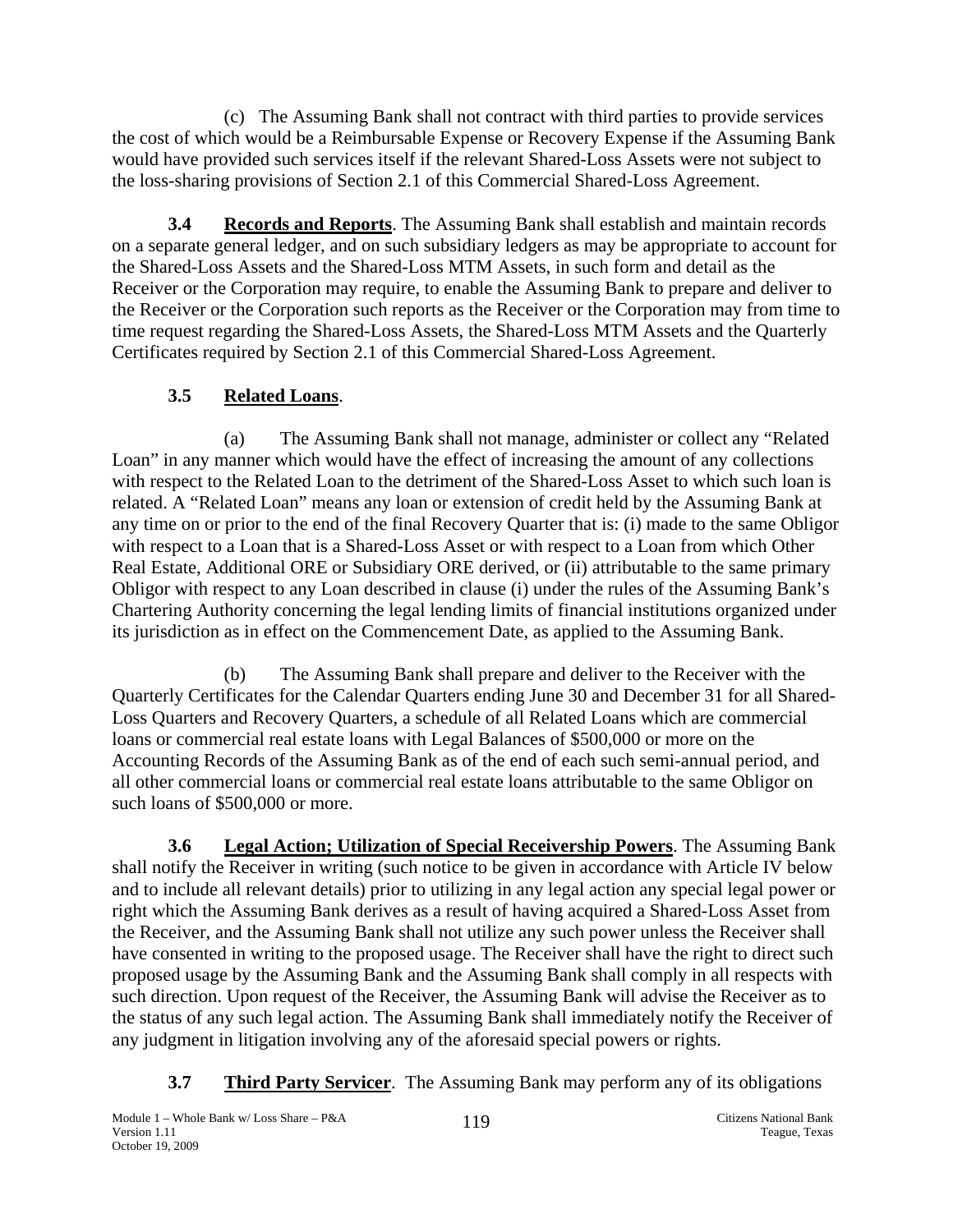(c) The Assuming Bank shall not contract with third parties to provide services the cost of which would be a Reimbursable Expense or Recovery Expense if the Assuming Bank would have provided such services itself if the relevant Shared-Loss Assets were not subject to the loss-sharing provisions of Section 2.1 of this Commercial Shared-Loss Agreement.

**3.4 Records and Reports**. The Assuming Bank shall establish and maintain records on a separate general ledger, and on such subsidiary ledgers as may be appropriate to account for the Shared-Loss Assets and the Shared-Loss MTM Assets, in such form and detail as the Receiver or the Corporation may require, to enable the Assuming Bank to prepare and deliver to the Receiver or the Corporation such reports as the Receiver or the Corporation may from time to time request regarding the Shared-Loss Assets, the Shared-Loss MTM Assets and the Quarterly Certificates required by Section 2.1 of this Commercial Shared-Loss Agreement.

# **3.5 Related Loans**.

(a) The Assuming Bank shall not manage, administer or collect any "Related Loan" in any manner which would have the effect of increasing the amount of any collections with respect to the Related Loan to the detriment of the Shared-Loss Asset to which such loan is related. A "Related Loan" means any loan or extension of credit held by the Assuming Bank at any time on or prior to the end of the final Recovery Quarter that is: (i) made to the same Obligor with respect to a Loan that is a Shared-Loss Asset or with respect to a Loan from which Other Real Estate, Additional ORE or Subsidiary ORE derived, or (ii) attributable to the same primary Obligor with respect to any Loan described in clause (i) under the rules of the Assuming Bank's Chartering Authority concerning the legal lending limits of financial institutions organized under its jurisdiction as in effect on the Commencement Date, as applied to the Assuming Bank.

(b) The Assuming Bank shall prepare and deliver to the Receiver with the Quarterly Certificates for the Calendar Quarters ending June 30 and December 31 for all Shared-Loss Quarters and Recovery Quarters, a schedule of all Related Loans which are commercial loans or commercial real estate loans with Legal Balances of \$500,000 or more on the Accounting Records of the Assuming Bank as of the end of each such semi-annual period, and all other commercial loans or commercial real estate loans attributable to the same Obligor on such loans of \$500,000 or more.

**3.6 Legal Action; Utilization of Special Receivership Powers**. The Assuming Bank shall notify the Receiver in writing (such notice to be given in accordance with Article IV below and to include all relevant details) prior to utilizing in any legal action any special legal power or right which the Assuming Bank derives as a result of having acquired a Shared-Loss Asset from the Receiver, and the Assuming Bank shall not utilize any such power unless the Receiver shall have consented in writing to the proposed usage. The Receiver shall have the right to direct such proposed usage by the Assuming Bank and the Assuming Bank shall comply in all respects with such direction. Upon request of the Receiver, the Assuming Bank will advise the Receiver as to the status of any such legal action. The Assuming Bank shall immediately notify the Receiver of any judgment in litigation involving any of the aforesaid special powers or rights.

**3.7 Third Party Servicer**. The Assuming Bank may perform any of its obligations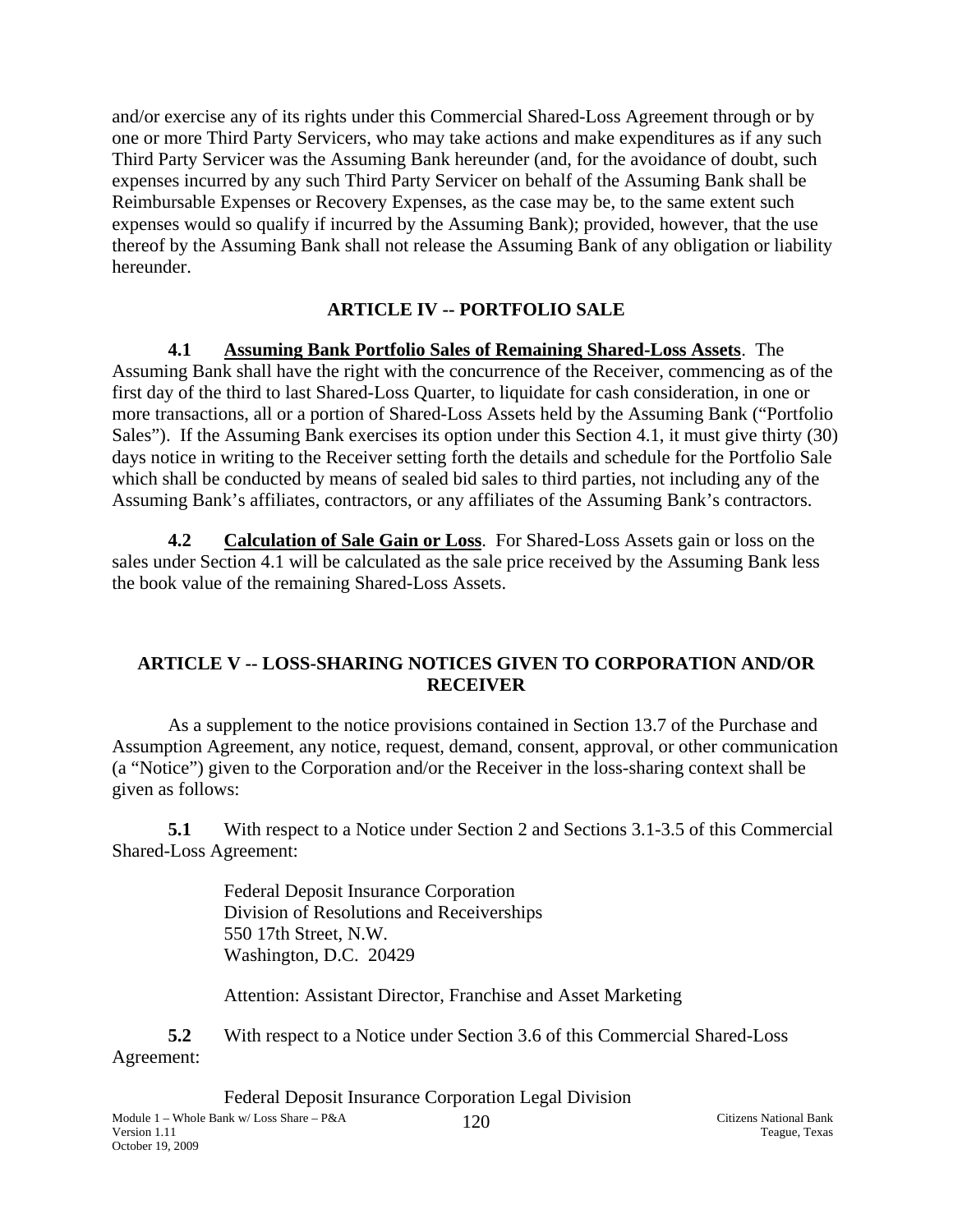and/or exercise any of its rights under this Commercial Shared-Loss Agreement through or by one or more Third Party Servicers, who may take actions and make expenditures as if any such Third Party Servicer was the Assuming Bank hereunder (and, for the avoidance of doubt, such expenses incurred by any such Third Party Servicer on behalf of the Assuming Bank shall be Reimbursable Expenses or Recovery Expenses, as the case may be, to the same extent such expenses would so qualify if incurred by the Assuming Bank); provided, however, that the use thereof by the Assuming Bank shall not release the Assuming Bank of any obligation or liability hereunder.

### **ARTICLE IV -- PORTFOLIO SALE**

**4.1 Assuming Bank Portfolio Sales of Remaining Shared-Loss Assets**. The Assuming Bank shall have the right with the concurrence of the Receiver, commencing as of the first day of the third to last Shared-Loss Quarter, to liquidate for cash consideration, in one or more transactions, all or a portion of Shared-Loss Assets held by the Assuming Bank ("Portfolio Sales"). If the Assuming Bank exercises its option under this Section 4.1, it must give thirty (30) days notice in writing to the Receiver setting forth the details and schedule for the Portfolio Sale which shall be conducted by means of sealed bid sales to third parties, not including any of the Assuming Bank's affiliates, contractors, or any affiliates of the Assuming Bank's contractors.

**4.2 Calculation of Sale Gain or Loss**. For Shared-Loss Assets gain or loss on the sales under Section 4.1 will be calculated as the sale price received by the Assuming Bank less the book value of the remaining Shared-Loss Assets.

### **ARTICLE V -- LOSS-SHARING NOTICES GIVEN TO CORPORATION AND/OR RECEIVER**

As a supplement to the notice provisions contained in Section 13.7 of the Purchase and Assumption Agreement, any notice, request, demand, consent, approval, or other communication (a "Notice") given to the Corporation and/or the Receiver in the loss-sharing context shall be given as follows:

**5.1** With respect to a Notice under Section 2 and Sections 3.1-3.5 of this Commercial Shared-Loss Agreement:

> Federal Deposit Insurance Corporation Division of Resolutions and Receiverships 550 17th Street, N.W. Washington, D.C. 20429

Attention: Assistant Director, Franchise and Asset Marketing

**5.2** With respect to a Notice under Section 3.6 of this Commercial Shared-Loss Agreement:

Federal Deposit Insurance Corporation Legal Division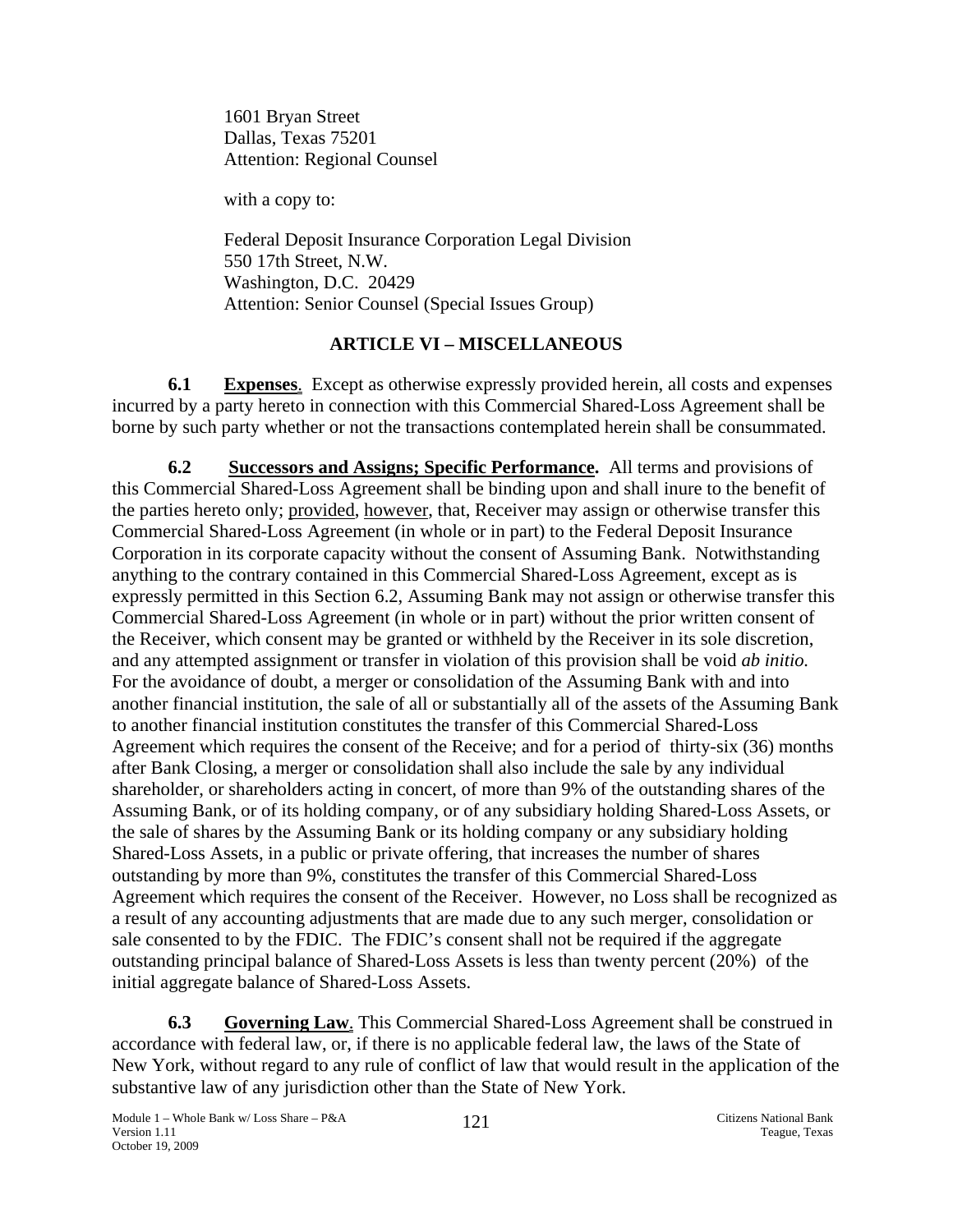1601 Bryan Street Dallas, Texas 75201 Attention: Regional Counsel

with a copy to:

Federal Deposit Insurance Corporation Legal Division 550 17th Street, N.W. Washington, D.C. 20429 Attention: Senior Counsel (Special Issues Group)

## **ARTICLE VI – MISCELLANEOUS**

**6.1** Expenses. Except as otherwise expressly provided herein, all costs and expenses incurred by a party hereto in connection with this Commercial Shared-Loss Agreement shall be borne by such party whether or not the transactions contemplated herein shall be consummated.

**6.2 Successors and Assigns; Specific Performance.** All terms and provisions of this Commercial Shared-Loss Agreement shall be binding upon and shall inure to the benefit of the parties hereto only; provided, however, that, Receiver may assign or otherwise transfer this Commercial Shared-Loss Agreement (in whole or in part) to the Federal Deposit Insurance Corporation in its corporate capacity without the consent of Assuming Bank. Notwithstanding anything to the contrary contained in this Commercial Shared-Loss Agreement, except as is expressly permitted in this Section 6.2, Assuming Bank may not assign or otherwise transfer this Commercial Shared-Loss Agreement (in whole or in part) without the prior written consent of the Receiver, which consent may be granted or withheld by the Receiver in its sole discretion, and any attempted assignment or transfer in violation of this provision shall be void *ab initio.*  For the avoidance of doubt, a merger or consolidation of the Assuming Bank with and into another financial institution, the sale of all or substantially all of the assets of the Assuming Bank to another financial institution constitutes the transfer of this Commercial Shared-Loss Agreement which requires the consent of the Receive; and for a period of thirty-six (36) months after Bank Closing, a merger or consolidation shall also include the sale by any individual shareholder, or shareholders acting in concert, of more than 9% of the outstanding shares of the Assuming Bank, or of its holding company, or of any subsidiary holding Shared-Loss Assets, or the sale of shares by the Assuming Bank or its holding company or any subsidiary holding Shared-Loss Assets, in a public or private offering, that increases the number of shares outstanding by more than 9%, constitutes the transfer of this Commercial Shared-Loss Agreement which requires the consent of the Receiver. However, no Loss shall be recognized as a result of any accounting adjustments that are made due to any such merger, consolidation or sale consented to by the FDIC. The FDIC's consent shall not be required if the aggregate outstanding principal balance of Shared-Loss Assets is less than twenty percent (20%) of the initial aggregate balance of Shared-Loss Assets.

**6.3 Governing Law**. This Commercial Shared-Loss Agreement shall be construed in accordance with federal law, or, if there is no applicable federal law, the laws of the State of New York, without regard to any rule of conflict of law that would result in the application of the substantive law of any jurisdiction other than the State of New York.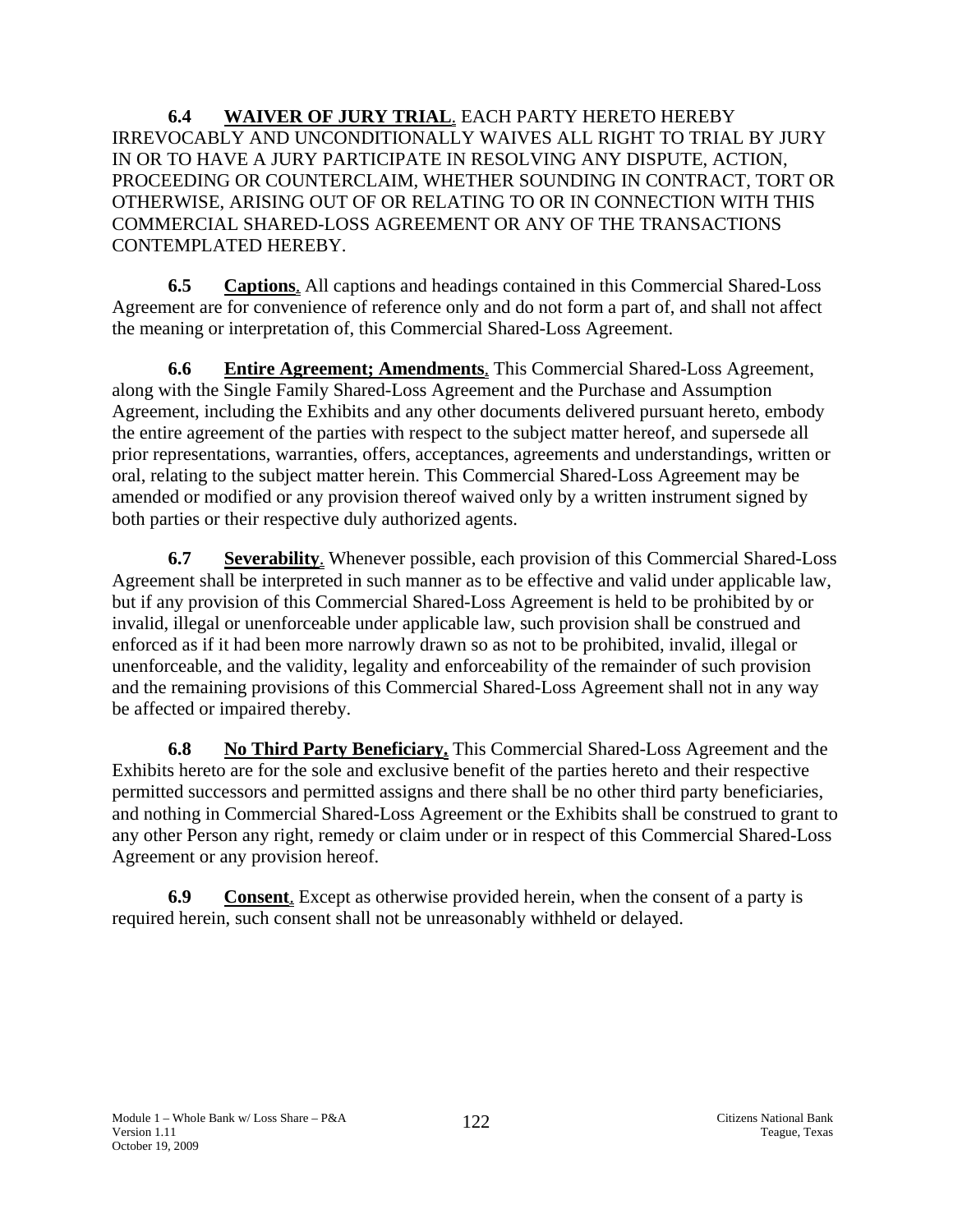**6.4 WAIVER OF JURY TRIAL**. EACH PARTY HERETO HEREBY IRREVOCABLY AND UNCONDITIONALLY WAIVES ALL RIGHT TO TRIAL BY JURY IN OR TO HAVE A JURY PARTICIPATE IN RESOLVING ANY DISPUTE, ACTION, PROCEEDING OR COUNTERCLAIM, WHETHER SOUNDING IN CONTRACT, TORT OR OTHERWISE, ARISING OUT OF OR RELATING TO OR IN CONNECTION WITH THIS COMMERCIAL SHARED-LOSS AGREEMENT OR ANY OF THE TRANSACTIONS CONTEMPLATED HEREBY.

**6.5 Captions**. All captions and headings contained in this Commercial Shared-Loss Agreement are for convenience of reference only and do not form a part of, and shall not affect the meaning or interpretation of, this Commercial Shared-Loss Agreement.

**6.6 Entire Agreement; Amendments**. This Commercial Shared-Loss Agreement, along with the Single Family Shared-Loss Agreement and the Purchase and Assumption Agreement, including the Exhibits and any other documents delivered pursuant hereto, embody the entire agreement of the parties with respect to the subject matter hereof, and supersede all prior representations, warranties, offers, acceptances, agreements and understandings, written or oral, relating to the subject matter herein. This Commercial Shared-Loss Agreement may be amended or modified or any provision thereof waived only by a written instrument signed by both parties or their respective duly authorized agents.

**6.7 Severability**. Whenever possible, each provision of this Commercial Shared-Loss Agreement shall be interpreted in such manner as to be effective and valid under applicable law, but if any provision of this Commercial Shared-Loss Agreement is held to be prohibited by or invalid, illegal or unenforceable under applicable law, such provision shall be construed and enforced as if it had been more narrowly drawn so as not to be prohibited, invalid, illegal or unenforceable, and the validity, legality and enforceability of the remainder of such provision and the remaining provisions of this Commercial Shared-Loss Agreement shall not in any way be affected or impaired thereby.

**6.8 No Third Party Beneficiary.** This Commercial Shared-Loss Agreement and the Exhibits hereto are for the sole and exclusive benefit of the parties hereto and their respective permitted successors and permitted assigns and there shall be no other third party beneficiaries, and nothing in Commercial Shared-Loss Agreement or the Exhibits shall be construed to grant to any other Person any right, remedy or claim under or in respect of this Commercial Shared-Loss Agreement or any provision hereof.

**6.9** Consent. Except as otherwise provided herein, when the consent of a party is required herein, such consent shall not be unreasonably withheld or delayed.